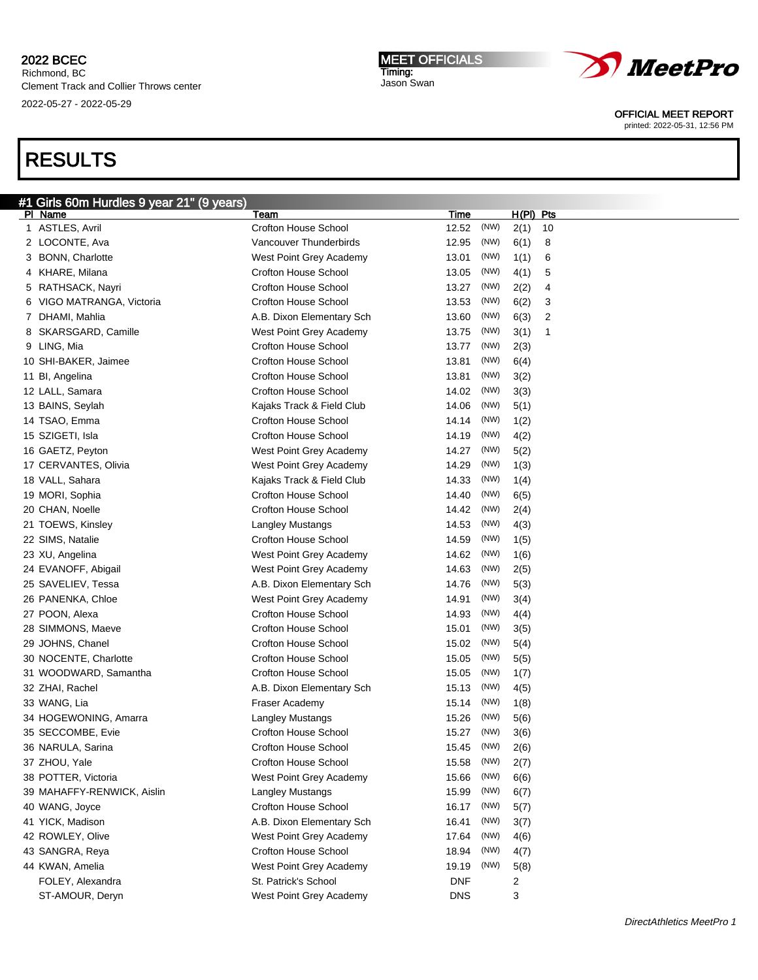# RESULTS

| #1 Girls 60m Hurdles 9 year 21" (9 years) |                             |            |      |             |                |
|-------------------------------------------|-----------------------------|------------|------|-------------|----------------|
| PI Name                                   | Team                        | Time       |      | $H(PI)$ Pts |                |
| 1 ASTLES, Avril                           | <b>Crofton House School</b> | 12.52      | (NW) | 2(1)        | 10             |
| 2 LOCONTE, Ava                            | Vancouver Thunderbirds      | 12.95      | (NW) | 6(1)        | 8              |
| 3 BONN, Charlotte                         | West Point Grey Academy     | 13.01      | (NW) | 1(1)        | 6              |
| 4 KHARE, Milana                           | <b>Crofton House School</b> | 13.05      | (NW) | 4(1)        | 5              |
| 5 RATHSACK, Nayri                         | <b>Crofton House School</b> | 13.27      | (NW) | 2(2)        | 4              |
| 6 VIGO MATRANGA, Victoria                 | <b>Crofton House School</b> | 13.53      | (NW) | 6(2)        | 3              |
| 7 DHAMI, Mahlia                           | A.B. Dixon Elementary Sch   | 13.60      | (NW) | 6(3)        | $\overline{2}$ |
| 8 SKARSGARD, Camille                      | West Point Grey Academy     | 13.75      | (NW) | 3(1)        | 1              |
| 9 LING, Mia                               | <b>Crofton House School</b> | 13.77      | (NW) | 2(3)        |                |
| 10 SHI-BAKER, Jaimee                      | <b>Crofton House School</b> | 13.81      | (NW) | 6(4)        |                |
| 11 Bl, Angelina                           | <b>Crofton House School</b> | 13.81      | (NW) | 3(2)        |                |
| 12 LALL, Samara                           | <b>Crofton House School</b> | 14.02      | (NW) | 3(3)        |                |
| 13 BAINS, Seylah                          | Kajaks Track & Field Club   | 14.06      | (NW) | 5(1)        |                |
| 14 TSAO, Emma                             | <b>Crofton House School</b> | 14.14      | (NW) | 1(2)        |                |
| 15 SZIGETI, Isla                          | <b>Crofton House School</b> | 14.19      | (NW) | 4(2)        |                |
| 16 GAETZ, Peyton                          | West Point Grey Academy     | 14.27      | (NW) | 5(2)        |                |
| 17 CERVANTES, Olivia                      | West Point Grey Academy     | 14.29      | (NW) | 1(3)        |                |
| 18 VALL, Sahara                           | Kajaks Track & Field Club   | 14.33      | (NW) | 1(4)        |                |
| 19 MORI, Sophia                           | <b>Crofton House School</b> | 14.40      | (NW) | 6(5)        |                |
| 20 CHAN, Noelle                           | <b>Crofton House School</b> | 14.42      | (NW) | 2(4)        |                |
| 21 TOEWS, Kinsley                         | Langley Mustangs            | 14.53      | (NW) | 4(3)        |                |
| 22 SIMS, Natalie                          | <b>Crofton House School</b> | 14.59      | (NW) | 1(5)        |                |
|                                           | West Point Grey Academy     | 14.62      | (NW) |             |                |
| 23 XU, Angelina                           |                             |            |      | 1(6)        |                |
| 24 EVANOFF, Abigail                       | West Point Grey Academy     | 14.63      | (NW) | 2(5)        |                |
| 25 SAVELIEV, Tessa                        | A.B. Dixon Elementary Sch   | 14.76      | (NW) | 5(3)        |                |
| 26 PANENKA, Chloe                         | West Point Grey Academy     | 14.91      | (NW) | 3(4)        |                |
| 27 POON, Alexa                            | <b>Crofton House School</b> | 14.93      | (NW) | 4(4)        |                |
| 28 SIMMONS, Maeve                         | <b>Crofton House School</b> | 15.01      | (NW) | 3(5)        |                |
| 29 JOHNS, Chanel                          | <b>Crofton House School</b> | 15.02      | (NW) | 5(4)        |                |
| 30 NOCENTE, Charlotte                     | <b>Crofton House School</b> | 15.05      | (NW) | 5(5)        |                |
| 31 WOODWARD, Samantha                     | <b>Crofton House School</b> | 15.05      | (NW) | 1(7)        |                |
| 32 ZHAI, Rachel                           | A.B. Dixon Elementary Sch   | 15.13      | (NW) | 4(5)        |                |
| 33 WANG, Lia                              | Fraser Academy              | 15.14      | (NW) | 1(8)        |                |
| 34 HOGEWONING, Amarra                     | Langley Mustangs            | 15.26      | (NW) | 5(6)        |                |
| 35 SECCOMBE, Evie                         | <b>Crofton House School</b> | 15.27      | (NW) | 3(6)        |                |
| 36 NARULA, Sarina                         | Crofton House School        | 15.45      | (NW) | 2(6)        |                |
| 37 ZHOU, Yale                             | Crofton House School        | 15.58      | (NW) | 2(7)        |                |
| 38 POTTER, Victoria                       | West Point Grey Academy     | 15.66      | (NW) | 6(6)        |                |
| 39 MAHAFFY-RENWICK, Aislin                | Langley Mustangs            | 15.99      | (NW) | 6(7)        |                |
| 40 WANG, Joyce                            | <b>Crofton House School</b> | 16.17      | (NW) | 5(7)        |                |
| 41 YICK, Madison                          | A.B. Dixon Elementary Sch   | 16.41      | (NW) | 3(7)        |                |
| 42 ROWLEY, Olive                          | West Point Grey Academy     | 17.64      | (NW) | 4(6)        |                |
| 43 SANGRA, Reya                           | <b>Crofton House School</b> | 18.94      | (NW) | 4(7)        |                |
| 44 KWAN, Amelia                           | West Point Grey Academy     | 19.19      | (NW) | 5(8)        |                |
| FOLEY, Alexandra                          | St. Patrick's School        | <b>DNF</b> |      | 2           |                |
| ST-AMOUR, Deryn                           | West Point Grey Academy     | <b>DNS</b> |      | 3           |                |



OFFICIAL MEET REPORT printed: 2022-05-31, 12:56 PM

MEET OFFICIALS Timing: Jason Swan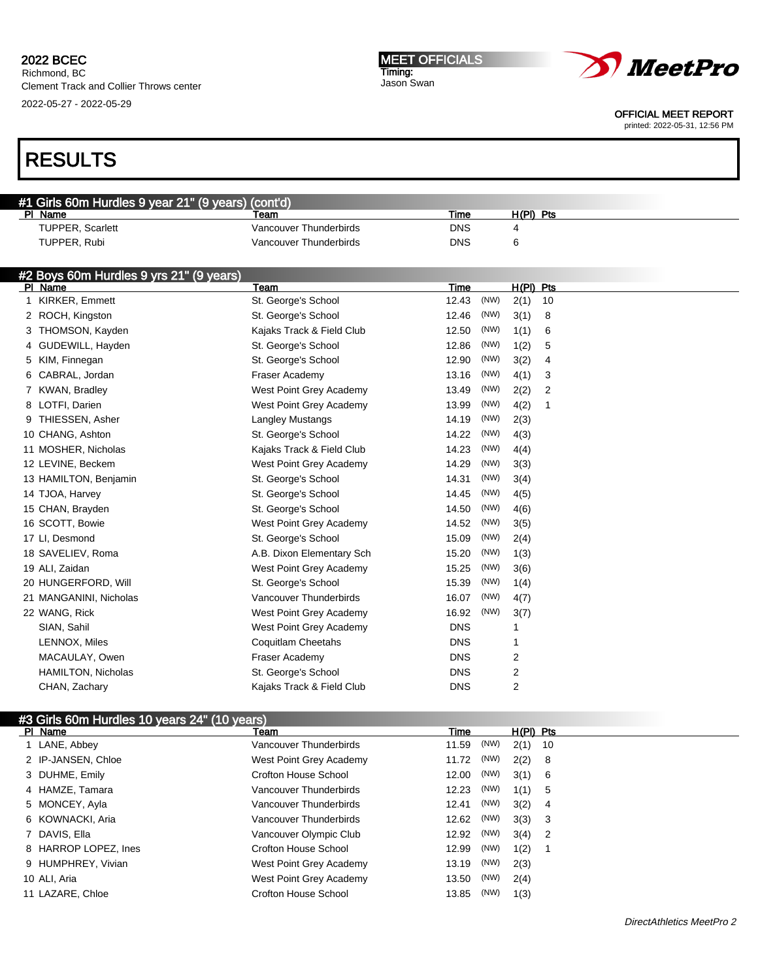Richmond, BC Clement Track and Collier Throws center 2022-05-27 - 2022-05-29

#### MEET OFFICIALS Timing: Jason Swan



OFFICIAL MEET REPORT

printed: 2022-05-31, 12:56 PM

|   | #1 Girls 60m Hurdles 9 year 21" (9 years) (cont'd) |                           |            |      |                |    |
|---|----------------------------------------------------|---------------------------|------------|------|----------------|----|
|   | PI Name                                            | Team                      | Time       |      | $H(PI)$ Pts    |    |
|   | TUPPER, Scarlett                                   | Vancouver Thunderbirds    | <b>DNS</b> |      | 4              |    |
|   | TUPPER, Rubi                                       | Vancouver Thunderbirds    | <b>DNS</b> |      | 6              |    |
|   |                                                    |                           |            |      |                |    |
|   | #2 Boys 60m Hurdles 9 yrs 21" (9 years)            |                           |            |      |                |    |
|   | PI Name                                            | Team                      | Time       |      | $H(PI)$ Pts    |    |
|   | KIRKER, Emmett                                     | St. George's School       | 12.43      | (NW) | 2(1)           | 10 |
|   | 2 ROCH, Kingston                                   | St. George's School       | 12.46      | (NW) | 3(1)           | 8  |
|   | 3 THOMSON, Kayden                                  | Kajaks Track & Field Club | 12.50      | (NW) | 1(1)           | 6  |
| 4 | GUDEWILL, Hayden                                   | St. George's School       | 12.86      | (NW) | 1(2)           | 5  |
|   | 5 KIM, Finnegan                                    | St. George's School       | 12.90      | (NW) | 3(2)           | 4  |
|   | CABRAL, Jordan                                     | Fraser Academy            | 13.16      | (NW) | 4(1)           | 3  |
|   | 7 KWAN, Bradley                                    | West Point Grey Academy   | 13.49      | (NW) | 2(2)           | 2  |
|   | 8 LOTFI, Darien                                    | West Point Grey Academy   | 13.99      | (NW) | 4(2)           | 1  |
| 9 | THIESSEN, Asher                                    | <b>Langley Mustangs</b>   | 14.19      | (NW) | 2(3)           |    |
|   | 10 CHANG, Ashton                                   | St. George's School       | 14.22      | (NW) | 4(3)           |    |
|   | 11 MOSHER, Nicholas                                | Kajaks Track & Field Club | 14.23      | (NW) | 4(4)           |    |
|   | 12 LEVINE, Beckem                                  | West Point Grey Academy   | 14.29      | (NW) | 3(3)           |    |
|   | 13 HAMILTON, Benjamin                              | St. George's School       | 14.31      | (NW) | 3(4)           |    |
|   | 14 TJOA, Harvey                                    | St. George's School       | 14.45      | (NW) | 4(5)           |    |
|   | 15 CHAN, Brayden                                   | St. George's School       | 14.50      | (NW) | 4(6)           |    |
|   | 16 SCOTT, Bowie                                    | West Point Grey Academy   | 14.52      | (NW) | 3(5)           |    |
|   | 17 LI, Desmond                                     | St. George's School       | 15.09      | (NW) | 2(4)           |    |
|   | 18 SAVELIEV, Roma                                  | A.B. Dixon Elementary Sch | 15.20      | (NW) | 1(3)           |    |
|   | 19 ALI, Zaidan                                     | West Point Grey Academy   | 15.25      | (NW) | 3(6)           |    |
|   | 20 HUNGERFORD, Will                                | St. George's School       | 15.39      | (NW) | 1(4)           |    |
|   | 21 MANGANINI, Nicholas                             | Vancouver Thunderbirds    | 16.07      | (NW) | 4(7)           |    |
|   | 22 WANG, Rick                                      | West Point Grey Academy   | 16.92      | (NW) | 3(7)           |    |
|   | SIAN, Sahil                                        | West Point Grey Academy   | <b>DNS</b> |      | 1              |    |
|   | LENNOX, Miles                                      | <b>Coquitlam Cheetahs</b> | <b>DNS</b> |      | 1              |    |
|   | MACAULAY, Owen                                     | Fraser Academy            | <b>DNS</b> |      | 2              |    |
|   | <b>HAMILTON, Nicholas</b>                          | St. George's School       | <b>DNS</b> |      | 2              |    |
|   | CHAN, Zachary                                      | Kajaks Track & Field Club | <b>DNS</b> |      | $\overline{2}$ |    |
|   |                                                    |                           |            |      |                |    |

|              | #3 Girls 60m Hurdles 10 years 24" (10 years) |                         |       |      |           |     |  |  |
|--------------|----------------------------------------------|-------------------------|-------|------|-----------|-----|--|--|
| PI Name      |                                              | Team                    | Time  |      | H(PI) Pts |     |  |  |
|              | LANE, Abbey                                  | Vancouver Thunderbirds  | 11.59 | (NW) | 2(1)      | 10  |  |  |
|              | 2 IP-JANSEN, Chloe                           | West Point Grey Academy | 11.72 | (NW) | 2(2)      | 8   |  |  |
|              | 3 DUHME, Emily                               | Crofton House School    | 12.00 | (NW) | 3(1) 6    |     |  |  |
|              | 4 HAMZE, Tamara                              | Vancouver Thunderbirds  | 12.23 | (NW) | 1(1)      | 5   |  |  |
|              | 5 MONCEY, Ayla                               | Vancouver Thunderbirds  | 12.41 | (NW) | 3(2)      | 4   |  |  |
|              | 6 KOWNACKI, Aria                             | Vancouver Thunderbirds  | 12.62 | (NW) | 3(3)      | -3  |  |  |
|              | 7 DAVIS, Ella                                | Vancouver Olympic Club  | 12.92 | (NW) | 3(4)      | - 2 |  |  |
|              | 8 HARROP LOPEZ, Ines                         | Crofton House School    | 12.99 | (NW) | 1(2)      |     |  |  |
|              | 9 HUMPHREY, Vivian                           | West Point Grey Academy | 13.19 | (NW) | 2(3)      |     |  |  |
| 10 ALI, Aria |                                              | West Point Grey Academy | 13.50 | (NW) | 2(4)      |     |  |  |
|              | 11 LAZARE, Chloe                             | Crofton House School    | 13.85 | (NW) | 1(3)      |     |  |  |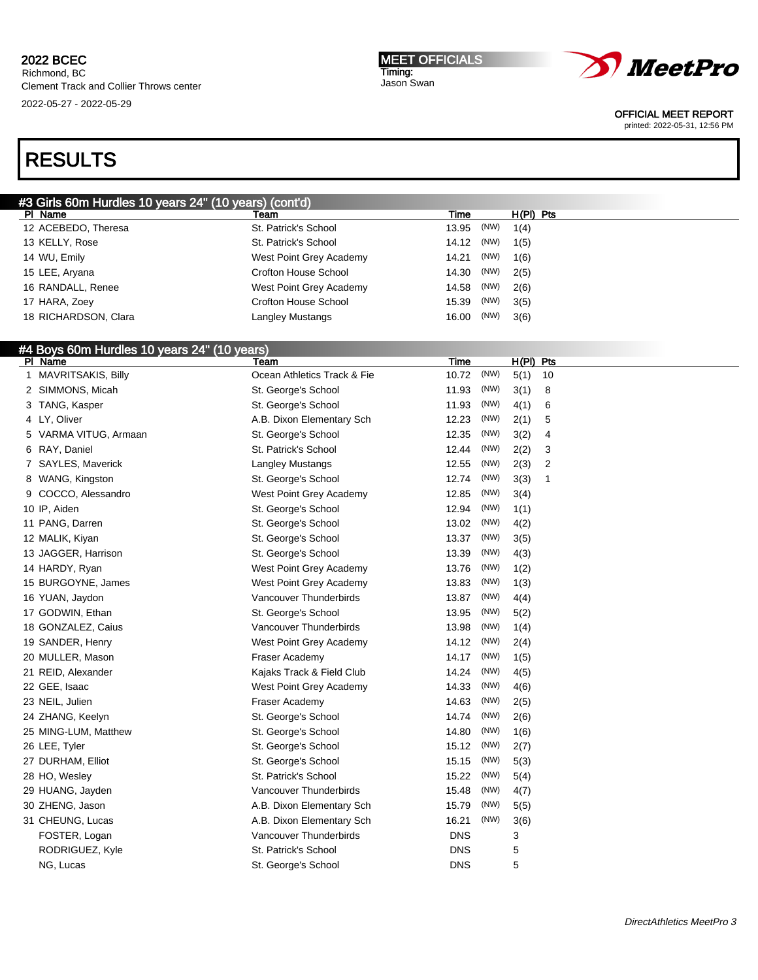MEET OFFICIALS Timing: Jason Swan



OFFICIAL MEET REPORT

printed: 2022-05-31, 12:56 PM

| #3 Girls 60m Hurdles 10 years 24" (10 years) (cont'd) |                             |                |      |             |    |
|-------------------------------------------------------|-----------------------------|----------------|------|-------------|----|
| PI Name                                               | Team                        | Time           |      | $H(PI)$ Pts |    |
| 12 ACEBEDO, Theresa                                   | St. Patrick's School        | 13.95          | (NW) | 1(4)        |    |
| 13 KELLY, Rose                                        | St. Patrick's School        | 14.12          | (NW) | 1(5)        |    |
| 14 WU, Emily                                          | West Point Grey Academy     | 14.21          | (NW) | 1(6)        |    |
| 15 LEE, Aryana                                        | Crofton House School        | 14.30          | (NW) | 2(5)        |    |
| 16 RANDALL, Renee                                     | West Point Grey Academy     | 14.58          | (NW) | 2(6)        |    |
| 17 HARA, Zoey                                         | <b>Crofton House School</b> | 15.39          | (NW) | 3(5)        |    |
| 18 RICHARDSON, Clara                                  | Langley Mustangs            | 16.00          | (NW) | 3(6)        |    |
|                                                       |                             |                |      |             |    |
| #4 Boys 60m Hurdles 10 years 24" (10 years)           |                             |                |      |             |    |
| PI Name                                               | Team                        | <u>Time</u>    |      | H(PI) Pts   |    |
| 1 MAVRITSAKIS, Billy                                  | Ocean Athletics Track & Fie | 10.72          | (NW) | 5(1)        | 10 |
| 2 SIMMONS, Micah                                      | St. George's School         | 11.93          | (NW) | 3(1)        | 8  |
| 3 TANG, Kasper                                        | St. George's School         | 11.93          | (NW) | 4(1)        | 6  |
| 4 LY, Oliver                                          | A.B. Dixon Elementary Sch   | 12.23          | (NW) | 2(1)        | 5  |
| 5 VARMA VITUG, Armaan                                 | St. George's School         | 12.35          | (NW) | 3(2)        | 4  |
| 6 RAY, Daniel                                         | St. Patrick's School        | 12.44          | (NW) | 2(2)        | 3  |
| 7 SAYLES, Maverick                                    | Langley Mustangs            | 12.55          | (NW) | 2(3)        | 2  |
| 8 WANG, Kingston                                      | St. George's School         | 12.74          | (NW) | 3(3)        | 1  |
| 9 COCCO, Alessandro                                   | West Point Grey Academy     | 12.85          | (NW) | 3(4)        |    |
| 10 IP, Aiden                                          | St. George's School         | 12.94          | (NW) | 1(1)        |    |
| 11 PANG, Darren                                       | St. George's School         | 13.02          | (NW) | 4(2)        |    |
| 12 MALIK, Kiyan                                       | St. George's School         | 13.37          | (NW) | 3(5)        |    |
| 13 JAGGER, Harrison                                   | St. George's School         | 13.39          | (NW) | 4(3)        |    |
| 14 HARDY, Ryan                                        | West Point Grey Academy     | 13.76          | (NW) | 1(2)        |    |
| 15 BURGOYNE, James                                    | West Point Grey Academy     | 13.83          | (NW) | 1(3)        |    |
| 16 YUAN, Jaydon                                       | Vancouver Thunderbirds      | 13.87          | (NW) | 4(4)        |    |
| 17 GODWIN, Ethan                                      | St. George's School         | 13.95          | (NW) | 5(2)        |    |
| 18 GONZALEZ, Caius                                    | Vancouver Thunderbirds      | 13.98          | (NW) | 1(4)        |    |
| 19 SANDER, Henry                                      | West Point Grey Academy     | 14.12          | (NW) | 2(4)        |    |
| 20 MULLER, Mason                                      | Fraser Academy              | 14.17          | (NW) | 1(5)        |    |
| 21 REID, Alexander                                    | Kajaks Track & Field Club   | 14.24          | (NW) | 4(5)        |    |
| 22 GEE, Isaac                                         | West Point Grey Academy     | 14.33          | (NW) | 4(6)        |    |
| 23 NEIL, Julien                                       | Fraser Academy              | 14.63          | (NW) | 2(5)        |    |
| 24 ZHANG, Keelyn                                      | St. George's School         | 14.74          | (NW) | 2(6)        |    |
| 25 MING-LUM, Matthew                                  | St. George's School         | 14.80          | (NW) | 1(6)        |    |
| 26 LEE, Tyler                                         | St. George's School         | 15.12          | (NW) | 2(7)        |    |
| 27 DURHAM, Elliot                                     | St. George's School         | 15.15          | (NW) | 5(3)        |    |
| 28 HO, Wesley                                         | St. Patrick's School        | 15.22          | (NW) | 5(4)        |    |
|                                                       | Vancouver Thunderbirds      |                | (NW) |             |    |
| 29 HUANG, Jayden                                      |                             | 15.48<br>15.79 | (NW) | 4(7)        |    |
| 30 ZHENG, Jason                                       | A.B. Dixon Elementary Sch   |                |      | 5(5)        |    |
| 31 CHEUNG, Lucas                                      | A.B. Dixon Elementary Sch   | 16.21          | (NW) | 3(6)        |    |
| FOSTER, Logan                                         | Vancouver Thunderbirds      | <b>DNS</b>     |      | 3           |    |
| RODRIGUEZ, Kyle                                       | St. Patrick's School        | DNS            |      | 5           |    |
| NG, Lucas                                             | St. George's School         | DNS            |      | 5           |    |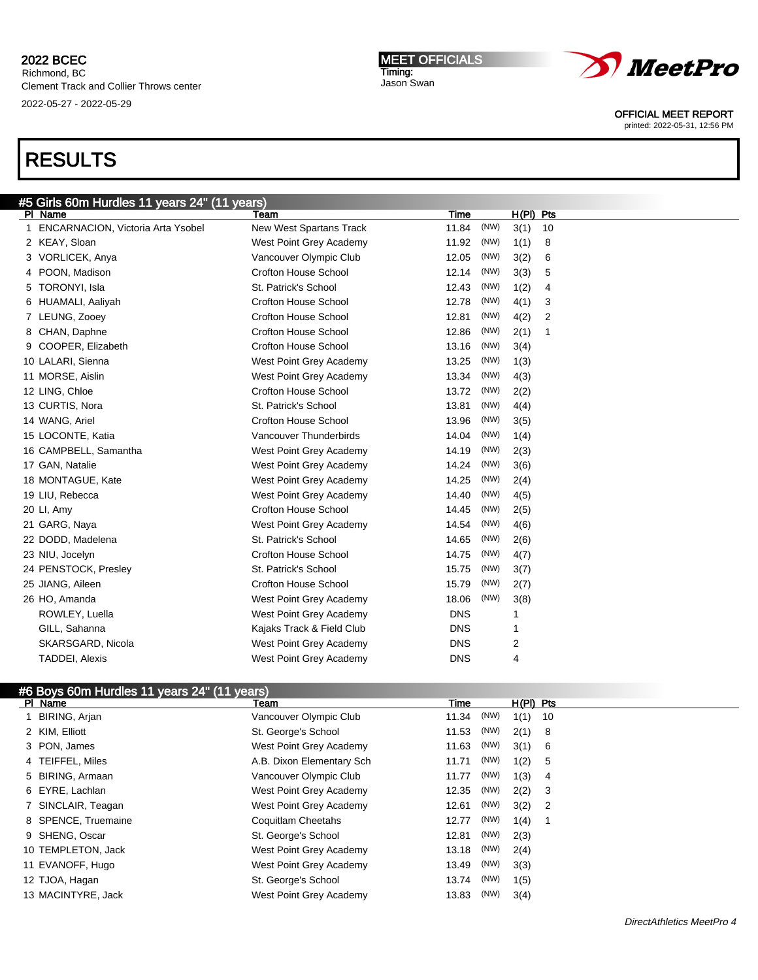$5.44 \text{ years}$   $24$ " (44  $\text{ years}$ )

MEET OFFICIALS Timing: Jason Swan



OFFICIAL MEET REPORT

printed: 2022-05-31, 12:56 PM

| <del>70</del> וויט CH וויט CH וויט <del>P</del> 3 DUI וויטס CH וויט |                             |            |      |             |                |  |
|---------------------------------------------------------------------|-----------------------------|------------|------|-------------|----------------|--|
| PI Name                                                             | Team                        | Time       |      | $H(PI)$ Pts |                |  |
| 1 ENCARNACION, Victoria Arta Ysobel                                 | New West Spartans Track     | 11.84      | (NW) | 3(1)        | 10             |  |
| 2 KEAY, Sloan                                                       | West Point Grey Academy     | 11.92      | (NW) | 1(1)        | 8              |  |
| 3 VORLICEK, Anya                                                    | Vancouver Olympic Club      | 12.05      | (NW) | 3(2)        | 6              |  |
| 4 POON, Madison                                                     | Crofton House School        | 12.14      | (NW) | 3(3)        | 5              |  |
| 5 TORONYI, Isla                                                     | St. Patrick's School        | 12.43      | (NW) | 1(2)        | 4              |  |
| 6 HUAMALI, Aaliyah                                                  | <b>Crofton House School</b> | 12.78      | (NW) | 4(1)        | 3              |  |
| 7 LEUNG, Zooev                                                      | <b>Crofton House School</b> | 12.81      | (NW) | 4(2)        | $\overline{2}$ |  |
| 8 CHAN, Daphne                                                      | <b>Crofton House School</b> | 12.86      | (NW) | 2(1)        | 1              |  |
| 9 COOPER, Elizabeth                                                 | <b>Crofton House School</b> | 13.16      | (NW) | 3(4)        |                |  |
| 10 LALARI, Sienna                                                   | West Point Grey Academy     | 13.25      | (NW) | 1(3)        |                |  |
| 11 MORSE, Aislin                                                    | West Point Grey Academy     | 13.34      | (NW) | 4(3)        |                |  |
| 12 LING, Chloe                                                      | <b>Crofton House School</b> | 13.72      | (NW) | 2(2)        |                |  |
| 13 CURTIS, Nora                                                     | St. Patrick's School        | 13.81      | (NW) | 4(4)        |                |  |
| 14 WANG, Ariel                                                      | Crofton House School        | 13.96      | (NW) | 3(5)        |                |  |
| 15 LOCONTE, Katia                                                   | Vancouver Thunderbirds      | 14.04      | (NW) | 1(4)        |                |  |
| 16 CAMPBELL, Samantha                                               | West Point Grey Academy     | 14.19      | (NW) | 2(3)        |                |  |
| 17 GAN, Natalie                                                     | West Point Grey Academy     | 14.24      | (NW) | 3(6)        |                |  |
| 18 MONTAGUE, Kate                                                   | West Point Grey Academy     | 14.25      | (NW) | 2(4)        |                |  |
| 19 LIU, Rebecca                                                     | West Point Grey Academy     | 14.40      | (NW) | 4(5)        |                |  |
| 20 LI, Amy                                                          | Crofton House School        | 14.45      | (NW) | 2(5)        |                |  |
| 21 GARG, Naya                                                       | West Point Grey Academy     | 14.54      | (NW) | 4(6)        |                |  |
| 22 DODD, Madelena                                                   | St. Patrick's School        | 14.65      | (NW) | 2(6)        |                |  |
| 23 NIU, Jocelyn                                                     | Crofton House School        | 14.75      | (NW) | 4(7)        |                |  |
| 24 PENSTOCK, Presley                                                | St. Patrick's School        | 15.75      | (NW) | 3(7)        |                |  |
| 25 JIANG, Aileen                                                    | Crofton House School        | 15.79      | (NW) | 2(7)        |                |  |
| 26 HO, Amanda                                                       | West Point Grey Academy     | 18.06      | (NW) | 3(8)        |                |  |
| ROWLEY, Luella                                                      | West Point Grey Academy     | <b>DNS</b> |      | 1           |                |  |
| GILL, Sahanna                                                       | Kajaks Track & Field Club   | <b>DNS</b> |      | 1           |                |  |
| SKARSGARD, Nicola                                                   | West Point Grey Academy     | <b>DNS</b> |      | 2           |                |  |
| <b>TADDEI, Alexis</b>                                               | West Point Grey Academy     | <b>DNS</b> |      | 4           |                |  |
|                                                                     |                             |            |      |             |                |  |

| #6 Boys 60m Hurdles 11 years 24" (11 years) |                           |       |      |             |                |
|---------------------------------------------|---------------------------|-------|------|-------------|----------------|
| PI Name                                     | Team                      | Time  |      | $H(PI)$ Pts |                |
| 1 BIRING, Arjan                             | Vancouver Olympic Club    | 11.34 | (NW) | 1(1)        | 10             |
| 2 KIM, Elliott                              | St. George's School       | 11.53 | (NW) | 2(1)        | - 8            |
| 3 PON, James                                | West Point Grey Academy   | 11.63 | (NW) | 3(1)        | 6              |
| 4 TEIFFEL, Miles                            | A.B. Dixon Elementary Sch | 11.71 | (NW) | 1(2)        | 5              |
| 5 BIRING, Armaan                            | Vancouver Olympic Club    | 11.77 | (NW) | 1(3)        | -4             |
| 6 EYRE, Lachlan                             | West Point Grey Academy   | 12.35 | (NW) | 2(2)        | -3             |
| 7 SINCLAIR, Teagan                          | West Point Grey Academy   | 12.61 | (NW) | 3(2)        | $\overline{2}$ |
| 8 SPENCE, Truemaine                         | Coquitlam Cheetahs        | 12.77 | (NW) | 1(4)        |                |
| 9 SHENG, Oscar                              | St. George's School       | 12.81 | (NW) | 2(3)        |                |
| 10 TEMPLETON, Jack                          | West Point Grey Academy   | 13.18 | (NW) | 2(4)        |                |
| 11 EVANOFF, Hugo                            | West Point Grey Academy   | 13.49 | (NW) | 3(3)        |                |
| 12 TJOA, Hagan                              | St. George's School       | 13.74 | (NW) | 1(5)        |                |
| 13 MACINTYRE, Jack                          | West Point Grey Academy   | 13.83 | (NW) | 3(4)        |                |
|                                             |                           |       |      |             |                |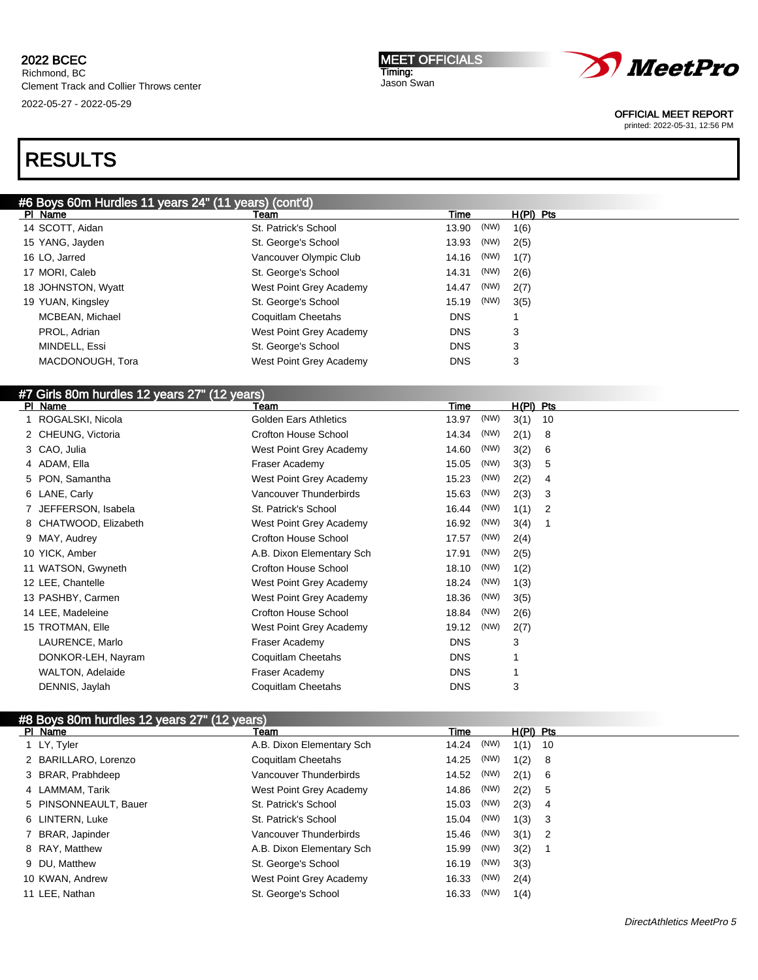MEET OFFICIALS Timing: Jason Swan



OFFICIAL MEET REPORT

printed: 2022-05-31, 12:56 PM

# RESULTS

| #6 Boys 60m Hurdles 11 years 24" (11 years) (cont'd) |  |
|------------------------------------------------------|--|

| PI Name            | Team                    | Time          | $H(PI)$ Pts |
|--------------------|-------------------------|---------------|-------------|
| 14 SCOTT, Aidan    | St. Patrick's School    | (NW)<br>13.90 | 1(6)        |
| 15 YANG, Jayden    | St. George's School     | (NW)<br>13.93 | 2(5)        |
| 16 LO, Jarred      | Vancouver Olympic Club  | (NW)<br>14.16 | 1(7)        |
| 17 MORI, Caleb     | St. George's School     | (NW)<br>14.31 | 2(6)        |
| 18 JOHNSTON, Wyatt | West Point Grey Academy | (NW)<br>14.47 | 2(7)        |
| 19 YUAN, Kingsley  | St. George's School     | (NW)<br>15.19 | 3(5)        |
| MCBEAN, Michael    | Coquitlam Cheetahs      | <b>DNS</b>    |             |
| PROL, Adrian       | West Point Grey Academy | <b>DNS</b>    | 3           |
| MINDELL, Essi      | St. George's School     | <b>DNS</b>    | 3           |
| MACDONOUGH, Tora   | West Point Grey Academy | <b>DNS</b>    | 3           |
|                    |                         |               |             |

# #7 Girls 80m hurdles 12 years 27" (12 years)

| PI Name               | Team                         | Time          | $H(PI)$ Pts |
|-----------------------|------------------------------|---------------|-------------|
| 1 ROGALSKI, Nicola    | <b>Golden Ears Athletics</b> | (NW)<br>13.97 | 3(1)<br>10  |
| 2 CHEUNG, Victoria    | Crofton House School         | (NW)<br>14.34 | 2(1)<br>8   |
| 3 CAO, Julia          | West Point Grey Academy      | (NW)<br>14.60 | 3(2)<br>6   |
| 4 ADAM, Ella          | Fraser Academy               | (NW)<br>15.05 | 3(3)<br>5   |
| 5 PON, Samantha       | West Point Grey Academy      | (NW)<br>15.23 | 2(2)<br>4   |
| 6 LANE, Carly         | Vancouver Thunderbirds       | (NW)<br>15.63 | 2(3)<br>3   |
| 7 JEFFERSON, Isabela  | St. Patrick's School         | (NW)<br>16.44 | 1(1)<br>2   |
| 8 CHATWOOD, Elizabeth | West Point Grey Academy      | (NW)<br>16.92 | 3(4)<br>1   |
| 9 MAY, Audrey         | Crofton House School         | (NW)<br>17.57 | 2(4)        |
| 10 YICK, Amber        | A.B. Dixon Elementary Sch    | (NW)<br>17.91 | 2(5)        |
| 11 WATSON, Gwyneth    | Crofton House School         | (NW)<br>18.10 | 1(2)        |
| 12 LEE, Chantelle     | West Point Grey Academy      | (NW)<br>18.24 | 1(3)        |
| 13 PASHBY, Carmen     | West Point Grey Academy      | (NW)<br>18.36 | 3(5)        |
| 14 LEE, Madeleine     | Crofton House School         | (NW)<br>18.84 | 2(6)        |
| 15 TROTMAN, Elle      | West Point Grey Academy      | (NW)<br>19.12 | 2(7)        |
| LAURENCE, Marlo       | Fraser Academy               | <b>DNS</b>    | 3           |
| DONKOR-LEH, Nayram    | Coquitlam Cheetahs           | <b>DNS</b>    |             |
| WALTON, Adelaide      | Fraser Academy               | <b>DNS</b>    |             |
| DENNIS, Jaylah        | Coquitlam Cheetahs           | <b>DNS</b>    | 3           |

| #8 Boys 80m hurdles 12 years 27" (12 years) |                           |       |      |             |                            |  |
|---------------------------------------------|---------------------------|-------|------|-------------|----------------------------|--|
| PI Name                                     | Team                      | Time  |      | $H(PI)$ Pts |                            |  |
| 1 LY, Tyler                                 | A.B. Dixon Elementary Sch | 14.24 | (NW) | 1(1)        | - 10                       |  |
| 2 BARILLARO, Lorenzo                        | Coquitlam Cheetahs        | 14.25 | (NW) | 1(2)        | - 8                        |  |
| 3 BRAR, Prabhdeep                           | Vancouver Thunderbirds    | 14.52 | (NW) | 2(1)        | - 6                        |  |
| 4 LAMMAM, Tarik                             | West Point Grey Academy   | 14.86 | (NW) | 2(2)        | - 5                        |  |
| 5 PINSONNEAULT, Bauer                       | St. Patrick's School      | 15.03 | (NW) | 2(3)        | $\overline{4}$             |  |
| 6 LINTERN, Luke                             | St. Patrick's School      | 15.04 | (NW) | 1(3)        | $_{3}$                     |  |
| 7 BRAR, Japinder                            | Vancouver Thunderbirds    | 15.46 | (NW) | 3(1)        | $\overline{\phantom{0}}^2$ |  |
| 8 RAY, Matthew                              | A.B. Dixon Elementary Sch | 15.99 | (NW) | 3(2)        |                            |  |
| 9 DU, Matthew                               | St. George's School       | 16.19 | (NW) | 3(3)        |                            |  |
| 10 KWAN, Andrew                             | West Point Grey Academy   | 16.33 | (NW) | 2(4)        |                            |  |
| 11 LEE, Nathan                              | St. George's School       | 16.33 | (NW) | 1(4)        |                            |  |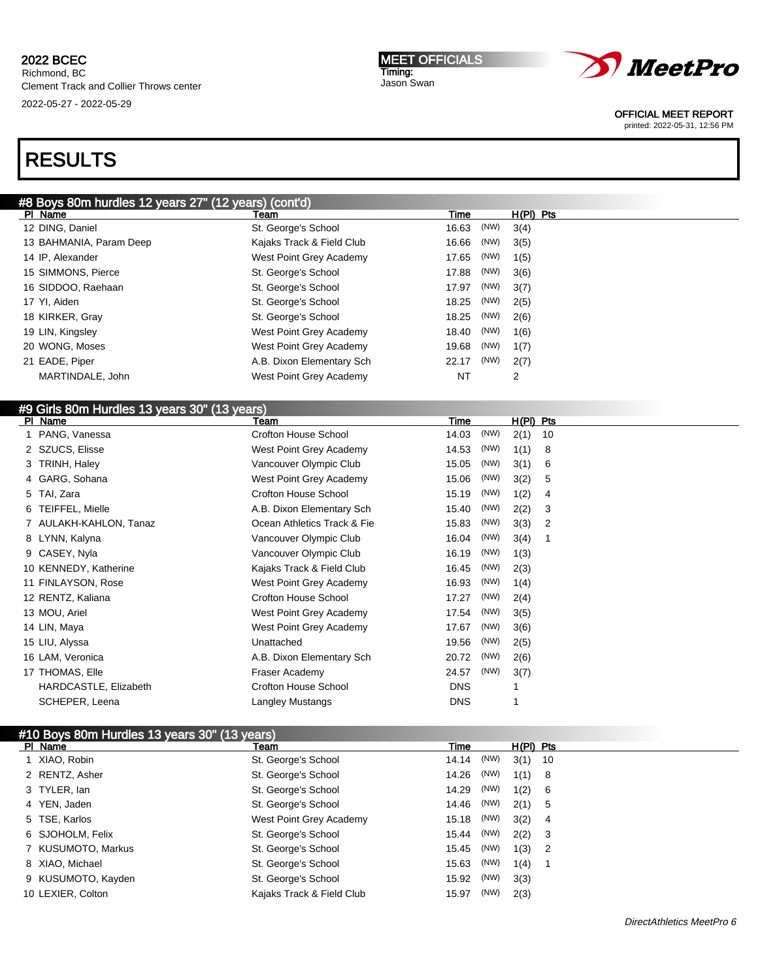MEET OFFICIALS Timing: Jason Swan



OFFICIAL MEET REPORT

printed: 2022-05-31, 12:56 PM

# RESULTS

# #8 Boys 80m hurdles 12 years 27" (12 years) (cont'd)

| PI Name                 | Team                      | Time          | $H(PI)$ Pts |
|-------------------------|---------------------------|---------------|-------------|
| 12 DING, Daniel         | St. George's School       | 16.63 (NW)    | 3(4)        |
| 13 BAHMANIA, Param Deep | Kajaks Track & Field Club | (NW)<br>16.66 | 3(5)        |
| 14 IP, Alexander        | West Point Grey Academy   | (NW)<br>17.65 | 1(5)        |
| 15 SIMMONS, Pierce      | St. George's School       | (NW)<br>17.88 | 3(6)        |
| 16 SIDDOO, Raehaan      | St. George's School       | (NW)<br>17.97 | 3(7)        |
| 17 YI, Aiden            | St. George's School       | (NW)<br>18.25 | 2(5)        |
| 18 KIRKER, Gray         | St. George's School       | 18.25 (NW)    | 2(6)        |
| 19 LIN, Kingsley        | West Point Grey Academy   | 18.40 (NW)    | 1(6)        |
| 20 WONG, Moses          | West Point Grey Academy   | (NW)<br>19.68 | 1(7)        |
| 21 EADE, Piper          | A.B. Dixon Elementary Sch | (NW)<br>22.17 | 2(7)        |
| MARTINDALE, John        | West Point Grey Academy   | NT            | 2           |
|                         |                           |               |             |

#### #9 Girls 80m Hurdles 13 years 30" (13 years) PI Name **The H(PI)** Pts Team Team Team Team Time H(PI) Pts

| PANG, Vanessa          | <b>Crofton House School</b> | (NW)<br>14.03 | 2(1) | 10 |
|------------------------|-----------------------------|---------------|------|----|
| 2 SZUCS, Elisse        | West Point Grey Academy     | (NW)<br>14.53 | 1(1) | 8  |
| 3 TRINH, Haley         | Vancouver Olympic Club      | (NW)<br>15.05 | 3(1) | 6  |
| 4 GARG, Sohana         | West Point Grey Academy     | (NW)<br>15.06 | 3(2) | 5  |
| 5 TAI, Zara            | <b>Crofton House School</b> | (NW)<br>15.19 | 1(2) | 4  |
| TEIFFEL, Mielle<br>6   | A.B. Dixon Elementary Sch   | (NW)<br>15.40 | 2(2) | 3  |
| 7 AULAKH-KAHLON, Tanaz | Ocean Athletics Track & Fie | (NW)<br>15.83 | 3(3) | 2  |
| 8 LYNN, Kalyna         | Vancouver Olympic Club      | (NW)<br>16.04 | 3(4) |    |
| 9 CASEY, Nyla          | Vancouver Olympic Club      | (NW)<br>16.19 | 1(3) |    |
| 10 KENNEDY, Katherine  | Kajaks Track & Field Club   | (NW)<br>16.45 | 2(3) |    |
| 11 FINLAYSON, Rose     | West Point Grey Academy     | (NW)<br>16.93 | 1(4) |    |
| 12 RENTZ, Kaliana      | <b>Crofton House School</b> | (NW)<br>17.27 | 2(4) |    |
| 13 MOU, Ariel          | West Point Grey Academy     | (NW)<br>17.54 | 3(5) |    |
| 14 LIN, Maya           | West Point Grey Academy     | (NW)<br>17.67 | 3(6) |    |
| 15 LIU, Alyssa         | Unattached                  | (NW)<br>19.56 | 2(5) |    |
| 16 LAM, Veronica       | A.B. Dixon Elementary Sch   | (NW)<br>20.72 | 2(6) |    |
| 17 THOMAS, Elle        | Fraser Academy              | (NW)<br>24.57 | 3(7) |    |
| HARDCASTLE, Elizabeth  | <b>Crofton House School</b> | <b>DNS</b>    |      |    |
| SCHEPER, Leena         | Langley Mustangs            | <b>DNS</b>    |      |    |
|                        |                             |               |      |    |

|                    | #10 Boys 80m Hurdles 13 years 30" (13 years) |       |      |             |                |  |
|--------------------|----------------------------------------------|-------|------|-------------|----------------|--|
| PI Name            | Team                                         | Time  |      | $H(PI)$ Pts |                |  |
| 1 XIAO, Robin      | St. George's School                          | 14.14 | (NW) | 3(1)        | - 10           |  |
| 2 RENTZ, Asher     | St. George's School                          | 14.26 | (NW) | 1(1)        | - 8            |  |
| 3 TYLER, lan       | St. George's School                          | 14.29 | (NW) | 1(2)        | - 6            |  |
| 4 YEN, Jaden       | St. George's School                          | 14.46 | (NW) | 2(1)        | - 5            |  |
| 5 TSE, Karlos      | West Point Grey Academy                      | 15.18 | (NW) | 3(2)        | -4             |  |
| 6 SJOHOLM, Felix   | St. George's School                          | 15.44 | (NW) | 2(2)        | - 3            |  |
| 7 KUSUMOTO, Markus | St. George's School                          | 15.45 | (NW) | 1(3)        | $\overline{2}$ |  |
| 8 XIAO, Michael    | St. George's School                          | 15.63 | (NW) | 1(4)        |                |  |
| 9 KUSUMOTO, Kayden | St. George's School                          | 15.92 | (NW) | 3(3)        |                |  |
| 10 LEXIER, Colton  | Kajaks Track & Field Club                    | 15.97 | (NW) | 2(3)        |                |  |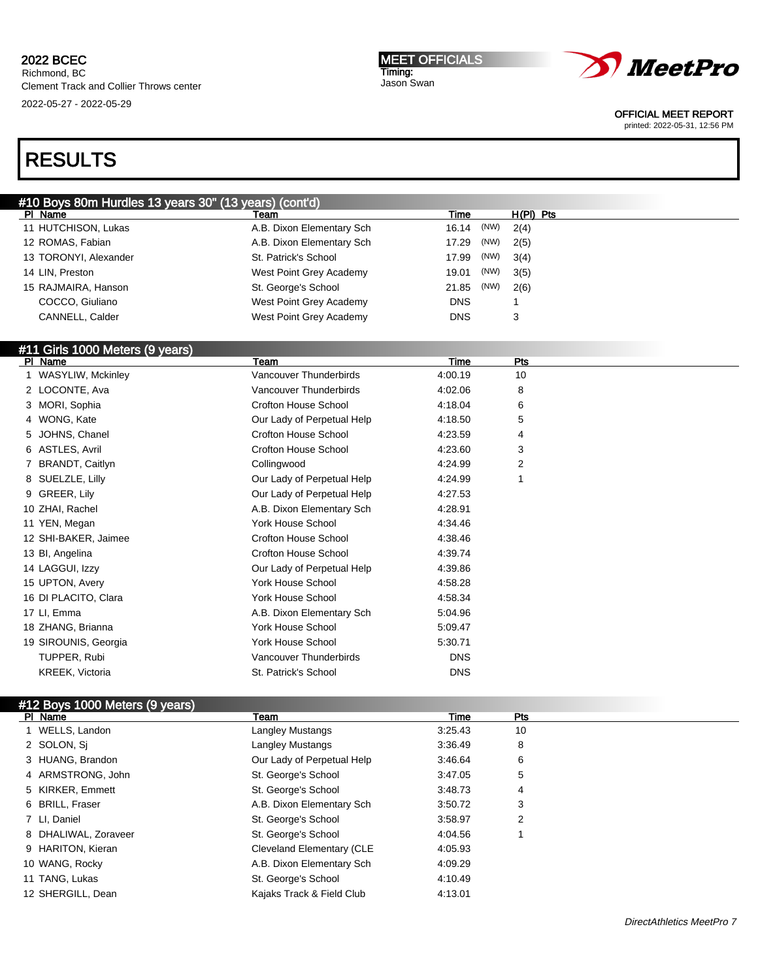MEET OFFICIALS Timing: Jason Swan



OFFICIAL MEET REPORT

printed: 2022-05-31, 12:56 PM

# RESULTS

| #10 Boys 80m Hurdles 13 years 30" (13 years) (cont'd) |                             |            |      |           |  |
|-------------------------------------------------------|-----------------------------|------------|------|-----------|--|
| PI Name                                               | Team                        | Time       |      | H(PI) Pts |  |
| 11 HUTCHISON, Lukas                                   | A.B. Dixon Elementary Sch   | 16.14      | (NW) | 2(4)      |  |
| 12 ROMAS, Fabian                                      | A.B. Dixon Elementary Sch   | 17.29      | (NW) | 2(5)      |  |
| 13 TORONYI, Alexander                                 | St. Patrick's School        | 17.99      | (NW) | 3(4)      |  |
| 14 LIN, Preston                                       | West Point Grey Academy     | 19.01      | (NW) | 3(5)      |  |
| 15 RAJMAIRA, Hanson                                   | St. George's School         | 21.85      | (NW) | 2(6)      |  |
| COCCO, Giuliano                                       | West Point Grey Academy     | <b>DNS</b> |      | 1         |  |
| CANNELL, Calder                                       | West Point Grey Academy     | <b>DNS</b> |      | 3         |  |
| #11 Girls 1000 Meters (9 years)                       |                             |            |      |           |  |
| PI Name                                               | Team                        | Time       |      | Pts       |  |
| 1 WASYLIW, Mckinley                                   | Vancouver Thunderbirds      | 4:00.19    |      | 10        |  |
| 2 LOCONTE, Ava                                        | Vancouver Thunderbirds      | 4:02.06    |      | 8         |  |
| 3 MORI, Sophia                                        | Crofton House School        | 4:18.04    |      | 6         |  |
| 4 WONG, Kate                                          | Our Lady of Perpetual Help  | 4:18.50    |      | 5         |  |
| 5 JOHNS, Chanel                                       | <b>Crofton House School</b> | 4:23.59    |      | 4         |  |
| 6 ASTLES, Avril                                       | Crofton House School        | 4:23.60    |      | 3         |  |
| 7 BRANDT, Caitlyn                                     | Collingwood                 | 4:24.99    |      | 2         |  |
| 8 SUELZLE, Lilly                                      | Our Lady of Perpetual Help  | 4:24.99    |      | 1         |  |
| 9 GREER, Lily                                         | Our Lady of Perpetual Help  | 4:27.53    |      |           |  |
| 10 ZHAI, Rachel                                       | A.B. Dixon Elementary Sch   | 4:28.91    |      |           |  |
| 11 YEN, Megan                                         | <b>York House School</b>    | 4:34.46    |      |           |  |
| 12 SHI-BAKER, Jaimee                                  | <b>Crofton House School</b> | 4:38.46    |      |           |  |
| 13 Bl, Angelina                                       | <b>Crofton House School</b> | 4:39.74    |      |           |  |
| 14 LAGGUI, Izzy                                       | Our Lady of Perpetual Help  | 4:39.86    |      |           |  |
| 15 UPTON, Avery                                       | York House School           | 4:58.28    |      |           |  |
| 16 DI PLACITO, Clara                                  | York House School           | 4:58.34    |      |           |  |
| 17 LI, Emma                                           | A.B. Dixon Elementary Sch   | 5:04.96    |      |           |  |
| 18 ZHANG, Brianna                                     | <b>York House School</b>    | 5:09.47    |      |           |  |
| 19 SIROUNIS, Georgia                                  | York House School           | 5:30.71    |      |           |  |
| TUPPER, Rubi                                          | Vancouver Thunderbirds      | <b>DNS</b> |      |           |  |
| KREEK, Victoria                                       | St. Patrick's School        | <b>DNS</b> |      |           |  |

## #12 Boys 1000 Meters (9 years)

| PI Name              | Team                       | Time    | Pts |
|----------------------|----------------------------|---------|-----|
| 1 WELLS, Landon      | <b>Langley Mustangs</b>    | 3:25.43 | 10  |
| 2 SOLON, Si          | Langley Mustangs           | 3:36.49 | 8   |
| 3 HUANG, Brandon     | Our Lady of Perpetual Help | 3:46.64 | 6   |
| 4 ARMSTRONG, John    | St. George's School        | 3:47.05 | 5   |
| 5 KIRKER, Emmett     | St. George's School        | 3:48.73 | 4   |
| 6 BRILL, Fraser      | A.B. Dixon Elementary Sch  | 3:50.72 | 3   |
| 7 LI. Daniel         | St. George's School        | 3:58.97 | 2   |
| 8 DHALIWAL, Zoraveer | St. George's School        | 4:04.56 |     |
| 9 HARITON, Kieran    | Cleveland Elementary (CLE  | 4:05.93 |     |
| 10 WANG, Rocky       | A.B. Dixon Elementary Sch  | 4:09.29 |     |
| 11 TANG, Lukas       | St. George's School        | 4:10.49 |     |
| 12 SHERGILL, Dean    | Kajaks Track & Field Club  | 4:13.01 |     |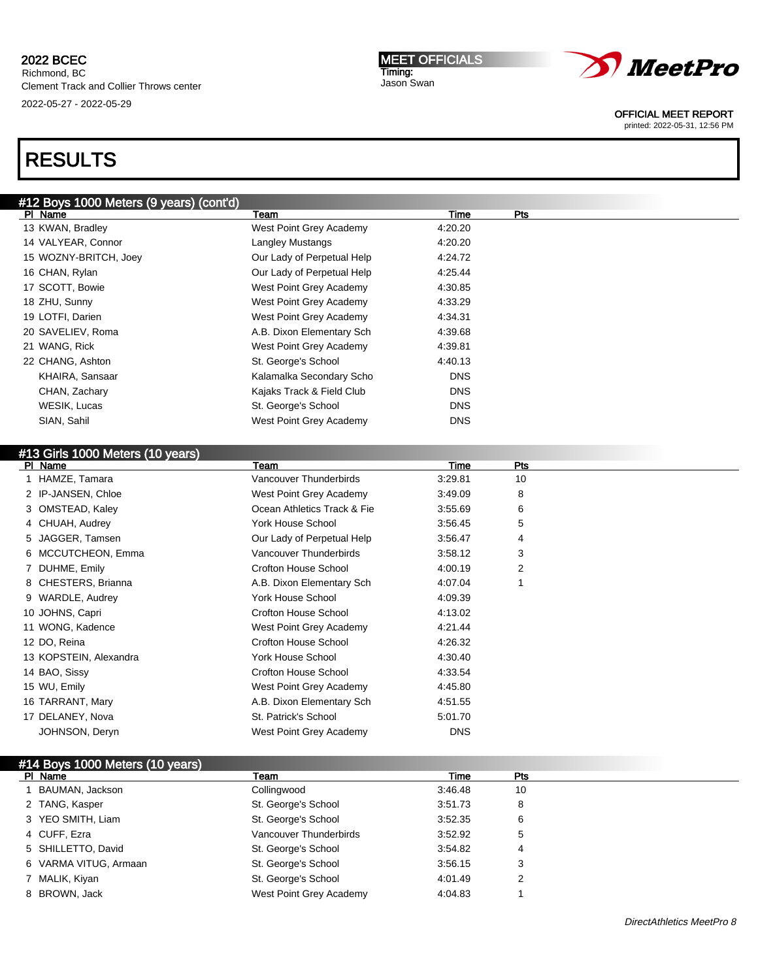MEET OFFICIALS Timing: Jason Swan



OFFICIAL MEET REPORT

printed: 2022-05-31, 12:56 PM

# RESULTS

# #12 Boys 1000 Meters (9 years) (cont'd) Pl Name Team Time Pts 13 KWAN, Bradley West Point Grey Academy 4:20.20 14 VALYEAR, Connor **Langley Mustangs** 4:20.20 15 WOZNY-BRITCH, Joey Our Lady of Perpetual Help 4:24.72 16 CHAN, Rylan **CHAN, Rylan CHAN, Rylan CHAN, Rylan** Our Lady of Perpetual Help 4:25.44 17 SCOTT, Bowie West Point Grey Academy 4:30.85 18 ZHU, Sunny West Point Grey Academy 4:33.29 19 LOTFI, Darien West Point Grey Academy 4:34.31 20 SAVELIEV, Roma **A.B. Dixon Elementary Sch** 4:39.68 21 WANG, Rick West Point Grey Academy 4:39.81 22 CHANG, Ashton St. George's School 4:40.13 KHAIRA, Sansaar **Kalamalka Secondary Scho** DNS CHAN, Zachary **CHAN, 2018** CHAN, 2019 WESIK, Lucas **St. George's School** DNS SIAN, Sahil West Point Grey Academy DNS

| #13 Girls 1000 Meters (10 years) |                             |            |     |  |
|----------------------------------|-----------------------------|------------|-----|--|
| PI Name                          | Team                        | Time       | Pts |  |
| 1 HAMZE, Tamara                  | Vancouver Thunderbirds      | 3:29.81    | 10  |  |
| 2 IP-JANSEN, Chloe               | West Point Grey Academy     | 3:49.09    | 8   |  |
| 3 OMSTEAD, Kaley                 | Ocean Athletics Track & Fie | 3:55.69    | 6   |  |
| 4 CHUAH, Audrey                  | <b>York House School</b>    | 3:56.45    | 5   |  |
| 5 JAGGER, Tamsen                 | Our Lady of Perpetual Help  | 3:56.47    | 4   |  |
| 6 MCCUTCHEON, Emma               | Vancouver Thunderbirds      | 3:58.12    | 3   |  |
| 7 DUHME, Emily                   | Crofton House School        | 4:00.19    | 2   |  |
| 8 CHESTERS, Brianna              | A.B. Dixon Elementary Sch   | 4:07.04    |     |  |
| 9 WARDLE, Audrey                 | <b>York House School</b>    | 4:09.39    |     |  |
| 10 JOHNS, Capri                  | Crofton House School        | 4:13.02    |     |  |
| 11 WONG, Kadence                 | West Point Grey Academy     | 4:21.44    |     |  |
| 12 DO, Reina                     | Crofton House School        | 4:26.32    |     |  |
| 13 KOPSTEIN, Alexandra           | <b>York House School</b>    | 4:30.40    |     |  |
| 14 BAO, Sissy                    | Crofton House School        | 4:33.54    |     |  |
| 15 WU, Emily                     | West Point Grey Academy     | 4:45.80    |     |  |
| 16 TARRANT, Mary                 | A.B. Dixon Elementary Sch   | 4:51.55    |     |  |
| 17 DELANEY, Nova                 | St. Patrick's School        | 5:01.70    |     |  |
| JOHNSON, Deryn                   | West Point Grey Academy     | <b>DNS</b> |     |  |

## #14 Boys 1000 Meters (10 years)

| PI Name               | Team                    | Time    | Pts |
|-----------------------|-------------------------|---------|-----|
| BAUMAN, Jackson       | Collingwood             | 3:46.48 | 10  |
| 2 TANG, Kasper        | St. George's School     | 3:51.73 | 8   |
| 3 YEO SMITH, Liam     | St. George's School     | 3:52.35 | 6   |
| 4 CUFF, Ezra          | Vancouver Thunderbirds  | 3:52.92 | 5   |
| 5 SHILLETTO, David    | St. George's School     | 3:54.82 | 4   |
| 6 VARMA VITUG, Armaan | St. George's School     | 3.56.15 | 3   |
| 7 MALIK, Kiyan        | St. George's School     | 4:01.49 |     |
| 8 BROWN, Jack         | West Point Grey Academy | 4:04.83 |     |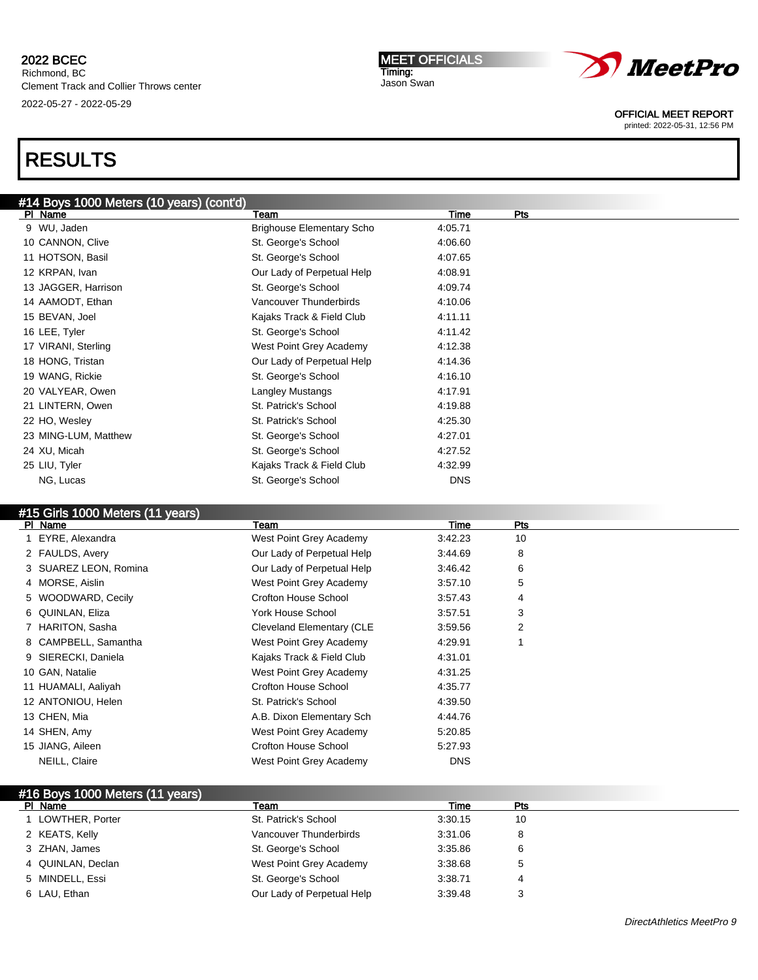#### MEET OFFICIALS Timing: Jason Swan



OFFICIAL MEET REPORT

printed: 2022-05-31, 12:56 PM

# RESULTS

| #14 Boys 1000 Meters (10 years) (cont'd) |                                  |            |     |
|------------------------------------------|----------------------------------|------------|-----|
| PI Name                                  | Team                             | Time       | Pts |
| 9 WU, Jaden                              | <b>Brighouse Elementary Scho</b> | 4:05.71    |     |
| 10 CANNON, Clive                         | St. George's School              | 4:06.60    |     |
| 11 HOTSON, Basil                         | St. George's School              | 4:07.65    |     |
| 12 KRPAN, Ivan                           | Our Lady of Perpetual Help       | 4:08.91    |     |
| 13 JAGGER, Harrison                      | St. George's School              | 4:09.74    |     |
| 14 AAMODT, Ethan                         | Vancouver Thunderbirds           | 4:10.06    |     |
| 15 BEVAN, Joel                           | Kajaks Track & Field Club        | 4:11.11    |     |
| 16 LEE, Tyler                            | St. George's School              | 4:11.42    |     |
| 17 VIRANI, Sterling                      | West Point Grey Academy          | 4:12.38    |     |
| 18 HONG, Tristan                         | Our Lady of Perpetual Help       | 4:14.36    |     |
| 19 WANG, Rickie                          | St. George's School              | 4:16.10    |     |
| 20 VALYEAR, Owen                         | Langley Mustangs                 | 4:17.91    |     |
| 21 LINTERN, Owen                         | St. Patrick's School             | 4:19.88    |     |
| 22 HO, Wesley                            | St. Patrick's School             | 4:25.30    |     |
| 23 MING-LUM, Matthew                     | St. George's School              | 4:27.01    |     |
| 24 XU, Micah                             | St. George's School              | 4:27.52    |     |
| 25 LIU, Tyler                            | Kajaks Track & Field Club        | 4:32.99    |     |
| NG, Lucas                                | St. George's School              | <b>DNS</b> |     |
|                                          |                                  |            |     |

# #15 Girls 1000 Meters (11 years)

| PI Name               | Team                       | Time       | Pts |  |
|-----------------------|----------------------------|------------|-----|--|
| 1 EYRE, Alexandra     | West Point Grey Academy    | 3:42.23    | 10  |  |
| 2 FAULDS, Avery       | Our Lady of Perpetual Help | 3:44.69    | 8   |  |
| 3 SUAREZ LEON, Romina | Our Lady of Perpetual Help | 3:46.42    | 6   |  |
| 4 MORSE, Aislin       | West Point Grey Academy    | 3:57.10    | 5   |  |
| 5 WOODWARD, Cecily    | Crofton House School       | 3:57.43    | 4   |  |
| 6 QUINLAN, Eliza      | York House School          | 3:57.51    | 3   |  |
| 7 HARITON, Sasha      | Cleveland Elementary (CLE  | 3:59.56    | 2   |  |
| 8 CAMPBELL, Samantha  | West Point Grey Academy    | 4:29.91    |     |  |
| 9 SIERECKI, Daniela   | Kajaks Track & Field Club  | 4:31.01    |     |  |
| 10 GAN, Natalie       | West Point Grey Academy    | 4:31.25    |     |  |
| 11 HUAMALI, Aaliyah   | Crofton House School       | 4:35.77    |     |  |
| 12 ANTONIOU, Helen    | St. Patrick's School       | 4:39.50    |     |  |
| 13 CHEN, Mia          | A.B. Dixon Elementary Sch  | 4:44.76    |     |  |
| 14 SHEN, Amy          | West Point Grey Academy    | 5:20.85    |     |  |
| 15 JIANG, Aileen      | Crofton House School       | 5:27.93    |     |  |
| NEILL, Claire         | West Point Grey Academy    | <b>DNS</b> |     |  |
|                       |                            |            |     |  |

| #16 Boys 1000 Meters (11 years) |                            |         |     |  |
|---------------------------------|----------------------------|---------|-----|--|
| PI Name                         | Team                       | Time    | Pts |  |
| 1 LOWTHER, Porter               | St. Patrick's School       | 3:30.15 | 10  |  |
| 2 KEATS, Kelly                  | Vancouver Thunderbirds     | 3:31.06 | 8   |  |
| 3 ZHAN, James                   | St. George's School        | 3:35.86 | 6   |  |
| 4 QUINLAN, Declan               | West Point Grey Academy    | 3:38.68 | 5   |  |
| 5 MINDELL, Essi                 | St. George's School        | 3:38.71 | 4   |  |
| 6 LAU, Ethan                    | Our Lady of Perpetual Help | 3:39.48 |     |  |
|                                 |                            |         |     |  |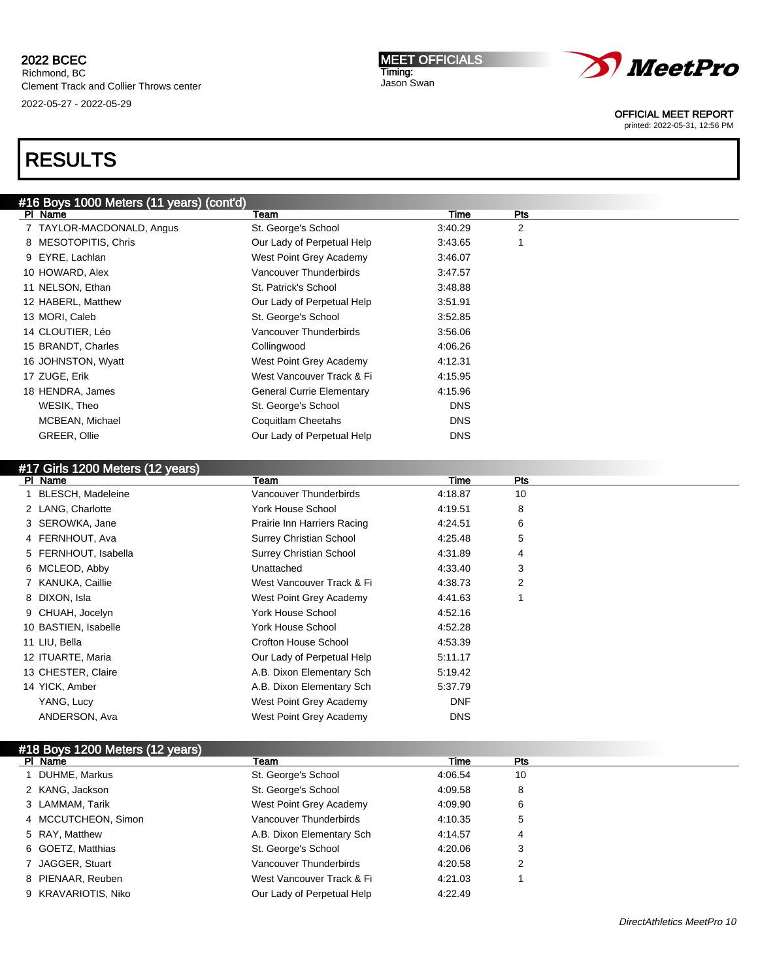MEET OFFICIALS Timing: Jason Swan



OFFICIAL MEET REPORT

printed: 2022-05-31, 12:56 PM

| #16 Boys 1000 Meters (11 years) (cont'd)<br>PI Name | Team                             | Time       | <b>Pts</b> |  |
|-----------------------------------------------------|----------------------------------|------------|------------|--|
| 7 TAYLOR-MACDONALD, Angus                           | St. George's School              | 3:40.29    | 2          |  |
| 8 MESOTOPITIS, Chris                                | Our Lady of Perpetual Help       | 3:43.65    |            |  |
| 9 EYRE, Lachlan                                     | West Point Grey Academy          | 3:46.07    |            |  |
| 10 HOWARD, Alex                                     | Vancouver Thunderbirds           | 3.47.57    |            |  |
| 11 NELSON, Ethan                                    | St. Patrick's School             | 3:48.88    |            |  |
| 12 HABERL, Matthew                                  | Our Lady of Perpetual Help       | 3.51.91    |            |  |
| 13 MORI, Caleb                                      | St. George's School              | 3:52.85    |            |  |
| 14 CLOUTIER, Léo                                    | Vancouver Thunderbirds           | 3:56.06    |            |  |
| 15 BRANDT, Charles                                  | Collingwood                      | 4:06.26    |            |  |
| 16 JOHNSTON, Wyatt                                  | West Point Grey Academy          | 4:12.31    |            |  |
| 17 ZUGE, Erik                                       | West Vancouver Track & Fi        | 4:15.95    |            |  |
| 18 HENDRA, James                                    | <b>General Currie Elementary</b> | 4:15.96    |            |  |
| WESIK, Theo                                         | St. George's School              | <b>DNS</b> |            |  |
| MCBEAN, Michael                                     | Coquitlam Cheetahs               | <b>DNS</b> |            |  |
| GREER, Ollie                                        | Our Lady of Perpetual Help       | <b>DNS</b> |            |  |

| #17 Girls 1200 Meters (12 years) |                                |            |     |  |
|----------------------------------|--------------------------------|------------|-----|--|
| PI Name                          | Team                           | Time       | Pts |  |
| <b>BLESCH, Madeleine</b>         | Vancouver Thunderbirds         | 4:18.87    | 10  |  |
| 2 LANG, Charlotte                | <b>York House School</b>       | 4:19.51    | 8   |  |
| 3 SEROWKA, Jane                  | Prairie Inn Harriers Racing    | 4:24.51    | 6   |  |
| 4 FERNHOUT, Ava                  | <b>Surrey Christian School</b> | 4:25.48    | 5   |  |
| 5 FERNHOUT, Isabella             | <b>Surrey Christian School</b> | 4:31.89    | 4   |  |
| 6 MCLEOD, Abby                   | Unattached                     | 4:33.40    | 3   |  |
| 7 KANUKA, Caillie                | West Vancouver Track & Fi      | 4:38.73    | 2   |  |
| 8 DIXON, Isla                    | West Point Grey Academy        | 4:41.63    |     |  |
| 9 CHUAH, Jocelyn                 | <b>York House School</b>       | 4:52.16    |     |  |
| 10 BASTIEN, Isabelle             | <b>York House School</b>       | 4:52.28    |     |  |
| 11 LIU, Bella                    | <b>Crofton House School</b>    | 4:53.39    |     |  |
| 12 ITUARTE, Maria                | Our Lady of Perpetual Help     | 5:11.17    |     |  |
| 13 CHESTER, Claire               | A.B. Dixon Elementary Sch      | 5:19.42    |     |  |
| 14 YICK, Amber                   | A.B. Dixon Elementary Sch      | 5:37.79    |     |  |
| YANG, Lucy                       | West Point Grey Academy        | <b>DNF</b> |     |  |
| ANDERSON, Ava                    | West Point Grey Academy        | <b>DNS</b> |     |  |
|                                  |                                |            |     |  |

| #18 Boys 1200 Meters (12 years) |                            |         |     |  |
|---------------------------------|----------------------------|---------|-----|--|
| PI Name                         | Team                       | Time    | Pts |  |
| DUHME, Markus                   | St. George's School        | 4:06.54 | 10  |  |
| 2 KANG, Jackson                 | St. George's School        | 4:09.58 | 8   |  |
| 3 LAMMAM, Tarik                 | West Point Grey Academy    | 4:09.90 | 6   |  |
| 4 MCCUTCHEON, Simon             | Vancouver Thunderbirds     | 4:10.35 | 5   |  |
| 5 RAY, Matthew                  | A.B. Dixon Elementary Sch  | 4:14.57 | 4   |  |
| 6 GOETZ, Matthias               | St. George's School        | 4:20.06 | 3   |  |
| 7 JAGGER, Stuart                | Vancouver Thunderbirds     | 4:20.58 | 2   |  |
| 8 PIENAAR, Reuben               | West Vancouver Track & Fi  | 4:21.03 |     |  |
| 9 KRAVARIOTIS, Niko             | Our Lady of Perpetual Help | 4:22.49 |     |  |
|                                 |                            |         |     |  |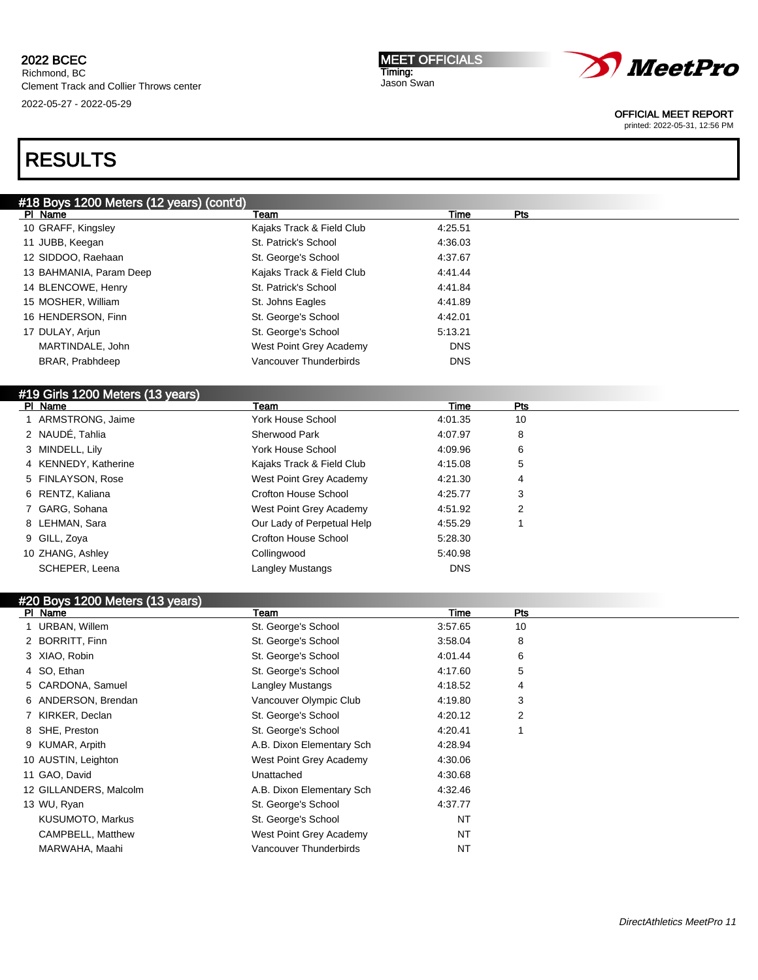**MEET OFFICIALS** Timing: Jason Swan



#### OFFICIAL MEET REPORT

printed: 2022-05-31, 12:56 PM

# RESULTS

| #18 Boys 1200 Meters (12 years) (cont'd) |                             |             |                |  |
|------------------------------------------|-----------------------------|-------------|----------------|--|
| PI Name                                  | Team                        | Time        | Pts            |  |
| 10 GRAFF, Kingsley                       | Kajaks Track & Field Club   | 4:25.51     |                |  |
| 11 JUBB, Keegan                          | St. Patrick's School        | 4:36.03     |                |  |
| 12 SIDDOO, Raehaan                       | St. George's School         | 4:37.67     |                |  |
| 13 BAHMANIA, Param Deep                  | Kajaks Track & Field Club   | 4:41.44     |                |  |
| 14 BLENCOWE, Henry                       | St. Patrick's School        | 4:41.84     |                |  |
| 15 MOSHER, William                       | St. Johns Eagles            | 4:41.89     |                |  |
| 16 HENDERSON, Finn                       | St. George's School         | 4:42.01     |                |  |
| 17 DULAY, Arjun                          | St. George's School         | 5:13.21     |                |  |
| MARTINDALE, John                         | West Point Grey Academy     | <b>DNS</b>  |                |  |
| BRAR, Prabhdeep                          | Vancouver Thunderbirds      | <b>DNS</b>  |                |  |
| #19 Girls 1200 Meters (13 years)         |                             |             |                |  |
| PI Name                                  | Team                        | <b>Time</b> | Pts            |  |
| 1 ARMSTRONG, Jaime                       | <b>York House School</b>    | 4:01.35     | 10             |  |
| 2 NAUDÉ, Tahlia                          | Sherwood Park               | 4:07.97     | 8              |  |
| 3 MINDELL, Lily                          | <b>York House School</b>    | 4:09.96     | 6              |  |
| 4 KENNEDY, Katherine                     | Kajaks Track & Field Club   | 4:15.08     | 5              |  |
| 5 FINLAYSON, Rose                        | West Point Grey Academy     | 4:21.30     | 4              |  |
| 6 RENTZ, Kaliana                         | <b>Crofton House School</b> | 4:25.77     | 3              |  |
| 7 GARG, Sohana                           | West Point Grey Academy     | 4:51.92     | $\overline{2}$ |  |
| 8 LEHMAN, Sara                           | Our Lady of Perpetual Help  | 4:55.29     | 1              |  |
| 9 GILL, Zoya                             | <b>Crofton House School</b> | 5:28.30     |                |  |
| 10 ZHANG, Ashley                         | Collingwood                 | 5:40.98     |                |  |
| SCHEPER, Leena                           | Langley Mustangs            | <b>DNS</b>  |                |  |
| #20 Boys 1200 Meters (13 years)          |                             |             |                |  |
| PI Name                                  | Team                        | <b>Time</b> | Pts            |  |
| 1 URBAN, Willem                          | St. George's School         | 3:57.65     | 10             |  |
| 2 BORRITT, Finn                          | St. George's School         | 3:58.04     | 8              |  |
| 3 XIAO, Robin                            | St. George's School         | 4:01.44     | 6              |  |
| 4 SO, Ethan                              | St. George's School         | 4:17.60     | 5              |  |
| 5 CARDONA, Samuel                        | Langley Mustangs            | 4:18.52     | 4              |  |
| 6 ANDERSON, Brendan                      | Vancouver Olympic Club      | 4:19.80     | 3              |  |
| 7 KIRKER, Declan                         | St. George's School         | 4:20.12     | 2              |  |
| 8 SHE, Preston                           | St. George's School         | 4:20.41     | 1              |  |
| 9 KUMAR, Arpith                          | A.B. Dixon Elementary Sch   | 4:28.94     |                |  |
| 10 AUSTIN, Leighton                      | West Point Grey Academy     | 4:30.06     |                |  |

11 GAO, David Unattached 4:30.68 12 GILLANDERS, Malcolm **A.B. Dixon Elementary Sch** 4:32.46 13 WU, Ryan and St. George's School 4:37.77 KUSUMOTO, Markus **NATE And Access Contract Contract St. George's School NT** CAMPBELL, Matthew West Point Grey Academy NT MARWAHA, Maahi **Namaruwa Nancouver Thunderbirds** NT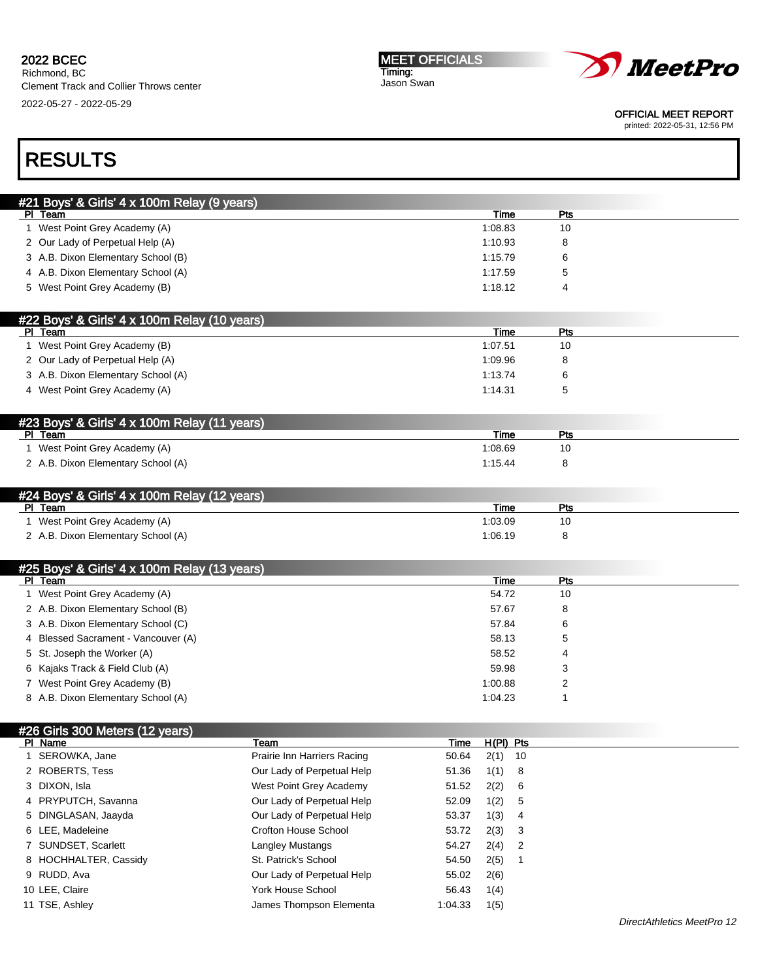#### MEET OFFICIALS Timing: Jason Swan



OFFICIAL MEET REPORT

printed: 2022-05-31, 12:56 PM

| #21 Boys' & Girls' 4 x 100m Relay (9 years)             |      |                 |           |
|---------------------------------------------------------|------|-----------------|-----------|
| PI Team                                                 |      | Time            | Pts       |
| 1 West Point Grey Academy (A)                           |      | 1:08.83         | 10        |
| 2 Our Lady of Perpetual Help (A)                        |      | 1:10.93         | 8         |
| 3 A.B. Dixon Elementary School (B)                      |      | 1:15.79         | 6         |
| 4 A.B. Dixon Elementary School (A)                      |      | 1:17.59         | 5         |
| 5 West Point Grey Academy (B)                           |      | 1:18.12         | 4         |
|                                                         |      |                 |           |
| #22 Boys' & Girls' 4 x 100m Relay (10 years)            |      |                 |           |
| PI Team                                                 |      | Time            | Pts       |
| 1 West Point Grey Academy (B)                           |      | 1:07.51         | 10        |
| 2 Our Lady of Perpetual Help (A)                        |      | 1:09.96         | 8         |
| 3 A.B. Dixon Elementary School (A)                      |      | 1:13.74         | 6         |
| 4 West Point Grey Academy (A)                           |      | 1:14.31         | 5         |
|                                                         |      |                 |           |
| #23 Boys' & Girls' 4 x 100m Relay (11 years)            |      |                 |           |
| PI Team                                                 |      | Time            | Pts       |
| 1 West Point Grey Academy (A)                           |      | 1:08.69         | 10        |
| 2 A.B. Dixon Elementary School (A)                      |      | 1:15.44         | 8         |
|                                                         |      |                 |           |
| #24 Boys' & Girls' 4 x 100m Relay (12 years)            |      |                 |           |
| PI Team<br>1 West Point Grey Academy (A)                |      | Time<br>1:03.09 | Pts<br>10 |
| 2 A.B. Dixon Elementary School (A)                      |      | 1:06.19         | 8         |
|                                                         |      |                 |           |
|                                                         |      |                 |           |
| #25 Boys' & Girls' 4 x 100m Relay (13 years)<br>PI Team |      | Time            | Pts       |
| 1 West Point Grey Academy (A)                           |      | 54.72           | 10        |
| 2 A.B. Dixon Elementary School (B)                      |      | 57.67           | 8         |
| 3 A.B. Dixon Elementary School (C)                      |      | 57.84           | 6         |
| 4 Blessed Sacrament - Vancouver (A)                     |      | 58.13           | 5         |
| 5 St. Joseph the Worker (A)                             |      | 58.52           | 4         |
| 6 Kajaks Track & Field Club (A)                         |      | 59.98           | 3         |
| 7 West Point Grey Academy (B)                           |      | 1:00.88         | 2         |
| 8 A.B. Dixon Elementary School (A)                      |      | 1:04.23         | 1         |
|                                                         |      |                 |           |
| #26 Girls 300 Meters (12 years)                         |      |                 |           |
| PI Name<br>Team                                         | Time | $H(PI)$ $Pfs$   |           |

| PI Name               | Team                        | Time    | $H(PI)$ Pts |  |
|-----------------------|-----------------------------|---------|-------------|--|
| 1 SEROWKA, Jane       | Prairie Inn Harriers Racing | 50.64   | $2(1)$ 10   |  |
| 2 ROBERTS, Tess       | Our Lady of Perpetual Help  | 51.36   | 1(1) 8      |  |
| 3 DIXON, Isla         | West Point Grey Academy     | 51.52   | 2(2) 6      |  |
| 4 PRYPUTCH, Savanna   | Our Lady of Perpetual Help  | 52.09   | 1(2) 5      |  |
| 5 DINGLASAN, Jaayda   | Our Lady of Perpetual Help  | 53.37   | 1(3) 4      |  |
| 6 LEE, Madeleine      | Crofton House School        | 53.72   | $2(3)$ 3    |  |
| 7 SUNDSET, Scarlett   | Langley Mustangs            | 54.27   | $2(4)$ 2    |  |
| 8 HOCHHALTER, Cassidy | St. Patrick's School        | 54.50   | 2(5)        |  |
| 9 RUDD, Ava           | Our Lady of Perpetual Help  | 55.02   | 2(6)        |  |
| 10 LEE, Claire        | York House School           | 56.43   | 1(4)        |  |
| 11 TSE, Ashley        | James Thompson Elementa     | 1:04.33 | 1(5)        |  |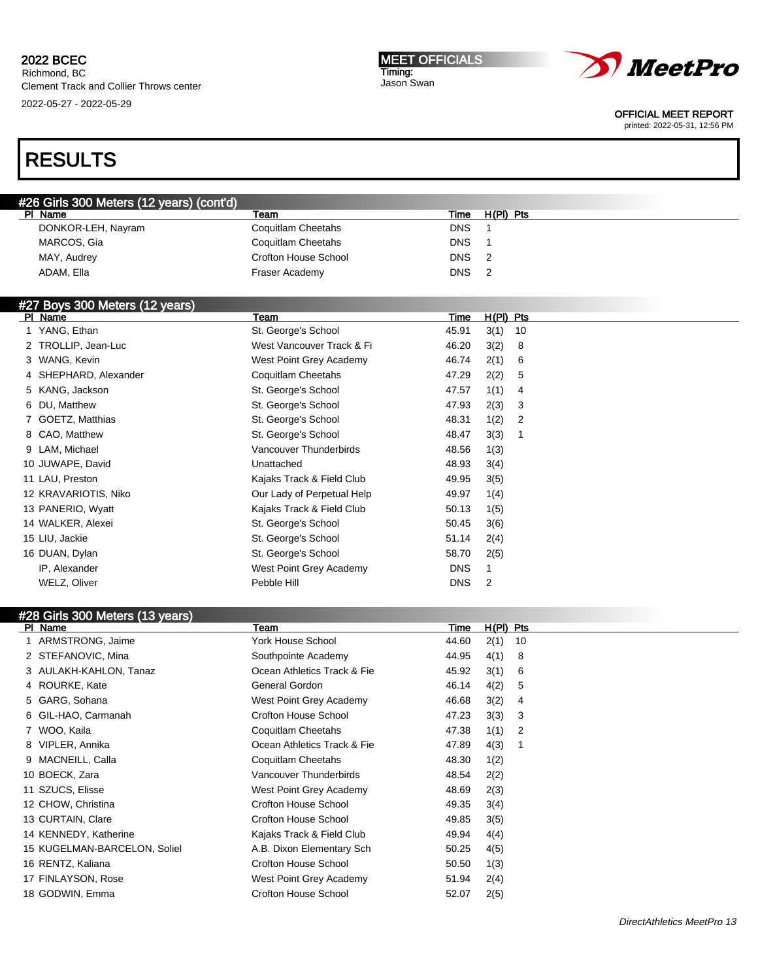Richmond, BC Clement Track and Collier Throws center 2022-05-27 - 2022-05-29

#### MEET OFFICIALS Timing: Jason Swan



OFFICIAL MEET REPORT

printed: 2022-05-31, 12:56 PM

| #26 Girls 300 Meters (12 years) (cont'd) |                           |            |                            |  |
|------------------------------------------|---------------------------|------------|----------------------------|--|
| PI Name                                  | Team                      | Time       | H(PI) Pts                  |  |
| DONKOR-LEH, Nayram                       | Coquitlam Cheetahs        | <b>DNS</b> |                            |  |
| MARCOS, Gia                              | Coquitlam Cheetahs        | <b>DNS</b> |                            |  |
| MAY, Audrey                              | Crofton House School      | <b>DNS</b> | $\overline{2}$             |  |
| ADAM, Ella                               | Fraser Academy            | <b>DNS</b> | $\overline{\phantom{0}}^2$ |  |
|                                          |                           |            |                            |  |
| #27 Boys 300 Meters (12 years)           |                           |            |                            |  |
| PI Name                                  | Team                      | Time       | $H(PI)$ Pts                |  |
| YANG, Ethan                              | St. George's School       | 45.91      | $3(1)$ 10                  |  |
| 2 TROLLIP, Jean-Luc                      | West Vancouver Track & Fi | 46.20      | 3(2)<br>- 8                |  |
| 3 WANG, Kevin                            | West Point Grey Academy   | 46.74      | 2(1)<br>- 6                |  |
| 4 SHEPHARD, Alexander                    | Coquitlam Cheetahs        | 47.29      | 2(2)<br>5                  |  |

| 4 SHEPHARD, Alexander | Coquitlam Cheetahs         | 47.29      | 2(2)     | -5 |
|-----------------------|----------------------------|------------|----------|----|
| 5 KANG, Jackson       | St. George's School        | 47.57      | 1(1)     | 4  |
| 6 DU, Matthew         | St. George's School        | 47.93      | $2(3)$ 3 |    |
| 7 GOETZ, Matthias     | St. George's School        | 48.31      | $1(2)$ 2 |    |
| 8 CAO, Matthew        | St. George's School        | 48.47      | 3(3)     |    |
| 9 LAM, Michael        | Vancouver Thunderbirds     | 48.56      | 1(3)     |    |
| 10 JUWAPE, David      | Unattached                 | 48.93      | 3(4)     |    |
| 11 LAU, Preston       | Kajaks Track & Field Club  | 49.95      | 3(5)     |    |
| 12 KRAVARIOTIS, Niko  | Our Lady of Perpetual Help | 49.97      | 1(4)     |    |
| 13 PANERIO, Wyatt     | Kajaks Track & Field Club  | 50.13      | 1(5)     |    |
| 14 WALKER, Alexei     | St. George's School        | 50.45      | 3(6)     |    |
| 15 LIU, Jackie        | St. George's School        | 51.14      | 2(4)     |    |
| 16 DUAN, Dylan        | St. George's School        | 58.70      | 2(5)     |    |
| IP, Alexander         | West Point Grey Academy    | <b>DNS</b> |          |    |
| WELZ, Oliver          | Pebble Hill                | <b>DNS</b> | - 2      |    |
|                       |                            |            |          |    |

| #28 Girls 300 Meters (13 years) |                             |       |             |    |  |
|---------------------------------|-----------------------------|-------|-------------|----|--|
| PI Name                         | Team                        | Time  | $H(PI)$ Pts |    |  |
| ARMSTRONG, Jaime                | <b>York House School</b>    | 44.60 | 2(1)        | 10 |  |
| 2 STEFANOVIC, Mina              | Southpointe Academy         | 44.95 | 4(1)        | 8  |  |
| 3 AULAKH-KAHLON, Tanaz          | Ocean Athletics Track & Fie | 45.92 | 3(1)        | 6  |  |
| 4 ROURKE, Kate                  | General Gordon              | 46.14 | 4(2)        | 5  |  |
| 5 GARG, Sohana                  | West Point Grey Academy     | 46.68 | 3(2)        | 4  |  |
| 6 GIL-HAO, Carmanah             | <b>Crofton House School</b> | 47.23 | 3(3)        | 3  |  |
| WOO, Kaila                      | Coquitlam Cheetahs          | 47.38 | 1(1)        | 2  |  |
| 8 VIPLER, Annika                | Ocean Athletics Track & Fie | 47.89 | 4(3)        |    |  |
| 9 MACNEILL, Calla               | Coquitlam Cheetahs          | 48.30 | 1(2)        |    |  |
| 10 BOECK, Zara                  | Vancouver Thunderbirds      | 48.54 | 2(2)        |    |  |
| 11 SZUCS, Elisse                | West Point Grey Academy     | 48.69 | 2(3)        |    |  |
| 12 CHOW, Christina              | Crofton House School        | 49.35 | 3(4)        |    |  |
| 13 CURTAIN, Clare               | Crofton House School        | 49.85 | 3(5)        |    |  |
| 14 KENNEDY, Katherine           | Kajaks Track & Field Club   | 49.94 | 4(4)        |    |  |
| 15 KUGELMAN-BARCELON, Soliel    | A.B. Dixon Elementary Sch   | 50.25 | 4(5)        |    |  |
| 16 RENTZ, Kaliana               | <b>Crofton House School</b> | 50.50 | 1(3)        |    |  |
| 17 FINLAYSON, Rose              | West Point Grey Academy     | 51.94 | 2(4)        |    |  |
| 18 GODWIN, Emma                 | <b>Crofton House School</b> | 52.07 | 2(5)        |    |  |
|                                 |                             |       |             |    |  |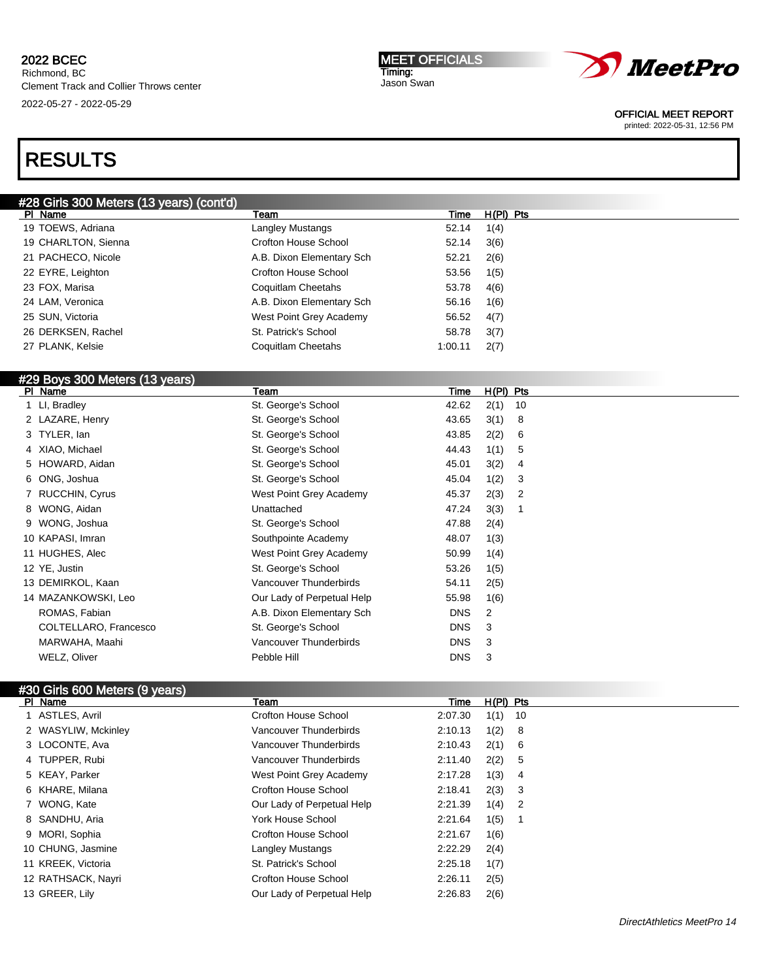MEET OFFICIALS Timing: Jason Swan



OFFICIAL MEET REPORT

printed: 2022-05-31, 12:56 PM

# RESULTS

| #28 Girls 300 Meters (13 years) (cont'd), |                           |         |             |  |
|-------------------------------------------|---------------------------|---------|-------------|--|
| PI Name                                   | Team                      | Time    | $H(PI)$ Pts |  |
| 19 TOEWS, Adriana                         | Langley Mustangs          | 52.14   | 1(4)        |  |
| 19 CHARLTON, Sienna                       | Crofton House School      | 52.14   | 3(6)        |  |
| 21 PACHECO, Nicole                        | A.B. Dixon Elementary Sch | 52.21   | 2(6)        |  |
| 22 EYRE, Leighton                         | Crofton House School      | 53.56   | 1(5)        |  |
| 23 FOX, Marisa                            | Coquitlam Cheetahs        | 53.78   | 4(6)        |  |
| 24 LAM, Veronica                          | A.B. Dixon Elementary Sch | 56.16   | 1(6)        |  |
| 25 SUN, Victoria                          | West Point Grey Academy   | 56.52   | 4(7)        |  |
| 26 DERKSEN, Rachel                        | St. Patrick's School      | 58.78   | 3(7)        |  |
| 27 PLANK, Kelsie                          | Coquitlam Cheetahs        | 1:00.11 | 2(7)        |  |
|                                           |                           |         |             |  |

### #29 Boys 300 Meters (13 years)

| PI Name               | Team                       | Time       | $H(PI)$ Pts |    |
|-----------------------|----------------------------|------------|-------------|----|
| 1 LI, Bradley         | St. George's School        | 42.62      | 2(1)        | 10 |
| 2 LAZARE, Henry       | St. George's School        | 43.65      | 3(1)        | 8  |
| 3 TYLER, lan          | St. George's School        | 43.85      | 2(2)        | 6  |
| 4 XIAO, Michael       | St. George's School        | 44.43      | 1(1)        | 5  |
| 5 HOWARD, Aidan       | St. George's School        | 45.01      | 3(2)        | 4  |
| 6 ONG, Joshua         | St. George's School        | 45.04      | 1(2)        | 3  |
| 7 RUCCHIN, Cyrus      | West Point Grey Academy    | 45.37      | 2(3)        | 2  |
| 8 WONG, Aidan         | Unattached                 | 47.24      | 3(3)        |    |
| 9 WONG, Joshua        | St. George's School        | 47.88      | 2(4)        |    |
| 10 KAPASI, Imran      | Southpointe Academy        | 48.07      | 1(3)        |    |
| 11 HUGHES, Alec       | West Point Grey Academy    | 50.99      | 1(4)        |    |
| 12 YE, Justin         | St. George's School        | 53.26      | 1(5)        |    |
| 13 DEMIRKOL, Kaan     | Vancouver Thunderbirds     | 54.11      | 2(5)        |    |
| 14 MAZANKOWSKI, Leo   | Our Lady of Perpetual Help | 55.98      | 1(6)        |    |
| ROMAS, Fabian         | A.B. Dixon Elementary Sch  | <b>DNS</b> | 2           |    |
| COLTELLARO, Francesco | St. George's School        | <b>DNS</b> | 3           |    |
| MARWAHA, Maahi        | Vancouver Thunderbirds     | <b>DNS</b> | 3           |    |
| WELZ, Oliver          | Pebble Hill                | <b>DNS</b> | 3           |    |
|                       |                            |            |             |    |

# #30 Girls 600 Meters (9 years)

| PI Name             | Team                        | Time    | $H(PI)$ Pts |                            |
|---------------------|-----------------------------|---------|-------------|----------------------------|
| 1 ASTLES, Avril     | Crofton House School        | 2:07.30 | 1(1)        | - 10                       |
| 2 WASYLIW, Mckinley | Vancouver Thunderbirds      | 2:10.13 | 1(2)        | - 8                        |
| 3 LOCONTE, Ava      | Vancouver Thunderbirds      | 2:10.43 | $2(1)$ 6    |                            |
| 4 TUPPER, Rubi      | Vancouver Thunderbirds      | 2:11.40 | 2(2)        | - 5                        |
| 5 KEAY, Parker      | West Point Grey Academy     | 2:17.28 | 1(3)        | - 4                        |
| 6 KHARE, Milana     | Crofton House School        | 2:18.41 | $2(3)$ 3    |                            |
| 7 WONG, Kate        | Our Lady of Perpetual Help  | 2:21.39 | 1(4)        | $\overline{\phantom{0}}^2$ |
| 8 SANDHU, Aria      | <b>York House School</b>    | 2:21.64 | 1(5)        | - 1                        |
| 9 MORI, Sophia      | <b>Crofton House School</b> | 2:21.67 | 1(6)        |                            |
| 10 CHUNG, Jasmine   | Langley Mustangs            | 2:22.29 | 2(4)        |                            |
| 11 KREEK, Victoria  | St. Patrick's School        | 2:25.18 | 1(7)        |                            |
| 12 RATHSACK, Nayri  | <b>Crofton House School</b> | 2:26.11 | 2(5)        |                            |
| 13 GREER, Lily      | Our Lady of Perpetual Help  | 2:26.83 | 2(6)        |                            |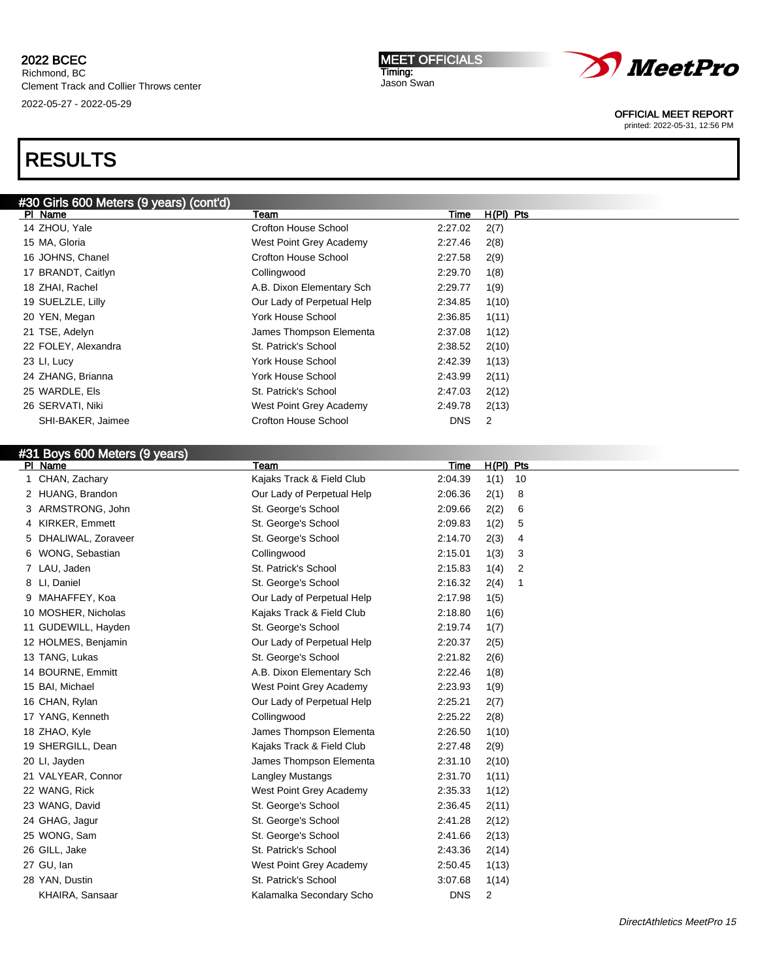#30 Girls 600 Meters (9 years) (cont'd)

PI Name **The H(PI) Pts** Team Team Team Team Time H(PI) Pts ZHOU, Yale Crofton House School 2:27.02 2(7)

KHAIRA, Sansaar **Kalamalka Secondary Scho** DNS 2

# RESULTS

| 15 MA, Gloria                 | West Point Grey Academy    | 2:27.46<br>2(8)                |  |
|-------------------------------|----------------------------|--------------------------------|--|
| 16 JOHNS, Chanel              | Crofton House School       | 2:27.58<br>2(9)                |  |
| 17 BRANDT, Caitlyn            | Collingwood                | 2:29.70<br>1(8)                |  |
| 18 ZHAI, Rachel               | A.B. Dixon Elementary Sch  | 2:29.77<br>1(9)                |  |
| 19 SUELZLE, Lilly             | Our Lady of Perpetual Help | 2:34.85<br>1(10)               |  |
| 20 YEN, Megan                 | York House School          | 2:36.85<br>1(11)               |  |
| 21 TSE, Adelyn                | James Thompson Elementa    | 2:37.08<br>1(12)               |  |
| 22 FOLEY, Alexandra           | St. Patrick's School       | 2:38.52<br>2(10)               |  |
| 23 LI, Lucy                   | York House School          | 2:42.39<br>1(13)               |  |
| 24 ZHANG, Brianna             | York House School          | 2:43.99<br>2(11)               |  |
| 25 WARDLE, Els                | St. Patrick's School       | 2:47.03<br>2(12)               |  |
| 26 SERVATI, Niki              | West Point Grey Academy    | 2:49.78<br>2(13)               |  |
| SHI-BAKER, Jaimee             | Crofton House School       | <b>DNS</b><br>$\overline{2}$   |  |
|                               |                            |                                |  |
| #31 Boys 600 Meters (9 years) |                            |                                |  |
| PI Name                       | Team                       | $H(PI)$ Pts<br>Time            |  |
| 1 CHAN, Zachary               | Kajaks Track & Field Club  | 2:04.39<br>1(1)<br>10          |  |
| 2 HUANG, Brandon              | Our Lady of Perpetual Help | 2:06.36<br>2(1)<br>8           |  |
| 3 ARMSTRONG, John             | St. George's School        | 2:09.66<br>2(2)<br>6           |  |
| 4 KIRKER, Emmett              | St. George's School        | 2:09.83<br>1(2)<br>5           |  |
| 5 DHALIWAL, Zoraveer          | St. George's School        | 2:14.70<br>2(3)<br>4           |  |
| 6 WONG, Sebastian             | Collingwood                | 2:15.01<br>1(3)<br>3           |  |
| 7 LAU, Jaden                  | St. Patrick's School       | 2:15.83<br>1(4)<br>2           |  |
| 8 LI, Daniel                  | St. George's School        | 2:16.32<br>2(4)<br>$\mathbf 1$ |  |
| 9 MAHAFFEY, Koa               | Our Lady of Perpetual Help | 2:17.98<br>1(5)                |  |
| 10 MOSHER, Nicholas           | Kajaks Track & Field Club  | 2:18.80<br>1(6)                |  |
| 11 GUDEWILL, Hayden           | St. George's School        | 2:19.74<br>1(7)                |  |
| 12 HOLMES, Benjamin           | Our Lady of Perpetual Help | 2:20.37<br>2(5)                |  |
| 13 TANG, Lukas                | St. George's School        | 2:21.82<br>2(6)                |  |
| 14 BOURNE, Emmitt             | A.B. Dixon Elementary Sch  | 2:22.46<br>1(8)                |  |
| 15 BAI, Michael               | West Point Grey Academy    | 2:23.93<br>1(9)                |  |
| 16 CHAN, Rylan                | Our Lady of Perpetual Help | 2:25.21<br>2(7)                |  |
| 17 YANG, Kenneth              | Collingwood                | 2:25.22<br>2(8)                |  |
| 18 ZHAO, Kyle                 | James Thompson Elementa    | 2:26.50<br>1(10)               |  |
| 19 SHERGILL, Dean             | Kajaks Track & Field Club  | 2:27.48<br>2(9)                |  |
| 20 Ll, Jayden                 | James Thompson Elementa    | 2:31.10<br>2(10)               |  |
| 21 VALYEAR, Connor            | Langley Mustangs           | 2:31.70<br>1(11)               |  |
| 22 WANG, Rick                 | West Point Grey Academy    | 2:35.33<br>1(12)               |  |
| 23 WANG, David                | St. George's School        | 2:36.45<br>2(11)               |  |
| 24 GHAG, Jagur                | St. George's School        | 2:41.28<br>2(12)               |  |
| 25 WONG, Sam                  | St. George's School        | 2:41.66<br>2(13)               |  |
| 26 GILL, Jake                 | St. Patrick's School       | 2:43.36<br>2(14)               |  |
| 27 GU, lan                    | West Point Grey Academy    | 2:50.45<br>1(13)               |  |
| 28 YAN, Dustin                | St. Patrick's School       | 3:07.68<br>1(14)               |  |



MEET OFFICIALS Timing: Jason Swan

OFFICIAL MEET REPORT printed: 2022-05-31, 12:56 PM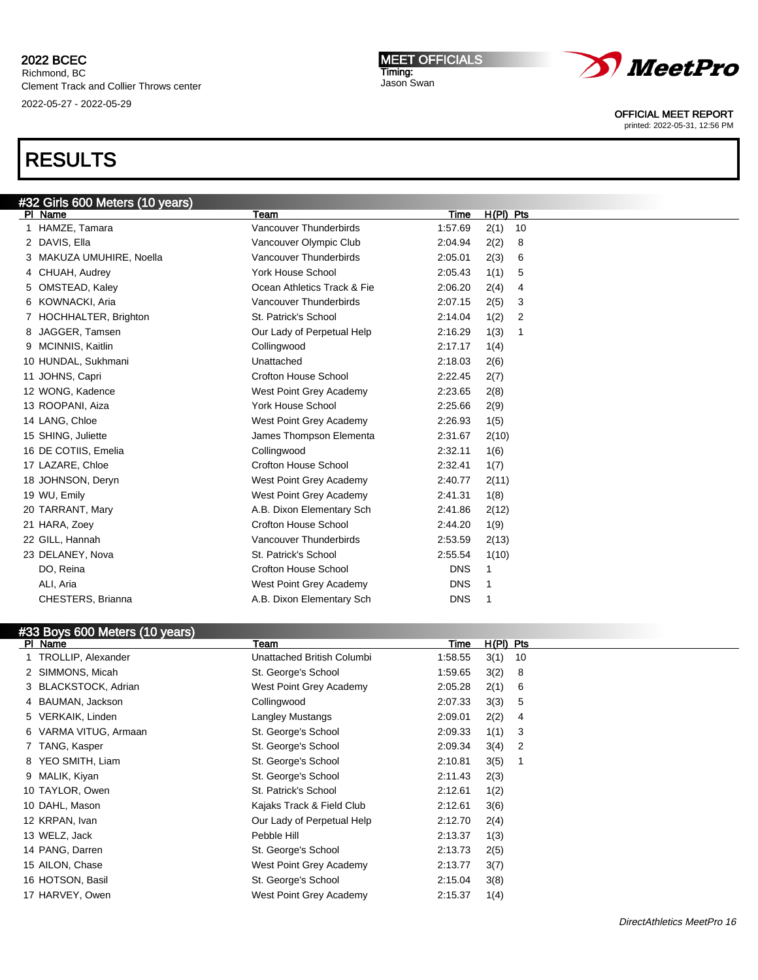Richmond, BC Clement Track and Collier Throws center 2022-05-27 - 2022-05-29

# RESULTS

| #32 Girls 600 Meters (10 years) |                          |                             |            |            |  |
|---------------------------------|--------------------------|-----------------------------|------------|------------|--|
|                                 | PI Name                  | Team                        | Time       | H(PI) Pts  |  |
|                                 | 1 HAMZE, Tamara          | Vancouver Thunderbirds      | 1:57.69    | 2(1)<br>10 |  |
|                                 | 2 DAVIS, Ella            | Vancouver Olympic Club      | 2:04.94    | 2(2)<br>8  |  |
|                                 | 3 MAKUZA UMUHIRE, Noella | Vancouver Thunderbirds      | 2:05.01    | 2(3)<br>6  |  |
|                                 | 4 CHUAH, Audrey          | York House School           | 2:05.43    | 1(1)<br>5  |  |
|                                 | 5 OMSTEAD, Kaley         | Ocean Athletics Track & Fie | 2:06.20    | 2(4)<br>4  |  |
|                                 | 6 KOWNACKI, Aria         | Vancouver Thunderbirds      | 2:07.15    | 2(5)<br>3  |  |
|                                 | 7 HOCHHALTER, Brighton   | St. Patrick's School        | 2:14.04    | 1(2)<br>2  |  |
|                                 | 8 JAGGER, Tamsen         | Our Lady of Perpetual Help  | 2:16.29    | 1(3)<br>1  |  |
|                                 | 9 MCINNIS, Kaitlin       | Collingwood                 | 2:17.17    | 1(4)       |  |
|                                 | 10 HUNDAL, Sukhmani      | Unattached                  | 2:18.03    | 2(6)       |  |
|                                 | 11 JOHNS, Capri          | Crofton House School        | 2:22.45    | 2(7)       |  |
|                                 | 12 WONG, Kadence         | West Point Grey Academy     | 2:23.65    | 2(8)       |  |
|                                 | 13 ROOPANI, Aiza         | <b>York House School</b>    | 2:25.66    | 2(9)       |  |
|                                 | 14 LANG, Chloe           | West Point Grey Academy     | 2:26.93    | 1(5)       |  |
|                                 | 15 SHING, Juliette       | James Thompson Elementa     | 2:31.67    | 2(10)      |  |
|                                 | 16 DE COTIIS, Emelia     | Collingwood                 | 2:32.11    | 1(6)       |  |
|                                 | 17 LAZARE, Chloe         | Crofton House School        | 2:32.41    | 1(7)       |  |
|                                 | 18 JOHNSON, Deryn        | West Point Grey Academy     | 2:40.77    | 2(11)      |  |
|                                 | 19 WU, Emily             | West Point Grey Academy     | 2:41.31    | 1(8)       |  |
|                                 | 20 TARRANT, Mary         | A.B. Dixon Elementary Sch   | 2:41.86    | 2(12)      |  |
|                                 | 21 HARA, Zoev            | Crofton House School        | 2:44.20    | 1(9)       |  |
|                                 | 22 GILL, Hannah          | Vancouver Thunderbirds      | 2:53.59    | 2(13)      |  |
|                                 | 23 DELANEY, Nova         | St. Patrick's School        | 2:55.54    | 1(10)      |  |
|                                 | DO, Reina                | Crofton House School        | <b>DNS</b> | 1          |  |
|                                 | ALI, Aria                | West Point Grey Academy     | <b>DNS</b> | 1          |  |
|                                 | CHESTERS, Brianna        | A.B. Dixon Elementary Sch   | <b>DNS</b> | 1          |  |

| PI Name |                       | Team                       | Time    | $H(PI)$ Pts |                |  |
|---------|-----------------------|----------------------------|---------|-------------|----------------|--|
|         | 1 TROLLIP, Alexander  | Unattached British Columbi | 1:58.55 | 3(1)        | 10             |  |
|         | 2 SIMMONS, Micah      | St. George's School        | 1:59.65 | 3(2)        | 8              |  |
|         | 3 BLACKSTOCK, Adrian  | West Point Grey Academy    | 2:05.28 | 2(1)        | 6              |  |
|         | 4 BAUMAN, Jackson     | Collingwood                | 2:07.33 | 3(3)        | 5              |  |
|         | 5 VERKAIK, Linden     | Langley Mustangs           | 2:09.01 | 2(2)        | 4              |  |
|         | 6 VARMA VITUG, Armaan | St. George's School        | 2:09.33 | 1(1)        | -3             |  |
|         | 7 TANG, Kasper        | St. George's School        | 2:09.34 | 3(4)        | $\overline{2}$ |  |
|         | 8 YEO SMITH, Liam     | St. George's School        | 2:10.81 | 3(5)        |                |  |
|         | 9 MALIK, Kiyan        | St. George's School        | 2:11.43 | 2(3)        |                |  |
|         | 10 TAYLOR, Owen       | St. Patrick's School       | 2:12.61 | 1(2)        |                |  |
|         | 10 DAHL, Mason        | Kajaks Track & Field Club  | 2:12.61 | 3(6)        |                |  |
|         | 12 KRPAN, Ivan        | Our Lady of Perpetual Help | 2:12.70 | 2(4)        |                |  |
|         | 13 WELZ, Jack         | Pebble Hill                | 2:13.37 | 1(3)        |                |  |
|         | 14 PANG, Darren       | St. George's School        | 2:13.73 | 2(5)        |                |  |
|         | 15 AILON, Chase       | West Point Grey Academy    | 2:13.77 | 3(7)        |                |  |
|         | 16 HOTSON, Basil      | St. George's School        | 2:15.04 | 3(8)        |                |  |
|         | 17 HARVEY, Owen       | West Point Grey Academy    | 2:15.37 | 1(4)        |                |  |



MEET OFFICIALS Timing: Jason Swan

OFFICIAL MEET REPORT printed: 2022-05-31, 12:56 PM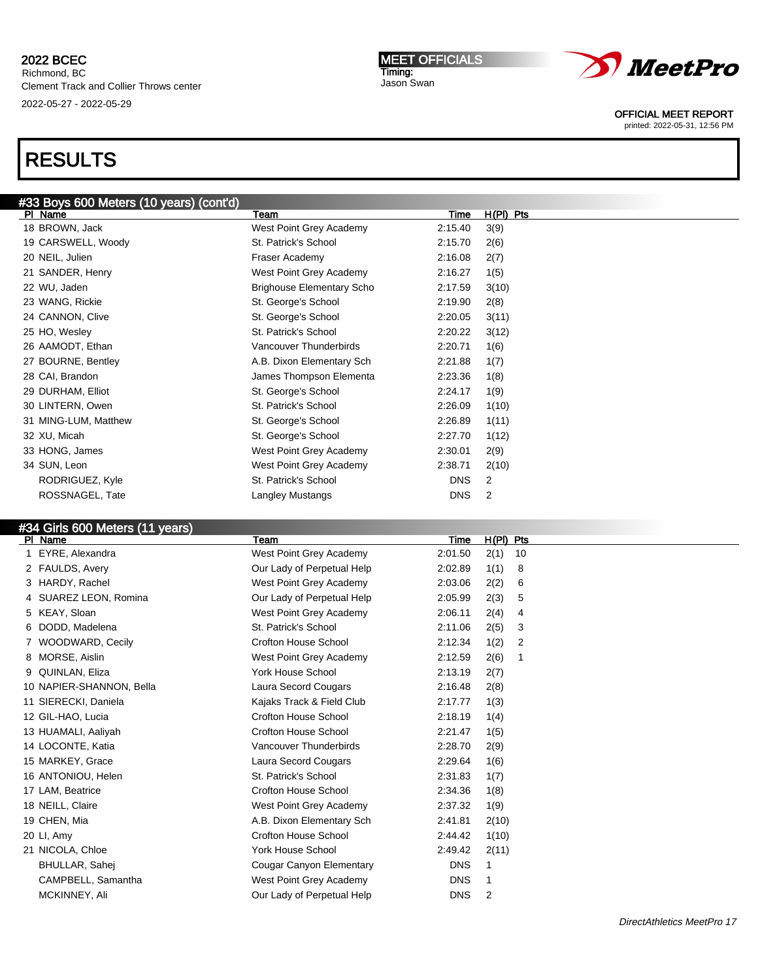# RESULTS

| #33 Boys 600 Meters (10 years) (cont'd) |                                  |            |             |
|-----------------------------------------|----------------------------------|------------|-------------|
| PI Name                                 | Team                             | Time       | $H(PI)$ Pts |
| 18 BROWN, Jack                          | West Point Grey Academy          | 2:15.40    | 3(9)        |
| 19 CARSWELL, Woody                      | St. Patrick's School             | 2:15.70    | 2(6)        |
| 20 NEIL, Julien                         | Fraser Academy                   | 2:16.08    | 2(7)        |
| 21 SANDER, Henry                        | West Point Grey Academy          | 2:16.27    | 1(5)        |
| 22 WU, Jaden                            | <b>Brighouse Elementary Scho</b> | 2:17.59    | 3(10)       |
| 23 WANG, Rickie                         | St. George's School              | 2:19.90    | 2(8)        |
| 24 CANNON, Clive                        | St. George's School              | 2:20.05    | 3(11)       |
| 25 HO, Wesley                           | St. Patrick's School             | 2:20.22    | 3(12)       |
| 26 AAMODT, Ethan                        | Vancouver Thunderbirds           | 2:20.71    | 1(6)        |
| 27 BOURNE, Bentley                      | A.B. Dixon Elementary Sch        | 2:21.88    | 1(7)        |
| 28 CAI, Brandon                         | James Thompson Elementa          | 2:23.36    | 1(8)        |
| 29 DURHAM, Elliot                       | St. George's School              | 2:24.17    | 1(9)        |
| 30 LINTERN, Owen                        | St. Patrick's School             | 2:26.09    | 1(10)       |
| 31 MING-LUM, Matthew                    | St. George's School              | 2:26.89    | 1(11)       |
| 32 XU, Micah                            | St. George's School              | 2:27.70    | 1(12)       |
| 33 HONG, James                          | West Point Grey Academy          | 2:30.01    | 2(9)        |
| 34 SUN, Leon                            | West Point Grey Academy          | 2:38.71    | 2(10)       |
| RODRIGUEZ, Kyle                         | St. Patrick's School             | <b>DNS</b> | 2           |
| ROSSNAGEL, Tate                         | Langley Mustangs                 | <b>DNS</b> | 2           |
|                                         |                                  |            |             |

### #34 Girls 600 Meters (11 years)

| PI Name                  | Team                        | Time       | $H(PI)$ Pts    |
|--------------------------|-----------------------------|------------|----------------|
| EYRE, Alexandra          | West Point Grey Academy     | 2:01.50    | 2(1)<br>10     |
| 2 FAULDS, Avery          | Our Lady of Perpetual Help  | 2:02.89    | 1(1)<br>8      |
| 3 HARDY, Rachel          | West Point Grey Academy     | 2:03.06    | 2(2)<br>6      |
| 4 SUAREZ LEON, Romina    | Our Lady of Perpetual Help  | 2:05.99    | 2(3)<br>5      |
| 5 KEAY, Sloan            | West Point Grey Academy     | 2:06.11    | 2(4)<br>4      |
| 6 DODD, Madelena         | St. Patrick's School        | 2:11.06    | 2(5)<br>3      |
| WOODWARD, Cecily         | <b>Crofton House School</b> | 2:12.34    | 1(2)<br>2      |
| 8 MORSE, Aislin          | West Point Grey Academy     | 2:12.59    | 2(6)<br>1      |
| QUINLAN, Eliza           | <b>York House School</b>    | 2:13.19    | 2(7)           |
| 10 NAPIER-SHANNON, Bella | Laura Secord Cougars        | 2:16.48    | 2(8)           |
| 11 SIERECKI, Daniela     | Kajaks Track & Field Club   | 2:17.77    | 1(3)           |
| 12 GIL-HAO, Lucia        | <b>Crofton House School</b> | 2:18.19    | 1(4)           |
| 13 HUAMALI, Aaliyah      | <b>Crofton House School</b> | 2:21.47    | 1(5)           |
| 14 LOCONTE, Katia        | Vancouver Thunderbirds      | 2:28.70    | 2(9)           |
| 15 MARKEY, Grace         | Laura Secord Cougars        | 2:29.64    | 1(6)           |
| 16 ANTONIOU, Helen       | St. Patrick's School        | 2:31.83    | 1(7)           |
| 17 LAM, Beatrice         | <b>Crofton House School</b> | 2:34.36    | 1(8)           |
| 18 NEILL, Claire         | West Point Grey Academy     | 2:37.32    | 1(9)           |
| 19 CHEN, Mia             | A.B. Dixon Elementary Sch   | 2:41.81    | 2(10)          |
| 20 LI, Amy               | Crofton House School        | 2:44.42    | 1(10)          |
| 21 NICOLA, Chloe         | <b>York House School</b>    | 2:49.42    | 2(11)          |
| <b>BHULLAR, Sahej</b>    | Cougar Canyon Elementary    | <b>DNS</b> |                |
| CAMPBELL, Samantha       | West Point Grey Academy     | <b>DNS</b> |                |
| MCKINNEY, Ali            | Our Lady of Perpetual Help  | <b>DNS</b> | $\overline{2}$ |
|                          |                             |            |                |

MEET OFFICIALS Timing: Jason Swan



OFFICIAL MEET REPORT

printed: 2022-05-31, 12:56 PM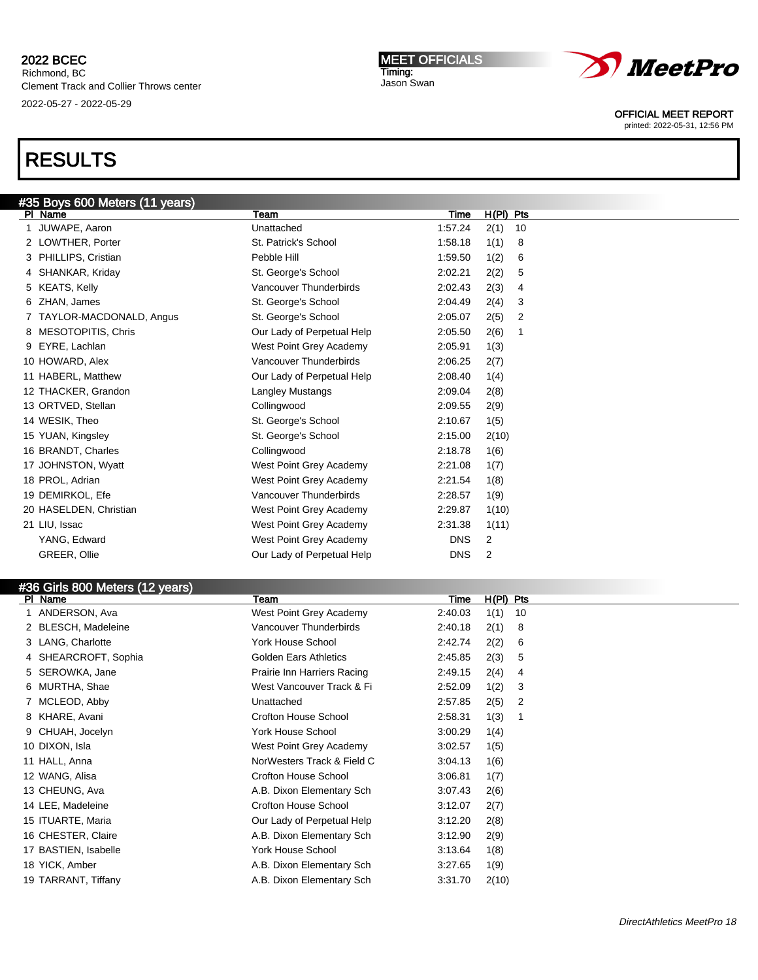Richmond, BC Clement Track and Collier Throws center 2022-05-27 - 2022-05-29

#### MEET OFFICIALS Timing: Jason Swan



OFFICIAL MEET REPORT

printed: 2022-05-31, 12:56 PM

| #35 Boys 600 Meters (11 years) |                            |            |                      |  |
|--------------------------------|----------------------------|------------|----------------------|--|
| PI Name                        | Team                       | Time       | $H(PI)$ Pts          |  |
| JUWAPE, Aaron                  | Unattached                 | 1:57.24    | 2(1)<br>10           |  |
| 2 LOWTHER, Porter              | St. Patrick's School       | 1:58.18    | 1(1)<br>8            |  |
| 3 PHILLIPS, Cristian           | Pebble Hill                | 1:59.50    | 1(2)<br>6            |  |
| 4 SHANKAR, Kriday              | St. George's School        | 2:02.21    | 2(2)<br>5            |  |
| 5 KEATS, Kelly                 | Vancouver Thunderbirds     | 2:02.43    | 2(3)<br>4            |  |
| 6 ZHAN, James                  | St. George's School        | 2:04.49    | 2(4)<br>3            |  |
| 7 TAYLOR-MACDONALD, Angus      | St. George's School        | 2:05.07    | 2(5)<br>2            |  |
| 8 MESOTOPITIS, Chris           | Our Lady of Perpetual Help | 2:05.50    | 2(6)<br>$\mathbf{1}$ |  |
| 9 EYRE, Lachlan                | West Point Grey Academy    | 2:05.91    | 1(3)                 |  |
| 10 HOWARD, Alex                | Vancouver Thunderbirds     | 2:06.25    | 2(7)                 |  |
| 11 HABERL, Matthew             | Our Lady of Perpetual Help | 2:08.40    | 1(4)                 |  |
| 12 THACKER, Grandon            | Langley Mustangs           | 2:09.04    | 2(8)                 |  |
| 13 ORTVED, Stellan             | Collingwood                | 2:09.55    | 2(9)                 |  |
| 14 WESIK, Theo                 | St. George's School        | 2:10.67    | 1(5)                 |  |
| 15 YUAN, Kingsley              | St. George's School        | 2:15.00    | 2(10)                |  |
| 16 BRANDT, Charles             | Collingwood                | 2:18.78    | 1(6)                 |  |
| 17 JOHNSTON, Wyatt             | West Point Grey Academy    | 2:21.08    | 1(7)                 |  |
| 18 PROL, Adrian                | West Point Grey Academy    | 2:21.54    | 1(8)                 |  |
| 19 DEMIRKOL, Efe               | Vancouver Thunderbirds     | 2:28.57    | 1(9)                 |  |
| 20 HASELDEN, Christian         | West Point Grey Academy    | 2:29.87    | 1(10)                |  |
| 21 LIU, Issac                  | West Point Grey Academy    | 2:31.38    | 1(11)                |  |
| YANG, Edward                   | West Point Grey Academy    | <b>DNS</b> | 2                    |  |
| GREER, Ollie                   | Our Lady of Perpetual Help | <b>DNS</b> | 2                    |  |
|                                |                            |            |                      |  |

| <b>PI</b> | Name                 | Team                         | Time    | $H(PI)$ Pts |  |
|-----------|----------------------|------------------------------|---------|-------------|--|
|           | ANDERSON, Ava        | West Point Grey Academy      | 2:40.03 | 1(1)<br>10  |  |
|           | 2 BLESCH, Madeleine  | Vancouver Thunderbirds       | 2:40.18 | 2(1)<br>8   |  |
|           | 3 LANG, Charlotte    | York House School            | 2:42.74 | 2(2)<br>6   |  |
|           | 4 SHEARCROFT, Sophia | <b>Golden Ears Athletics</b> | 2:45.85 | 2(3)<br>5   |  |
|           | 5 SEROWKA, Jane      | Prairie Inn Harriers Racing  | 2:49.15 | 2(4)<br>4   |  |
|           | 6 MURTHA, Shae       | West Vancouver Track & Fi    | 2:52.09 | 1(2)<br>3   |  |
|           | 7 MCLEOD, Abby       | Unattached                   | 2:57.85 | 2(5)<br>2   |  |
|           | 8 KHARE, Avani       | Crofton House School         | 2:58.31 | 1(3)        |  |
|           | 9 CHUAH, Jocelyn     | <b>York House School</b>     | 3:00.29 | 1(4)        |  |
|           | 10 DIXON, Isla       | West Point Grey Academy      | 3:02.57 | 1(5)        |  |
|           | 11 HALL, Anna        | NorWesters Track & Field C   | 3:04.13 | 1(6)        |  |
|           | 12 WANG, Alisa       | <b>Crofton House School</b>  | 3:06.81 | 1(7)        |  |
|           | 13 CHEUNG, Ava       | A.B. Dixon Elementary Sch    | 3:07.43 | 2(6)        |  |
|           | 14 LEE, Madeleine    | <b>Crofton House School</b>  | 3:12.07 | 2(7)        |  |
|           | 15 ITUARTE, Maria    | Our Lady of Perpetual Help   | 3:12.20 | 2(8)        |  |
|           | 16 CHESTER, Claire   | A.B. Dixon Elementary Sch    | 3:12.90 | 2(9)        |  |
|           | 17 BASTIEN, Isabelle | York House School            | 3:13.64 | 1(8)        |  |
|           | 18 YICK, Amber       | A.B. Dixon Elementary Sch    | 3:27.65 | 1(9)        |  |
|           | 19 TARRANT, Tiffany  | A.B. Dixon Elementary Sch    | 3:31.70 | 2(10)       |  |
|           |                      |                              |         |             |  |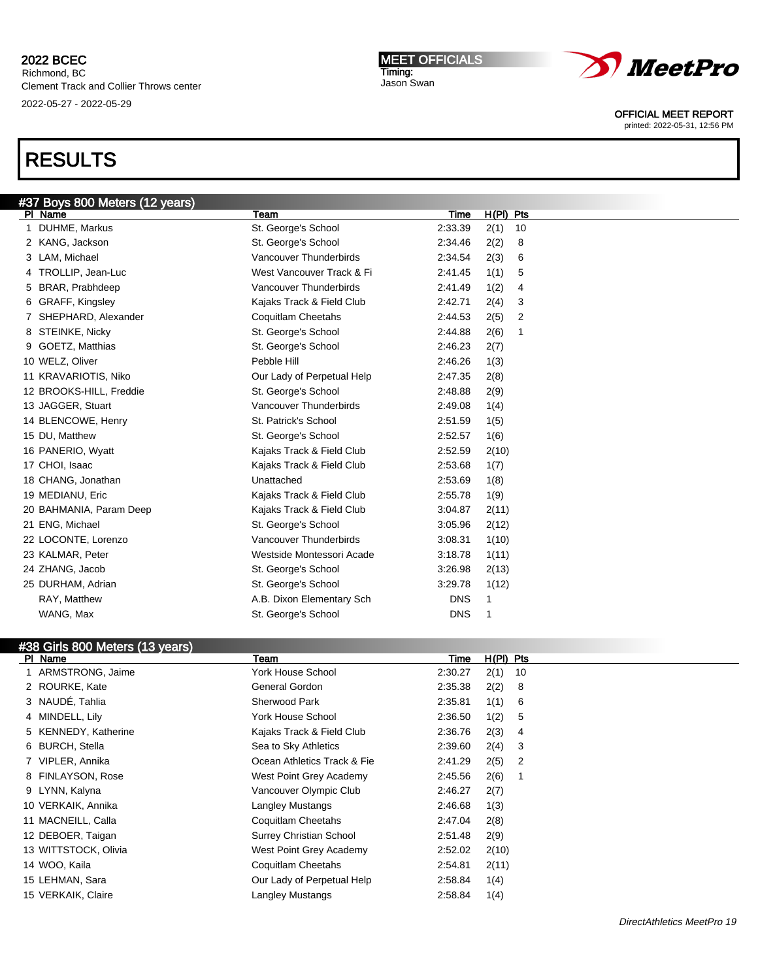Richmond, BC Clement Track and Collier Throws center 2022-05-27 - 2022-05-29

# RESULTS

| #37 Boys 800 Meters (12 years) |                                 |                            |            |             |    |  |
|--------------------------------|---------------------------------|----------------------------|------------|-------------|----|--|
|                                | PI Name                         | Team                       | Time       | $H(PI)$ Pts |    |  |
| 1.                             | DUHME, Markus                   | St. George's School        | 2:33.39    | 2(1)        | 10 |  |
|                                | 2 KANG, Jackson                 | St. George's School        | 2:34.46    | 2(2)        | 8  |  |
|                                | 3 LAM, Michael                  | Vancouver Thunderbirds     | 2:34.54    | 2(3)        | 6  |  |
|                                | 4 TROLLIP, Jean-Luc             | West Vancouver Track & Fi  | 2:41.45    | 1(1)        | 5  |  |
|                                | 5 BRAR, Prabhdeep               | Vancouver Thunderbirds     | 2:41.49    | 1(2)        | 4  |  |
|                                | 6 GRAFF, Kingsley               | Kajaks Track & Field Club  | 2:42.71    | 2(4)        | 3  |  |
|                                | SHEPHARD, Alexander             | Coquitlam Cheetahs         | 2:44.53    | 2(5)        | 2  |  |
|                                | 8 STEINKE, Nicky                | St. George's School        | 2:44.88    | 2(6)        | 1  |  |
| 9                              | GOETZ, Matthias                 | St. George's School        | 2:46.23    | 2(7)        |    |  |
|                                | 10 WELZ, Oliver                 | Pebble Hill                | 2:46.26    | 1(3)        |    |  |
|                                | 11 KRAVARIOTIS, Niko            | Our Lady of Perpetual Help | 2:47.35    | 2(8)        |    |  |
|                                | 12 BROOKS-HILL, Freddie         | St. George's School        | 2:48.88    | 2(9)        |    |  |
|                                | 13 JAGGER, Stuart               | Vancouver Thunderbirds     | 2:49.08    | 1(4)        |    |  |
|                                | 14 BLENCOWE, Henry              | St. Patrick's School       | 2:51.59    | 1(5)        |    |  |
|                                | 15 DU, Matthew                  | St. George's School        | 2:52.57    | 1(6)        |    |  |
|                                | 16 PANERIO, Wyatt               | Kajaks Track & Field Club  | 2:52.59    | 2(10)       |    |  |
|                                | 17 CHOI, Isaac                  | Kajaks Track & Field Club  | 2:53.68    | 1(7)        |    |  |
|                                | 18 CHANG, Jonathan              | Unattached                 | 2:53.69    | 1(8)        |    |  |
|                                | 19 MEDIANU, Eric                | Kajaks Track & Field Club  | 2:55.78    | 1(9)        |    |  |
|                                | 20 BAHMANIA, Param Deep         | Kajaks Track & Field Club  | 3:04.87    | 2(11)       |    |  |
|                                | 21 ENG, Michael                 | St. George's School        | 3:05.96    | 2(12)       |    |  |
|                                | 22 LOCONTE, Lorenzo             | Vancouver Thunderbirds     | 3:08.31    | 1(10)       |    |  |
|                                | 23 KALMAR, Peter                | Westside Montessori Acade  | 3:18.78    | 1(11)       |    |  |
|                                | 24 ZHANG, Jacob                 | St. George's School        | 3:26.98    | 2(13)       |    |  |
|                                | 25 DURHAM, Adrian               | St. George's School        | 3:29.78    | 1(12)       |    |  |
|                                | RAY, Matthew                    | A.B. Dixon Elementary Sch  | <b>DNS</b> | 1           |    |  |
|                                | WANG, Max                       | St. George's School        | <b>DNS</b> | 1           |    |  |
|                                |                                 |                            |            |             |    |  |
|                                | #38 Girls 800 Meters (13 years) |                            |            |             |    |  |
|                                | PI Name                         | Team                       | Time       | H(PI) Pts   |    |  |

|     | Геаm                                                                                                                                                                                                                                                                                                                                      | Time | $H(PI)$ Pts                                                                                                                                                                  |                |
|-----|-------------------------------------------------------------------------------------------------------------------------------------------------------------------------------------------------------------------------------------------------------------------------------------------------------------------------------------------|------|------------------------------------------------------------------------------------------------------------------------------------------------------------------------------|----------------|
|     | York House School                                                                                                                                                                                                                                                                                                                         |      | 2(1)                                                                                                                                                                         | 10             |
|     | General Gordon                                                                                                                                                                                                                                                                                                                            |      | 2(2)                                                                                                                                                                         | 8              |
|     | <b>Sherwood Park</b>                                                                                                                                                                                                                                                                                                                      |      | 1(1)                                                                                                                                                                         | -6             |
|     | York House School                                                                                                                                                                                                                                                                                                                         |      | 1(2)                                                                                                                                                                         | 5              |
|     | Kajaks Track & Field Club                                                                                                                                                                                                                                                                                                                 |      | 2(3)                                                                                                                                                                         | 4              |
|     | Sea to Sky Athletics                                                                                                                                                                                                                                                                                                                      |      | 2(4)                                                                                                                                                                         | -3             |
|     | Ocean Athletics Track & Fie                                                                                                                                                                                                                                                                                                               |      | 2(5)                                                                                                                                                                         | $\overline{2}$ |
|     | West Point Grey Academy                                                                                                                                                                                                                                                                                                                   |      | 2(6)                                                                                                                                                                         | -1             |
|     | Vancouver Olympic Club                                                                                                                                                                                                                                                                                                                    |      | 2(7)                                                                                                                                                                         |                |
|     | Langley Mustangs                                                                                                                                                                                                                                                                                                                          |      | 1(3)                                                                                                                                                                         |                |
|     | Coquitlam Cheetahs                                                                                                                                                                                                                                                                                                                        |      | 2(8)                                                                                                                                                                         |                |
|     | Surrey Christian School                                                                                                                                                                                                                                                                                                                   |      | 2(9)                                                                                                                                                                         |                |
|     | West Point Grey Academy                                                                                                                                                                                                                                                                                                                   |      | 2(10)                                                                                                                                                                        |                |
|     | Coquitlam Cheetahs                                                                                                                                                                                                                                                                                                                        |      | 2(11)                                                                                                                                                                        |                |
|     | Our Lady of Perpetual Help                                                                                                                                                                                                                                                                                                                |      | 1(4)                                                                                                                                                                         |                |
|     | Langley Mustangs                                                                                                                                                                                                                                                                                                                          |      | 1(4)                                                                                                                                                                         |                |
| PI. | Name<br>ARMSTRONG, Jaime<br>2 ROURKE, Kate<br>3 NAUDÉ, Tahlia<br>4 MINDELL, Lily<br>5 KENNEDY, Katherine<br>6 BURCH, Stella<br>7 VIPLER, Annika<br>8 FINLAYSON, Rose<br>9 LYNN, Kalyna<br>10 VERKAIK, Annika<br>11 MACNEILL, Calla<br>12 DEBOER, Taigan<br>13 WITTSTOCK, Olivia<br>14 WOO, Kaila<br>15 LEHMAN, Sara<br>15 VERKAIK, Claire |      | 2:30.27<br>2:35.38<br>2:35.81<br>2:36.50<br>2:36.76<br>2:39.60<br>2:41.29<br>2:45.56<br>2:46.27<br>2:46.68<br>2:47.04<br>2:51.48<br>2:52.02<br>2:54.81<br>2:58.84<br>2:58.84 |                |



OFFICIAL MEET REPORT

printed: 2022-05-31, 12:56 PM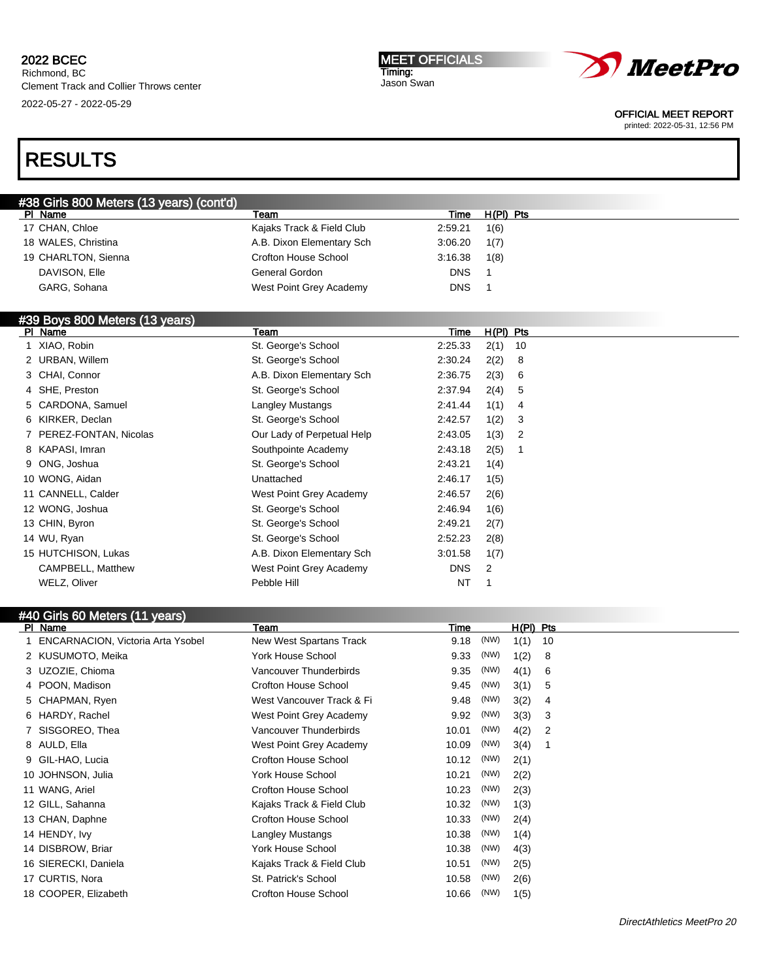Richmond, BC Clement Track and Collier Throws center 2022-05-27 - 2022-05-29

MEET OFFICIALS Timing: Jason Swan



OFFICIAL MEET REPORT

printed: 2022-05-31, 12:56 PM

# RESULTS

| #38 Girls 800 Meters (13 years) (cont'd) |                           |            |           |  |
|------------------------------------------|---------------------------|------------|-----------|--|
| PI Name                                  | Team                      | Time       | H(PI) Pts |  |
| 17 CHAN, Chloe                           | Kajaks Track & Field Club | 2:59.21    | 1(6)      |  |
| 18 WALES, Christina                      | A.B. Dixon Elementary Sch | 3:06.20    | 1(7)      |  |
| 19 CHARLTON, Sienna                      | Crofton House School      | 3:16.38    | 1(8)      |  |
| DAVISON, Elle                            | General Gordon            | <b>DNS</b> |           |  |
| GARG, Sohana                             | West Point Grey Academy   | <b>DNS</b> |           |  |
|                                          |                           |            |           |  |

# #39 Boys 800 Meters (13 years)

| <b>PI</b> | Name                    | Team                       | Time       | $H(PI)$ Pts |                |  |
|-----------|-------------------------|----------------------------|------------|-------------|----------------|--|
|           | 1 XIAO, Robin           | St. George's School        | 2:25.33    | 2(1)        | 10             |  |
|           | 2 URBAN, Willem         | St. George's School        | 2:30.24    | 2(2)        | 8              |  |
|           | 3 CHAI, Connor          | A.B. Dixon Elementary Sch  | 2:36.75    | 2(3)        | 6              |  |
|           | 4 SHE, Preston          | St. George's School        | 2:37.94    | 2(4)        | 5              |  |
|           | 5 CARDONA, Samuel       | Langley Mustangs           | 2.41.44    | 1(1)        | 4              |  |
|           | 6 KIRKER, Declan        | St. George's School        | 2:42.57    | 1(2)        | 3              |  |
|           | 7 PEREZ-FONTAN, Nicolas | Our Lady of Perpetual Help | 2:43.05    | 1(3)        | $\overline{2}$ |  |
|           | 8 KAPASI, Imran         | Southpointe Academy        | 2:43.18    | 2(5)        |                |  |
|           | 9 ONG, Joshua           | St. George's School        | 2:43.21    | 1(4)        |                |  |
|           | 10 WONG, Aidan          | Unattached                 | 2:46.17    | 1(5)        |                |  |
|           | 11 CANNELL, Calder      | West Point Grey Academy    | 2:46.57    | 2(6)        |                |  |
|           | 12 WONG, Joshua         | St. George's School        | 2:46.94    | 1(6)        |                |  |
|           | 13 CHIN, Byron          | St. George's School        | 2:49.21    | 2(7)        |                |  |
|           | 14 WU, Ryan             | St. George's School        | 2:52.23    | 2(8)        |                |  |
|           | 15 HUTCHISON, Lukas     | A.B. Dixon Elementary Sch  | 3:01.58    | 1(7)        |                |  |
|           | CAMPBELL, Matthew       | West Point Grey Academy    | <b>DNS</b> | 2           |                |  |
|           | WELZ, Oliver            | Pebble Hill                | NT         |             |                |  |
|           |                         |                            |            |             |                |  |

|    | #40 Girls 60 Meters (11 years)           |                             |       |      |             |                |  |  |  |
|----|------------------------------------------|-----------------------------|-------|------|-------------|----------------|--|--|--|
|    | PI Name                                  | Team                        | Time  |      | $H(PI)$ Pts |                |  |  |  |
| 1. | <b>ENCARNACION, Victoria Arta Ysobel</b> | New West Spartans Track     | 9.18  | (NW) | 1(1)        | 10             |  |  |  |
| 2  | KUSUMOTO, Meika                          | York House School           | 9.33  | (NW) | 1(2)        | 8              |  |  |  |
| 3. | UZOZIE, Chioma                           | Vancouver Thunderbirds      | 9.35  | (NW) | 4(1)        | 6              |  |  |  |
|    | POON, Madison                            | <b>Crofton House School</b> | 9.45  | (NW) | 3(1)        | 5              |  |  |  |
| 5  | CHAPMAN, Ryen                            | West Vancouver Track & Fi   | 9.48  | (NW) | 3(2)        | 4              |  |  |  |
| 6  | HARDY, Rachel                            | West Point Grey Academy     | 9.92  | (NW) | 3(3)        | 3              |  |  |  |
|    | SISGOREO, Thea                           | Vancouver Thunderbirds      | 10.01 | (NW) | 4(2)        | $\overline{2}$ |  |  |  |
| 8  | AULD, Ella                               | West Point Grey Academy     | 10.09 | (NW) | 3(4)        | 1              |  |  |  |
| 9  | GIL-HAO, Lucia                           | <b>Crofton House School</b> | 10.12 | (NW) | 2(1)        |                |  |  |  |
|    | 10 JOHNSON, Julia                        | York House School           | 10.21 | (NW) | 2(2)        |                |  |  |  |
| 11 | WANG, Ariel                              | <b>Crofton House School</b> | 10.23 | (NW) | 2(3)        |                |  |  |  |
|    | 12 GILL, Sahanna                         | Kajaks Track & Field Club   | 10.32 | (NW) | 1(3)        |                |  |  |  |
|    | 13 CHAN, Daphne                          | <b>Crofton House School</b> | 10.33 | (NW) | 2(4)        |                |  |  |  |
|    | 14 HENDY, Ivy                            | Langley Mustangs            | 10.38 | (NW) | 1(4)        |                |  |  |  |
|    | 14 DISBROW, Briar                        | York House School           | 10.38 | (NW) | 4(3)        |                |  |  |  |
|    | 16 SIERECKI, Daniela                     | Kajaks Track & Field Club   | 10.51 | (NW) | 2(5)        |                |  |  |  |
|    | 17 CURTIS, Nora                          | St. Patrick's School        | 10.58 | (NW) | 2(6)        |                |  |  |  |
|    | 18 COOPER, Elizabeth                     | <b>Crofton House School</b> | 10.66 | (NW) | 1(5)        |                |  |  |  |
|    |                                          |                             |       |      |             |                |  |  |  |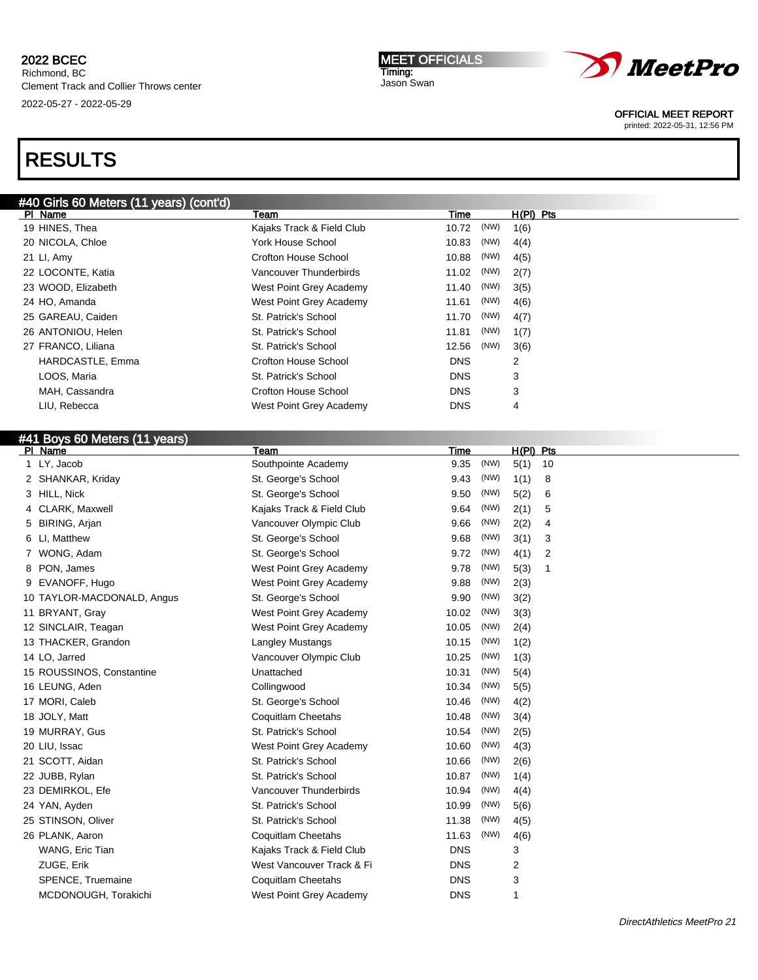# 2022 BCEC Richmond, BC Clement Track and Collier Throws center

2022-05-27 - 2022-05-29

# RESULTS

| IMEET OFFICIALS |
|-----------------|
| Timing:         |
| Jason Swan      |



OFFICIAL MEET REPORT

printed: 2022-05-31, 12:56 PM

| #40 Girls 60 Meters (11 years) (cont'd) |                             |                |             |    |
|-----------------------------------------|-----------------------------|----------------|-------------|----|
| PI Name                                 | Team                        | Time           | $H(PI)$ Pts |    |
| 19 HINES, Thea                          | Kajaks Track & Field Club   | (NW)<br>10.72  | 1(6)        |    |
| 20 NICOLA, Chloe                        | York House School           | (NW)<br>10.83  | 4(4)        |    |
| 21 LI, Amy                              | Crofton House School        | (NW)<br>10.88  | 4(5)        |    |
| 22 LOCONTE, Katia                       | Vancouver Thunderbirds      | (NW)<br>11.02  | 2(7)        |    |
| 23 WOOD, Elizabeth                      | West Point Grey Academy     | (NW)<br>11.40  | 3(5)        |    |
| 24 HO, Amanda                           | West Point Grey Academy     | (NW)<br>11.61  | 4(6)        |    |
| 25 GAREAU, Caiden                       | St. Patrick's School        | (NW)<br>11.70  | 4(7)        |    |
| 26 ANTONIOU, Helen                      | St. Patrick's School        | (NW)<br>11.81  | 1(7)        |    |
| 27 FRANCO, Liliana                      | St. Patrick's School        | 12.56<br>(NW)  | 3(6)        |    |
| HARDCASTLE, Emma                        | <b>Crofton House School</b> | <b>DNS</b>     | 2           |    |
| LOOS, Maria                             | St. Patrick's School        | <b>DNS</b>     | 3           |    |
| MAH, Cassandra                          | <b>Crofton House School</b> | <b>DNS</b>     | 3           |    |
| LIU, Rebecca                            | West Point Grey Academy     | <b>DNS</b>     | 4           |    |
|                                         |                             |                |             |    |
| #41 Boys 60 Meters (11 years)           |                             |                |             |    |
| PI Name                                 | Team                        | Time           | $H(PI)$ Pts |    |
| LY, Jacob                               | Southpointe Academy         | (NW)<br>9.35   | 5(1)        | 10 |
| 2 SHANKAR, Kriday                       | St. George's School         | (NW)<br>9.43   | 1(1)        | 8  |
| 3 HILL, Nick                            | St. George's School         | 9.50<br>(NW)   | 5(2)        | 6  |
| 4 CLARK, Maxwell                        | Kajaks Track & Field Club   | (NW)<br>9.64   | 2(1)        | 5  |
| 5 BIRING, Arjan                         | Vancouver Olympic Club      | (NW)<br>9.66   | 2(2)        | 4  |
| 6 LI, Matthew                           | St. George's School         | (NW)<br>9.68   | 3(1)        | 3  |
| 7 WONG, Adam                            | St. George's School         | (NW)<br>9.72   | 4(1)        | 2  |
| 8 PON, James                            | West Point Grey Academy     | (NW)<br>9.78   | 5(3)        | -1 |
| 9 EVANOFF, Hugo                         | West Point Grey Academy     | (NW)<br>9.88   | 2(3)        |    |
| 10 TAYLOR-MACDONALD, Angus              | St. George's School         | (NW)<br>9.90   | 3(2)        |    |
| 11 RRYANT Gray                          | Mast Point Gray Acadamy     | (NW)<br>10.02. | 3(3)        |    |

| 6 | LI, Matthew                | St. George's School       | 9.68       | (111) | 3(1) | 3 |
|---|----------------------------|---------------------------|------------|-------|------|---|
|   | WONG, Adam                 | St. George's School       | 9.72       | (NW)  | 4(1) | 2 |
| 8 | PON, James                 | West Point Grey Academy   | 9.78       | (NW)  | 5(3) | 1 |
| 9 | EVANOFF, Hugo              | West Point Grey Academy   | 9.88       | (NW)  | 2(3) |   |
|   | 10 TAYLOR-MACDONALD, Angus | St. George's School       | 9.90       | (NW)  | 3(2) |   |
|   | 11 BRYANT, Gray            | West Point Grey Academy   | 10.02      | (NW)  | 3(3) |   |
|   | 12 SINCLAIR, Teagan        | West Point Grey Academy   | 10.05      | (NW)  | 2(4) |   |
|   | 13 THACKER, Grandon        | <b>Langley Mustangs</b>   | 10.15      | (NW)  | 1(2) |   |
|   | 14 LO, Jarred              | Vancouver Olympic Club    | 10.25      | (NW)  | 1(3) |   |
|   | 15 ROUSSINOS, Constantine  | Unattached                | 10.31      | (NW)  | 5(4) |   |
|   | 16 LEUNG, Aden             | Collingwood               | 10.34      | (NW)  | 5(5) |   |
|   | 17 MORI, Caleb             | St. George's School       | 10.46      | (NW)  | 4(2) |   |
|   | 18 JOLY, Matt              | Coquitlam Cheetahs        | 10.48      | (NW)  | 3(4) |   |
|   | 19 MURRAY, Gus             | St. Patrick's School      | 10.54      | (NW)  | 2(5) |   |
|   | 20 LIU, Issac              | West Point Grey Academy   | 10.60      | (NW)  | 4(3) |   |
|   | 21 SCOTT, Aidan            | St. Patrick's School      | 10.66      | (NW)  | 2(6) |   |
|   | 22 JUBB, Rylan             | St. Patrick's School      | 10.87      | (NW)  | 1(4) |   |
|   | 23 DEMIRKOL, Efe           | Vancouver Thunderbirds    | 10.94      | (NW)  | 4(4) |   |
|   | 24 YAN, Ayden              | St. Patrick's School      | 10.99      | (NW)  | 5(6) |   |
|   | 25 STINSON, Oliver         | St. Patrick's School      | 11.38      | (NW)  | 4(5) |   |
|   | 26 PLANK, Aaron            | Coquitlam Cheetahs        | 11.63      | (NW)  | 4(6) |   |
|   | WANG, Eric Tian            | Kajaks Track & Field Club | <b>DNS</b> |       | 3    |   |
|   | ZUGE, Erik                 | West Vancouver Track & Fi | <b>DNS</b> |       | 2    |   |
|   | SPENCE, Truemaine          | Coquitlam Cheetahs        | <b>DNS</b> |       | 3    |   |
|   | MCDONOUGH, Torakichi       | West Point Grey Academy   | <b>DNS</b> |       | 1    |   |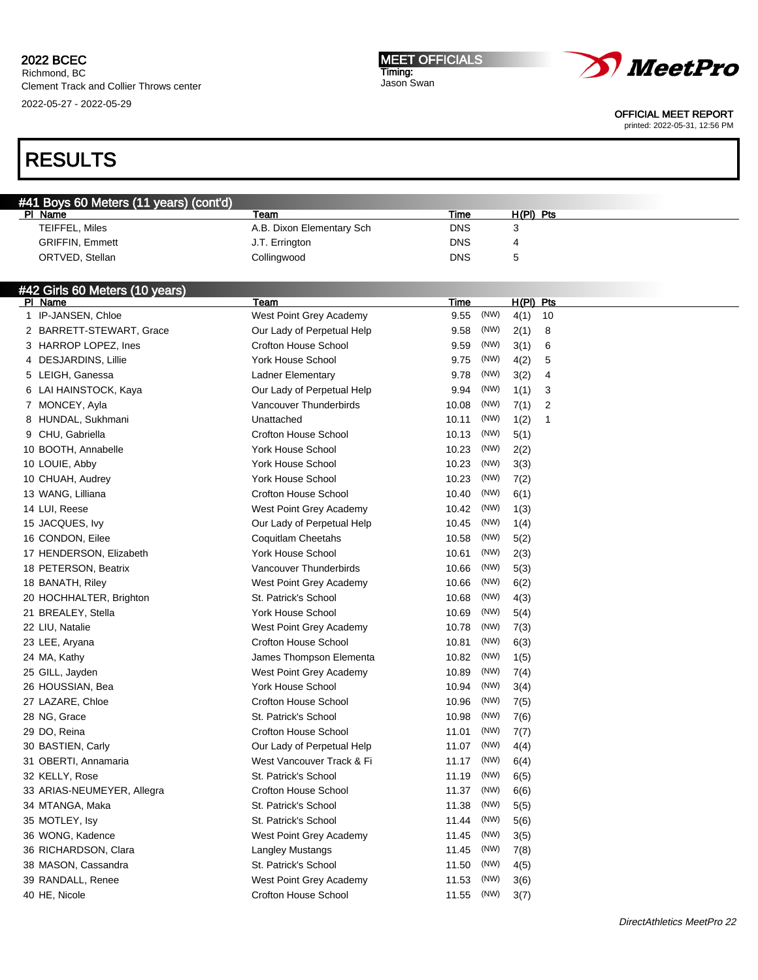Richmond, BC Clement Track and Collier Throws center 2022-05-27 - 2022-05-29

#### MEET OFFICIALS Timing: Jason Swan



OFFICIAL MEET REPORT

printed: 2022-05-31, 12:56 PM

# RESULTS

| #41 Boys 60 Meters (11 years) (cont'd) |                           |            |             |  |
|----------------------------------------|---------------------------|------------|-------------|--|
| PI Name                                | Team                      | Time       | $H(PI)$ Pts |  |
| TEIFFEL, Miles                         | A.B. Dixon Elementary Sch | <b>DNS</b> |             |  |
| <b>GRIFFIN, Emmett</b>                 | J.T. Errington            | DNS        | 4           |  |
| ORTVED, Stellan                        | Collingwood               | DNS        |             |  |

### #42 Girls 60 Meters (10 years)

| PI Name                    | Team                        | Time          | $H(PI)$ Pts            |  |
|----------------------------|-----------------------------|---------------|------------------------|--|
| IP-JANSEN, Chloe<br>1      | West Point Grey Academy     | (NW)<br>9.55  | 4(1)<br>10             |  |
| 2 BARRETT-STEWART, Grace   | Our Lady of Perpetual Help  | 9.58<br>(NW)  | 8<br>2(1)              |  |
| 3 HARROP LOPEZ, Ines       | <b>Crofton House School</b> | 9.59<br>(NW)  | 3(1)<br>6              |  |
| 4 DESJARDINS, Lillie       | York House School           | 9.75<br>(NW)  | 4(2)<br>5              |  |
| 5 LEIGH, Ganessa           | <b>Ladner Elementary</b>    | 9.78<br>(NW)  | 4<br>3(2)              |  |
| 6 LAI HAINSTOCK, Kaya      | Our Lady of Perpetual Help  | 9.94<br>(NW)  | 1(1)<br>3              |  |
| 7 MONCEY, Ayla             | Vancouver Thunderbirds      | 10.08<br>(NW) | 7(1)<br>$\overline{2}$ |  |
| 8 HUNDAL, Sukhmani         | Unattached                  | (NW)<br>10.11 | 1(2)<br>1              |  |
| 9 CHU, Gabriella           | <b>Crofton House School</b> | (NW)<br>10.13 | 5(1)                   |  |
| 10 BOOTH, Annabelle        | <b>York House School</b>    | 10.23<br>(NW) | 2(2)                   |  |
| 10 LOUIE, Abby             | <b>York House School</b>    | (NW)<br>10.23 | 3(3)                   |  |
| 10 CHUAH, Audrey           | <b>York House School</b>    | 10.23<br>(NW) | 7(2)                   |  |
| 13 WANG, Lilliana          | <b>Crofton House School</b> | 10.40<br>(NW) | 6(1)                   |  |
| 14 LUI, Reese              | West Point Grey Academy     | (NW)<br>10.42 | 1(3)                   |  |
| 15 JACQUES, Ivy            | Our Lady of Perpetual Help  | 10.45<br>(NW) | 1(4)                   |  |
| 16 CONDON, Eilee           | Coquitlam Cheetahs          | (NW)<br>10.58 | 5(2)                   |  |
| 17 HENDERSON, Elizabeth    | <b>York House School</b>    | (NW)<br>10.61 | 2(3)                   |  |
| 18 PETERSON, Beatrix       | Vancouver Thunderbirds      | (NW)<br>10.66 | 5(3)                   |  |
| 18 BANATH, Riley           | West Point Grey Academy     | 10.66<br>(NW) | 6(2)                   |  |
| 20 HOCHHALTER, Brighton    | St. Patrick's School        | 10.68<br>(NW) | 4(3)                   |  |
| 21 BREALEY, Stella         | <b>York House School</b>    | 10.69<br>(NW) | 5(4)                   |  |
| 22 LIU, Natalie            | West Point Grey Academy     | 10.78<br>(NW) | 7(3)                   |  |
| 23 LEE, Aryana             | <b>Crofton House School</b> | 10.81<br>(NW) | 6(3)                   |  |
| 24 MA, Kathy               | James Thompson Elementa     | (NW)<br>10.82 | 1(5)                   |  |
| 25 GILL, Jayden            | West Point Grey Academy     | (NW)<br>10.89 | 7(4)                   |  |
| 26 HOUSSIAN, Bea           | <b>York House School</b>    | 10.94<br>(NW) | 3(4)                   |  |
| 27 LAZARE, Chloe           | <b>Crofton House School</b> | 10.96<br>(NW) | 7(5)                   |  |
| 28 NG, Grace               | St. Patrick's School        | 10.98<br>(NW) | 7(6)                   |  |
| 29 DO, Reina               | <b>Crofton House School</b> | (NW)<br>11.01 | 7(7)                   |  |
| 30 BASTIEN, Carly          | Our Lady of Perpetual Help  | (NW)<br>11.07 | 4(4)                   |  |
| 31 OBERTI, Annamaria       | West Vancouver Track & Fi   | (NW)<br>11.17 | 6(4)                   |  |
| 32 KELLY, Rose             | St. Patrick's School        | (NW)<br>11.19 | 6(5)                   |  |
| 33 ARIAS-NEUMEYER, Allegra | <b>Crofton House School</b> | (NW)<br>11.37 | 6(6)                   |  |
| 34 MTANGA, Maka            | St. Patrick's School        | 11.38<br>(NW) | 5(5)                   |  |
| 35 MOTLEY, Isy             | St. Patrick's School        | (NW)<br>11.44 | 5(6)                   |  |
| 36 WONG, Kadence           | West Point Grey Academy     | (NW)<br>11.45 | 3(5)                   |  |
| 36 RICHARDSON, Clara       | Langley Mustangs            | (NW)<br>11.45 | 7(8)                   |  |
| 38 MASON, Cassandra        | St. Patrick's School        | (NW)<br>11.50 | 4(5)                   |  |
| 39 RANDALL, Renee          | West Point Grey Academy     | (NW)<br>11.53 | 3(6)                   |  |
| 40 HE, Nicole              | <b>Crofton House School</b> | (NW)<br>11.55 | 3(7)                   |  |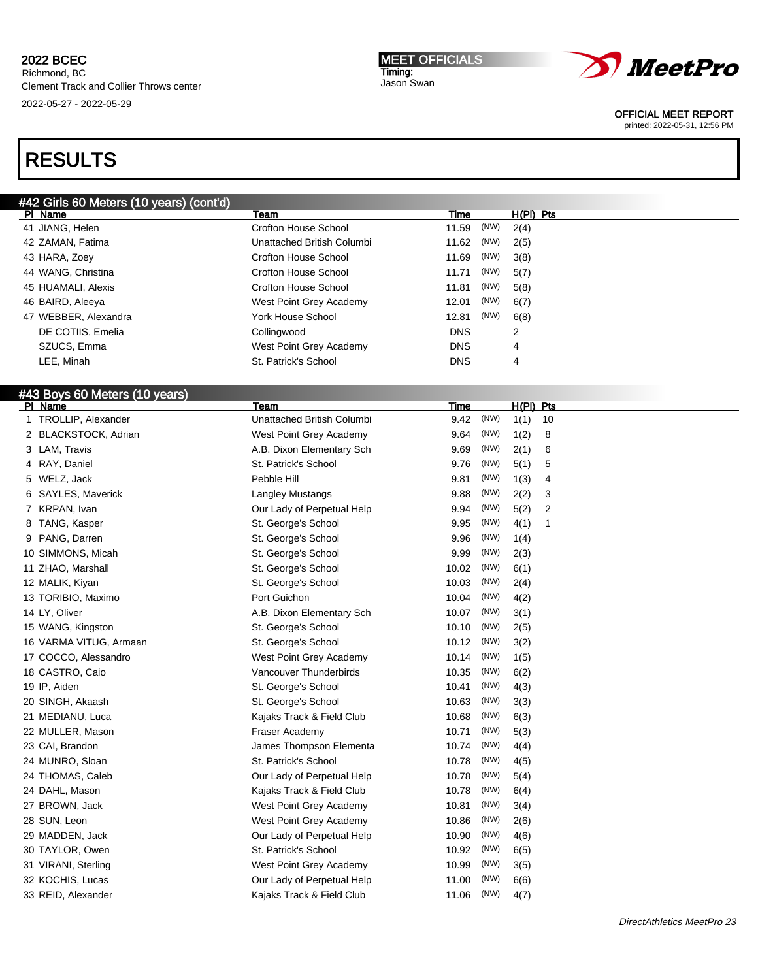MEET OFFICIALS Timing: Jason Swan



OFFICIAL MEET REPORT

printed: 2022-05-31, 12:56 PM

| #42 Girls 60 Meters (10 years) (cont'd)  |                             |                            |  |
|------------------------------------------|-----------------------------|----------------------------|--|
| PI Name                                  | Team                        | $H(PI)$ Pts<br><b>Time</b> |  |
| 41 JIANG, Helen                          | <b>Crofton House School</b> | (NW)<br>11.59<br>2(4)      |  |
| 42 ZAMAN, Fatima                         | Unattached British Columbi  | 11.62<br>(NW)<br>2(5)      |  |
| 43 HARA, Zoey                            | <b>Crofton House School</b> | 11.69<br>(NW)<br>3(8)      |  |
| 44 WANG, Christina                       | <b>Crofton House School</b> | 11.71<br>(NW)<br>5(7)      |  |
| 45 HUAMALI, Alexis                       | <b>Crofton House School</b> | 11.81<br>(NW)<br>5(8)      |  |
| 46 BAIRD, Aleeya                         | West Point Grey Academy     | 12.01<br>(NW)<br>6(7)      |  |
| 47 WEBBER, Alexandra                     | York House School           | 12.81<br>(NW)<br>6(8)      |  |
| DE COTIIS, Emelia                        | Collingwood                 | <b>DNS</b><br>2            |  |
| SZUCS, Emma                              | West Point Grey Academy     | <b>DNS</b><br>4            |  |
| LEE, Minah                               | St. Patrick's School        | DNS<br>4                   |  |
|                                          |                             |                            |  |
|                                          |                             |                            |  |
| #43 Boys 60 Meters (10 years)<br>PI Name | Team                        | $H(PI)$ Pts<br><u>Time</u> |  |
| TROLLIP, Alexander<br>1                  | Unattached British Columbi  | (NW)<br>9.42<br>1(1)<br>10 |  |
| 2 BLACKSTOCK, Adrian                     | West Point Grey Academy     | (NW)<br>9.64<br>1(2)<br>8  |  |
| 3 LAM, Travis                            | A.B. Dixon Elementary Sch   | 9.69<br>(NW)<br>2(1)<br>6  |  |
| 4 RAY, Daniel                            | St. Patrick's School        | 9.76<br>(NW)<br>5(1)<br>5  |  |
| WELZ, Jack<br>5                          | Pebble Hill                 | 9.81<br>(NW)<br>1(3)<br>4  |  |
| SAYLES, Maverick<br>6                    | Langley Mustangs            | (NW)<br>9.88<br>2(2)<br>3  |  |
| 7 KRPAN, Ivan                            | Our Lady of Perpetual Help  | (NW)<br>9.94<br>2          |  |
| TANG, Kasper                             |                             | 5(2)<br>(NW)<br>1          |  |
| 8                                        | St. George's School         | 9.95<br>4(1)<br>(NW)       |  |
| 9 PANG, Darren                           | St. George's School         | 9.96<br>1(4)               |  |
| 10 SIMMONS, Micah                        | St. George's School         | 9.99<br>(NW)<br>2(3)       |  |
| 11 ZHAO, Marshall                        | St. George's School         | 10.02<br>(NW)<br>6(1)      |  |
| 12 MALIK, Kiyan                          | St. George's School         | 10.03<br>(NW)<br>2(4)      |  |
| 13 TORIBIO, Maximo                       | Port Guichon                | 10.04<br>(NW)<br>4(2)      |  |
| 14 LY, Oliver                            | A.B. Dixon Elementary Sch   | 10.07<br>(NW)<br>3(1)      |  |
| 15 WANG, Kingston                        | St. George's School         | (NW)<br>10.10<br>2(5)      |  |
| 16 VARMA VITUG, Armaan                   | St. George's School         | 10.12<br>(NW)<br>3(2)      |  |
| 17 COCCO, Alessandro                     | West Point Grey Academy     | 10.14<br>(NW)<br>1(5)      |  |
| 18 CASTRO, Caio                          | Vancouver Thunderbirds      | 10.35<br>(NW)<br>6(2)      |  |
| 19 IP, Aiden                             | St. George's School         | 10.41<br>(NW)<br>4(3)      |  |
| 20 SINGH, Akaash                         | St. George's School         | (NW)<br>10.63<br>3(3)      |  |
| 21 MEDIANU, Luca                         | Kajaks Track & Field Club   | 10.68<br>(NW)<br>6(3)      |  |
| 22 MULLER, Mason                         | Fraser Academy              | (NW)<br>10.71<br>5(3)      |  |
| 23 CAI, Brandon                          | James Thompson Elementa     | 10.74<br>(NW)<br>4(4)      |  |
| 24 MUNRO, Sloan                          | St. Patrick's School        | (NW)<br>10.78<br>4(5)      |  |
| 24 THOMAS, Caleb                         | Our Lady of Perpetual Help  | 10.78<br>(NW)<br>5(4)      |  |
| 24 DAHL, Mason                           | Kajaks Track & Field Club   | 10.78<br>(NW)<br>6(4)      |  |
| 27 BROWN, Jack                           | West Point Grey Academy     | 10.81<br>(NW)<br>3(4)      |  |
| 28 SUN, Leon                             | West Point Grey Academy     | (NW)<br>10.86<br>2(6)      |  |
| 29 MADDEN, Jack                          | Our Lady of Perpetual Help  | 10.90<br>(NW)<br>4(6)      |  |
| 30 TAYLOR, Owen                          | St. Patrick's School        | 10.92<br>(NW)<br>6(5)      |  |
| 31 VIRANI, Sterling                      | West Point Grey Academy     | 10.99<br>(NW)<br>3(5)      |  |
| 32 KOCHIS, Lucas                         | Our Lady of Perpetual Help  | 11.00<br>(NW)<br>6(6)      |  |
| 33 REID, Alexander                       | Kajaks Track & Field Club   | 11.06<br>(NW)<br>4(7)      |  |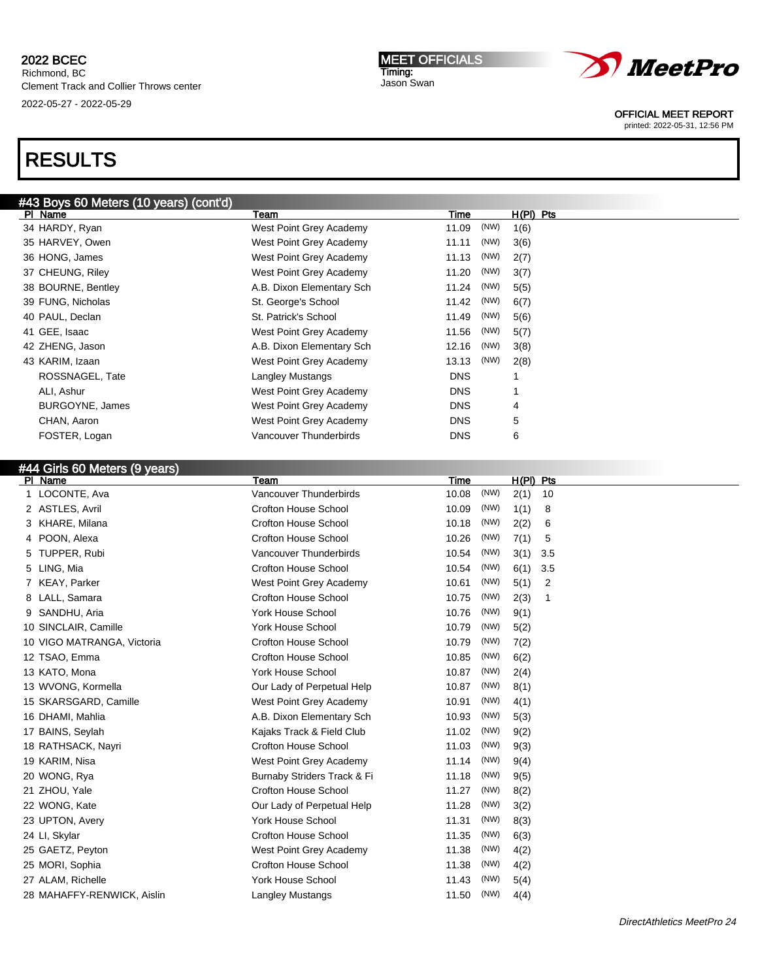boxs excellent (control  $\mu$ )

# RESULTS

| <b>#43 DOYS OU MELETS (TO YEARS) (CONTRA)</b> |                             |                                                          |                               |
|-----------------------------------------------|-----------------------------|----------------------------------------------------------|-------------------------------|
| PI Name                                       | Team                        | Time                                                     | $H(PI)$ Pts                   |
| 34 HARDY, Ryan                                | West Point Grey Academy     | (NW)<br>11.09                                            | 1(6)                          |
| 35 HARVEY, Owen                               | West Point Grey Academy     | (NW)<br>11.11                                            | 3(6)                          |
| 36 HONG, James                                | West Point Grey Academy     | 11.13<br>(NW)                                            | 2(7)                          |
| 37 CHEUNG, Riley                              | West Point Grey Academy     | (NW)<br>11.20                                            | 3(7)                          |
| 38 BOURNE, Bentley                            | A.B. Dixon Elementary Sch   | (NW)<br>11.24                                            | 5(5)                          |
| 39 FUNG, Nicholas                             | St. George's School         | 11.42<br>(NW)                                            | 6(7)                          |
| 40 PAUL, Declan                               | St. Patrick's School        | (NW)<br>11.49                                            | 5(6)                          |
| 41 GEE, Isaac                                 | West Point Grey Academy     | 11.56<br>(NW)                                            | 5(7)                          |
| 42 ZHENG, Jason                               | A.B. Dixon Elementary Sch   | (NW)<br>12.16                                            | 3(8)                          |
| 43 KARIM, Izaan                               | West Point Grey Academy     | (NW)<br>13.13                                            | 2(8)                          |
| ROSSNAGEL, Tate                               | Langley Mustangs            | <b>DNS</b>                                               |                               |
| ALI, Ashur                                    | West Point Grey Academy     | <b>DNS</b>                                               |                               |
| BURGOYNE, James                               | West Point Grey Academy     | <b>DNS</b>                                               | 4                             |
| CHAN, Aaron                                   | West Point Grey Academy     | <b>DNS</b>                                               | 5                             |
| FOSTER, Logan                                 | Vancouver Thunderbirds      | <b>DNS</b>                                               | 6                             |
|                                               |                             |                                                          |                               |
| #44 Girls 60 Meters (9 years)                 |                             |                                                          |                               |
| PI Name                                       | Team                        | <b>Time</b>                                              | H(PI) Pts                     |
| LOCONTE, Ava                                  | Vancouver Thunderbirds      | (NW)<br>10.08                                            | 2(1)<br>10                    |
| 2 ASTLES, Avril                               | <b>Crofton House School</b> | 10.09<br>(NW)                                            | 1(1)<br>8                     |
| 3 KHARE, Milana                               | <b>Crofton House School</b> | 10.18<br>(NW)                                            | 2(2)<br>6                     |
| 4 POON, Alexa                                 | <b>Crofton House School</b> | (NW)<br>10.26                                            | 7(1)<br>5                     |
| T1100000001                                   |                             | $(\mathbf{N} \mathbf{N})$<br>$\sim$ $\sim$ $\sim$ $\sim$ | $\sim$ $\prime$ $\sim$ $\sim$ |

|   | POON, Alexa                | <b>Crofton House School</b> | 10.26 | (NW) | 7(1) | 5   |
|---|----------------------------|-----------------------------|-------|------|------|-----|
|   | 5 TUPPER, Rubi             | Vancouver Thunderbirds      | 10.54 | (NW) | 3(1) | 3.5 |
| 5 | LING, Mia                  | <b>Crofton House School</b> | 10.54 | (NW) | 6(1) | 3.5 |
|   | 7 KEAY, Parker             | West Point Grey Academy     | 10.61 | (NW) | 5(1) | 2   |
|   | 8 LALL, Samara             | Crofton House School        | 10.75 | (NW) | 2(3) | 1   |
| 9 | SANDHU, Aria               | <b>York House School</b>    | 10.76 | (NW) | 9(1) |     |
|   | 10 SINCLAIR, Camille       | <b>York House School</b>    | 10.79 | (NW) | 5(2) |     |
|   | 10 VIGO MATRANGA, Victoria | Crofton House School        | 10.79 | (NW) | 7(2) |     |
|   | 12 TSAO, Emma              | Crofton House School        | 10.85 | (NW) | 6(2) |     |
|   | 13 KATO, Mona              | <b>York House School</b>    | 10.87 | (NW) | 2(4) |     |
|   | 13 WVONG, Kormella         | Our Lady of Perpetual Help  | 10.87 | (NW) | 8(1) |     |
|   | 15 SKARSGARD, Camille      | West Point Grey Academy     | 10.91 | (NW) | 4(1) |     |
|   | 16 DHAMI, Mahlia           | A.B. Dixon Elementary Sch   | 10.93 | (NW) | 5(3) |     |
|   | 17 BAINS, Seylah           | Kajaks Track & Field Club   | 11.02 | (NW) | 9(2) |     |
|   | 18 RATHSACK, Nayri         | Crofton House School        | 11.03 | (NW) | 9(3) |     |
|   | 19 KARIM, Nisa             | West Point Grey Academy     | 11.14 | (NW) | 9(4) |     |
|   | 20 WONG, Rya               | Burnaby Striders Track & Fi | 11.18 | (NW) | 9(5) |     |
|   | 21 ZHOU, Yale              | Crofton House School        | 11.27 | (NW) | 8(2) |     |
|   | 22 WONG, Kate              | Our Lady of Perpetual Help  | 11.28 | (NW) | 3(2) |     |
|   | 23 UPTON, Avery            | <b>York House School</b>    | 11.31 | (NW) | 8(3) |     |
|   | 24 LI, Skylar              | Crofton House School        | 11.35 | (NW) | 6(3) |     |
|   | 25 GAETZ, Peyton           | West Point Grey Academy     | 11.38 | (NW) | 4(2) |     |
|   | 25 MORI, Sophia            | Crofton House School        | 11.38 | (NW) | 4(2) |     |
|   | 27 ALAM, Richelle          | York House School           | 11.43 | (NW) | 5(4) |     |
|   | 28 MAHAFFY-RENWICK, Aislin | Langley Mustangs            | 11.50 | (NW) | 4(4) |     |
|   |                            |                             |       |      |      |     |

MEET OFFICIALS Timing: Jason Swan



OFFICIAL MEET REPORT

printed: 2022-05-31, 12:56 PM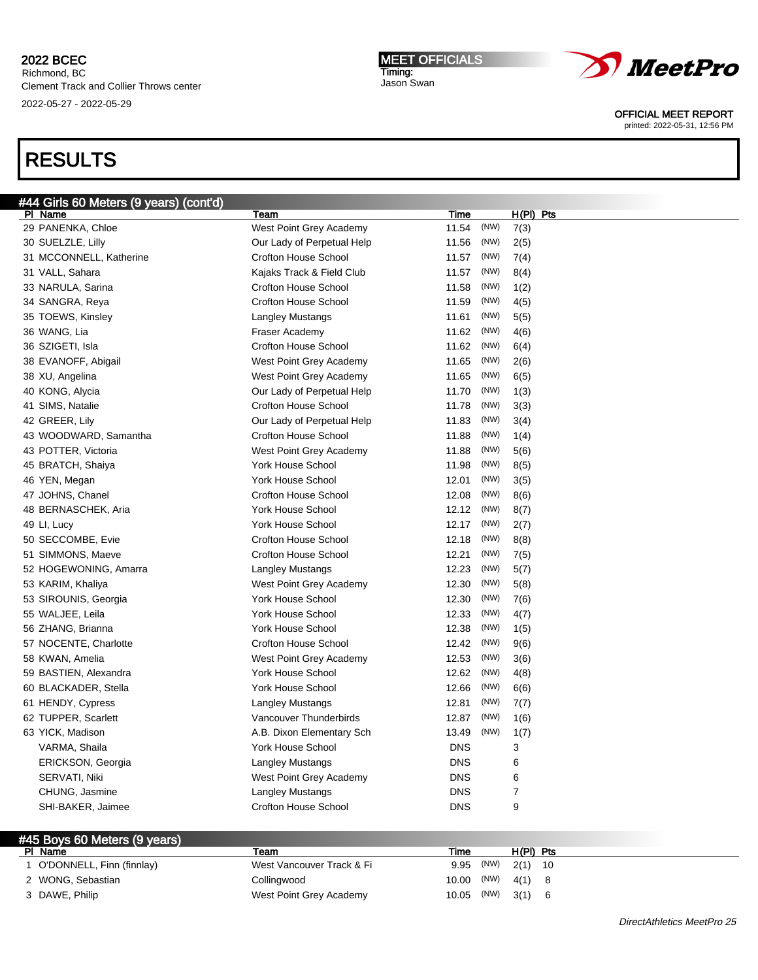# RESULTS

| #44 Girls 60 Meters (9 years) (cont'd) |                             |               |             |
|----------------------------------------|-----------------------------|---------------|-------------|
| PI Name                                | Team                        | Time          | $H(PI)$ Pts |
| 29 PANENKA, Chloe                      | West Point Grey Academy     | (NW)<br>11.54 | 7(3)        |
| 30 SUELZLE, Lilly                      | Our Lady of Perpetual Help  | (NW)<br>11.56 | 2(5)        |
| 31 MCCONNELL, Katherine                | <b>Crofton House School</b> | (NW)<br>11.57 | 7(4)        |
| 31 VALL, Sahara                        | Kajaks Track & Field Club   | (NW)<br>11.57 | 8(4)        |
| 33 NARULA, Sarina                      | Crofton House School        | 11.58<br>(NW) | 1(2)        |
| 34 SANGRA, Reya                        | <b>Crofton House School</b> | 11.59<br>(NW) | 4(5)        |
| 35 TOEWS, Kinsley                      | Langley Mustangs            | (NW)<br>11.61 | 5(5)        |
| 36 WANG, Lia                           | Fraser Academy              | 11.62<br>(NW) | 4(6)        |
| 36 SZIGETI, Isla                       | <b>Crofton House School</b> | (NW)<br>11.62 | 6(4)        |
| 38 EVANOFF, Abigail                    | West Point Grey Academy     | 11.65<br>(NW) | 2(6)        |
| 38 XU, Angelina                        | West Point Grey Academy     | (NW)<br>11.65 | 6(5)        |
| 40 KONG, Alycia                        | Our Lady of Perpetual Help  | (NW)<br>11.70 | 1(3)        |
| 41 SIMS, Natalie                       | <b>Crofton House School</b> | (NW)<br>11.78 | 3(3)        |
| 42 GREER, Lily                         | Our Lady of Perpetual Help  | (NW)<br>11.83 | 3(4)        |
| 43 WOODWARD, Samantha                  | Crofton House School        | 11.88<br>(NW) | 1(4)        |
| 43 POTTER, Victoria                    | West Point Grey Academy     | (NW)<br>11.88 | 5(6)        |
| 45 BRATCH, Shaiya                      | <b>York House School</b>    | (NW)<br>11.98 | 8(5)        |
| 46 YEN, Megan                          | <b>York House School</b>    | (NW)<br>12.01 | 3(5)        |
| 47 JOHNS, Chanel                       | <b>Crofton House School</b> | (NW)<br>12.08 | 8(6)        |
| 48 BERNASCHEK, Aria                    | York House School           | (NW)<br>12.12 | 8(7)        |
| 49 LI, Lucy                            | <b>York House School</b>    | 12.17<br>(NW) | 2(7)        |
| 50 SECCOMBE, Evie                      | <b>Crofton House School</b> | (NW)<br>12.18 | 8(8)        |
| 51 SIMMONS, Maeve                      | Crofton House School        | 12.21<br>(NW) | 7(5)        |
| 52 HOGEWONING, Amarra                  | Langley Mustangs            | 12.23<br>(NW) | 5(7)        |
| 53 KARIM, Khaliya                      | West Point Grey Academy     | (NW)<br>12.30 | 5(8)        |
| 53 SIROUNIS, Georgia                   | <b>York House School</b>    | (NW)<br>12.30 | 7(6)        |
| 55 WALJEE, Leila                       | <b>York House School</b>    | (NW)<br>12.33 | 4(7)        |
| 56 ZHANG, Brianna                      | <b>York House School</b>    | 12.38<br>(NW) | 1(5)        |
| 57 NOCENTE, Charlotte                  | <b>Crofton House School</b> | 12.42<br>(NW) | 9(6)        |
| 58 KWAN, Amelia                        | West Point Grey Academy     | (NW)<br>12.53 | 3(6)        |
| 59 BASTIEN, Alexandra                  | <b>York House School</b>    | 12.62<br>(NW) | 4(8)        |
| 60 BLACKADER, Stella                   | York House School           | (NW)<br>12.66 | 6(6)        |
| 61 HENDY, Cypress                      | Langley Mustangs            | (NW)<br>12.81 | 7(7)        |
| 62 TUPPER, Scarlett                    | Vancouver Thunderbirds      | (NW)<br>12.87 | 1(6)        |
| 63 YICK, Madison                       | A.B. Dixon Elementary Sch   | (NW)<br>13.49 | 1(7)        |
| VARMA, Shaila                          | York House School           | <b>DNS</b>    | 3           |
| ERICKSON, Georgia                      | Langley Mustangs            | <b>DNS</b>    | 6           |
| SERVATI, Niki                          | West Point Grey Academy     | <b>DNS</b>    | 6           |
| CHUNG, Jasmine                         | Langley Mustangs            | <b>DNS</b>    | 7           |
| SHI-BAKER, Jaimee                      | <b>Crofton House School</b> | <b>DNS</b>    | 9           |
|                                        |                             |               |             |

|     | #45 Boys 60 Meters (9 years) |                           |                     |                |             |  |
|-----|------------------------------|---------------------------|---------------------|----------------|-------------|--|
| PI. | Name                         | Team                      | Time                |                | $H(PI)$ Pts |  |
|     | O'DONNELL, Finn (finnlay)    | West Vancouver Track & Fi | 9.95                | $(NW)$ 2(1) 10 |             |  |
|     | 2 WONG, Sebastian            | Collingwood               | 10.00 (NW) $4(1)$ 8 |                |             |  |
|     | 3 DAWE, Philip               | West Point Grey Academy   | 10.05 (NW) $3(1)$ 6 |                |             |  |

| _______                 |                   |  |  |
|-------------------------|-------------------|--|--|
| West Point Grey Academy | 10.05 (NW) 3(1) 6 |  |  |
|                         |                   |  |  |



OFFICIAL MEET REPORT

printed: 2022-05-31, 12:56 PM

MEET OFFICIALS Timing: Jason Swan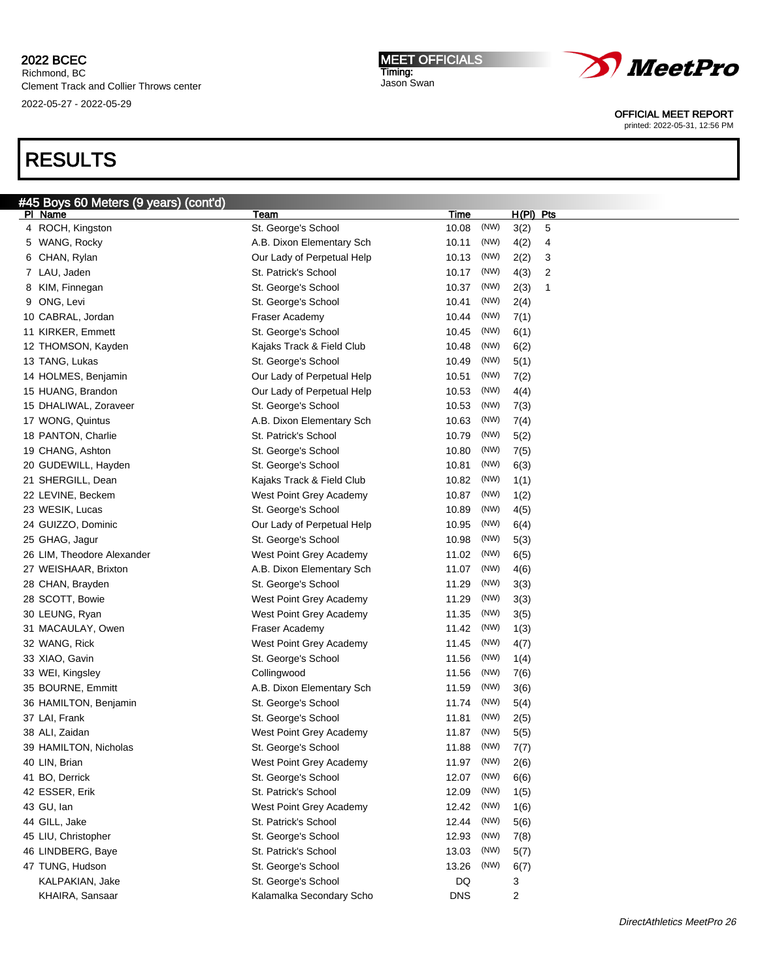Richmond, BC Clement Track and Collier Throws center 2022-05-27 - 2022-05-29

# RESULTS

| <b>MEET OFFICIAL</b> |  |
|----------------------|--|
| Timing:              |  |
| Jason Swan           |  |



OFFICIAL MEET REPORT

printed: 2022-05-31, 12:56 PM

| #45 Boys 60 Meters (9 years) (cont'd) |                            |            |      |             |   |
|---------------------------------------|----------------------------|------------|------|-------------|---|
| PI Name                               | Team                       | Time       |      | $H(PI)$ Pts |   |
| 4 ROCH, Kingston                      | St. George's School        | 10.08      | (NW) | 3(2)        | 5 |
| 5 WANG, Rocky                         | A.B. Dixon Elementary Sch  | 10.11      | (NW) | 4(2)        | 4 |
| 6 CHAN, Rylan                         | Our Lady of Perpetual Help | 10.13      | (NW) | 2(2)        | 3 |
| 7 LAU, Jaden                          | St. Patrick's School       | 10.17      | (NW) | 4(3)        | 2 |
| 8 KIM, Finnegan                       | St. George's School        | 10.37      | (NW) | 2(3)        | 1 |
| 9 ONG, Levi                           | St. George's School        | 10.41      | (NW) | 2(4)        |   |
| 10 CABRAL, Jordan                     | Fraser Academy             | 10.44      | (NW) | 7(1)        |   |
| 11 KIRKER, Emmett                     | St. George's School        | 10.45      | (NW) | 6(1)        |   |
| 12 THOMSON, Kayden                    | Kajaks Track & Field Club  | 10.48      | (NW) | 6(2)        |   |
| 13 TANG, Lukas                        | St. George's School        | 10.49      | (NW) | 5(1)        |   |
| 14 HOLMES, Benjamin                   | Our Lady of Perpetual Help | 10.51      | (NW) | 7(2)        |   |
| 15 HUANG, Brandon                     | Our Lady of Perpetual Help | 10.53      | (NW) | 4(4)        |   |
| 15 DHALIWAL, Zoraveer                 | St. George's School        | 10.53      | (NW) | 7(3)        |   |
| 17 WONG, Quintus                      | A.B. Dixon Elementary Sch  | 10.63      | (NW) | 7(4)        |   |
| 18 PANTON, Charlie                    | St. Patrick's School       | 10.79      | (NW) | 5(2)        |   |
| 19 CHANG, Ashton                      | St. George's School        | 10.80      | (NW) | 7(5)        |   |
| 20 GUDEWILL, Hayden                   | St. George's School        | 10.81      | (NW) | 6(3)        |   |
| 21 SHERGILL, Dean                     | Kajaks Track & Field Club  | 10.82      | (NW) | 1(1)        |   |
| 22 LEVINE, Beckem                     | West Point Grey Academy    | 10.87      | (NW) | 1(2)        |   |
| 23 WESIK, Lucas                       | St. George's School        | 10.89      | (NW) | 4(5)        |   |
| 24 GUIZZO, Dominic                    | Our Lady of Perpetual Help | 10.95      | (NW) | 6(4)        |   |
| 25 GHAG, Jagur                        | St. George's School        | 10.98      | (NW) | 5(3)        |   |
| 26 LIM, Theodore Alexander            | West Point Grey Academy    | 11.02      | (NW) | 6(5)        |   |
| 27 WEISHAAR, Brixton                  | A.B. Dixon Elementary Sch  | 11.07      | (NW) | 4(6)        |   |
| 28 CHAN, Brayden                      | St. George's School        | 11.29      | (NW) | 3(3)        |   |
| 28 SCOTT, Bowie                       | West Point Grey Academy    | 11.29      | (NW) | 3(3)        |   |
| 30 LEUNG, Ryan                        | West Point Grey Academy    | 11.35      | (NW) | 3(5)        |   |
| 31 MACAULAY, Owen                     | Fraser Academy             | 11.42      | (NW) | 1(3)        |   |
| 32 WANG, Rick                         | West Point Grey Academy    | 11.45      | (NW) | 4(7)        |   |
| 33 XIAO, Gavin                        | St. George's School        | 11.56      | (NW) | 1(4)        |   |
| 33 WEI, Kingsley                      | Collingwood                | 11.56      | (NW) | 7(6)        |   |
| 35 BOURNE, Emmitt                     | A.B. Dixon Elementary Sch  | 11.59      | (NW) | 3(6)        |   |
| 36 HAMILTON, Benjamin                 | St. George's School        | 11.74      | (NW) | 5(4)        |   |
| 37 LAI, Frank                         | St. George's School        | 11.81      | (NW) | 2(5)        |   |
| 38 ALI, Zaidan                        | West Point Grey Academy    | 11.87      | (NW) | 5(5)        |   |
| 39 HAMILTON, Nicholas                 | St. George's School        | 11.88      | (NW) | 7(7)        |   |
| 40 LIN, Brian                         | West Point Grey Academy    | 11.97      | (NW) | 2(6)        |   |
| 41 BO, Derrick                        | St. George's School        | 12.07      | (NW) | 6(6)        |   |
| 42 ESSER, Erik                        | St. Patrick's School       | 12.09      | (NW) | 1(5)        |   |
| 43 GU, lan                            | West Point Grey Academy    | 12.42      | (NW) | 1(6)        |   |
| 44 GILL, Jake                         | St. Patrick's School       | 12.44      | (NW) | 5(6)        |   |
| 45 LIU, Christopher                   | St. George's School        | 12.93      | (NW) | 7(8)        |   |
| 46 LINDBERG, Baye                     | St. Patrick's School       | 13.03      | (NW) | 5(7)        |   |
| 47 TUNG, Hudson                       | St. George's School        | 13.26      | (NW) | 6(7)        |   |
| KALPAKIAN, Jake                       | St. George's School        | DQ         |      | 3           |   |
| KHAIRA, Sansaar                       | Kalamalka Secondary Scho   | <b>DNS</b> |      | 2           |   |
|                                       |                            |            |      |             |   |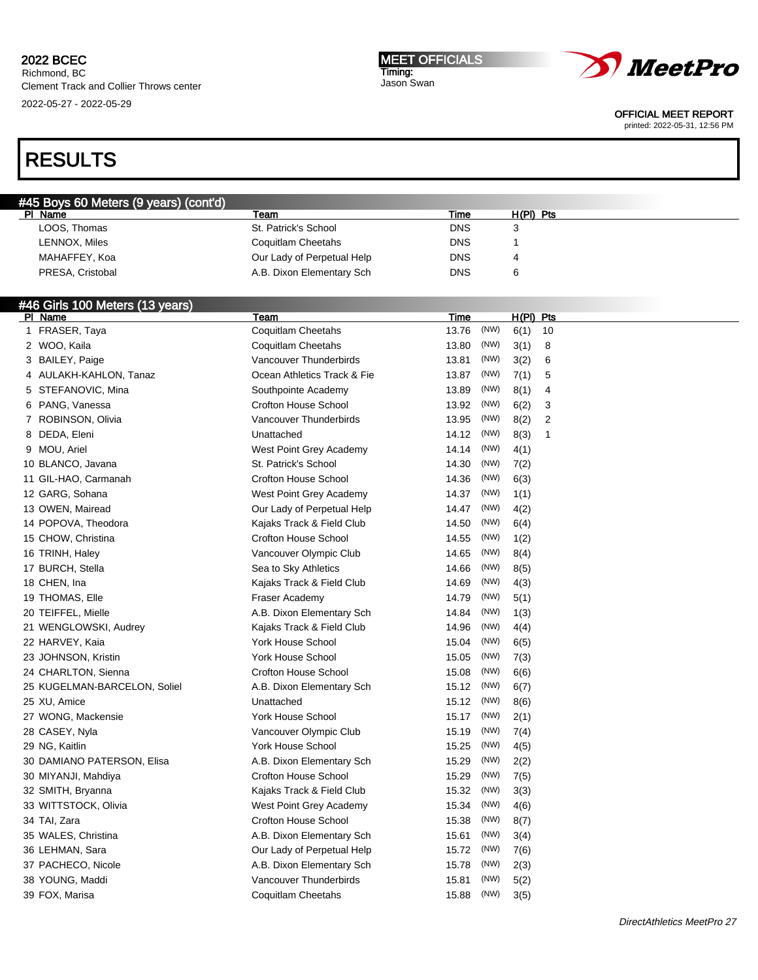Richmond, BC Clement Track and Collier Throws center 2022-05-27 - 2022-05-29

MEET OFFICIALS Timing: Jason Swan



OFFICIAL MEET REPORT

printed: 2022-05-31, 12:56 PM

| <b>#45 Boys 60 Meters (9 years) (cont'd)</b> |                            |            |           |  |
|----------------------------------------------|----------------------------|------------|-----------|--|
| PI Name                                      | Team                       | Time       | H(PI) Pts |  |
| LOOS, Thomas                                 | St. Patrick's School       | <b>DNS</b> |           |  |
| LENNOX, Miles                                | Coquitlam Cheetahs         | <b>DNS</b> |           |  |
| MAHAFFEY, Koa                                | Our Lady of Perpetual Help | <b>DNS</b> |           |  |
| PRESA, Cristobal                             | A.B. Dixon Elementary Sch  | <b>DNS</b> | 6         |  |

| #46 Girls 100 Meters (13 years) |                             |       |      |             |                |  |
|---------------------------------|-----------------------------|-------|------|-------------|----------------|--|
| PI Name                         | Team                        | Time  |      | $H(PI)$ Pts |                |  |
| 1 FRASER, Taya                  | Coquitlam Cheetahs          | 13.76 | (NW) | 6(1)        | 10             |  |
| 2 WOO, Kaila                    | Coquitlam Cheetahs          | 13.80 | (NW) | 3(1)        | 8              |  |
| 3 BAILEY, Paige                 | Vancouver Thunderbirds      | 13.81 | (NW) | 3(2)        | 6              |  |
| 4 AULAKH-KAHLON, Tanaz          | Ocean Athletics Track & Fie | 13.87 | (NW) | 7(1)        | 5              |  |
| 5 STEFANOVIC, Mina              | Southpointe Academy         | 13.89 | (NW) | 8(1)        | 4              |  |
| 6 PANG, Vanessa                 | <b>Crofton House School</b> | 13.92 | (NW) | 6(2)        | 3              |  |
| 7 ROBINSON, Olivia              | Vancouver Thunderbirds      | 13.95 | (NW) | 8(2)        | $\overline{2}$ |  |
| 8 DEDA, Eleni                   | Unattached                  | 14.12 | (NW) | 8(3)        | $\mathbf{1}$   |  |
| 9 MOU, Ariel                    | West Point Grey Academy     | 14.14 | (NW) | 4(1)        |                |  |
| 10 BLANCO, Javana               | St. Patrick's School        | 14.30 | (NW) | 7(2)        |                |  |
| 11 GIL-HAO, Carmanah            | <b>Crofton House School</b> | 14.36 | (NW) | 6(3)        |                |  |
| 12 GARG, Sohana                 | West Point Grey Academy     | 14.37 | (NW) | 1(1)        |                |  |
| 13 OWEN, Mairead                | Our Lady of Perpetual Help  | 14.47 | (NW) | 4(2)        |                |  |
| 14 POPOVA, Theodora             | Kajaks Track & Field Club   | 14.50 | (NW) | 6(4)        |                |  |
| 15 CHOW, Christina              | <b>Crofton House School</b> | 14.55 | (NW) | 1(2)        |                |  |
| 16 TRINH, Haley                 | Vancouver Olympic Club      | 14.65 | (NW) | 8(4)        |                |  |
| 17 BURCH, Stella                | Sea to Sky Athletics        | 14.66 | (NW) | 8(5)        |                |  |
| 18 CHEN, Ina                    | Kajaks Track & Field Club   | 14.69 | (NW) | 4(3)        |                |  |
| 19 THOMAS, Elle                 | Fraser Academy              | 14.79 | (NW) | 5(1)        |                |  |
| 20 TEIFFEL, Mielle              | A.B. Dixon Elementary Sch   | 14.84 | (NW) | 1(3)        |                |  |
| 21 WENGLOWSKI, Audrey           | Kajaks Track & Field Club   | 14.96 | (NW) | 4(4)        |                |  |
| 22 HARVEY, Kaia                 | York House School           | 15.04 | (NW) | 6(5)        |                |  |
| 23 JOHNSON, Kristin             | <b>York House School</b>    | 15.05 | (NW) | 7(3)        |                |  |
| 24 CHARLTON, Sienna             | <b>Crofton House School</b> | 15.08 | (NW) | 6(6)        |                |  |
| 25 KUGELMAN-BARCELON, Soliel    | A.B. Dixon Elementary Sch   | 15.12 | (NW) | 6(7)        |                |  |
| 25 XU, Amice                    | Unattached                  | 15.12 | (NW) | 8(6)        |                |  |
| 27 WONG, Mackensie              | <b>York House School</b>    | 15.17 | (NW) | 2(1)        |                |  |
| 28 CASEY, Nyla                  | Vancouver Olympic Club      | 15.19 | (NW) | 7(4)        |                |  |
| 29 NG, Kaitlin                  | York House School           | 15.25 | (NW) | 4(5)        |                |  |
| 30 DAMIANO PATERSON, Elisa      | A.B. Dixon Elementary Sch   | 15.29 | (NW) | 2(2)        |                |  |
| 30 MIYANJI, Mahdiya             | <b>Crofton House School</b> | 15.29 | (NW) | 7(5)        |                |  |
| 32 SMITH, Bryanna               | Kajaks Track & Field Club   | 15.32 | (NW) | 3(3)        |                |  |
| 33 WITTSTOCK, Olivia            | West Point Grey Academy     | 15.34 | (NW) | 4(6)        |                |  |
| 34 TAI, Zara                    | <b>Crofton House School</b> | 15.38 | (NW) | 8(7)        |                |  |
| 35 WALES, Christina             | A.B. Dixon Elementary Sch   | 15.61 | (NW) | 3(4)        |                |  |
| 36 LEHMAN, Sara                 | Our Lady of Perpetual Help  | 15.72 | (NW) | 7(6)        |                |  |
| 37 PACHECO, Nicole              | A.B. Dixon Elementary Sch   | 15.78 | (NW) | 2(3)        |                |  |
| 38 YOUNG, Maddi                 | Vancouver Thunderbirds      | 15.81 | (NW) | 5(2)        |                |  |
| 39 FOX, Marisa                  | Coquitlam Cheetahs          | 15.88 | (NW) | 3(5)        |                |  |
|                                 |                             |       |      |             |                |  |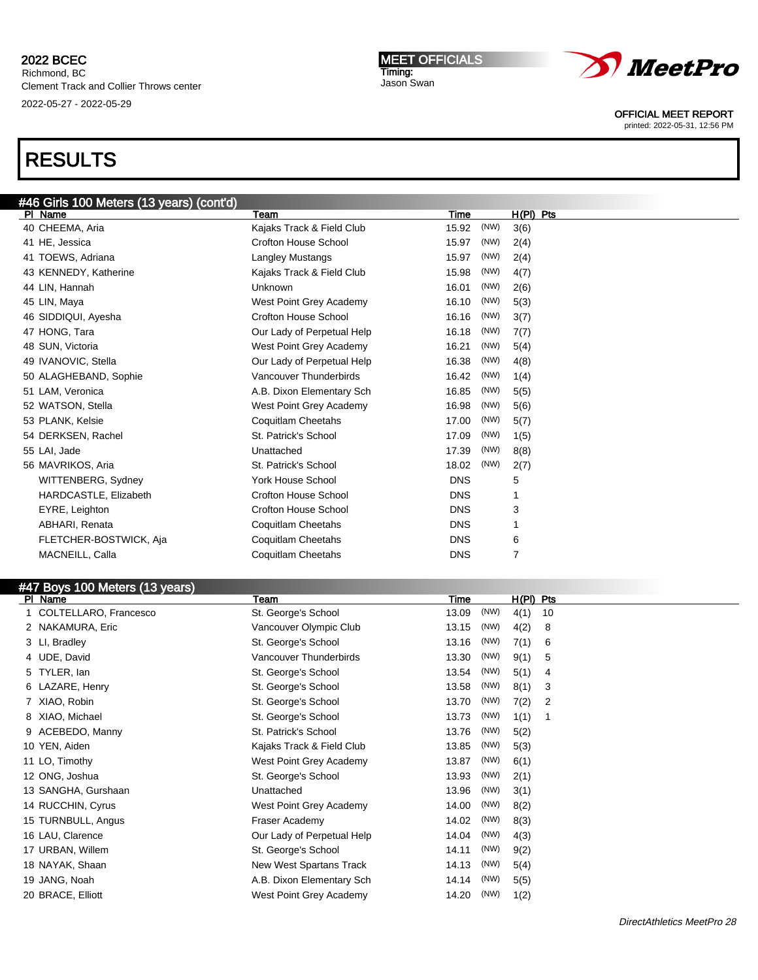#### 2022 BCEC Richmond, BC

Clement Track and Collier Throws center 2022-05-27 - 2022-05-29

#### MEET OFFICIALS Timing: Jason Swan



OFFICIAL MEET REPORT

printed: 2022-05-31, 12:56 PM

|   | #46 Girls 100 Meters (13 years) (cont'd) |                             |             |      |                     |
|---|------------------------------------------|-----------------------------|-------------|------|---------------------|
|   | PI Name                                  | Team                        | Time        |      | $H(PI)$ Pts         |
|   | 40 CHEEMA, Aria                          | Kajaks Track & Field Club   | 15.92       | (NW) | 3(6)                |
|   | 41 HE, Jessica                           | <b>Crofton House School</b> | 15.97       | (NW) | 2(4)                |
|   | 41 TOEWS, Adriana                        | Langley Mustangs            | 15.97       | (NW) | 2(4)                |
|   | 43 KENNEDY, Katherine                    | Kajaks Track & Field Club   | 15.98       | (NW) | 4(7)                |
|   | 44 LIN, Hannah                           | Unknown                     | 16.01       | (NW) | 2(6)                |
|   | 45 LIN, Maya                             | West Point Grey Academy     | 16.10       | (NW) | 5(3)                |
|   | 46 SIDDIQUI, Ayesha                      | Crofton House School        | 16.16       | (NW) | 3(7)                |
|   | 47 HONG, Tara                            | Our Lady of Perpetual Help  | 16.18       | (NW) | 7(7)                |
|   | 48 SUN, Victoria                         | West Point Grey Academy     | 16.21       | (NW) | 5(4)                |
|   | 49 IVANOVIC, Stella                      | Our Lady of Perpetual Help  | 16.38       | (NW) | 4(8)                |
|   | 50 ALAGHEBAND, Sophie                    | Vancouver Thunderbirds      | 16.42       | (NW) | 1(4)                |
|   | 51 LAM, Veronica                         | A.B. Dixon Elementary Sch   | 16.85       | (NW) | 5(5)                |
|   | 52 WATSON, Stella                        | West Point Grey Academy     | 16.98       | (NW) | 5(6)                |
|   | 53 PLANK, Kelsie                         | <b>Coquitlam Cheetahs</b>   | 17.00       | (NW) | 5(7)                |
|   | 54 DERKSEN, Rachel                       | St. Patrick's School        | 17.09       | (NW) | 1(5)                |
|   | 55 LAI, Jade                             | Unattached                  | 17.39       | (NW) | 8(8)                |
|   | 56 MAVRIKOS, Aria                        | St. Patrick's School        | 18.02       | (NW) | 2(7)                |
|   | WITTENBERG, Sydney                       | York House School           | <b>DNS</b>  |      | 5                   |
|   | HARDCASTLE, Elizabeth                    | <b>Crofton House School</b> | <b>DNS</b>  |      | 1                   |
|   | EYRE, Leighton                           | <b>Crofton House School</b> | <b>DNS</b>  |      | 3                   |
|   | ABHARI, Renata                           | <b>Coquitlam Cheetahs</b>   | <b>DNS</b>  |      | 1                   |
|   | FLETCHER-BOSTWICK, Aja                   | <b>Coquitlam Cheetahs</b>   | <b>DNS</b>  |      | 6                   |
|   | MACNEILL, Calla                          | Coquitlam Cheetahs          | <b>DNS</b>  |      | $\overline{7}$      |
|   |                                          |                             |             |      |                     |
|   | #47 Boys 100 Meters (13 years)           |                             |             |      |                     |
|   | PI Name                                  | Team                        | <b>Time</b> |      | H(PI)<br><b>Pts</b> |
|   | COLTELLARO, Francesco                    | St. George's School         | 13.09       | (NW) | 4(1)<br>10          |
|   | 2 NAKAMURA, Eric                         | Vancouver Olympic Club      | 13.15       | (NW) | 4(2)<br>8           |
|   | 3 LI, Bradley                            | St. George's School         | 13.16       | (NW) | 7(1)<br>6           |
| 4 | UDE, David                               | Vancouver Thunderbirds      | 13.30       | (NW) | 9(1)<br>5           |
|   | TYLER. Ian                               | St. George's School         | 13.54       | (NW) | 5(1)<br>4           |
|   | 6 LAZARE, Henry                          | St. George's School         | 13.58       | (NW) | 8(1)<br>3           |
|   |                                          |                             |             |      |                     |

|   | 6 LAZARE, Henry     | St. George's School        | 13.58 | (NW) | 8(1) | 3 |
|---|---------------------|----------------------------|-------|------|------|---|
| 7 | XIAO, Robin         | St. George's School        | 13.70 | (NW) | 7(2) | 2 |
| 8 | XIAO, Michael       | St. George's School        | 13.73 | (NW) | 1(1) | 1 |
| 9 | ACEBEDO, Manny      | St. Patrick's School       | 13.76 | (NW) | 5(2) |   |
|   | 10 YEN, Aiden       | Kajaks Track & Field Club  | 13.85 | (NW) | 5(3) |   |
|   | 11 LO, Timothy      | West Point Grey Academy    | 13.87 | (NW) | 6(1) |   |
|   | 12 ONG, Joshua      | St. George's School        | 13.93 | (NW) | 2(1) |   |
|   | 13 SANGHA, Gurshaan | Unattached                 | 13.96 | (NW) | 3(1) |   |
|   | 14 RUCCHIN, Cyrus   | West Point Grey Academy    | 14.00 | (NW) | 8(2) |   |
|   | 15 TURNBULL, Angus  | Fraser Academy             | 14.02 | (NW) | 8(3) |   |
|   | 16 LAU, Clarence    | Our Lady of Perpetual Help | 14.04 | (NW) | 4(3) |   |
|   | 17 URBAN, Willem    | St. George's School        | 14.11 | (NW) | 9(2) |   |
|   | 18 NAYAK, Shaan     | New West Spartans Track    | 14.13 | (NW) | 5(4) |   |
|   | 19 JANG, Noah       | A.B. Dixon Elementary Sch  | 14.14 | (NW) | 5(5) |   |
|   | 20 BRACE, Elliott   | West Point Grey Academy    | 14.20 | (NW) | 1(2) |   |
|   |                     |                            |       |      |      |   |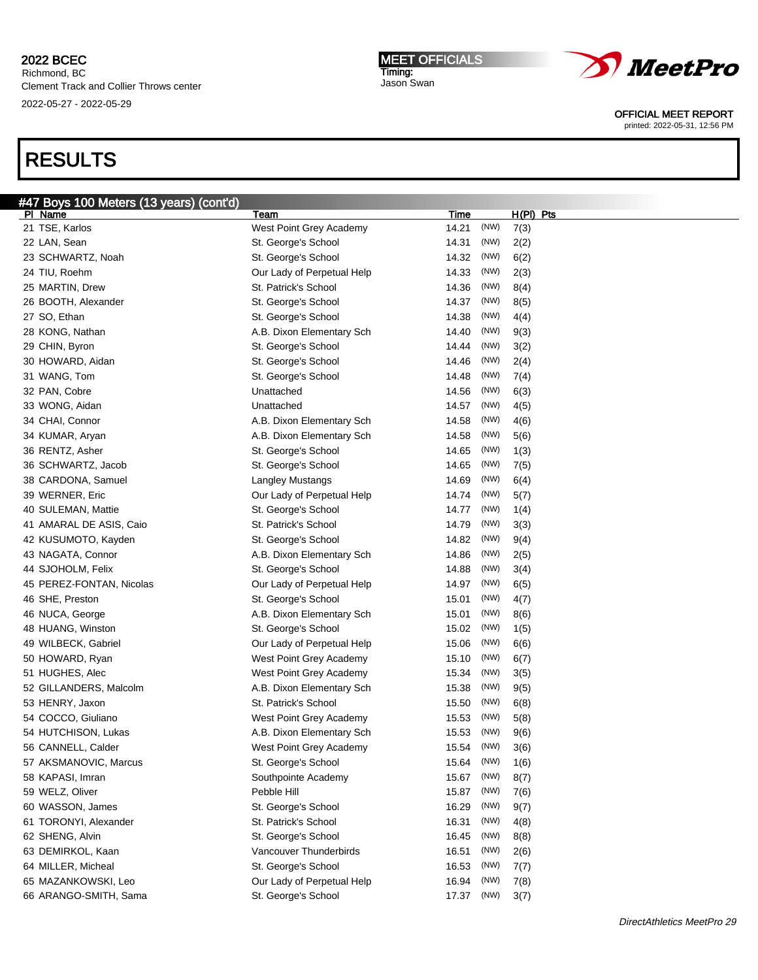Richmond, BC Clement Track and Collier Throws center 2022-05-27 - 2022-05-29

# RESULTS

| #47 Boys 100 Meters (13 years) (cont'd)   |                                                      |                |      |      |             |
|-------------------------------------------|------------------------------------------------------|----------------|------|------|-------------|
| PI Name                                   | Team                                                 | <u>Time</u>    |      |      | $H(PI)$ Pts |
| 21 TSE, Karlos                            | West Point Grey Academy                              | 14.21          | (NW) | 7(3) |             |
| 22 LAN, Sean                              | St. George's School                                  | 14.31          | (NW) | 2(2) |             |
| 23 SCHWARTZ, Noah                         | St. George's School                                  | 14.32          | (NW) | 6(2) |             |
| 24 TIU, Roehm                             | Our Lady of Perpetual Help                           | 14.33          | (NW) | 2(3) |             |
| 25 MARTIN, Drew                           | St. Patrick's School                                 | 14.36          | (NW) | 8(4) |             |
| 26 BOOTH, Alexander                       | St. George's School                                  | 14.37          | (NW) | 8(5) |             |
| 27 SO, Ethan                              | St. George's School                                  | 14.38          | (NW) | 4(4) |             |
| 28 KONG, Nathan                           | A.B. Dixon Elementary Sch                            | 14.40          | (NW) | 9(3) |             |
| 29 CHIN, Byron                            | St. George's School                                  | 14.44          | (NW) | 3(2) |             |
| 30 HOWARD, Aidan                          | St. George's School                                  | 14.46          | (NW) | 2(4) |             |
| 31 WANG, Tom                              | St. George's School                                  | 14.48          | (NW) | 7(4) |             |
| 32 PAN, Cobre                             | Unattached                                           | 14.56          | (NW) | 6(3) |             |
| 33 WONG, Aidan                            | Unattached                                           | 14.57          | (NW) | 4(5) |             |
| 34 CHAI, Connor                           | A.B. Dixon Elementary Sch                            | 14.58          | (NW) | 4(6) |             |
| 34 KUMAR, Aryan                           | A.B. Dixon Elementary Sch                            | 14.58          | (NW) | 5(6) |             |
| 36 RENTZ, Asher                           | St. George's School                                  | 14.65          | (NW) | 1(3) |             |
| 36 SCHWARTZ, Jacob                        | St. George's School                                  | 14.65          | (NW) | 7(5) |             |
| 38 CARDONA, Samuel                        | Langley Mustangs                                     | 14.69          | (NW) | 6(4) |             |
| 39 WERNER, Eric                           | Our Lady of Perpetual Help                           | 14.74          | (NW) | 5(7) |             |
| 40 SULEMAN, Mattie                        | St. George's School                                  | 14.77          | (NW) | 1(4) |             |
| 41 AMARAL DE ASIS, Caio                   | St. Patrick's School                                 | 14.79          | (NW) | 3(3) |             |
| 42 KUSUMOTO, Kayden                       | St. George's School                                  | 14.82          | (NW) | 9(4) |             |
| 43 NAGATA, Connor                         | A.B. Dixon Elementary Sch                            | 14.86          | (NW) | 2(5) |             |
| 44 SJOHOLM, Felix                         | St. George's School                                  | 14.88          | (NW) | 3(4) |             |
| 45 PEREZ-FONTAN, Nicolas                  | Our Lady of Perpetual Help                           | 14.97          | (NW) | 6(5) |             |
| 46 SHE, Preston                           | St. George's School                                  | 15.01          | (NW) | 4(7) |             |
| 46 NUCA, George                           | A.B. Dixon Elementary Sch                            | 15.01          | (NW) | 8(6) |             |
| 48 HUANG, Winston                         | St. George's School                                  | 15.02          | (NW) | 1(5) |             |
| 49 WILBECK, Gabriel                       | Our Lady of Perpetual Help                           | 15.06          | (NW) | 6(6) |             |
| 50 HOWARD, Ryan                           | West Point Grey Academy                              | 15.10          | (NW) | 6(7) |             |
| 51 HUGHES, Alec                           | West Point Grey Academy                              | 15.34          | (NW) |      |             |
| 52 GILLANDERS, Malcolm                    | A.B. Dixon Elementary Sch                            | 15.38          | (NW) | 3(5) |             |
| 53 HENRY, Jaxon                           | St. Patrick's School                                 | 15.50          | (NW) | 9(5) |             |
|                                           |                                                      |                | (NW) | 6(8) |             |
| 54 COCCO, Giuliano<br>54 HUTCHISON, Lukas | West Point Grey Academy<br>A.B. Dixon Elementary Sch | 15.53<br>15.53 | (NW) | 5(8) |             |
|                                           |                                                      |                | (NW) | 9(6) |             |
| 56 CANNELL, Calder                        | West Point Grey Academy                              | 15.54          | (NW) | 3(6) |             |
| 57 AKSMANOVIC, Marcus                     | St. George's School                                  | 15.64          |      | 1(6) |             |
| 58 KAPASI, Imran                          | Southpointe Academy                                  | 15.67          | (NW) | 8(7) |             |
| 59 WELZ, Oliver                           | Pebble Hill                                          | 15.87          | (NW) | 7(6) |             |
| 60 WASSON, James                          | St. George's School                                  | 16.29          | (NW) | 9(7) |             |
| 61 TORONYI, Alexander                     | St. Patrick's School                                 | 16.31          | (NW) | 4(8) |             |
| 62 SHENG, Alvin                           | St. George's School                                  | 16.45          | (NW) | 8(8) |             |
| 63 DEMIRKOL, Kaan                         | Vancouver Thunderbirds                               | 16.51          | (NW) | 2(6) |             |
| 64 MILLER, Micheal                        | St. George's School                                  | 16.53          | (NW) | 7(7) |             |
| 65 MAZANKOWSKI, Leo                       | Our Lady of Perpetual Help                           | 16.94          | (NW) | 7(8) |             |
| 66 ARANGO-SMITH, Sama                     | St. George's School                                  | 17.37          | (NW) | 3(7) |             |





OFFICIAL MEET REPORT printed: 2022-05-31, 12:56 PM

DirectAthletics MeetPro 29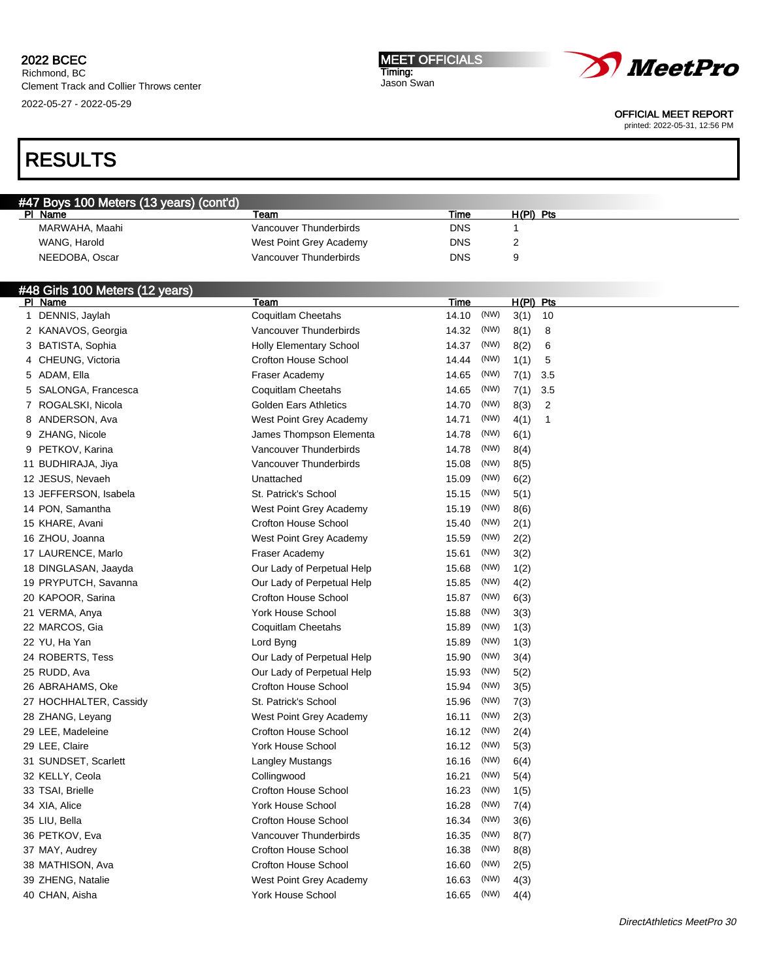Richmond, BC Clement Track and Collier Throws center 2022-05-27 - 2022-05-29

#### MEET OFFICIALS Timing: Jason Swan



OFFICIAL MEET REPORT

printed: 2022-05-31, 12:56 PM

# RESULTS

| #47 Boys 100 Meters (13 years) (cont'd) |                         |      |           |  |
|-----------------------------------------|-------------------------|------|-----------|--|
| PL<br>Name                              | Team                    | Time | H(PI) Pts |  |
| MARWAHA, Maahi                          | Vancouver Thunderbirds  | DNS  |           |  |
| WANG, Harold                            | West Point Grey Academy | DNS  |           |  |
| NEEDOBA, Oscar                          | Vancouver Thunderbirds  | DNS  |           |  |

### #48 Girls 100 Meters (12 years)

| PI Name                | Team                         | Time  |      | $H(PI)$ Pts |                |
|------------------------|------------------------------|-------|------|-------------|----------------|
| 1 DENNIS, Jaylah       | Coquitlam Cheetahs           | 14.10 | (NW) | 3(1)        | 10             |
| 2 KANAVOS, Georgia     | Vancouver Thunderbirds       | 14.32 | (NW) | 8(1)        | 8              |
| 3 BATISTA, Sophia      | Holly Elementary School      | 14.37 | (NW) | 8(2)        | 6              |
| 4 CHEUNG, Victoria     | <b>Crofton House School</b>  | 14.44 | (NW) | 1(1)        | 5              |
| 5 ADAM, Ella           | Fraser Academy               | 14.65 | (NW) | 7(1)        | 3.5            |
| 5 SALONGA, Francesca   | Coquitlam Cheetahs           | 14.65 | (NW) | 7(1)        | 3.5            |
| 7 ROGALSKI, Nicola     | <b>Golden Ears Athletics</b> | 14.70 | (NW) | 8(3)        | $\overline{2}$ |
| 8 ANDERSON, Ava        | West Point Grey Academy      | 14.71 | (NW) | 4(1)        | $\mathbf{1}$   |
| 9 ZHANG, Nicole        | James Thompson Elementa      | 14.78 | (NW) | 6(1)        |                |
| 9 PETKOV, Karina       | Vancouver Thunderbirds       | 14.78 | (NW) | 8(4)        |                |
| 11 BUDHIRAJA, Jiya     | Vancouver Thunderbirds       | 15.08 | (NW) | 8(5)        |                |
| 12 JESUS, Nevaeh       | Unattached                   | 15.09 | (NW) | 6(2)        |                |
| 13 JEFFERSON, Isabela  | St. Patrick's School         | 15.15 | (NW) | 5(1)        |                |
| 14 PON, Samantha       | West Point Grey Academy      | 15.19 | (NW) | 8(6)        |                |
| 15 KHARE, Avani        | <b>Crofton House School</b>  | 15.40 | (NW) | 2(1)        |                |
| 16 ZHOU, Joanna        | West Point Grey Academy      | 15.59 | (NW) | 2(2)        |                |
| 17 LAURENCE, Marlo     | Fraser Academy               | 15.61 | (NW) | 3(2)        |                |
| 18 DINGLASAN, Jaayda   | Our Lady of Perpetual Help   | 15.68 | (NW) | 1(2)        |                |
| 19 PRYPUTCH, Savanna   | Our Lady of Perpetual Help   | 15.85 | (NW) | 4(2)        |                |
| 20 KAPOOR, Sarina      | <b>Crofton House School</b>  | 15.87 | (NW) | 6(3)        |                |
| 21 VERMA, Anya         | York House School            | 15.88 | (NW) | 3(3)        |                |
| 22 MARCOS, Gia         | Coquitlam Cheetahs           | 15.89 | (NW) | 1(3)        |                |
| 22 YU, Ha Yan          | Lord Byng                    | 15.89 | (NW) | 1(3)        |                |
| 24 ROBERTS, Tess       | Our Lady of Perpetual Help   | 15.90 | (NW) | 3(4)        |                |
| 25 RUDD, Ava           | Our Lady of Perpetual Help   | 15.93 | (NW) | 5(2)        |                |
| 26 ABRAHAMS, Oke       | <b>Crofton House School</b>  | 15.94 | (NW) | 3(5)        |                |
| 27 HOCHHALTER, Cassidy | St. Patrick's School         | 15.96 | (NW) | 7(3)        |                |
| 28 ZHANG, Leyang       | West Point Grey Academy      | 16.11 | (NW) | 2(3)        |                |
| 29 LEE, Madeleine      | <b>Crofton House School</b>  | 16.12 | (NW) | 2(4)        |                |
| 29 LEE, Claire         | York House School            | 16.12 | (NW) | 5(3)        |                |
| 31 SUNDSET, Scarlett   | Langley Mustangs             | 16.16 | (NW) | 6(4)        |                |
| 32 KELLY, Ceola        | Collingwood                  | 16.21 | (NW) | 5(4)        |                |
| 33 TSAI, Brielle       | <b>Crofton House School</b>  | 16.23 | (NW) | 1(5)        |                |
| 34 XIA, Alice          | York House School            | 16.28 | (NW) | 7(4)        |                |
| 35 LIU, Bella          | <b>Crofton House School</b>  | 16.34 | (NW) | 3(6)        |                |
| 36 PETKOV, Eva         | Vancouver Thunderbirds       | 16.35 | (NW) | 8(7)        |                |
| 37 MAY, Audrey         | <b>Crofton House School</b>  | 16.38 | (NW) | 8(8)        |                |
| 38 MATHISON, Ava       | <b>Crofton House School</b>  | 16.60 | (NW) | 2(5)        |                |
| 39 ZHENG, Natalie      | West Point Grey Academy      | 16.63 | (NW) | 4(3)        |                |
| 40 CHAN, Aisha         | York House School            | 16.65 | (NW) | 4(4)        |                |
|                        |                              |       |      |             |                |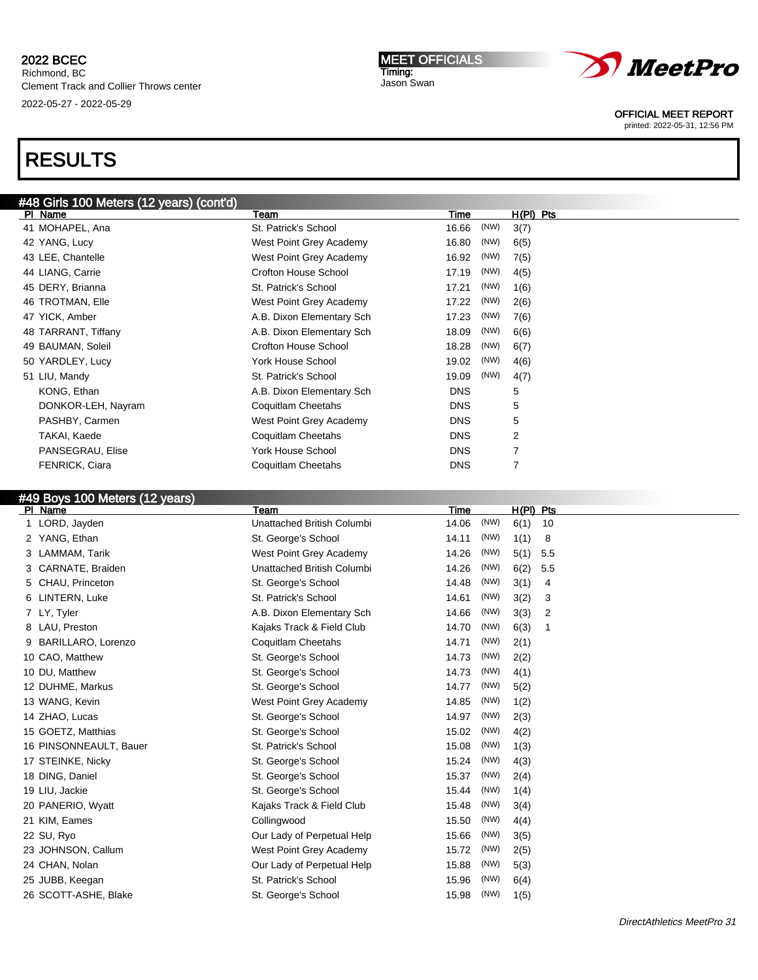# RESULTS

# #48 Girls 100 Meters (12 years) (cont'd)

| PI Name               | Team                        | Time       |      | H(PI) Pts |  |
|-----------------------|-----------------------------|------------|------|-----------|--|
| 41 MOHAPEL, Ana       | St. Patrick's School        | 16.66      | (NW) | 3(7)      |  |
| 42 YANG, Lucy         | West Point Grey Academy     | 16.80      | (NW) | 6(5)      |  |
| 43 LEE, Chantelle     | West Point Grey Academy     | 16.92      | (NW) | 7(5)      |  |
| 44 LIANG, Carrie      | <b>Crofton House School</b> | 17.19      | (NW) | 4(5)      |  |
| 45 DERY, Brianna      | St. Patrick's School        | 17.21      | (NW) | 1(6)      |  |
| 46 TROTMAN, Elle      | West Point Grey Academy     | 17.22      | (NW) | 2(6)      |  |
| 47 YICK, Amber        | A.B. Dixon Elementary Sch   | 17.23      | (NW) | 7(6)      |  |
| 48 TARRANT, Tiffany   | A.B. Dixon Elementary Sch   | 18.09      | (NW) | 6(6)      |  |
| 49 BAUMAN, Soleil     | <b>Crofton House School</b> | 18.28      | (NW) | 6(7)      |  |
| 50 YARDLEY, Lucy      | York House School           | 19.02      | (NW) | 4(6)      |  |
| 51 LIU, Mandy         | St. Patrick's School        | 19.09      | (NW) | 4(7)      |  |
| KONG, Ethan           | A.B. Dixon Elementary Sch   | <b>DNS</b> |      | 5         |  |
| DONKOR-LEH, Nayram    | Coquitlam Cheetahs          | <b>DNS</b> |      | 5         |  |
| PASHBY, Carmen        | West Point Grey Academy     | <b>DNS</b> |      | 5         |  |
| TAKAI, Kaede          | Coquitlam Cheetahs          | <b>DNS</b> |      | 2         |  |
| PANSEGRAU, Elise      | York House School           | <b>DNS</b> |      | 7         |  |
| <b>FENRICK, Ciara</b> | Coquitlam Cheetahs          | <b>DNS</b> |      | 7         |  |
|                       |                             |            |      |           |  |

# #49 Boys 100 Meters (12 years)

| PI Name                | Team                       | Time          | H(PI) Pts   |
|------------------------|----------------------------|---------------|-------------|
| LORD, Jayden           | Unattached British Columbi | (NW)<br>14.06 | 6(1)<br>10  |
| YANG, Ethan<br>2       | St. George's School        | (NW)<br>14.11 | 1(1)<br>8   |
| LAMMAM, Tarik          | West Point Grey Academy    | (NW)<br>14.26 | 5(1)<br>5.5 |
| CARNATE, Braiden       | Unattached British Columbi | (NW)<br>14.26 | 6(2)<br>5.5 |
| 5 CHAU, Princeton      | St. George's School        | (NW)<br>14.48 | 3(1)<br>4   |
| LINTERN, Luke<br>6     | St. Patrick's School       | (NW)<br>14.61 | 3(2)<br>3   |
| 7 LY, Tyler            | A.B. Dixon Elementary Sch  | (NW)<br>14.66 | 3(3)<br>2   |
| 8 LAU, Preston         | Kajaks Track & Field Club  | (NW)<br>14.70 | 6(3)<br>1   |
| BARILLARO, Lorenzo     | Coquitlam Cheetahs         | (NW)<br>14.71 | 2(1)        |
| 10 CAO, Matthew        | St. George's School        | (NW)<br>14.73 | 2(2)        |
| 10 DU, Matthew         | St. George's School        | (NW)<br>14.73 | 4(1)        |
| 12 DUHME, Markus       | St. George's School        | (NW)<br>14.77 | 5(2)        |
| 13 WANG, Kevin         | West Point Grey Academy    | (NW)<br>14.85 | 1(2)        |
| 14 ZHAO, Lucas         | St. George's School        | (NW)<br>14.97 | 2(3)        |
| 15 GOETZ, Matthias     | St. George's School        | (NW)<br>15.02 | 4(2)        |
| 16 PINSONNEAULT, Bauer | St. Patrick's School       | (NW)<br>15.08 | 1(3)        |
| 17 STEINKE, Nicky      | St. George's School        | 15.24<br>(NW) | 4(3)        |
| 18 DING, Daniel        | St. George's School        | (NW)<br>15.37 | 2(4)        |
| 19 LIU, Jackie         | St. George's School        | (NW)<br>15.44 | 1(4)        |
| 20 PANERIO, Wyatt      | Kajaks Track & Field Club  | (NW)<br>15.48 | 3(4)        |
| 21 KIM, Eames          | Collingwood                | (NW)<br>15.50 | 4(4)        |
| 22 SU, Ryo             | Our Lady of Perpetual Help | (NW)<br>15.66 | 3(5)        |
| 23 JOHNSON, Callum     | West Point Grey Academy    | (NW)<br>15.72 | 2(5)        |
| 24 CHAN, Nolan         | Our Lady of Perpetual Help | (NW)<br>15.88 | 5(3)        |
| 25 JUBB, Keegan        | St. Patrick's School       | (NW)<br>15.96 | 6(4)        |
| 26 SCOTT-ASHE, Blake   | St. George's School        | (NW)<br>15.98 | 1(5)        |
|                        |                            |               |             |



OFFICIAL MEET REPORT

printed: 2022-05-31, 12:56 PM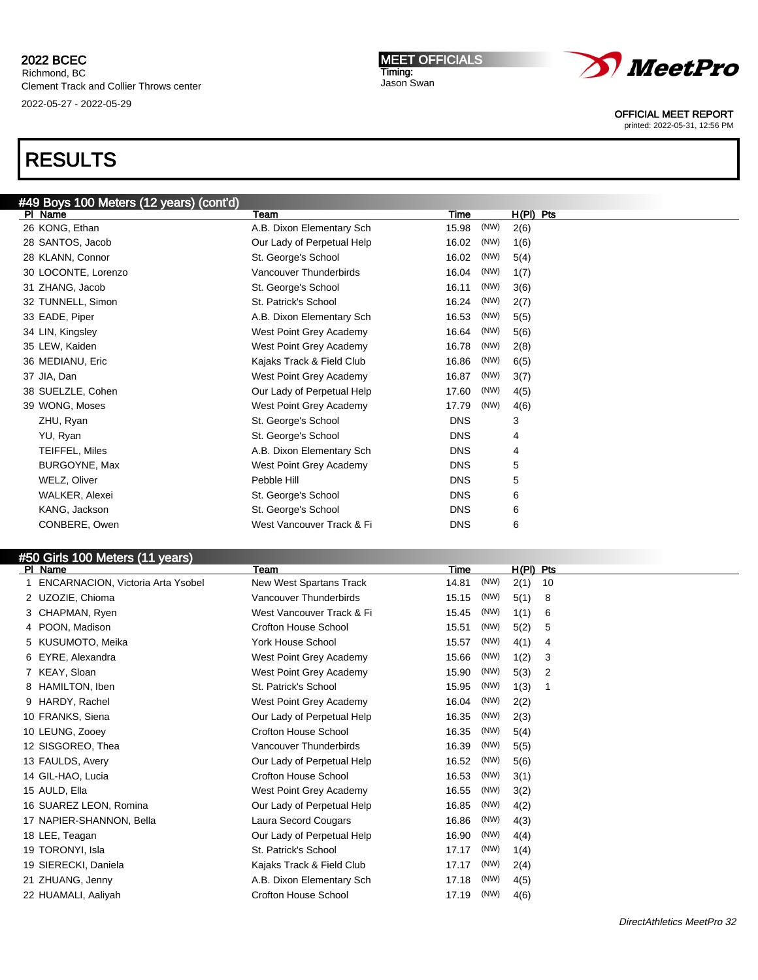# RESULTS

| #49 Boys 100 Meters (12 years) (cont'd)<br>Team<br>PI Name |                            | Time       |      |             |
|------------------------------------------------------------|----------------------------|------------|------|-------------|
|                                                            |                            |            |      | $H(PI)$ Pts |
| 26 KONG, Ethan                                             | A.B. Dixon Elementary Sch  | 15.98      | (NW) | 2(6)        |
| 28 SANTOS, Jacob                                           | Our Lady of Perpetual Help | 16.02      | (NW) | 1(6)        |
| 28 KLANN, Connor                                           | St. George's School        | 16.02      | (NW) | 5(4)        |
| 30 LOCONTE, Lorenzo                                        | Vancouver Thunderbirds     | 16.04      | (NW) | 1(7)        |
| 31 ZHANG, Jacob                                            | St. George's School        | 16.11      | (NW) | 3(6)        |
| 32 TUNNELL, Simon                                          | St. Patrick's School       | 16.24      | (NW) | 2(7)        |
| 33 EADE, Piper                                             | A.B. Dixon Elementary Sch  | 16.53      | (NW) | 5(5)        |
| 34 LIN, Kingsley                                           | West Point Grey Academy    | 16.64      | (NW) | 5(6)        |
| 35 LEW, Kaiden                                             | West Point Grey Academy    | 16.78      | (NW) | 2(8)        |
| 36 MEDIANU, Eric                                           | Kajaks Track & Field Club  | 16.86      | (NW) | 6(5)        |
| 37 JIA, Dan                                                | West Point Grey Academy    | 16.87      | (NW) | 3(7)        |
| 38 SUELZLE, Cohen                                          | Our Lady of Perpetual Help | 17.60      | (NW) | 4(5)        |
| 39 WONG, Moses                                             | West Point Grey Academy    | 17.79      | (NW) | 4(6)        |
| ZHU, Ryan                                                  | St. George's School        | <b>DNS</b> |      | 3           |
| YU, Ryan                                                   | St. George's School        | <b>DNS</b> |      | 4           |
| TEIFFEL, Miles                                             | A.B. Dixon Elementary Sch  | <b>DNS</b> |      | 4           |
| BURGOYNE, Max                                              | West Point Grey Academy    | <b>DNS</b> |      | 5           |
| WELZ, Oliver                                               | Pebble Hill                | <b>DNS</b> |      | 5           |
| WALKER, Alexei                                             | St. George's School        | <b>DNS</b> |      | 6           |
| KANG, Jackson                                              | St. George's School        | <b>DNS</b> |      | 6           |
| CONBERE, Owen                                              | West Vancouver Track & Fi  | <b>DNS</b> |      | 6           |

### #50 Girls 100 Meters (11 years)

| <b>PI</b><br><b>Name</b>                 | Team                        | Time          | <u>H(PI) Pts</u> |    |
|------------------------------------------|-----------------------------|---------------|------------------|----|
| <b>ENCARNACION, Victoria Arta Ysobel</b> | New West Spartans Track     | (NW)<br>14.81 | 2(1)             | 10 |
| 2 UZOZIE, Chioma                         | Vancouver Thunderbirds      | (NW)<br>15.15 | 5(1)             | 8  |
| 3 CHAPMAN, Ryen                          | West Vancouver Track & Fi   | (NW)<br>15.45 | 1(1)             | 6  |
| 4 POON, Madison                          | <b>Crofton House School</b> | (NW)<br>15.51 | 5(2)             | 5  |
| KUSUMOTO, Meika<br>5.                    | York House School           | (NW)<br>15.57 | 4(1)             | 4  |
| EYRE, Alexandra<br>6.                    | West Point Grey Academy     | (NW)<br>15.66 | 1(2)             | 3  |
| 7 KEAY, Sloan                            | West Point Grey Academy     | (NW)<br>15.90 | 5(3)             | 2  |
| HAMILTON, Iben                           | St. Patrick's School        | (NW)<br>15.95 | 1(3)             |    |
| 9 HARDY, Rachel                          | West Point Grey Academy     | (NW)<br>16.04 | 2(2)             |    |
| 10 FRANKS, Siena                         | Our Lady of Perpetual Help  | (NW)<br>16.35 | 2(3)             |    |
| 10 LEUNG, Zooey                          | <b>Crofton House School</b> | (NW)<br>16.35 | 5(4)             |    |
| 12 SISGOREO, Thea                        | Vancouver Thunderbirds      | (NW)<br>16.39 | 5(5)             |    |
| 13 FAULDS, Avery                         | Our Lady of Perpetual Help  | (NW)<br>16.52 | 5(6)             |    |
| 14 GIL-HAO, Lucia                        | <b>Crofton House School</b> | (NW)<br>16.53 | 3(1)             |    |
| 15 AULD, Ella                            | West Point Grey Academy     | (NW)<br>16.55 | 3(2)             |    |
| 16 SUAREZ LEON, Romina                   | Our Lady of Perpetual Help  | (NW)<br>16.85 | 4(2)             |    |
| 17 NAPIER-SHANNON, Bella                 | Laura Secord Cougars        | (NW)<br>16.86 | 4(3)             |    |
| 18 LEE, Teagan                           | Our Lady of Perpetual Help  | (NW)<br>16.90 | 4(4)             |    |
| 19 TORONYI, Isla                         | St. Patrick's School        | (NW)<br>17.17 | 1(4)             |    |
| 19 SIERECKI, Daniela                     | Kajaks Track & Field Club   | (NW)<br>17.17 | 2(4)             |    |
| 21 ZHUANG, Jenny                         | A.B. Dixon Elementary Sch   | (NW)<br>17.18 | 4(5)             |    |
| 22 HUAMALI, Aaliyah                      | <b>Crofton House School</b> | (NW)<br>17.19 | 4(6)             |    |
|                                          |                             |               |                  |    |

MEET OFFICIALS Timing: Jason Swan



OFFICIAL MEET REPORT

printed: 2022-05-31, 12:56 PM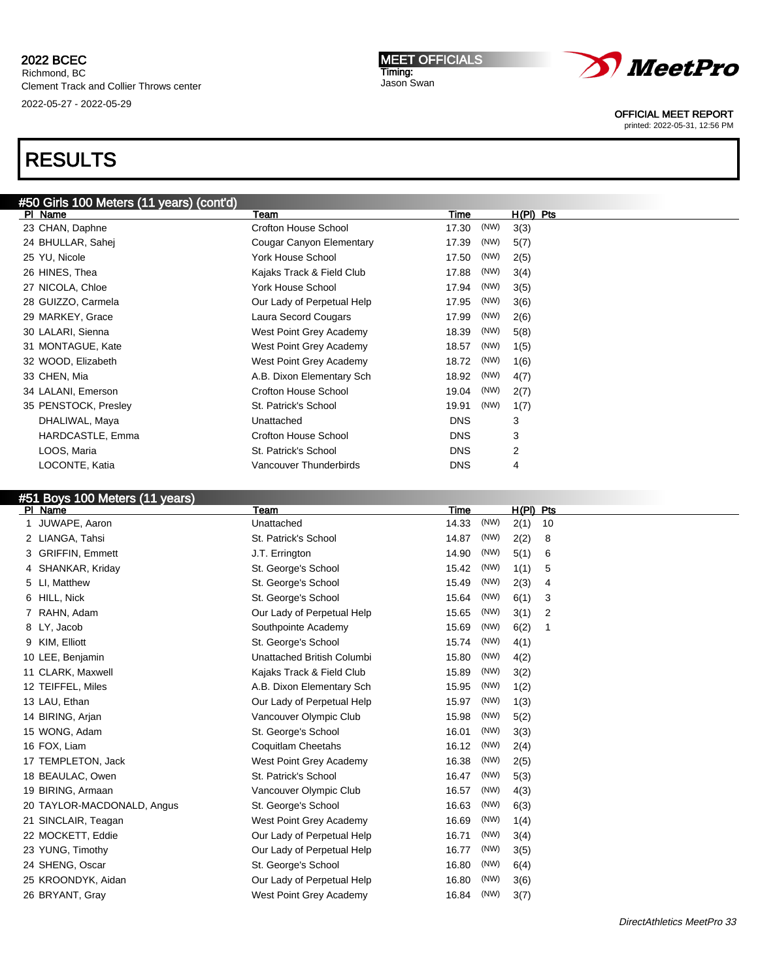#### MEET OFFICIALS Timing: Jason Swan



OFFICIAL MEET REPORT

printed: 2022-05-31, 12:56 PM

# RESULTS

| #50 Girls 100 Meters (11 years) (cont'd) |                            |               |                |
|------------------------------------------|----------------------------|---------------|----------------|
| PI Name                                  | Team                       | Time          | $H(PI)$ Pts    |
| 23 CHAN, Daphne                          | Crofton House School       | (NW)<br>17.30 | 3(3)           |
| 24 BHULLAR, Sahej                        | Cougar Canyon Elementary   | 17.39<br>(NW) | 5(7)           |
| 25 YU, Nicole                            | <b>York House School</b>   | 17.50<br>(NW) | 2(5)           |
| 26 HINES, Thea                           | Kajaks Track & Field Club  | 17.88<br>(NW) | 3(4)           |
| 27 NICOLA, Chloe                         | <b>York House School</b>   | (NW)<br>17.94 | 3(5)           |
| 28 GUIZZO, Carmela                       | Our Lady of Perpetual Help | (NW)<br>17.95 | 3(6)           |
| 29 MARKEY, Grace                         | Laura Secord Cougars       | (NW)<br>17.99 | 2(6)           |
| 30 LALARI, Sienna                        | West Point Grey Academy    | 18.39<br>(NW) | 5(8)           |
| 31 MONTAGUE, Kate                        | West Point Grey Academy    | (NW)<br>18.57 | 1(5)           |
| 32 WOOD, Elizabeth                       | West Point Grey Academy    | 18.72<br>(NW) | 1(6)           |
| 33 CHEN, Mia                             | A.B. Dixon Elementary Sch  | 18.92<br>(NW) | 4(7)           |
| 34 LALANI, Emerson                       | Crofton House School       | (NW)<br>19.04 | 2(7)           |
| 35 PENSTOCK, Presley                     | St. Patrick's School       | (NW)<br>19.91 | 1(7)           |
| DHALIWAL, Maya                           | Unattached                 | <b>DNS</b>    | 3              |
| HARDCASTLE, Emma                         | Crofton House School       | <b>DNS</b>    | 3              |
| LOOS, Maria                              | St. Patrick's School       | <b>DNS</b>    | $\overline{2}$ |
| LOCONTE, Katia                           | Vancouver Thunderbirds     | <b>DNS</b>    | 4              |
|                                          |                            |               |                |

# #51 Boys 100 Meters (11 years)

| PI Name                    | Team                       | Time  |      | $H(PI)$ Pts |    |
|----------------------------|----------------------------|-------|------|-------------|----|
| JUWAPE, Aaron              | Unattached                 | 14.33 | (NW) | 2(1)        | 10 |
| 2 LIANGA, Tahsi            | St. Patrick's School       | 14.87 | (NW) | 2(2)        | 8  |
| <b>GRIFFIN, Emmett</b>     | J.T. Errington             | 14.90 | (NW) | 5(1)        | 6  |
| SHANKAR, Kriday<br>4       | St. George's School        | 15.42 | (NW) | 1(1)        | 5  |
| 5 LI, Matthew              | St. George's School        | 15.49 | (NW) | 2(3)        | 4  |
| HILL, Nick<br>6.           | St. George's School        | 15.64 | (NW) | 6(1)        | 3  |
| RAHN, Adam                 | Our Lady of Perpetual Help | 15.65 | (NW) | 3(1)        | 2  |
| 8 LY, Jacob                | Southpointe Academy        | 15.69 | (NW) | 6(2)        | -1 |
| 9 KIM, Elliott             | St. George's School        | 15.74 | (NW) | 4(1)        |    |
| 10 LEE, Benjamin           | Unattached British Columbi | 15.80 | (NW) | 4(2)        |    |
| 11 CLARK, Maxwell          | Kajaks Track & Field Club  | 15.89 | (NW) | 3(2)        |    |
| 12 TEIFFEL, Miles          | A.B. Dixon Elementary Sch  | 15.95 | (NW) | 1(2)        |    |
| 13 LAU, Ethan              | Our Lady of Perpetual Help | 15.97 | (NW) | 1(3)        |    |
| 14 BIRING, Arjan           | Vancouver Olympic Club     | 15.98 | (NW) | 5(2)        |    |
| 15 WONG, Adam              | St. George's School        | 16.01 | (NW) | 3(3)        |    |
| 16 FOX, Liam               | Coquitlam Cheetahs         | 16.12 | (NW) | 2(4)        |    |
| 17 TEMPLETON, Jack         | West Point Grey Academy    | 16.38 | (NW) | 2(5)        |    |
| 18 BEAULAC, Owen           | St. Patrick's School       | 16.47 | (NW) | 5(3)        |    |
| 19 BIRING, Armaan          | Vancouver Olympic Club     | 16.57 | (NW) | 4(3)        |    |
| 20 TAYLOR-MACDONALD, Angus | St. George's School        | 16.63 | (NW) | 6(3)        |    |
| 21 SINCLAIR, Teagan        | West Point Grey Academy    | 16.69 | (NW) | 1(4)        |    |
| 22 MOCKETT, Eddie          | Our Lady of Perpetual Help | 16.71 | (NW) | 3(4)        |    |
| 23 YUNG, Timothy           | Our Lady of Perpetual Help | 16.77 | (NW) | 3(5)        |    |
| 24 SHENG, Oscar            | St. George's School        | 16.80 | (NW) | 6(4)        |    |
| 25 KROONDYK, Aidan         | Our Lady of Perpetual Help | 16.80 | (NW) | 3(6)        |    |
| 26 BRYANT, Gray            | West Point Grey Academy    | 16.84 | (NW) | 3(7)        |    |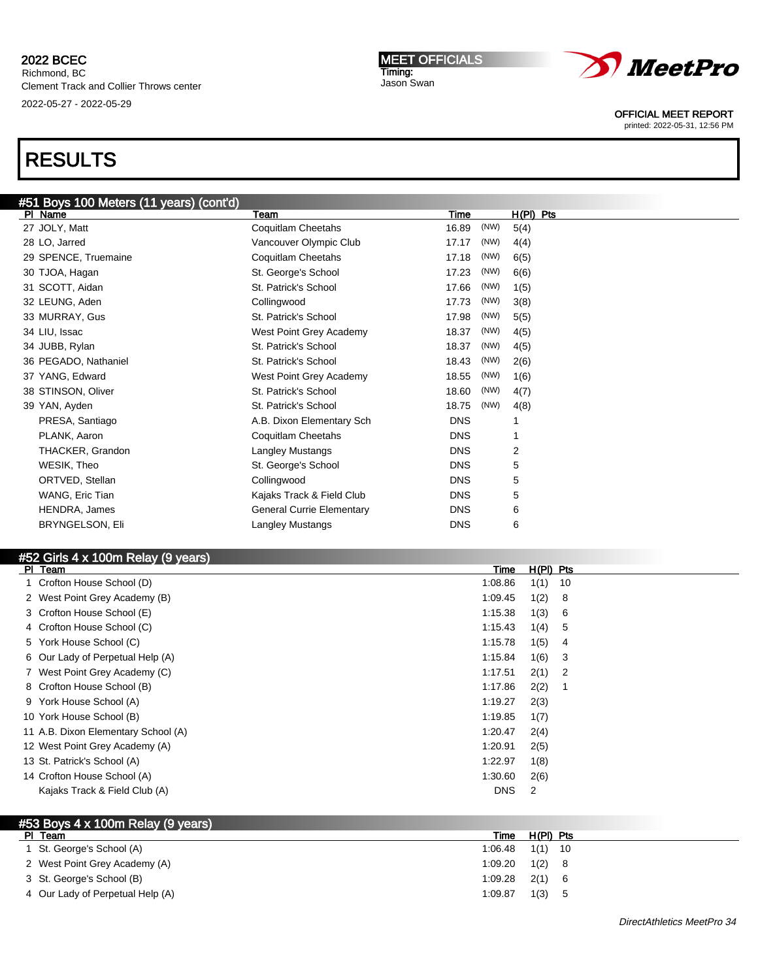#### MEET OFFICIALS Timing: Jason Swan



OFFICIAL MEET REPORT

printed: 2022-05-31, 12:56 PM

# RESULTS

| #51 Boys 100 Meters (11 years) (cont'd) |                                  |            |      |           |  |
|-----------------------------------------|----------------------------------|------------|------|-----------|--|
| PI Name                                 | Team                             | Time       |      | H(PI) Pts |  |
| 27 JOLY, Matt                           | Coquitlam Cheetahs               | 16.89      | (NW) | 5(4)      |  |
| 28 LO, Jarred                           | Vancouver Olympic Club           | 17.17      | (NW) | 4(4)      |  |
| 29 SPENCE, Truemaine                    | Coquitlam Cheetahs               | 17.18      | (NW) | 6(5)      |  |
| 30 TJOA, Hagan                          | St. George's School              | 17.23      | (NW) | 6(6)      |  |
| 31 SCOTT, Aidan                         | St. Patrick's School             | 17.66      | (NW) | 1(5)      |  |
| 32 LEUNG, Aden                          | Collingwood                      | 17.73      | (NW) | 3(8)      |  |
| 33 MURRAY, Gus                          | St. Patrick's School             | 17.98      | (NW) | 5(5)      |  |
| 34 LIU, Issac                           | West Point Grey Academy          | 18.37      | (NW) | 4(5)      |  |
| 34 JUBB, Rylan                          | St. Patrick's School             | 18.37      | (NW) | 4(5)      |  |
| 36 PEGADO, Nathaniel                    | St. Patrick's School             | 18.43      | (NW) | 2(6)      |  |
| 37 YANG, Edward                         | West Point Grey Academy          | 18.55      | (NW) | 1(6)      |  |
| 38 STINSON, Oliver                      | St. Patrick's School             | 18.60      | (NW) | 4(7)      |  |
| 39 YAN, Ayden                           | St. Patrick's School             | 18.75      | (NW) | 4(8)      |  |
| PRESA, Santiago                         | A.B. Dixon Elementary Sch        | <b>DNS</b> |      | 1         |  |
| PLANK, Aaron                            | Coquitlam Cheetahs               | <b>DNS</b> |      | 1         |  |
| THACKER, Grandon                        | Langley Mustangs                 | <b>DNS</b> |      | 2         |  |
| WESIK, Theo                             | St. George's School              | <b>DNS</b> |      | 5         |  |
| ORTVED, Stellan                         | Collingwood                      | <b>DNS</b> |      | 5         |  |
| WANG, Eric Tian                         | Kajaks Track & Field Club        | <b>DNS</b> |      | 5         |  |
| HENDRA, James                           | <b>General Currie Elementary</b> | <b>DNS</b> |      | 6         |  |
| <b>BRYNGELSON, Eli</b>                  | <b>Langley Mustangs</b>          | <b>DNS</b> |      | 6         |  |
|                                         |                                  |            |      |           |  |

# #52 Girls 4 x 100m Relay (9 years)

| <b>PI</b> | Team                                | Time       | $H(PI)$ Pts |     |
|-----------|-------------------------------------|------------|-------------|-----|
|           | Crofton House School (D)            | 1:08.86    | 1(1)        | 10  |
|           | 2 West Point Grey Academy (B)       | 1:09.45    | 1(2)        | 8   |
|           | 3 Crofton House School (E)          | 1:15.38    | 1(3)        | 6   |
|           | 4 Crofton House School (C)          | 1:15.43    | 1(4)        | 5   |
|           | 5 York House School (C)             | 1:15.78    | 1(5)        | 4   |
|           | 6 Our Lady of Perpetual Help (A)    | 1:15.84    | 1(6)        | -3  |
|           | 7 West Point Grey Academy (C)       | 1:17.51    | 2(1)        | - 2 |
|           | 8 Crofton House School (B)          | 1:17.86    | 2(2)        | -1  |
|           | 9 York House School (A)             | 1:19.27    | 2(3)        |     |
|           | 10 York House School (B)            | 1:19.85    | 1(7)        |     |
|           | 11 A.B. Dixon Elementary School (A) | 1:20.47    | 2(4)        |     |
|           | 12 West Point Grey Academy (A)      | 1:20.91    | 2(5)        |     |
|           | 13 St. Patrick's School (A)         | 1:22.97    | 1(8)        |     |
|           | 14 Crofton House School (A)         | 1:30.60    | 2(6)        |     |
|           | Kajaks Track & Field Club (A)       | <b>DNS</b> | 2           |     |
|           |                                     |            |             |     |

### #53 Boys 4 x 100m Relay (9 years) Pl Team Time H(Pl) Pts 1 St. George's School (A) 1:06.48 1(1) 10 2 West Point Grey Academy (A) 2 West Point Grey Academy (A) 3 St. George's School (B) 1:09.28 2(1) 6 4 Our Lady of Perpetual Help (A) 1:09.87 1(3) 5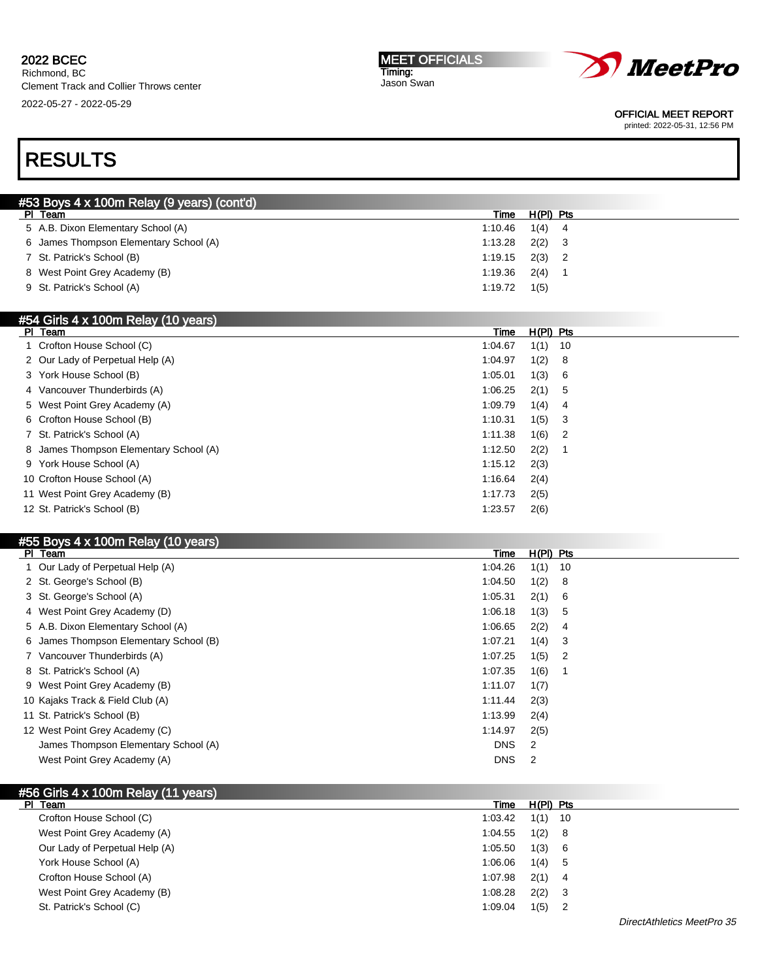#### 2022 BCEC Richmond, BC

Clement Track and Collier Throws center 2022-05-27 - 2022-05-29

#### MEET OFFICIALS Timing: Jason Swan



OFFICIAL MEET REPORT

printed: 2022-05-31, 12:56 PM

# RESULTS

| <b>#53 Boys 4 x 100m Relay (9 years) (cont'd)</b> |         |           |  |
|---------------------------------------------------|---------|-----------|--|
| PI Team                                           | Time    | H(PI) Pts |  |
| 5 A.B. Dixon Elementary School (A)                | 1.10.46 | $1(4)$ 4  |  |
| 6 James Thompson Elementary School (A)            | 1:13.28 | 2(2)      |  |
| 7 St. Patrick's School (B)                        | 1:19.15 | 2(3)      |  |
| 8 West Point Grey Academy (B)                     | 1:19.36 | 2(4)      |  |
| 9 St. Patrick's School (A)                        | 1:19.72 | 1(5)      |  |
|                                                   |         |           |  |

# #54 Girls 4 x 100m Relay (10 years)

| PI Team                                | Time    | $H(PI)$ Pts |                            |
|----------------------------------------|---------|-------------|----------------------------|
| 1 Crofton House School (C)             | 1:04.67 | 1(1)        | - 10                       |
| 2 Our Lady of Perpetual Help (A)       | 1:04.97 | 1(2)        | - 8                        |
| 3 York House School (B)                | 1:05.01 | 1(3)        | - 6                        |
| 4 Vancouver Thunderbirds (A)           | 1:06.25 | $2(1)$ 5    |                            |
| 5 West Point Grey Academy (A)          | 1:09.79 | 1(4)        | -4                         |
| 6 Crofton House School (B)             | 1:10.31 | 1(5)        | - 3                        |
| 7 St. Patrick's School (A)             | 1:11.38 | 1(6)        | $\overline{\phantom{0}}^2$ |
| 8 James Thompson Elementary School (A) | 1:12.50 | 2(2)        |                            |
| 9 York House School (A)                | 1:15.12 | 2(3)        |                            |
| 10 Crofton House School (A)            | 1:16.64 | 2(4)        |                            |
| 11 West Point Grey Academy (B)         | 1:17.73 | 2(5)        |                            |
| 12 St. Patrick's School (B)            | 1:23.57 | 2(6)        |                            |

# #55 Boys 4 x 100m Relay (10 years)

| PI Team | $\frac{1}{2}$ . The contract of $\frac{1}{2}$ (i.e., $\frac{1}{2}$ ) which is the contract of $\frac{1}{2}$ | Time       | $H(PI)$ Pts |                            |
|---------|-------------------------------------------------------------------------------------------------------------|------------|-------------|----------------------------|
|         | 1 Our Lady of Perpetual Help (A)                                                                            | 1:04.26    | 1(1)        | 10                         |
|         | 2 St. George's School (B)                                                                                   | 1:04.50    | 1(2)        | - 8                        |
|         | 3 St. George's School (A)                                                                                   | 1:05.31    | 2(1)        | - 6                        |
|         | 4 West Point Grey Academy (D)                                                                               | 1:06.18    | 1(3)        | -5                         |
|         | 5 A.B. Dixon Elementary School (A)                                                                          | 1:06.65    | 2(2)        | -4                         |
|         | 6 James Thompson Elementary School (B)                                                                      | 1:07.21    | 1(4)        | -3                         |
|         | 7 Vancouver Thunderbirds (A)                                                                                | 1:07.25    | 1(5)        | $\overline{\phantom{0}}^2$ |
|         | 8 St. Patrick's School (A)                                                                                  | 1:07.35    | 1(6)        |                            |
|         | 9 West Point Grey Academy (B)                                                                               | 1:11.07    | 1(7)        |                            |
|         | 10 Kajaks Track & Field Club (A)                                                                            | 1:11.44    | 2(3)        |                            |
|         | 11 St. Patrick's School (B)                                                                                 | 1:13.99    | 2(4)        |                            |
|         | 12 West Point Grey Academy (C)                                                                              | 1:14.97    | 2(5)        |                            |
|         | James Thompson Elementary School (A)                                                                        | <b>DNS</b> | 2           |                            |
|         | West Point Grey Academy (A)                                                                                 | <b>DNS</b> | 2           |                            |

### #56 Girls 4 x 100m Relay (11 years) Pl Team Time H(Pl) Pts Crofton House School (C) 1:03.42 1(1) 10 West Point Grey Academy (A) 31:04.55 1(2) 8 Our Lady of Perpetual Help (A) 1:05.50 1(3) 6 York House School (A) 1:06.06 1(4) 5 Crofton House School (A) 1:07.98 2(1) 4 West Point Grey Academy (B) 1:08.28 2(2) 3 St. Patrick's School (C) 2012 1:09.04 1:09.04 1:09.04 1:09.04 1:09.04 1:09.04 1:09.04 1:09.04 1:09.04 1:09.04 1:09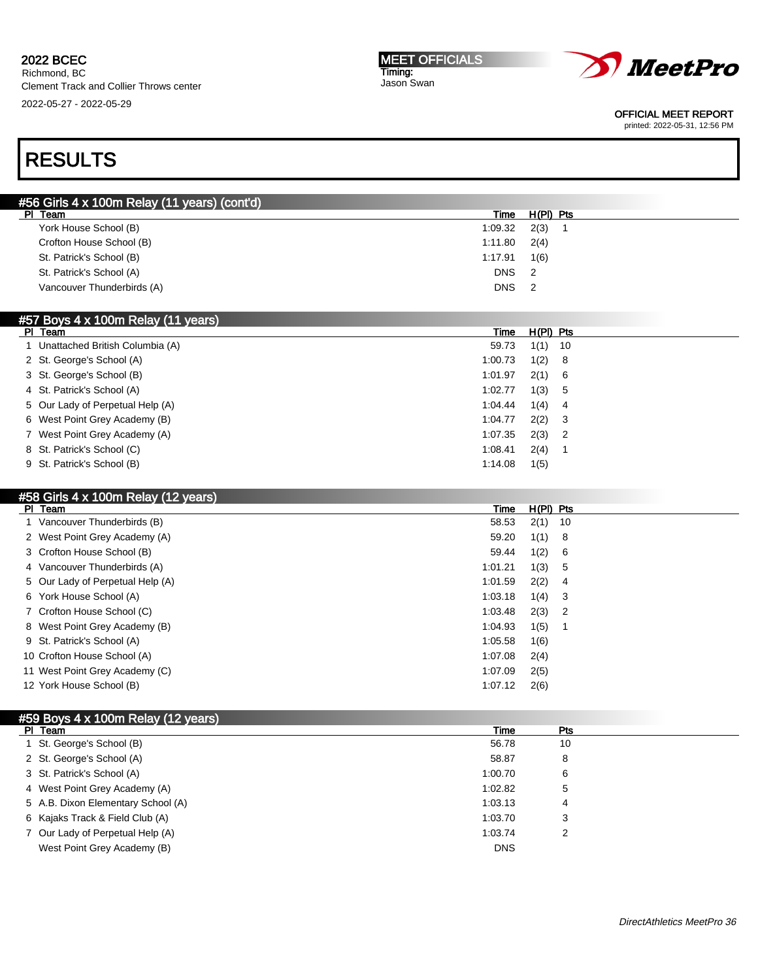| <b>MEET OFFICIALS</b> |
|-----------------------|
| Timing:               |
| Jason Swan            |



OFFICIAL MEET REPORT

printed: 2022-05-31, 12:56 PM

# RESULTS

| #56 Girls 4 x 100m Relay (11 years) (cont'd) |                              |
|----------------------------------------------|------------------------------|
| PI Team                                      | H(PI) Pts<br>Time            |
| York House School (B)                        | 2(3)<br>1:09.32              |
| Crofton House School (B)                     | 2(4)<br>1:11.80              |
| St. Patrick's School (B)                     | 1(6)<br>1:17.91              |
| St. Patrick's School (A)                     | <b>DNS</b><br>- 2            |
| Vancouver Thunderbirds (A)                   | <b>DNS</b><br>$\overline{2}$ |
|                                              |                              |

| <b>FOT DOYS 4 X TUUTH REERY (TT YEARS)</b> |         |             |  |
|--------------------------------------------|---------|-------------|--|
| PI Team                                    | Time    | $H(PI)$ Pts |  |
| 1 Unattached British Columbia (A)          | 59.73   | $1(1)$ 10   |  |
| 2 St. George's School (A)                  | 1:00.73 | 1(2) 8      |  |
| 3 St. George's School (B)                  | 1:01.97 | 2(1) 6      |  |
| 4 St. Patrick's School (A)                 | 1:02.77 | 1(3) 5      |  |
| 5 Our Lady of Perpetual Help (A)           | 1.04.44 | $1(4)$ 4    |  |
| 6 West Point Grey Academy (B)              | 1:04.77 | $2(2)$ 3    |  |
| 7 West Point Grey Academy (A)              | 1:07.35 | $2(3)$ 2    |  |
| 8 St. Patrick's School (C)                 | 1:08.41 | 2(4)        |  |
| 9 St. Patrick's School (B)                 | 1:14.08 | 1(5)        |  |
|                                            |         |             |  |

### #58 Girls 4 x 100m Relay (12 years)

 $\mathbf{5}$   $\mathbf{6}$   $\mathbf{7}$   $\mathbf{8}$   $\mathbf{7}$   $\mathbf{8}$   $\mathbf{8}$   $\mathbf{8}$   $\mathbf{9}$   $\mathbf{1}$   $\mathbf{1}$   $\mathbf{1}$   $\mathbf{1}$   $\mathbf{1}$   $\mathbf{1}$   $\mathbf{1}$   $\mathbf{1}$   $\mathbf{1}$   $\mathbf{1}$   $\mathbf{1}$   $\mathbf{1}$   $\mathbf{1}$   $\mathbf{1}$   $\mathbf{1}$   $\mathbf{$ 

| PI Team                          | Time    | $H(PI)$ Pts |                            |
|----------------------------------|---------|-------------|----------------------------|
| 1 Vancouver Thunderbirds (B)     | 58.53   | $2(1)$ 10   |                            |
| 2 West Point Grey Academy (A)    | 59.20   | 1(1)        | $_{\rm 8}$                 |
| 3 Crofton House School (B)       | 59.44   | 1(2)        | - 6                        |
| 4 Vancouver Thunderbirds (A)     | 1:01.21 | 1(3)        | - 5                        |
| 5 Our Lady of Perpetual Help (A) | 1:01.59 | 2(2)        | - 4                        |
| 6 York House School (A)          | 1:03.18 | 1(4)        | - 3                        |
| 7 Crofton House School (C)       | 1:03.48 | 2(3)        | $\overline{\phantom{0}}^2$ |
| 8 West Point Grey Academy (B)    | 1:04.93 | 1(5)        |                            |
| 9 St. Patrick's School (A)       | 1:05.58 | 1(6)        |                            |
| 10 Crofton House School (A)      | 1:07.08 | 2(4)        |                            |
| 11 West Point Grey Academy (C)   | 1:07.09 | 2(5)        |                            |
| 12 York House School (B)         | 1:07.12 | 2(6)        |                            |
|                                  |         |             |                            |

| #59 Boys 4 x 100m Relay (12 years) |  |  |  |
|------------------------------------|--|--|--|
|                                    |  |  |  |

| PI Team                            | Time       | Pts |  |
|------------------------------------|------------|-----|--|
| 1 St. George's School (B)          | 56.78      | 10  |  |
| 2 St. George's School (A)          | 58.87      | 8   |  |
| 3 St. Patrick's School (A)         | 1:00.70    | 6   |  |
| 4 West Point Grey Academy (A)      | 1:02.82    | 5   |  |
| 5 A.B. Dixon Elementary School (A) | 1:03.13    | 4   |  |
| 6 Kajaks Track & Field Club (A)    | 1:03.70    | 3   |  |
| 7 Our Lady of Perpetual Help (A)   | 1:03.74    | 2   |  |
| West Point Grey Academy (B)        | <b>DNS</b> |     |  |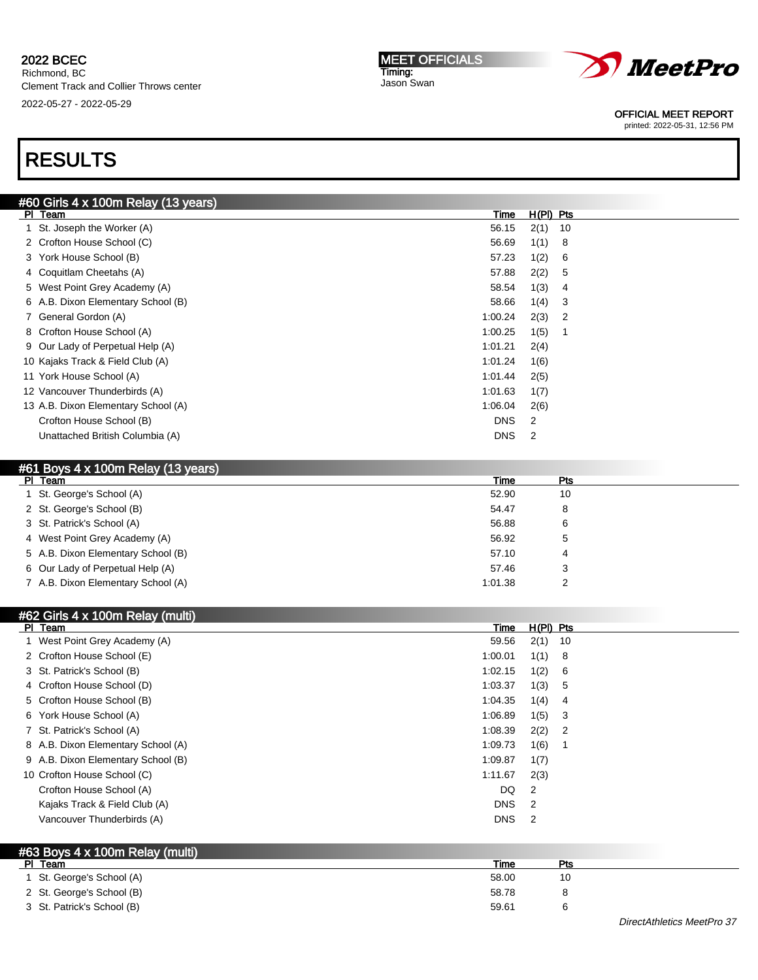#### MEET OFFICIALS Timing: Jason Swan



OFFICIAL MEET REPORT

printed: 2022-05-31, 12:56 PM

# RESULTS

| #60 Girls 4 x 100m Relay (13 years) |            |             |                |
|-------------------------------------|------------|-------------|----------------|
| PI Team                             | Time       | $H(PI)$ Pts |                |
| 1 St. Joseph the Worker (A)         | 56.15      | 2(1)        | 10             |
| 2 Crofton House School (C)          | 56.69      | 1(1)        | - 8            |
| 3 York House School (B)             | 57.23      | 1(2)        | -6             |
| 4 Coquitlam Cheetahs (A)            | 57.88      | 2(2)        | -5             |
| 5 West Point Grey Academy (A)       | 58.54      | 1(3)        | 4              |
| 6 A.B. Dixon Elementary School (B)  | 58.66      | 1(4)        | 3              |
| 7 General Gordon (A)                | 1:00.24    | 2(3)        | $\overline{2}$ |
| 8 Crofton House School (A)          | 1:00.25    | 1(5)        |                |
| 9 Our Lady of Perpetual Help (A)    | 1:01.21    | 2(4)        |                |
| 10 Kajaks Track & Field Club (A)    | 1:01.24    | 1(6)        |                |
| 11 York House School (A)            | 1:01.44    | 2(5)        |                |
| 12 Vancouver Thunderbirds (A)       | 1:01.63    | 1(7)        |                |
| 13 A.B. Dixon Elementary School (A) | 1:06.04    | 2(6)        |                |
| Crofton House School (B)            | <b>DNS</b> | 2           |                |
| Unattached British Columbia (A)     | <b>DNS</b> | 2           |                |
|                                     |            |             |                |

### #61 Boys 4 x 100m Relay (13 years)

| PI Team                            | Time    | <b>Pts</b> |  |
|------------------------------------|---------|------------|--|
| 1 St. George's School (A)          | 52.90   | 10         |  |
| 2 St. George's School (B)          | 54.47   | 8          |  |
| 3 St. Patrick's School (A)         | 56.88   | 6          |  |
| 4 West Point Grey Academy (A)      | 56.92   | 5          |  |
| 5 A.B. Dixon Elementary School (B) | 57.10   | 4          |  |
| 6 Our Lady of Perpetual Help (A)   | 57.46   | 3          |  |
| 7 A.B. Dixon Elementary School (A) | 1:01.38 | n          |  |

| #62 Girls 4 x 100m Relay (multi)   |            |             |                |
|------------------------------------|------------|-------------|----------------|
| PI Team                            | Time       | $H(PI)$ Pts |                |
| 1 West Point Grey Academy (A)      | 59.56      | 2(1)        | 10             |
| 2 Crofton House School (E)         | 1:00.01    | 1(1)        | 8              |
| 3 St. Patrick's School (B)         | 1:02.15    | 1(2)        | 6              |
| 4 Crofton House School (D)         | 1:03.37    | 1(3)        | 5              |
| 5 Crofton House School (B)         | 1:04.35    | 1(4)        | 4              |
| 6 York House School (A)            | 1:06.89    | 1(5)        | 3              |
| 7 St. Patrick's School (A)         | 1:08.39    | 2(2)        | $\overline{2}$ |
| 8 A.B. Dixon Elementary School (A) | 1:09.73    | 1(6)        |                |
| 9 A.B. Dixon Elementary School (B) | 1:09.87    | 1(7)        |                |
| 10 Crofton House School (C)        | 1:11.67    | 2(3)        |                |
| Crofton House School (A)           | DQ         | 2           |                |
| Kajaks Track & Field Club (A)      | <b>DNS</b> | 2           |                |
| Vancouver Thunderbirds (A)         | <b>DNS</b> | 2           |                |
|                                    |            |             |                |

# #63 Boys 4 x 100m Relay (multi)

| PI Team                    | Time  | Pts |  |
|----------------------------|-------|-----|--|
| 1 St. George's School (A)  | 58.00 | 10  |  |
| 2 St. George's School (B)  | 58.78 | 8   |  |
| 3 St. Patrick's School (B) | 59.61 |     |  |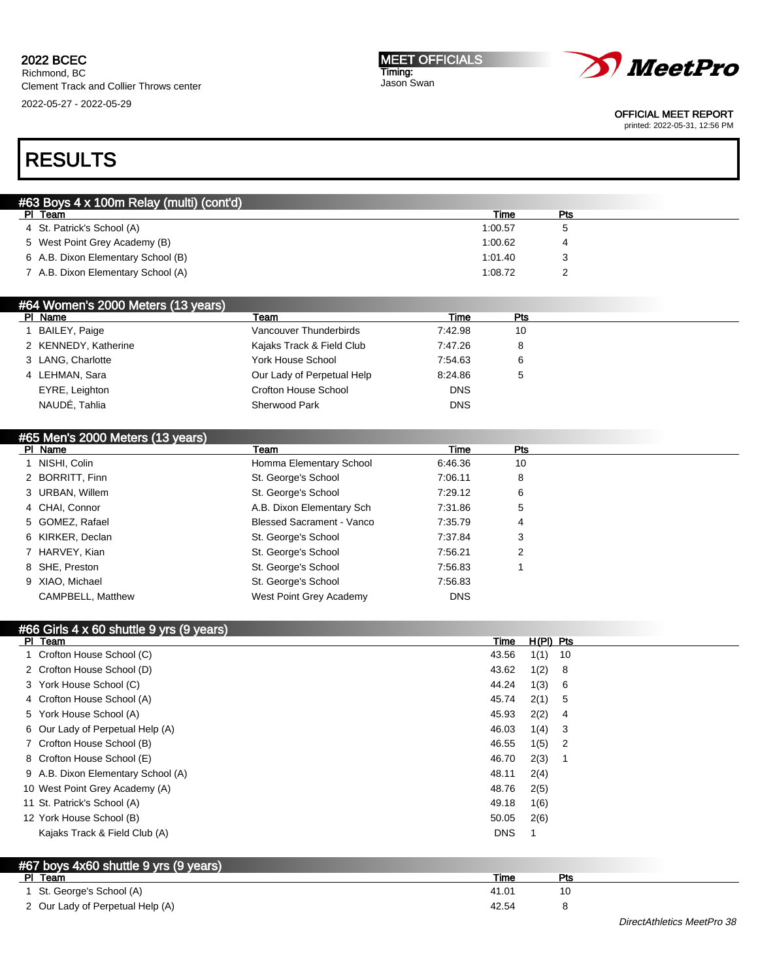Richmond, BC Clement Track and Collier Throws center 2022-05-27 - 2022-05-29

#### MEET OFFICIALS Timing: Jason Swan



OFFICIAL MEET REPORT

printed: 2022-05-31, 12:56 PM

# RESULTS

| #63 Boys 4 x 100m Relay (multi) (cont'd) |         |     |  |  |  |
|------------------------------------------|---------|-----|--|--|--|
| PI Team                                  | Time    | Pts |  |  |  |
| 4 St. Patrick's School (A)               | 1:00.57 |     |  |  |  |
| 5 West Point Grey Academy (B)            | 1:00.62 |     |  |  |  |
| 6 A.B. Dixon Elementary School (B)       | 1:01.40 |     |  |  |  |
| 7 A.B. Dixon Elementary School (A)       | 1:08.72 |     |  |  |  |
|                                          |         |     |  |  |  |

| PI Name<br>Time<br>Pts<br>Team                                    |
|-------------------------------------------------------------------|
|                                                                   |
| BAILEY, Paige<br>7:42.98<br>Vancouver Thunderbirds<br>10          |
| 2 KENNEDY, Katherine<br>Kajaks Track & Field Club<br>7:47.26<br>8 |
| York House School<br>3 LANG, Charlotte<br>7:54.63<br>6            |
| 4 LEHMAN, Sara<br>Our Lady of Perpetual Help<br>8:24.86<br>5      |
| Crofton House School<br>EYRE, Leighton<br><b>DNS</b>              |
| NAUDÉ, Tahlia<br><b>DNS</b><br><b>Sherwood Park</b>               |

### #65 Men's 2000 Meters (13 years)

| PI Name                  | Team                             | Time       | Pts |  |
|--------------------------|----------------------------------|------------|-----|--|
| NISHI, Colin             | Homma Elementary School          | 6:46.36    | 10  |  |
| 2 BORRITT, Finn          | St. George's School              | 7:06.11    | 8   |  |
| 3 URBAN, Willem          | St. George's School              | 7:29.12    | 6   |  |
| 4 CHAI, Connor           | A.B. Dixon Elementary Sch        | 7:31.86    | 5   |  |
| 5 GOMEZ, Rafael          | <b>Blessed Sacrament - Vanco</b> | 7:35.79    | 4   |  |
| 6 KIRKER, Declan         | St. George's School              | 7:37.84    | 3   |  |
| 7 HARVEY, Kian           | St. George's School              | 7:56.21    | 2   |  |
| 8 SHE, Preston           | St. George's School              | 7:56.83    |     |  |
| 9 XIAO, Michael          | St. George's School              | 7:56.83    |     |  |
| <b>CAMPBELL, Matthew</b> | West Point Grey Academy          | <b>DNS</b> |     |  |

| #66 Girls 4 x 60 shuttle 9 yrs (9 years) |            |             |                          |
|------------------------------------------|------------|-------------|--------------------------|
| PI Team                                  | Time       | $H(PI)$ Pts |                          |
| 1 Crofton House School (C)               | 43.56      | 1(1)        | - 10                     |
| 2 Crofton House School (D)               | 43.62      | 1(2)        | - 8                      |
| 3 York House School (C)                  | 44.24      | 1(3)        | - 6                      |
| 4 Crofton House School (A)               | 45.74      | 2(1)        | - 5                      |
| 5 York House School (A)                  | 45.93      | 2(2)        | -4                       |
| 6 Our Lady of Perpetual Help (A)         | 46.03      | 1(4)        | - 3                      |
| 7 Crofton House School (B)               | 46.55      | 1(5)        | $\overline{\phantom{a}}$ |
| 8 Crofton House School (E)               | 46.70      | 2(3)        |                          |
| 9 A.B. Dixon Elementary School (A)       | 48.11      | 2(4)        |                          |
| 10 West Point Grey Academy (A)           | 48.76      | 2(5)        |                          |
| 11 St. Patrick's School (A)              | 49.18      | 1(6)        |                          |
| 12 York House School (B)                 | 50.05      | 2(6)        |                          |
| Kajaks Track & Field Club (A)            | <b>DNS</b> |             |                          |
|                                          |            |             |                          |

## #67 boys 4x60 shuttle 9 yrs (9 years)

| PI Team                          | Time  | D÷ |  |
|----------------------------------|-------|----|--|
| 1 St. George's School (A)        | 41.01 | 10 |  |
| 2 Our Lady of Perpetual Help (A) | 42.54 |    |  |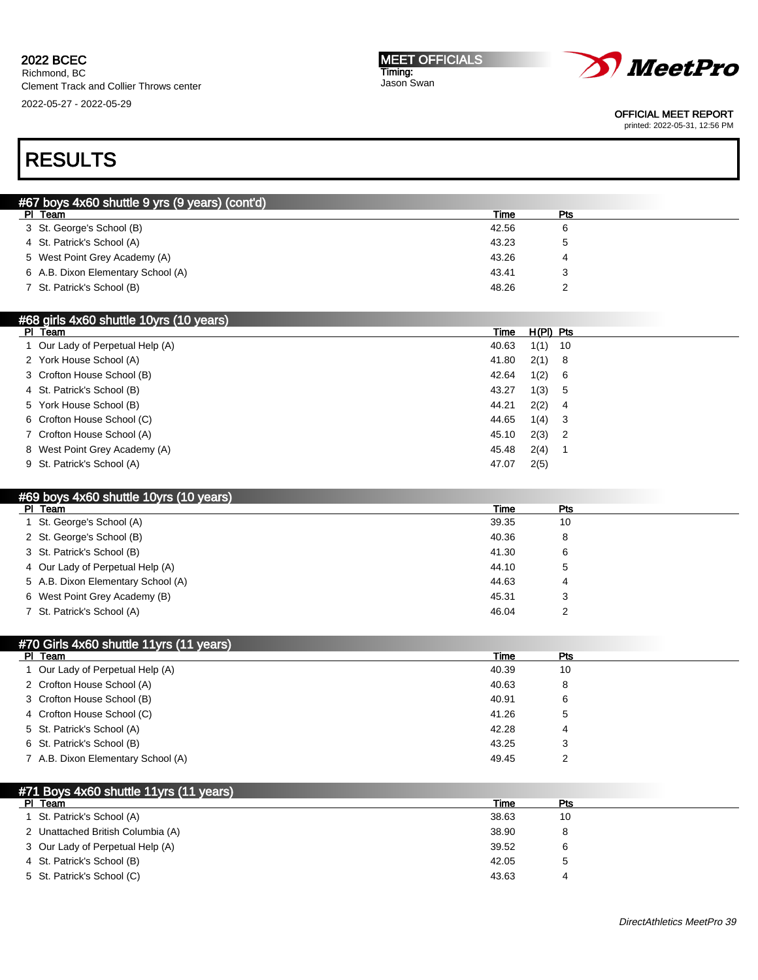#### 2022 BCEC Richmond, BC

Clement Track and Collier Throws center 2022-05-27 - 2022-05-29

| <b>IMEET OFFICIALS</b> |  |
|------------------------|--|
| Timing:                |  |
| Jason Swan             |  |



OFFICIAL MEET REPORT

printed: 2022-05-31, 12:56 PM

# RESULTS

| #67 boys 4x60 shuttle 9 yrs (9 years) (cont'd) |       |     |  |  |
|------------------------------------------------|-------|-----|--|--|
| PI Team                                        | Time  | Pts |  |  |
| 3 St. George's School (B)                      | 42.56 |     |  |  |
| 4 St. Patrick's School (A)                     | 43.23 | 5   |  |  |
| 5 West Point Grey Academy (A)                  | 43.26 | 4   |  |  |
| 6 A.B. Dixon Elementary School (A)             | 43.41 |     |  |  |
| 7 St. Patrick's School (B)                     | 48.26 |     |  |  |
|                                                |       |     |  |  |

| #68 girls 4x60 shuttle 10yrs (10 years) |       |             |     |
|-----------------------------------------|-------|-------------|-----|
| PI Team                                 | Time  | $H(PI)$ Pts |     |
| Our Lady of Perpetual Help (A)          | 40.63 | 1(1)        | 10  |
| 2 York House School (A)                 | 41.80 | 2(1) 8      |     |
| 3 Crofton House School (B)              | 42.64 | 1(2)        | - 6 |
| 4 St. Patrick's School (B)              | 43.27 | 1(3) 5      |     |
| 5 York House School (B)                 | 44.21 | 2(2)        | - 4 |
| 6 Crofton House School (C)              | 44.65 | $1(4)$ 3    |     |
| 7 Crofton House School (A)              | 45.10 | $2(3)$ 2    |     |
| 8 West Point Grey Academy (A)           | 45.48 | 2(4)        |     |
| 9 St. Patrick's School (A)              | 47.07 | 2(5)        |     |

### #69 boys 4x60 shuttle 10yrs (10 years)

| PI Team                            | Time  | Pts |  |
|------------------------------------|-------|-----|--|
| 1 St. George's School (A)          | 39.35 | 10  |  |
| 2 St. George's School (B)          | 40.36 | 8   |  |
| 3 St. Patrick's School (B)         | 41.30 | 6   |  |
| 4 Our Lady of Perpetual Help (A)   | 44.10 | 5   |  |
| 5 A.B. Dixon Elementary School (A) | 44.63 | 4   |  |
| 6 West Point Grey Academy (B)      | 45.31 | 3   |  |
| 7 St. Patrick's School (A)         | 46.04 | ົ   |  |

### #70 Girls 4x60 shuttle 11yrs (11 years)

| PI Team                            | Time  | Pts          |
|------------------------------------|-------|--------------|
| 1 Our Lady of Perpetual Help (A)   | 40.39 | 10           |
| 2 Crofton House School (A)         | 40.63 | 8            |
| 3 Crofton House School (B)         | 40.91 | 6            |
| 4 Crofton House School (C)         | 41.26 | $\mathbf{5}$ |
| 5 St. Patrick's School (A)         | 42.28 | 4            |
| 6 St. Patrick's School (B)         | 43.25 | 3            |
| 7 A.B. Dixon Elementary School (A) | 49.45 | ົ            |

| $\frac{1}{2}$ #71 Boys 4x60 shuttle 11yrs (11 years) |       |     |  |
|------------------------------------------------------|-------|-----|--|
| PI.<br>Team                                          | Time  | Pts |  |
| St. Patrick's School (A)                             | 38.63 | 10  |  |
| 2 Unattached British Columbia (A)                    | 38.90 | 8   |  |
| 3 Our Lady of Perpetual Help (A)                     | 39.52 | 6   |  |
| 4 St. Patrick's School (B)                           | 42.05 |     |  |
| 5 St. Patrick's School (C)                           | 43.63 | 4   |  |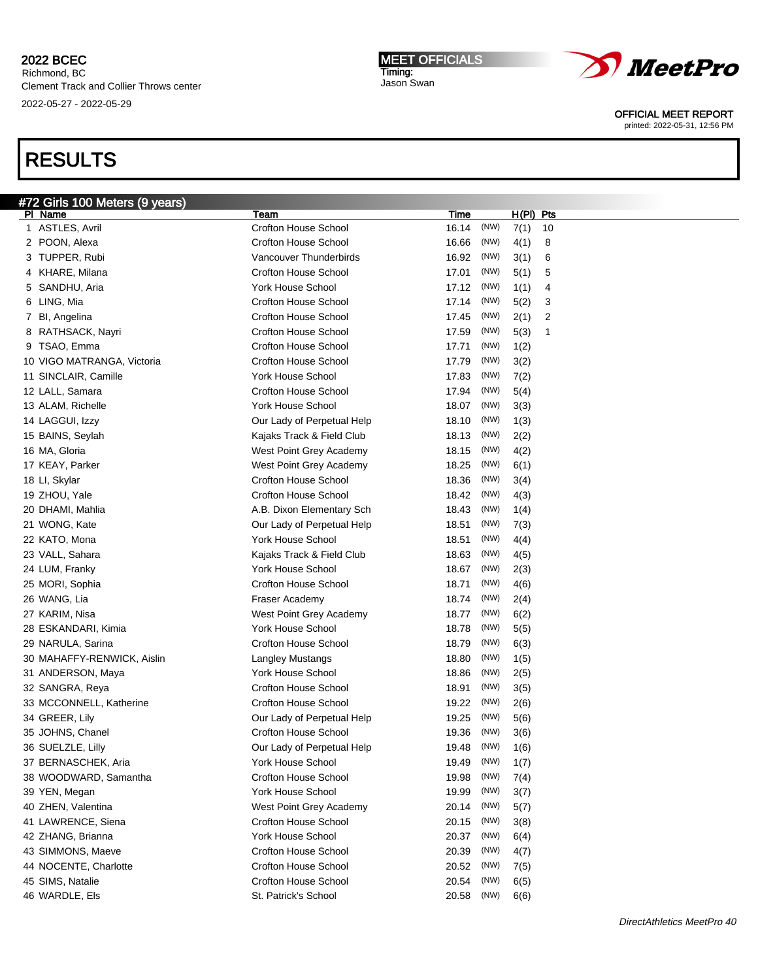Richmond, BC Clement Track and Collier Throws center 2022-05-27 - 2022-05-29

# RESULTS

| <u>#72 Girls 100 Mete</u> rs (9 years) |                             |             |      |             |    |
|----------------------------------------|-----------------------------|-------------|------|-------------|----|
| PI Name                                | Team                        | <u>Time</u> |      | $H(PI)$ Pts |    |
| 1 ASTLES, Avril                        | <b>Crofton House School</b> | 16.14       | (NW) | 7(1)        | 10 |
| 2 POON, Alexa                          | <b>Crofton House School</b> | 16.66       | (NW) | 4(1)        | 8  |
| 3 TUPPER, Rubi                         | Vancouver Thunderbirds      | 16.92       | (NW) | 3(1)        | 6  |
| 4 KHARE, Milana                        | <b>Crofton House School</b> | 17.01       | (NW) | 5(1)        | 5  |
| 5 SANDHU, Aria                         | <b>York House School</b>    | 17.12       | (NW) | 1(1)        | 4  |
| 6 LING, Mia                            | <b>Crofton House School</b> | 17.14       | (NW) | 5(2)        | 3  |
| 7 BI, Angelina                         | <b>Crofton House School</b> | 17.45       | (NW) | 2(1)        | 2  |
| 8 RATHSACK, Nayri                      | <b>Crofton House School</b> | 17.59       | (NW) | 5(3)        | 1  |
| 9 TSAO, Emma                           | <b>Crofton House School</b> | 17.71       | (NW) | 1(2)        |    |
| 10 VIGO MATRANGA, Victoria             | <b>Crofton House School</b> | 17.79       | (NW) | 3(2)        |    |
| 11 SINCLAIR, Camille                   | <b>York House School</b>    | 17.83       | (NW) | 7(2)        |    |
| 12 LALL, Samara                        | <b>Crofton House School</b> | 17.94       | (NW) | 5(4)        |    |
| 13 ALAM, Richelle                      | York House School           | 18.07       | (NW) | 3(3)        |    |
| 14 LAGGUI, Izzy                        | Our Lady of Perpetual Help  | 18.10       | (NW) | 1(3)        |    |
| 15 BAINS, Seylah                       | Kajaks Track & Field Club   | 18.13       | (NW) | 2(2)        |    |
| 16 MA, Gloria                          | West Point Grey Academy     | 18.15       | (NW) | 4(2)        |    |
| 17 KEAY, Parker                        | West Point Grey Academy     | 18.25       | (NW) | 6(1)        |    |
| 18 LI, Skylar                          | <b>Crofton House School</b> | 18.36       | (NW) | 3(4)        |    |
| 19 ZHOU, Yale                          | <b>Crofton House School</b> | 18.42       | (NW) | 4(3)        |    |
| 20 DHAMI, Mahlia                       | A.B. Dixon Elementary Sch   | 18.43       | (NW) | 1(4)        |    |
| 21 WONG, Kate                          | Our Lady of Perpetual Help  | 18.51       | (NW) | 7(3)        |    |
| 22 KATO, Mona                          | York House School           | 18.51       | (NW) | 4(4)        |    |
| 23 VALL, Sahara                        | Kajaks Track & Field Club   | 18.63       | (NW) | 4(5)        |    |
| 24 LUM, Franky                         | <b>York House School</b>    | 18.67       | (NW) | 2(3)        |    |
| 25 MORI, Sophia                        | <b>Crofton House School</b> | 18.71       | (NW) | 4(6)        |    |
| 26 WANG, Lia                           | Fraser Academy              | 18.74       | (NW) | 2(4)        |    |
| 27 KARIM, Nisa                         | West Point Grey Academy     | 18.77       | (NW) | 6(2)        |    |
| 28 ESKANDARI, Kimia                    | <b>York House School</b>    | 18.78       | (NW) | 5(5)        |    |
| 29 NARULA, Sarina                      | Crofton House School        | 18.79       | (NW) | 6(3)        |    |
| 30 MAHAFFY-RENWICK, Aislin             | Langley Mustangs            | 18.80       | (NW) | 1(5)        |    |
| 31 ANDERSON, Maya                      | York House School           | 18.86       | (NW) | 2(5)        |    |
| 32 SANGRA, Reya                        | <b>Crofton House School</b> | 18.91       | (NW) | 3(5)        |    |
| 33 MCCONNELL, Katherine                | Crofton House School        | 19.22       | (NW) | 2(6)        |    |
| 34 GREER, Lily                         | Our Lady of Perpetual Help  | 19.25       | (NW) | 5(6)        |    |
| 35 JOHNS, Chanel                       | Crofton House School        | 19.36       | (NW) | 3(6)        |    |
| 36 SUELZLE, Lilly                      | Our Lady of Perpetual Help  | 19.48       | (NW) | 1(6)        |    |
| 37 BERNASCHEK, Aria                    | York House School           | 19.49       | (NW) | 1(7)        |    |
| 38 WOODWARD, Samantha                  | <b>Crofton House School</b> | 19.98       | (NW) | 7(4)        |    |
| 39 YEN, Megan                          | <b>York House School</b>    | 19.99       | (NW) | 3(7)        |    |
| 40 ZHEN, Valentina                     | West Point Grey Academy     | 20.14       | (NW) | 5(7)        |    |
| 41 LAWRENCE, Siena                     | Crofton House School        | 20.15       | (NW) | 3(8)        |    |
| 42 ZHANG, Brianna                      | York House School           | 20.37       | (NW) | 6(4)        |    |
| 43 SIMMONS, Maeve                      | Crofton House School        | 20.39       | (NW) | 4(7)        |    |
| 44 NOCENTE, Charlotte                  | <b>Crofton House School</b> | 20.52       | (NW) | 7(5)        |    |
| 45 SIMS, Natalie                       | Crofton House School        | 20.54       | (NW) | 6(5)        |    |
| 46 WARDLE, Els                         | St. Patrick's School        | 20.58       | (NW) | 6(6)        |    |
|                                        |                             |             |      |             |    |

MEET OFFICIALS Timing: Jason Swan

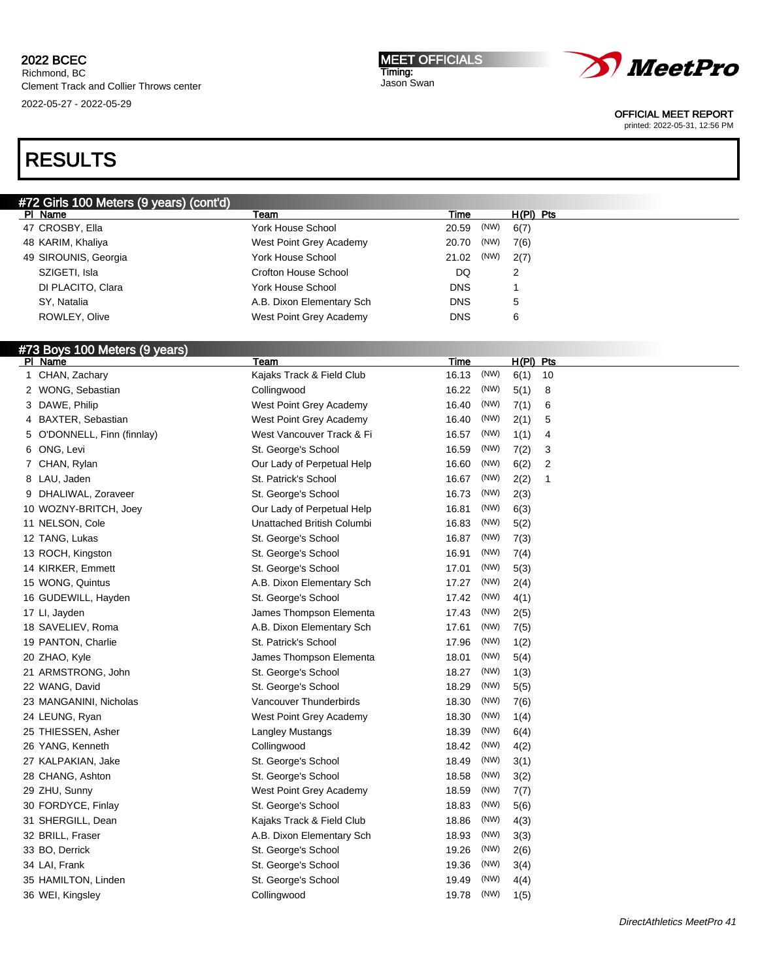Richmond, BC Clement Track and Collier Throws center 2022-05-27 - 2022-05-29





OFFICIAL MEET REPORT

printed: 2022-05-31, 12:56 PM

# RESULTS

| #72 Girls 100 Meters (9 years) (cont'd) |                           |               |             |
|-----------------------------------------|---------------------------|---------------|-------------|
| PI Name                                 | Team                      | Time          | $H(PI)$ Pts |
| 47 CROSBY, Ella                         | York House School         | (NW)<br>20.59 | 6(7)        |
| 48 KARIM, Khaliya                       | West Point Grey Academy   | (NW)<br>20.70 | 7(6)        |
| 49 SIROUNIS, Georgia                    | York House School         | (NW)<br>21.02 | 2(7)        |
| SZIGETI, Isla                           | Crofton House School      | DQ            |             |
| DI PLACITO, Clara                       | York House School         | <b>DNS</b>    |             |
| SY. Natalia                             | A.B. Dixon Elementary Sch | <b>DNS</b>    | 5           |
| ROWLEY, Olive                           | West Point Grey Academy   | <b>DNS</b>    | 6           |
|                                         |                           |               |             |

## #73 Boys 100 Meters (9 years)

| PI Name                     | Team                       | Time  |      | H(PI) Pts |    |
|-----------------------------|----------------------------|-------|------|-----------|----|
| 1 CHAN, Zachary             | Kajaks Track & Field Club  | 16.13 | (NW) | 6(1)      | 10 |
| 2 WONG, Sebastian           | Collingwood                | 16.22 | (NW) | 5(1)      | 8  |
| 3 DAWE, Philip              | West Point Grey Academy    | 16.40 | (NW) | 7(1)      | 6  |
| 4 BAXTER, Sebastian         | West Point Grey Academy    | 16.40 | (NW) | 2(1)      | 5  |
| 5 O'DONNELL, Finn (finnlay) | West Vancouver Track & Fi  | 16.57 | (NW) | 1(1)      | 4  |
| 6 ONG, Levi                 | St. George's School        | 16.59 | (NW) | 7(2)      | 3  |
| 7 CHAN, Rylan               | Our Lady of Perpetual Help | 16.60 | (NW) | 6(2)      | 2  |
| 8 LAU, Jaden                | St. Patrick's School       | 16.67 | (NW) | 2(2)      | 1  |
| 9 DHALIWAL, Zoraveer        | St. George's School        | 16.73 | (NW) | 2(3)      |    |
| 10 WOZNY-BRITCH, Joey       | Our Lady of Perpetual Help | 16.81 | (NW) | 6(3)      |    |
| 11 NELSON, Cole             | Unattached British Columbi | 16.83 | (NW) | 5(2)      |    |
| 12 TANG, Lukas              | St. George's School        | 16.87 | (NW) | 7(3)      |    |
| 13 ROCH, Kingston           | St. George's School        | 16.91 | (NW) | 7(4)      |    |
| 14 KIRKER, Emmett           | St. George's School        | 17.01 | (NW) | 5(3)      |    |
| 15 WONG, Quintus            | A.B. Dixon Elementary Sch  | 17.27 | (NW) | 2(4)      |    |
| 16 GUDEWILL, Hayden         | St. George's School        | 17.42 | (NW) | 4(1)      |    |
| 17 LI, Jayden               | James Thompson Elementa    | 17.43 | (NW) | 2(5)      |    |
| 18 SAVELIEV, Roma           | A.B. Dixon Elementary Sch  | 17.61 | (NW) | 7(5)      |    |
| 19 PANTON, Charlie          | St. Patrick's School       | 17.96 | (NW) | 1(2)      |    |
| 20 ZHAO, Kyle               | James Thompson Elementa    | 18.01 | (NW) | 5(4)      |    |
| 21 ARMSTRONG, John          | St. George's School        | 18.27 | (NW) | 1(3)      |    |
| 22 WANG, David              | St. George's School        | 18.29 | (NW) | 5(5)      |    |
| 23 MANGANINI, Nicholas      | Vancouver Thunderbirds     | 18.30 | (NW) | 7(6)      |    |
| 24 LEUNG, Ryan              | West Point Grey Academy    | 18.30 | (NW) | 1(4)      |    |
| 25 THIESSEN, Asher          | Langley Mustangs           | 18.39 | (NW) | 6(4)      |    |
| 26 YANG, Kenneth            | Collingwood                | 18.42 | (NW) | 4(2)      |    |
| 27 KALPAKIAN, Jake          | St. George's School        | 18.49 | (NW) | 3(1)      |    |
| 28 CHANG, Ashton            | St. George's School        | 18.58 | (NW) | 3(2)      |    |
| 29 ZHU, Sunny               | West Point Grey Academy    | 18.59 | (NW) | 7(7)      |    |
| 30 FORDYCE, Finlay          | St. George's School        | 18.83 | (NW) | 5(6)      |    |
| 31 SHERGILL, Dean           | Kajaks Track & Field Club  | 18.86 | (NW) | 4(3)      |    |
| 32 BRILL, Fraser            | A.B. Dixon Elementary Sch  | 18.93 | (NW) | 3(3)      |    |
| 33 BO, Derrick              | St. George's School        | 19.26 | (NW) | 2(6)      |    |
| 34 LAI, Frank               | St. George's School        | 19.36 | (NW) | 3(4)      |    |
| 35 HAMILTON, Linden         | St. George's School        | 19.49 | (NW) | 4(4)      |    |
| 36 WEI, Kingsley            | Collingwood                | 19.78 | (NW) | 1(5)      |    |
|                             |                            |       |      |           |    |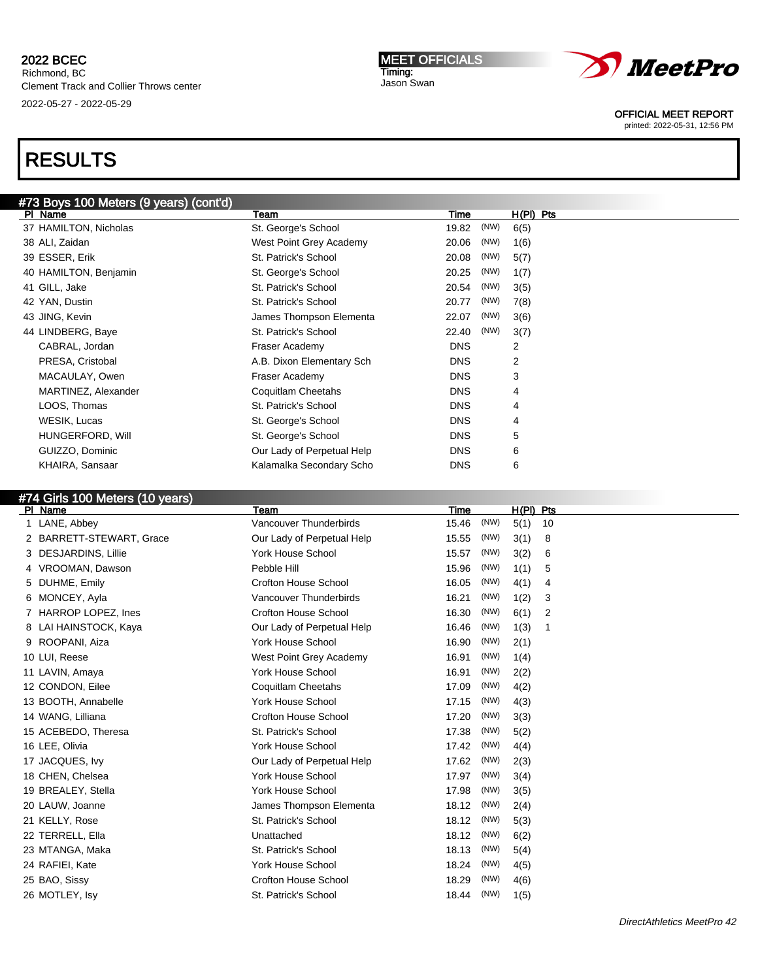## 2022 BCEC Richmond, BC

Clement Track and Collier Throws center 2022-05-27 - 2022-05-29

# RESULTS

|         | <b>MEET OFFICIALS</b> |
|---------|-----------------------|
| Timing: |                       |

Jason Swan



OFFICIAL MEET REPORT

printed: 2022-05-31, 12:56 PM

| #73 Boys 100 Meters (9 years) (cont'd) |                            |               |                |  |  |
|----------------------------------------|----------------------------|---------------|----------------|--|--|
| PI Name                                | Team                       | Time          | $H(PI)$ Pts    |  |  |
| 37 HAMILTON, Nicholas                  | St. George's School        | (NW)<br>19.82 | 6(5)           |  |  |
| 38 ALI, Zaidan                         | West Point Grey Academy    | (NW)<br>20.06 | 1(6)           |  |  |
| 39 ESSER, Erik                         | St. Patrick's School       | (NW)<br>20.08 | 5(7)           |  |  |
| 40 HAMILTON, Benjamin                  | St. George's School        | (NW)<br>20.25 | 1(7)           |  |  |
| 41 GILL, Jake                          | St. Patrick's School       | (NW)<br>20.54 | 3(5)           |  |  |
| 42 YAN, Dustin                         | St. Patrick's School       | (NW)<br>20.77 | 7(8)           |  |  |
| 43 JING, Kevin                         | James Thompson Elementa    | (NW)<br>22.07 | 3(6)           |  |  |
| 44 LINDBERG, Baye                      | St. Patrick's School       | (NW)<br>22.40 | 3(7)           |  |  |
| CABRAL, Jordan                         | Fraser Academy             | <b>DNS</b>    | 2              |  |  |
| PRESA, Cristobal                       | A.B. Dixon Elementary Sch  | <b>DNS</b>    | $\overline{2}$ |  |  |
| MACAULAY, Owen                         | Fraser Academy             | <b>DNS</b>    | 3              |  |  |
| MARTINEZ, Alexander                    | Coquitlam Cheetahs         | <b>DNS</b>    | 4              |  |  |
| LOOS, Thomas                           | St. Patrick's School       | <b>DNS</b>    | 4              |  |  |
| WESIK, Lucas                           | St. George's School        | <b>DNS</b>    | 4              |  |  |
| HUNGERFORD, Will                       | St. George's School        | <b>DNS</b>    | 5              |  |  |
| GUIZZO, Dominic                        | Our Lady of Perpetual Help | <b>DNS</b>    | 6              |  |  |
| KHAIRA, Sansaar                        | Kalamalka Secondary Scho   | <b>DNS</b>    | 6              |  |  |

## #74 Girls 100 Meters (10 years)

| PI Name                  | Team                        | <b>Time</b> |      | $H(PI)$ Pts |    |
|--------------------------|-----------------------------|-------------|------|-------------|----|
| 1 LANE, Abbey            | Vancouver Thunderbirds      | 15.46       | (NW) | 5(1)        | 10 |
| 2 BARRETT-STEWART, Grace | Our Lady of Perpetual Help  | 15.55       | (NW) | 3(1)        | 8  |
| DESJARDINS, Lillie<br>3  | <b>York House School</b>    | 15.57       | (NW) | 3(2)        | 6  |
| VROOMAN, Dawson          | Pebble Hill                 | 15.96       | (NW) | 1(1)        | 5  |
| DUHME, Emily<br>5        | <b>Crofton House School</b> | 16.05       | (NW) | 4(1)        | 4  |
| MONCEY, Ayla<br>6        | Vancouver Thunderbirds      | 16.21       | (NW) | 1(2)        | 3  |
| HARROP LOPEZ, Ines       | <b>Crofton House School</b> | 16.30       | (NW) | 6(1)        | 2  |
| 8 LAI HAINSTOCK, Kaya    | Our Lady of Perpetual Help  | 16.46       | (NW) | 1(3)        | -1 |
| ROOPANI, Aiza            | <b>York House School</b>    | 16.90       | (NW) | 2(1)        |    |
| 10 LUI, Reese            | West Point Grey Academy     | 16.91       | (NW) | 1(4)        |    |
| 11 LAVIN, Amaya          | <b>York House School</b>    | 16.91       | (NW) | 2(2)        |    |
| 12 CONDON, Eilee         | Coquitlam Cheetahs          | 17.09       | (NW) | 4(2)        |    |
| 13 BOOTH, Annabelle      | <b>York House School</b>    | 17.15       | (NW) | 4(3)        |    |
| 14 WANG, Lilliana        | <b>Crofton House School</b> | 17.20       | (NW) | 3(3)        |    |
| 15 ACEBEDO, Theresa      | St. Patrick's School        | 17.38       | (NW) | 5(2)        |    |
| 16 LEE, Olivia           | York House School           | 17.42       | (NW) | 4(4)        |    |
| 17 JACQUES, Ivy          | Our Lady of Perpetual Help  | 17.62       | (NW) | 2(3)        |    |
| 18 CHEN, Chelsea         | <b>York House School</b>    | 17.97       | (NW) | 3(4)        |    |
| 19 BREALEY, Stella       | <b>York House School</b>    | 17.98       | (NW) | 3(5)        |    |
| 20 LAUW, Joanne          | James Thompson Elementa     | 18.12       | (NW) | 2(4)        |    |
| 21 KELLY, Rose           | St. Patrick's School        | 18.12       | (NW) | 5(3)        |    |
| 22 TERRELL, Ella         | Unattached                  | 18.12       | (NW) | 6(2)        |    |
| 23 MTANGA, Maka          | St. Patrick's School        | 18.13       | (NW) | 5(4)        |    |
| 24 RAFIEI, Kate          | <b>York House School</b>    | 18.24       | (NW) | 4(5)        |    |
| 25 BAO, Sissy            | <b>Crofton House School</b> | 18.29       | (NW) | 4(6)        |    |
| 26 MOTLEY, Isv           | St. Patrick's School        | 18.44       | (NW) | 1(5)        |    |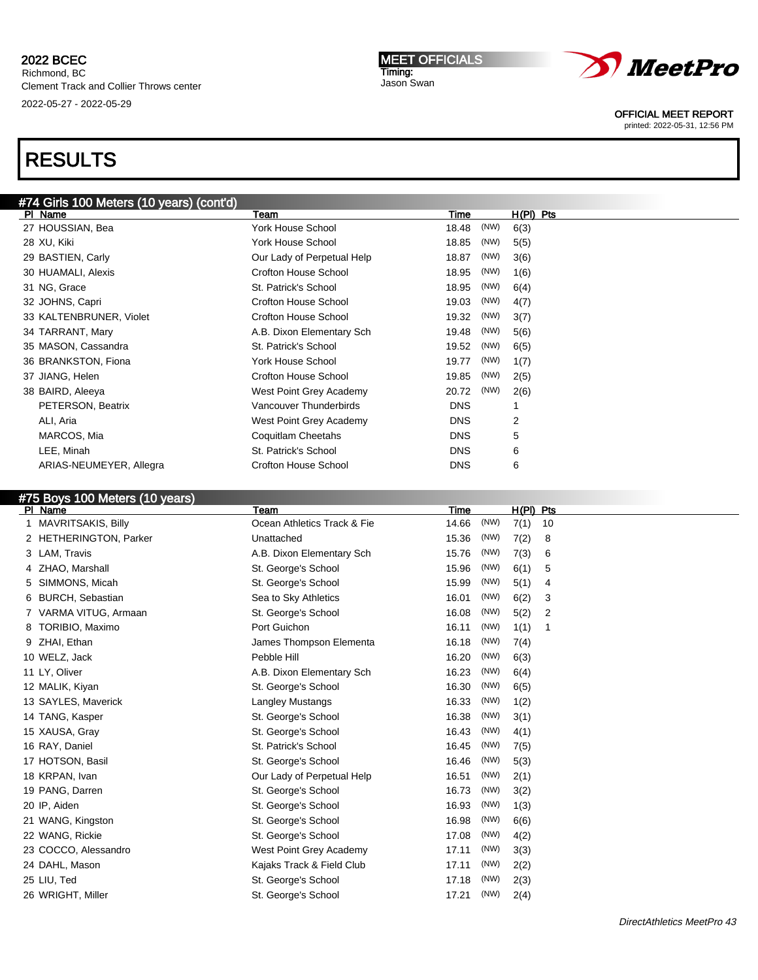2022-05-27 - 2022-05-29

# RESULTS

#### MEET OFFICIALS Timing: Jason Swan



OFFICIAL MEET REPORT

printed: 2022-05-31, 12:56 PM

### #74 Girls 100 Meters (10 years) (cont'd) PI Name **The H(PI)** Pts Team Team Team Team Time H(PI) Pts 27 HOUSSIAN, Bea **York House School** 18.48 (NW) 6(3) 28 XU, Kiki **XVI, Kiki York House School** 18.85 (NW) 5(5) 29 BASTIEN, Carly **Carly Carly Carly Concerned Carly Concerned Help** 18.87 (NW) 3(6) 30 HUAMALI, Alexis Crofton House School 18.95 (NW) 1(6) 31 NG, Grace St. Patrick's School 18.95 (NW) 6(4) 32 JOHNS, Capri Crofton House School 19.03 (NW) 4(7) 33 KALTENBRUNER, Violet Crofton House School 19.32 (NW) 3(7) 34 TARRANT, Mary **A.B. Dixon Elementary Sch** 19.48 (NW) 5(6) 35 MASON, Cassandra **St. Patrick's School** 19.52 (NW) 6(5) 36 BRANKSTON, Fiona **York House School** 19.77 (NW) 1(7) 37 JIANG, Helen **19.85** (NW) 2(5) Crofton House School 19.85 (NW) 2(5) 38 BAIRD, Aleeya West Point Grey Academy 20.72 (NW) 2(6) PETERSON, Beatrix **CONSISTERSON, Beatrix CONSISTERS** ON Vancouver Thunderbirds **CONSISTERS** ALI, Aria West Point Grey Academy DNS 2 MARCOS, Mia **Coquitlam Cheetahs** DNS 5 LEE, Minah **St. Patrick's School** DNS 6 ARIAS-NEUMEYER, Allegra Crofton House School DNS 6

## #75 Boys 100 Meters (10 years)

| PI Name                      | Team                        | Time          | $H(PI)$ Pts |    |
|------------------------------|-----------------------------|---------------|-------------|----|
| MAVRITSAKIS, Billy           | Ocean Athletics Track & Fie | (NW)<br>14.66 | 7(1)        | 10 |
| 2 HETHERINGTON, Parker       | Unattached                  | (NW)<br>15.36 | 7(2)        | 8  |
| LAM, Travis<br>3             | A.B. Dixon Elementary Sch   | (NW)<br>15.76 | 7(3)        | 6  |
| ZHAO, Marshall               | St. George's School         | (NW)<br>15.96 | 6(1)        | 5  |
| SIMMONS, Micah<br>5          | St. George's School         | (NW)<br>15.99 | 5(1)        | 4  |
| <b>BURCH, Sebastian</b><br>6 | Sea to Sky Athletics        | (NW)<br>16.01 | 6(2)        | 3  |
| VARMA VITUG, Armaan          | St. George's School         | (NW)<br>16.08 | 5(2)        | 2  |
| TORIBIO, Maximo              | Port Guichon                | (NW)<br>16.11 | 1(1)        | -1 |
| ZHAI, Ethan                  | James Thompson Elementa     | (NW)<br>16.18 | 7(4)        |    |
| 10 WELZ, Jack                | Pebble Hill                 | (NW)<br>16.20 | 6(3)        |    |
| 11 LY, Oliver                | A.B. Dixon Elementary Sch   | (NW)<br>16.23 | 6(4)        |    |
| 12 MALIK, Kiyan              | St. George's School         | (NW)<br>16.30 | 6(5)        |    |
| 13 SAYLES, Maverick          | <b>Langley Mustangs</b>     | (NW)<br>16.33 | 1(2)        |    |
| 14 TANG, Kasper              | St. George's School         | (NW)<br>16.38 | 3(1)        |    |
| 15 XAUSA, Gray               | St. George's School         | (NW)<br>16.43 | 4(1)        |    |
| 16 RAY, Daniel               | St. Patrick's School        | (NW)<br>16.45 | 7(5)        |    |
| 17 HOTSON, Basil             | St. George's School         | (NW)<br>16.46 | 5(3)        |    |
| 18 KRPAN, Ivan               | Our Lady of Perpetual Help  | (NW)<br>16.51 | 2(1)        |    |
| 19 PANG, Darren              | St. George's School         | (NW)<br>16.73 | 3(2)        |    |
| 20 IP, Aiden                 | St. George's School         | (NW)<br>16.93 | 1(3)        |    |
| 21 WANG, Kingston            | St. George's School         | (NW)<br>16.98 | 6(6)        |    |
| 22 WANG, Rickie              | St. George's School         | (NW)<br>17.08 | 4(2)        |    |
| 23 COCCO, Alessandro         | West Point Grey Academy     | (NW)<br>17.11 | 3(3)        |    |
| 24 DAHL, Mason               | Kajaks Track & Field Club   | (NW)<br>17.11 | 2(2)        |    |
| 25 LIU, Ted                  | St. George's School         | (NW)<br>17.18 | 2(3)        |    |
| 26 WRIGHT, Miller            | St. George's School         | (NW)<br>17.21 | 2(4)        |    |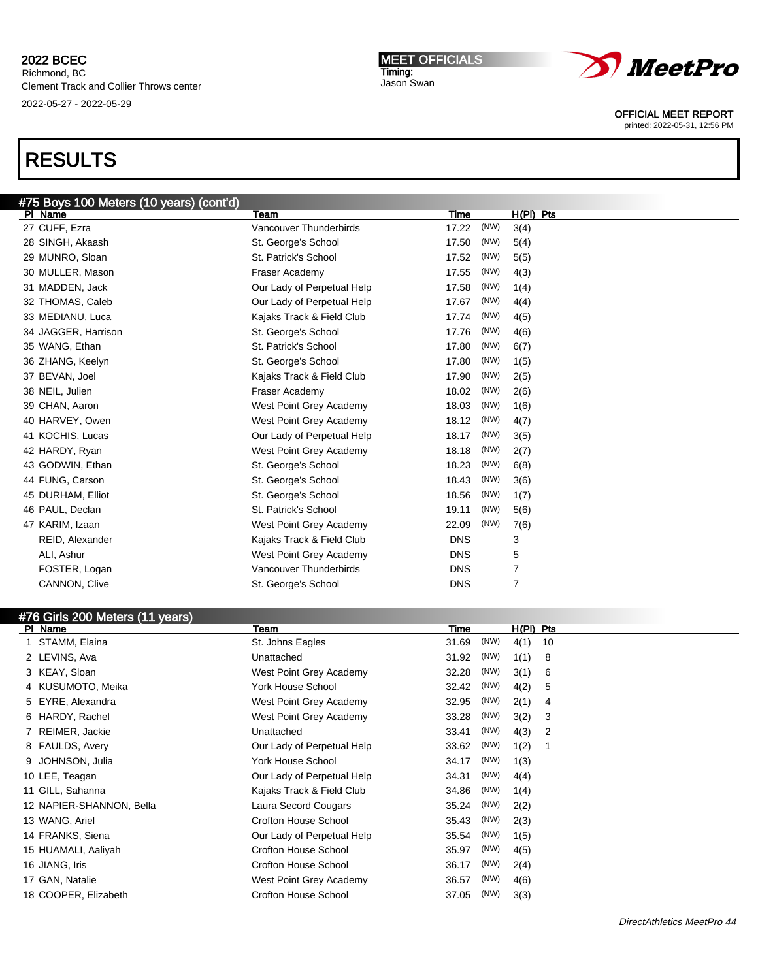# RESULTS

| #75 Boys 100 Meters (10 years) (cont'd) |                            |            |      |                |  |
|-----------------------------------------|----------------------------|------------|------|----------------|--|
| PI Name                                 | Team                       | Time       |      | $H(PI)$ Pts    |  |
| 27 CUFF, Ezra                           | Vancouver Thunderbirds     | 17.22      | (NW) | 3(4)           |  |
| 28 SINGH, Akaash                        | St. George's School        | 17.50      | (NW) | 5(4)           |  |
| 29 MUNRO, Sloan                         | St. Patrick's School       | 17.52      | (NW) | 5(5)           |  |
| 30 MULLER, Mason                        | Fraser Academy             | 17.55      | (NW) | 4(3)           |  |
| 31 MADDEN, Jack                         | Our Lady of Perpetual Help | 17.58      | (NW) | 1(4)           |  |
| 32 THOMAS, Caleb                        | Our Lady of Perpetual Help | 17.67      | (NW) | 4(4)           |  |
| 33 MEDIANU, Luca                        | Kajaks Track & Field Club  | 17.74      | (NW) | 4(5)           |  |
| 34 JAGGER, Harrison                     | St. George's School        | 17.76      | (NW) | 4(6)           |  |
| 35 WANG, Ethan                          | St. Patrick's School       | 17.80      | (NW) | 6(7)           |  |
| 36 ZHANG, Keelyn                        | St. George's School        | 17.80      | (NW) | 1(5)           |  |
| 37 BEVAN, Joel                          | Kajaks Track & Field Club  | 17.90      | (NW) | 2(5)           |  |
| 38 NEIL, Julien                         | Fraser Academy             | 18.02      | (NW) | 2(6)           |  |
| 39 CHAN, Aaron                          | West Point Grey Academy    | 18.03      | (NW) | 1(6)           |  |
| 40 HARVEY, Owen                         | West Point Grey Academy    | 18.12      | (NW) | 4(7)           |  |
| 41 KOCHIS, Lucas                        | Our Lady of Perpetual Help | 18.17      | (NW) | 3(5)           |  |
| 42 HARDY, Ryan                          | West Point Grey Academy    | 18.18      | (NW) | 2(7)           |  |
| 43 GODWIN, Ethan                        | St. George's School        | 18.23      | (NW) | 6(8)           |  |
| 44 FUNG, Carson                         | St. George's School        | 18.43      | (NW) | 3(6)           |  |
| 45 DURHAM, Elliot                       | St. George's School        | 18.56      | (NW) | 1(7)           |  |
| 46 PAUL, Declan                         | St. Patrick's School       | 19.11      | (NW) | 5(6)           |  |
| 47 KARIM, Izaan                         | West Point Grey Academy    | 22.09      | (NW) | 7(6)           |  |
| REID, Alexander                         | Kajaks Track & Field Club  | <b>DNS</b> |      | 3              |  |
| ALI, Ashur                              | West Point Grey Academy    | <b>DNS</b> |      | 5              |  |
| FOSTER, Logan                           | Vancouver Thunderbirds     | <b>DNS</b> |      | $\overline{7}$ |  |
| CANNON, Clive                           | St. George's School        | <b>DNS</b> |      | $\overline{7}$ |  |
|                                         |                            |            |      |                |  |

| #76 Girls 200 Meters (11 years) |                            |       |      |             |    |
|---------------------------------|----------------------------|-------|------|-------------|----|
| PI Name                         | Team                       | Time  |      | $H(PI)$ Pts |    |
| STAMM, Elaina                   | St. Johns Eagles           | 31.69 | (NW) | 4(1)        | 10 |
| 2 LEVINS, Ava                   | Unattached                 | 31.92 | (NW) | 1(1)        | 8  |
| 3 KEAY, Sloan                   | West Point Grey Academy    | 32.28 | (NW) | 3(1)        | 6  |
| 4 KUSUMOTO, Meika               | <b>York House School</b>   | 32.42 | (NW) | 4(2)        | 5  |
| 5 EYRE, Alexandra               | West Point Grey Academy    | 32.95 | (NW) | 2(1)        | 4  |
| 6 HARDY, Rachel                 | West Point Grey Academy    | 33.28 | (NW) | 3(2)        | 3  |
| REIMER, Jackie                  | Unattached                 | 33.41 | (NW) | 4(3)        | 2  |
| 8 FAULDS, Avery                 | Our Lady of Perpetual Help | 33.62 | (NW) | 1(2)        |    |
| 9 JOHNSON, Julia                | <b>York House School</b>   | 34.17 | (NW) | 1(3)        |    |
| 10 LEE, Teagan                  | Our Lady of Perpetual Help | 34.31 | (NW) | 4(4)        |    |
| 11 GILL, Sahanna                | Kajaks Track & Field Club  | 34.86 | (NW) | 1(4)        |    |
| 12 NAPIER-SHANNON, Bella        | Laura Secord Cougars       | 35.24 | (NW) | 2(2)        |    |
| 13 WANG, Ariel                  | Crofton House School       | 35.43 | (NW) | 2(3)        |    |
| 14 FRANKS, Siena                | Our Lady of Perpetual Help | 35.54 | (NW) | 1(5)        |    |
| 15 HUAMALI, Aaliyah             | Crofton House School       | 35.97 | (NW) | 4(5)        |    |
| 16 JIANG, Iris                  | Crofton House School       | 36.17 | (NW) | 2(4)        |    |
| 17 GAN, Natalie                 | West Point Grey Academy    | 36.57 | (NW) | 4(6)        |    |
| 18 COOPER, Elizabeth            | Crofton House School       | 37.05 | (NW) | 3(3)        |    |
|                                 |                            |       |      |             |    |

MEET OFFICIALS Timing: Jason Swan



OFFICIAL MEET REPORT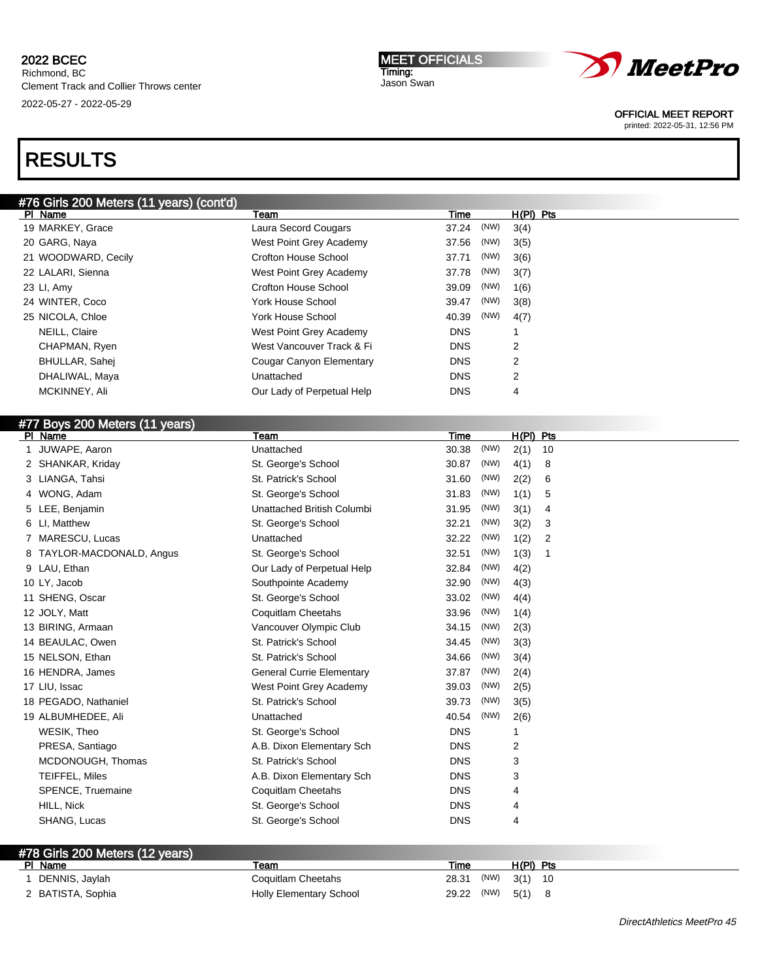#### MEET OFFICIALS Timing: Jason Swan



OFFICIAL MEET REPORT

printed: 2022-05-31, 12:56 PM

# RESULTS

| #76 Girls 200 Meters (11 years) (cont'd) |                            |               |            |  |
|------------------------------------------|----------------------------|---------------|------------|--|
| PI Name                                  | Team                       | Time          | H(PI) Pts  |  |
| 19 MARKEY, Grace                         | Laura Secord Cougars       | (NW)<br>37.24 | 3(4)       |  |
| 20 GARG, Naya                            | West Point Grey Academy    | (NW)<br>37.56 | 3(5)       |  |
| 21 WOODWARD, Cecily                      | Crofton House School       | (NW)<br>37.71 | 3(6)       |  |
| 22 LALARI, Sienna                        | West Point Grey Academy    | (NW)<br>37.78 | 3(7)       |  |
| 23 LI, Amy                               | Crofton House School       | (NW)<br>39.09 | 1(6)       |  |
| 24 WINTER, Coco                          | York House School          | (NW)<br>39.47 | 3(8)       |  |
| 25 NICOLA, Chloe                         | York House School          | (NW)<br>40.39 | 4(7)       |  |
| NEILL, Claire                            | West Point Grey Academy    | <b>DNS</b>    |            |  |
| CHAPMAN, Ryen                            | West Vancouver Track & Fi  | <b>DNS</b>    | 2          |  |
| BHULLAR, Sahej                           | Cougar Canyon Elementary   | <b>DNS</b>    | 2          |  |
| DHALIWAL, Maya                           | Unattached                 | <b>DNS</b>    | 2          |  |
| MCKINNEY, Ali                            | Our Lady of Perpetual Help | <b>DNS</b>    | 4          |  |
| #77 Boys 200 Meters (11 years)           |                            |               |            |  |
| PI Name                                  | Team                       | Time          | H(PI) Pts  |  |
| JUWAPE, Aaron                            | Unattached                 | (NW)<br>30.38 | 2(1)<br>10 |  |
| 2 SHANKAR, Kriday                        | St. George's School        | (NW)<br>30.87 | 4(1)<br>8  |  |
| $2$ $110NCA$ Tobei                       | <b>C+ Dotrick's Cohool</b> | (NW)<br>21.60 | 2(2)<br>G  |  |

| 2 SHANKAR, Kriday         | St. George's School              | 30.87      | (111) | 4(1) | ರ  |
|---------------------------|----------------------------------|------------|-------|------|----|
| 3 LIANGA, Tahsi           | St. Patrick's School             | 31.60      | (NW)  | 2(2) | 6  |
| 4 WONG, Adam              | St. George's School              | 31.83      | (NW)  | 1(1) | 5  |
| 5 LEE, Benjamin           | Unattached British Columbi       | 31.95      | (NW)  | 3(1) | 4  |
| 6 LI, Matthew             | St. George's School              | 32.21      | (NW)  | 3(2) | 3  |
| 7 MARESCU, Lucas          | Unattached                       | 32.22      | (NW)  | 1(2) | 2  |
| 8 TAYLOR-MACDONALD, Angus | St. George's School              | 32.51      | (NW)  | 1(3) | -1 |
| 9 LAU, Ethan              | Our Lady of Perpetual Help       | 32.84      | (NW)  | 4(2) |    |
| 10 LY, Jacob              | Southpointe Academy              | 32.90      | (NW)  | 4(3) |    |
| 11 SHENG, Oscar           | St. George's School              | 33.02      | (NW)  | 4(4) |    |
| 12 JOLY, Matt             | Coquitlam Cheetahs               | 33.96      | (NW)  | 1(4) |    |
| 13 BIRING, Armaan         | Vancouver Olympic Club           | 34.15      | (NW)  | 2(3) |    |
| 14 BEAULAC, Owen          | St. Patrick's School             | 34.45      | (NW)  | 3(3) |    |
| 15 NELSON, Ethan          | St. Patrick's School             | 34.66      | (NW)  | 3(4) |    |
| 16 HENDRA, James          | <b>General Currie Elementary</b> | 37.87      | (NW)  | 2(4) |    |
| 17 LIU, Issac             | West Point Grey Academy          | 39.03      | (NW)  | 2(5) |    |
| 18 PEGADO, Nathaniel      | St. Patrick's School             | 39.73      | (NW)  | 3(5) |    |
| 19 ALBUMHEDEE, Ali        | Unattached                       | 40.54      | (NW)  | 2(6) |    |
| WESIK, Theo               | St. George's School              | <b>DNS</b> |       | 1    |    |
| PRESA, Santiago           | A.B. Dixon Elementary Sch        | <b>DNS</b> |       | 2    |    |
| MCDONOUGH, Thomas         | St. Patrick's School             | <b>DNS</b> |       | 3    |    |
| TEIFFEL, Miles            | A.B. Dixon Elementary Sch        | <b>DNS</b> |       | 3    |    |
| SPENCE, Truemaine         | Coquitlam Cheetahs               | <b>DNS</b> |       | 4    |    |
| HILL, Nick                | St. George's School              | <b>DNS</b> |       | 4    |    |
| SHANG, Lucas              | St. George's School              | <b>DNS</b> |       | 4    |    |
|                           |                                  |            |       |      |    |

| #78 Girls 200 Meters (12 years) |                                |                   |                  |  |
|---------------------------------|--------------------------------|-------------------|------------------|--|
| PI Name                         | Team                           | Time              | $H(PI)$ Pts      |  |
| DENNIS, Jaylah                  | Coquitlam Cheetahs             | 28.31             | , $(NW)$ 3(1) 10 |  |
| 2 BATISTA, Sophia               | <b>Holly Elementary School</b> | 29.22 (NW) 5(1) 8 |                  |  |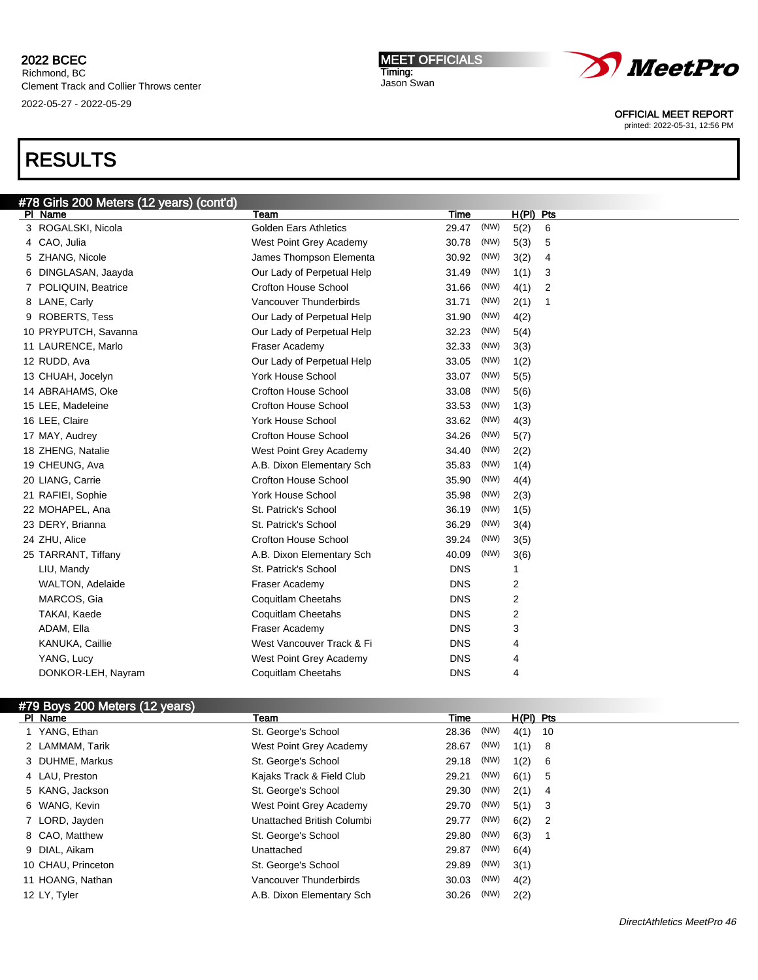Richmond, BC Clement Track and Collier Throws center 2022-05-27 - 2022-05-29

### MEET OFFICIALS Timing:

Jason Swan



OFFICIAL MEET REPORT

printed: 2022-05-31, 12:56 PM

# RESULTS

| #78 Girls 200 Meters (12 years) (cont'd) |                              |            |      |           |   |
|------------------------------------------|------------------------------|------------|------|-----------|---|
| PI Name                                  | Team                         | Time       |      | H(PI) Pts |   |
| 3 ROGALSKI, Nicola                       | <b>Golden Ears Athletics</b> | 29.47      | (NW) | 5(2)      | 6 |
| 4 CAO, Julia                             | West Point Grey Academy      | 30.78      | (NW) | 5(3)      | 5 |
| 5 ZHANG, Nicole                          | James Thompson Elementa      | 30.92      | (NW) | 3(2)      | 4 |
| DINGLASAN, Jaayda                        | Our Lady of Perpetual Help   | 31.49      | (NW) | 1(1)      | 3 |
| POLIQUIN, Beatrice                       | <b>Crofton House School</b>  | 31.66      | (NW) | 4(1)      | 2 |
| 8 LANE, Carly                            | Vancouver Thunderbirds       | 31.71      | (NW) | 2(1)      | 1 |
| 9 ROBERTS, Tess                          | Our Lady of Perpetual Help   | 31.90      | (NW) | 4(2)      |   |
| 10 PRYPUTCH, Savanna                     | Our Lady of Perpetual Help   | 32.23      | (NW) | 5(4)      |   |
| 11 LAURENCE, Marlo                       | Fraser Academy               | 32.33      | (NW) | 3(3)      |   |
| 12 RUDD, Ava                             | Our Lady of Perpetual Help   | 33.05      | (NW) | 1(2)      |   |
| 13 CHUAH, Jocelyn                        | <b>York House School</b>     | 33.07      | (NW) | 5(5)      |   |
| 14 ABRAHAMS, Oke                         | Crofton House School         | 33.08      | (NW) | 5(6)      |   |
| 15 LEE, Madeleine                        | <b>Crofton House School</b>  | 33.53      | (NW) | 1(3)      |   |
| 16 LEE, Claire                           | York House School            | 33.62      | (NW) | 4(3)      |   |
| 17 MAY, Audrey                           | <b>Crofton House School</b>  | 34.26      | (NW) | 5(7)      |   |
| 18 ZHENG, Natalie                        | West Point Grey Academy      | 34.40      | (NW) | 2(2)      |   |
| 19 CHEUNG, Ava                           | A.B. Dixon Elementary Sch    | 35.83      | (NW) | 1(4)      |   |
| 20 LIANG, Carrie                         | <b>Crofton House School</b>  | 35.90      | (NW) | 4(4)      |   |
| 21 RAFIEI, Sophie                        | York House School            | 35.98      | (NW) | 2(3)      |   |
| 22 MOHAPEL, Ana                          | St. Patrick's School         | 36.19      | (NW) | 1(5)      |   |
| 23 DERY, Brianna                         | St. Patrick's School         | 36.29      | (NW) | 3(4)      |   |
| 24 ZHU, Alice                            | <b>Crofton House School</b>  | 39.24      | (NW) | 3(5)      |   |
| 25 TARRANT, Tiffany                      | A.B. Dixon Elementary Sch    | 40.09      | (NW) | 3(6)      |   |
| LIU, Mandy                               | St. Patrick's School         | <b>DNS</b> |      | 1         |   |
| <b>WALTON, Adelaide</b>                  | Fraser Academy               | <b>DNS</b> |      | 2         |   |
| MARCOS, Gia                              | <b>Coquitlam Cheetahs</b>    | <b>DNS</b> |      | 2         |   |
| TAKAI, Kaede                             | <b>Coquitlam Cheetahs</b>    | <b>DNS</b> |      | 2         |   |
| ADAM, Ella                               | Fraser Academy               | <b>DNS</b> |      | 3         |   |
| KANUKA, Caillie                          | West Vancouver Track & Fi    | <b>DNS</b> |      | 4         |   |
| YANG, Lucy                               | West Point Grey Academy      | <b>DNS</b> |      | 4         |   |
| DONKOR-LEH, Nayram                       | <b>Coquitlam Cheetahs</b>    | <b>DNS</b> |      | 4         |   |

## #79 Boys 200 Meters (12 years)

| PI Name            | Team                       | Time  |      | $H(PI)$ Pts |     |
|--------------------|----------------------------|-------|------|-------------|-----|
| 1 YANG, Ethan      | St. George's School        | 28.36 | (NW) | $4(1)$ 10   |     |
| 2 LAMMAM, Tarik    | West Point Grey Academy    | 28.67 | (NW) | 1(1) 8      |     |
| 3 DUHME, Markus    | St. George's School        | 29.18 | (NW) | 1(2)        | - 6 |
| 4 LAU, Preston     | Kajaks Track & Field Club  | 29.21 | (NW) | $6(1)$ 5    |     |
| 5 KANG, Jackson    | St. George's School        | 29.30 | (NW) | 2(1)        | - 4 |
| 6 WANG, Kevin      | West Point Grey Academy    | 29.70 | (NW) | $5(1)$ 3    |     |
| 7 LORD, Jayden     | Unattached British Columbi | 29.77 | (NW) | $6(2)$ 2    |     |
| 8 CAO, Matthew     | St. George's School        | 29.80 | (NW) | 6(3)        |     |
| 9 DIAL, Aikam      | Unattached                 | 29.87 | (NW) | 6(4)        |     |
| 10 CHAU, Princeton | St. George's School        | 29.89 | (NW) | 3(1)        |     |
| 11 HOANG, Nathan   | Vancouver Thunderbirds     | 30.03 | (NW) | 4(2)        |     |
| 12 LY, Tyler       | A.B. Dixon Elementary Sch  | 30.26 | (NW) | 2(2)        |     |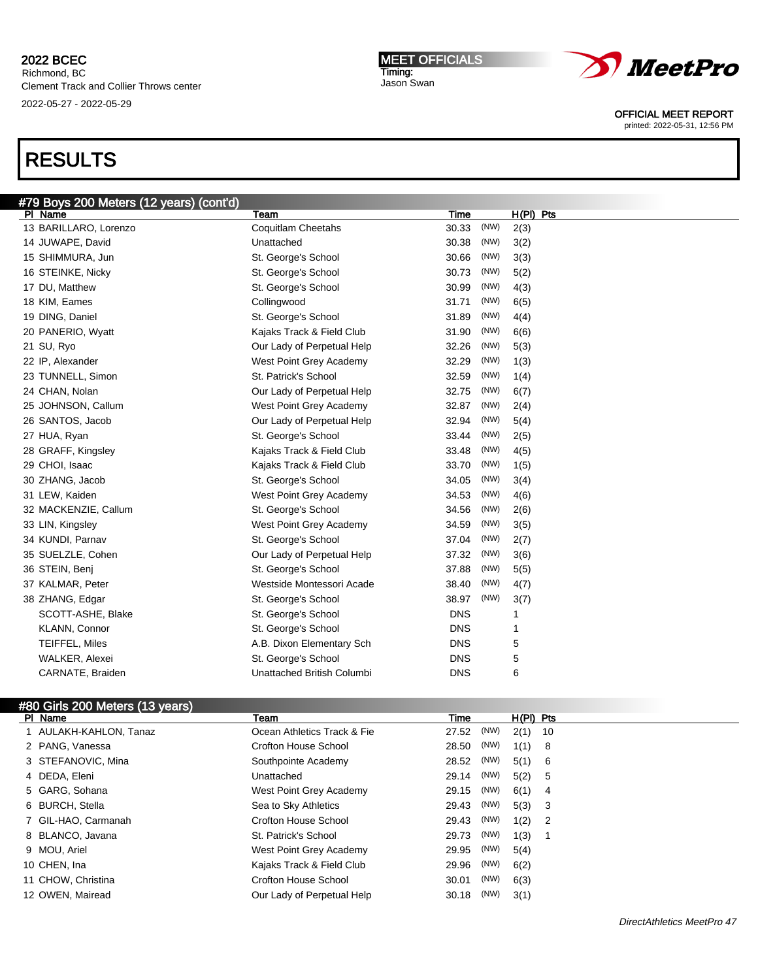Richmond, BC Clement Track and Collier Throws center 2022-05-27 - 2022-05-29

# RESULTS

| #79 Boys 200 Meters (12 years) (cont'd) |                            |               |              |
|-----------------------------------------|----------------------------|---------------|--------------|
| PI Name                                 | Team                       | Time          | $H(PI)$ Pts  |
| 13 BARILLARO, Lorenzo                   | <b>Coquitlam Cheetahs</b>  | (NW)<br>30.33 | 2(3)         |
| 14 JUWAPE, David                        | Unattached                 | 30.38<br>(NW) | 3(2)         |
| 15 SHIMMURA, Jun                        | St. George's School        | (NW)<br>30.66 | 3(3)         |
| 16 STEINKE, Nicky                       | St. George's School        | (NW)<br>30.73 | 5(2)         |
| 17 DU, Matthew                          | St. George's School        | (NW)<br>30.99 | 4(3)         |
| 18 KIM, Eames                           | Collingwood                | (NW)<br>31.71 | 6(5)         |
| 19 DING, Daniel                         | St. George's School        | (NW)<br>31.89 | 4(4)         |
| 20 PANERIO, Wyatt                       | Kajaks Track & Field Club  | (NW)<br>31.90 | 6(6)         |
| 21 SU, Ryo                              | Our Lady of Perpetual Help | (NW)<br>32.26 | 5(3)         |
| 22 IP, Alexander                        | West Point Grey Academy    | 32.29<br>(NW) | 1(3)         |
| 23 TUNNELL, Simon                       | St. Patrick's School       | 32.59<br>(NW) | 1(4)         |
| 24 CHAN, Nolan                          | Our Lady of Perpetual Help | (NW)<br>32.75 | 6(7)         |
| 25 JOHNSON, Callum                      | West Point Grey Academy    | (NW)<br>32.87 | 2(4)         |
| 26 SANTOS, Jacob                        | Our Lady of Perpetual Help | (NW)<br>32.94 | 5(4)         |
| 27 HUA, Ryan                            | St. George's School        | (NW)<br>33.44 | 2(5)         |
| 28 GRAFF, Kingsley                      | Kajaks Track & Field Club  | (NW)<br>33.48 | 4(5)         |
| 29 CHOI, Isaac                          | Kajaks Track & Field Club  | (NW)<br>33.70 | 1(5)         |
| 30 ZHANG, Jacob                         | St. George's School        | 34.05<br>(NW) | 3(4)         |
| 31 LEW, Kaiden                          | West Point Grey Academy    | 34.53<br>(NW) | 4(6)         |
| 32 MACKENZIE, Callum                    | St. George's School        | (NW)<br>34.56 | 2(6)         |
| 33 LIN, Kingsley                        | West Point Grey Academy    | (NW)<br>34.59 | 3(5)         |
| 34 KUNDI, Parnav                        | St. George's School        | 37.04<br>(NW) | 2(7)         |
| 35 SUELZLE, Cohen                       | Our Lady of Perpetual Help | (NW)<br>37.32 | 3(6)         |
| 36 STEIN, Benj                          | St. George's School        | (NW)<br>37.88 | 5(5)         |
| 37 KALMAR, Peter                        | Westside Montessori Acade  | (NW)<br>38.40 | 4(7)         |
| 38 ZHANG, Edgar                         | St. George's School        | 38.97<br>(NW) | 3(7)         |
| SCOTT-ASHE, Blake                       | St. George's School        | <b>DNS</b>    | 1            |
| KLANN, Connor                           | St. George's School        | <b>DNS</b>    | $\mathbf{1}$ |
| TEIFFEL, Miles                          | A.B. Dixon Elementary Sch  | <b>DNS</b>    | 5            |
| WALKER, Alexei                          | St. George's School        | <b>DNS</b>    | 5            |
| CARNATE, Braiden                        | Unattached British Columbi | <b>DNS</b>    | 6            |

## #80 Girls 200 Meters (13 years)

| PI Name                | Team                        | Time  |      | $H(PI)$ Pts |                            |
|------------------------|-----------------------------|-------|------|-------------|----------------------------|
| 1 AULAKH-KAHLON, Tanaz | Ocean Athletics Track & Fie | 27.52 | (NW) | $2(1)$ 10   |                            |
| 2 PANG, Vanessa        | Crofton House School        | 28.50 | (NW) | 1(1) 8      |                            |
| 3 STEFANOVIC, Mina     | Southpointe Academy         | 28.52 | (NW) | 5(1) 6      |                            |
| 4 DEDA, Eleni          | Unattached                  | 29.14 | (NW) | 5(2) 5      |                            |
| 5 GARG, Sohana         | West Point Grey Academy     | 29.15 | (NW) | 6(1)        | - 4                        |
| 6 BURCH, Stella        | Sea to Sky Athletics        | 29.43 | (NW) | $5(3)$ 3    |                            |
| 7 GIL-HAO, Carmanah    | Crofton House School        | 29.43 | (NW) | 1(2)        | $\overline{\phantom{0}}^2$ |
| 8 BLANCO, Javana       | St. Patrick's School        | 29.73 | (NW) | 1(3)        |                            |
| 9 MOU, Ariel           | West Point Grey Academy     | 29.95 | (NW) | 5(4)        |                            |
| 10 CHEN, Ina           | Kajaks Track & Field Club   | 29.96 | (NW) | 6(2)        |                            |
| 11 CHOW, Christina     | Crofton House School        | 30.01 | (NW) | 6(3)        |                            |
| 12 OWEN, Mairead       | Our Lady of Perpetual Help  | 30.18 | (NW) | 3(1)        |                            |





OFFICIAL MEET REPORT

printed: 2022-05-31, 12:56 PM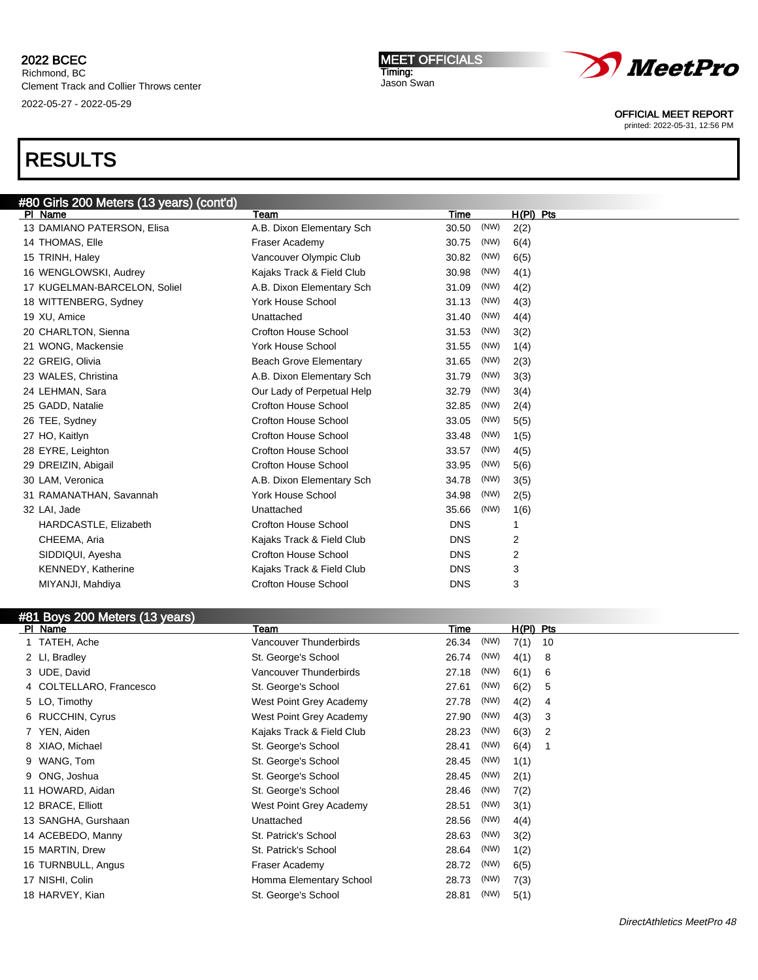MEET OFFICIALS Timing: Jason Swan



OFFICIAL MEET REPORT

printed: 2022-05-31, 12:56 PM

# RESULTS

| #80 Girls 200 Meters (13 years) (cont'd) |                               |            |      |             |
|------------------------------------------|-------------------------------|------------|------|-------------|
| PI Name                                  | Team                          | Time       |      | $H(PI)$ Pts |
| 13 DAMIANO PATERSON, Elisa               | A.B. Dixon Elementary Sch     | 30.50      | (NW) | 2(2)        |
| 14 THOMAS, Elle                          | Fraser Academy                | 30.75      | (NW) | 6(4)        |
| 15 TRINH, Haley                          | Vancouver Olympic Club        | 30.82      | (NW) | 6(5)        |
| 16 WENGLOWSKI, Audrey                    | Kajaks Track & Field Club     | 30.98      | (NW) | 4(1)        |
| 17 KUGELMAN-BARCELON, Soliel             | A.B. Dixon Elementary Sch     | 31.09      | (NW) | 4(2)        |
| 18 WITTENBERG, Sydney                    | <b>York House School</b>      | 31.13      | (NW) | 4(3)        |
| 19 XU, Amice                             | Unattached                    | 31.40      | (NW) | 4(4)        |
| 20 CHARLTON, Sienna                      | <b>Crofton House School</b>   | 31.53      | (NW) | 3(2)        |
| 21 WONG, Mackensie                       | <b>York House School</b>      | 31.55      | (NW) | 1(4)        |
| 22 GREIG, Olivia                         | <b>Beach Grove Elementary</b> | 31.65      | (NW) | 2(3)        |
| 23 WALES, Christina                      | A.B. Dixon Elementary Sch     | 31.79      | (NW) | 3(3)        |
| 24 LEHMAN, Sara                          | Our Lady of Perpetual Help    | 32.79      | (NW) | 3(4)        |
| 25 GADD, Natalie                         | <b>Crofton House School</b>   | 32.85      | (NW) | 2(4)        |
| 26 TEE, Sydney                           | <b>Crofton House School</b>   | 33.05      | (NW) | 5(5)        |
| 27 HO, Kaitlyn                           | <b>Crofton House School</b>   | 33.48      | (NW) | 1(5)        |
| 28 EYRE, Leighton                        | <b>Crofton House School</b>   | 33.57      | (NW) | 4(5)        |
| 29 DREIZIN, Abigail                      | <b>Crofton House School</b>   | 33.95      | (NW) | 5(6)        |
| 30 LAM, Veronica                         | A.B. Dixon Elementary Sch     | 34.78      | (NW) | 3(5)        |
| 31 RAMANATHAN, Savannah                  | <b>York House School</b>      | 34.98      | (NW) | 2(5)        |
| 32 LAI, Jade                             | Unattached                    | 35.66      | (NW) | 1(6)        |
| HARDCASTLE, Elizabeth                    | <b>Crofton House School</b>   | <b>DNS</b> |      | 1           |
| CHEEMA, Aria                             | Kajaks Track & Field Club     | <b>DNS</b> |      | 2           |
| SIDDIQUI, Ayesha                         | <b>Crofton House School</b>   | <b>DNS</b> |      | 2           |
| <b>KENNEDY, Katherine</b>                | Kajaks Track & Field Club     | <b>DNS</b> |      | 3           |
| MIYANJI, Mahdiya                         | <b>Crofton House School</b>   | <b>DNS</b> |      | 3           |
|                                          |                               |            |      |             |

| #81 Boys 200 Meters (13 years) |                           |       |      |             |    |
|--------------------------------|---------------------------|-------|------|-------------|----|
| PI Name                        | Team                      | Time  |      | $H(PI)$ Pts |    |
| 1 TATEH, Ache                  | Vancouver Thunderbirds    | 26.34 | (NW) | 7(1)        | 10 |
| 2 LI, Bradley                  | St. George's School       | 26.74 | (NW) | 4(1)        | 8  |
| 3 UDE, David                   | Vancouver Thunderbirds    | 27.18 | (NW) | 6(1)        | 6  |
| 4 COLTELLARO, Francesco        | St. George's School       | 27.61 | (NW) | 6(2)        | 5  |
| 5 LO, Timothy                  | West Point Grey Academy   | 27.78 | (NW) | 4(2)        | 4  |
| 6 RUCCHIN, Cyrus               | West Point Grey Academy   | 27.90 | (NW) | 4(3)        | 3  |
| YEN, Aiden                     | Kajaks Track & Field Club | 28.23 | (NW) | 6(3)        | 2  |
| 8 XIAO, Michael                | St. George's School       | 28.41 | (NW) | 6(4)        |    |
| 9 WANG, Tom                    | St. George's School       | 28.45 | (NW) | 1(1)        |    |
| 9 ONG, Joshua                  | St. George's School       | 28.45 | (NW) | 2(1)        |    |
| 11 HOWARD, Aidan               | St. George's School       | 28.46 | (NW) | 7(2)        |    |
| 12 BRACE, Elliott              | West Point Grey Academy   | 28.51 | (NW) | 3(1)        |    |
| 13 SANGHA, Gurshaan            | Unattached                | 28.56 | (NW) | 4(4)        |    |
| 14 ACEBEDO, Manny              | St. Patrick's School      | 28.63 | (NW) | 3(2)        |    |
| 15 MARTIN, Drew                | St. Patrick's School      | 28.64 | (NW) | 1(2)        |    |
| 16 TURNBULL, Angus             | Fraser Academy            | 28.72 | (NW) | 6(5)        |    |
| 17 NISHI, Colin                | Homma Elementary School   | 28.73 | (NW) | 7(3)        |    |
| 18 HARVEY, Kian                | St. George's School       | 28.81 | (NW) | 5(1)        |    |
|                                |                           |       |      |             |    |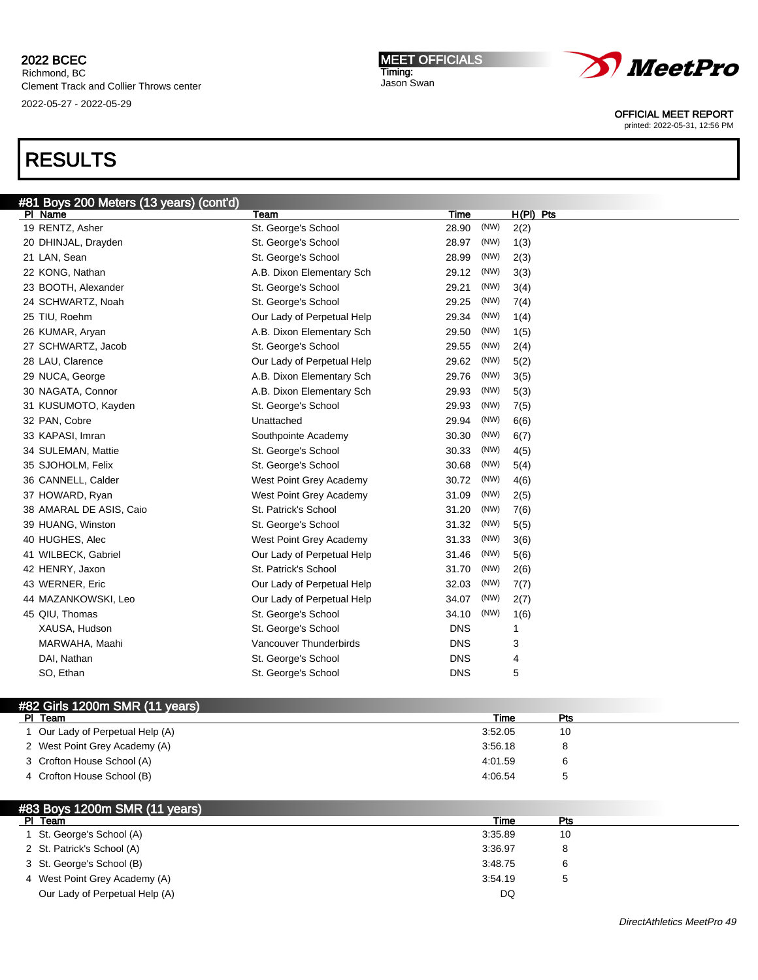Richmond, BC Clement Track and Collier Throws center 2022-05-27 - 2022-05-29

# RESULTS

| #81 Boys 200 Meters (13 years) (cont'd) |                            |               |             |
|-----------------------------------------|----------------------------|---------------|-------------|
| PI Name                                 | Team                       | Time          | $H(PI)$ Pts |
| 19 RENTZ, Asher                         | St. George's School        | (NW)<br>28.90 | 2(2)        |
| 20 DHINJAL, Drayden                     | St. George's School        | 28.97<br>(NW) | 1(3)        |
| 21 LAN, Sean                            | St. George's School        | 28.99<br>(NW) | 2(3)        |
| 22 KONG, Nathan                         | A.B. Dixon Elementary Sch  | (NW)<br>29.12 | 3(3)        |
| 23 BOOTH, Alexander                     | St. George's School        | (NW)<br>29.21 | 3(4)        |
| 24 SCHWARTZ, Noah                       | St. George's School        | (NW)<br>29.25 | 7(4)        |
| 25 TIU, Roehm                           | Our Lady of Perpetual Help | (NW)<br>29.34 | 1(4)        |
| 26 KUMAR, Aryan                         | A.B. Dixon Elementary Sch  | (NW)<br>29.50 | 1(5)        |
| 27 SCHWARTZ, Jacob                      | St. George's School        | 29.55<br>(NW) | 2(4)        |
| 28 LAU, Clarence                        | Our Lady of Perpetual Help | 29.62<br>(NW) | 5(2)        |
| 29 NUCA, George                         | A.B. Dixon Elementary Sch  | (NW)<br>29.76 | 3(5)        |
| 30 NAGATA, Connor                       | A.B. Dixon Elementary Sch  | (NW)<br>29.93 | 5(3)        |
| 31 KUSUMOTO, Kayden                     | St. George's School        | 29.93<br>(NW) | 7(5)        |
| 32 PAN, Cobre                           | Unattached                 | 29.94<br>(NW) | 6(6)        |
| 33 KAPASI, Imran                        | Southpointe Academy        | (NW)<br>30.30 | 6(7)        |
| 34 SULEMAN, Mattie                      | St. George's School        | (NW)<br>30.33 | 4(5)        |
| 35 SJOHOLM, Felix                       | St. George's School        | (NW)<br>30.68 | 5(4)        |
| 36 CANNELL, Calder                      | West Point Grey Academy    | (NW)<br>30.72 | 4(6)        |
| 37 HOWARD, Ryan                         | West Point Grey Academy    | (NW)<br>31.09 | 2(5)        |
| 38 AMARAL DE ASIS, Caio                 | St. Patrick's School       | (NW)<br>31.20 | 7(6)        |
| 39 HUANG, Winston                       | St. George's School        | (NW)<br>31.32 | 5(5)        |
| 40 HUGHES, Alec                         | West Point Grey Academy    | (NW)<br>31.33 | 3(6)        |
| 41 WILBECK, Gabriel                     | Our Lady of Perpetual Help | (NW)<br>31.46 | 5(6)        |
| 42 HENRY, Jaxon                         | St. Patrick's School       | (NW)<br>31.70 | 2(6)        |
| 43 WERNER, Eric                         | Our Lady of Perpetual Help | (NW)<br>32.03 | 7(7)        |
| 44 MAZANKOWSKI, Leo                     | Our Lady of Perpetual Help | (NW)<br>34.07 | 2(7)        |
| 45 QIU, Thomas                          | St. George's School        | 34.10<br>(NW) | 1(6)        |
| XAUSA, Hudson                           | St. George's School        | <b>DNS</b>    | 1           |
| MARWAHA, Maahi                          | Vancouver Thunderbirds     | <b>DNS</b>    | 3           |
| DAI, Nathan                             | St. George's School        | <b>DNS</b>    | 4           |
| SO, Ethan                               | St. George's School        | <b>DNS</b>    | 5           |
|                                         |                            |               |             |

# #82 Girls 1200m SMR (11 years)

| Team<br>PI.                    | Time    | Pts |  |
|--------------------------------|---------|-----|--|
| Our Lady of Perpetual Help (A) | 3:52.05 | 10  |  |
| 2 West Point Grey Academy (A)  | 3:56.18 |     |  |
| 3 Crofton House School (A)     | 4:01.59 |     |  |
| 4 Crofton House School (B)     | 4:06.54 |     |  |

## #83 Boys 1200m SMR (11 years)

| Team<br>PI.                    | Time    | Pts |  |
|--------------------------------|---------|-----|--|
| 1 St. George's School (A)      | 3:35.89 | 10  |  |
| 2 St. Patrick's School (A)     | 3:36.97 |     |  |
| 3 St. George's School (B)      | 3:48.75 | ь   |  |
| 4 West Point Grey Academy (A)  | 3:54.19 |     |  |
| Our Lady of Perpetual Help (A) | DQ      |     |  |



OFFICIAL MEET REPORT

printed: 2022-05-31, 12:56 PM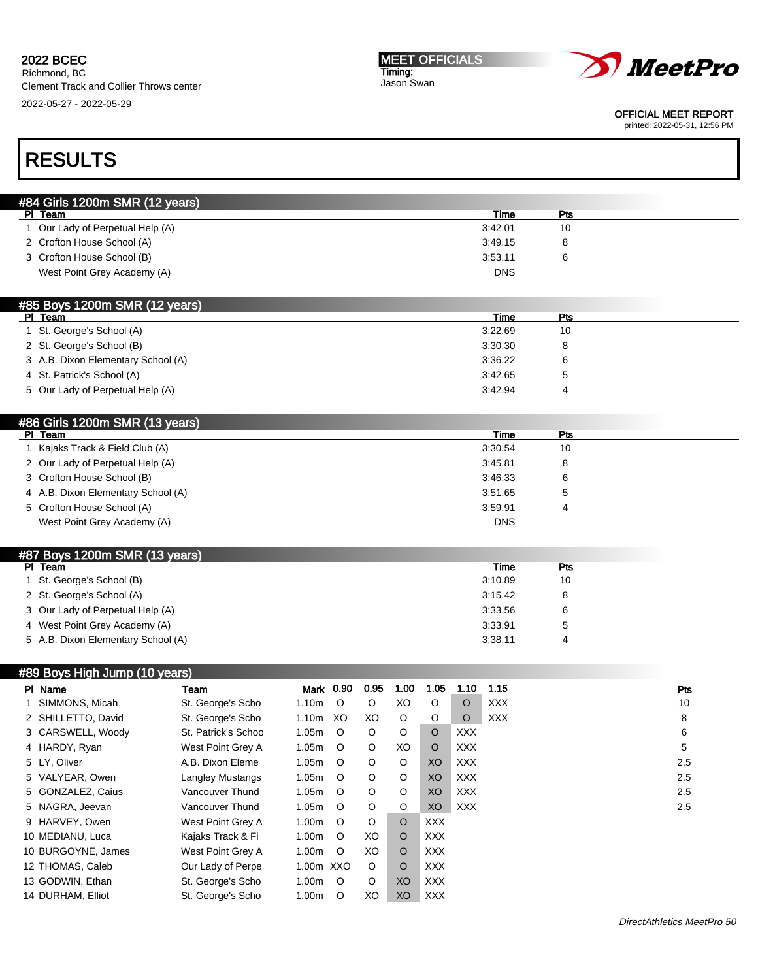2022-05-27 - 2022-05-29

#### MEET OFFICIALS Timing: Jason Swan



OFFICIAL MEET REPORT

printed: 2022-05-31, 12:56 PM

# RESULTS

| #84 Girls 1200m SMR (12 years)   |            |     |  |
|----------------------------------|------------|-----|--|
| PI Team                          | Time       | Pts |  |
| 1 Our Lady of Perpetual Help (A) | 3:42.01    | 10  |  |
| 2 Crofton House School (A)       | 3:49.15    |     |  |
| 3 Crofton House School (B)       | 3:53.11    |     |  |
| West Point Grey Academy (A)      | <b>DNS</b> |     |  |
|                                  |            |     |  |

| Time    | Pts |  |
|---------|-----|--|
| 3:22.69 | 10  |  |
| 3:30.30 |     |  |
| 3:36.22 |     |  |
| 3:42.65 |     |  |
| 3:42.94 |     |  |
|         |     |  |

# #86 Girls 1200m SMR (13 years)

| PI.<br>Team                        | Time       | Pts |  |
|------------------------------------|------------|-----|--|
| Kajaks Track & Field Club (A)      | 3:30.54    | 10  |  |
| 2 Our Lady of Perpetual Help (A)   | 3:45.81    | 8   |  |
| 3 Crofton House School (B)         | 3:46.33    | 6   |  |
| 4 A.B. Dixon Elementary School (A) | 3:51.65    |     |  |
| 5 Crofton House School (A)         | 3:59.91    |     |  |
| West Point Grey Academy (A)        | <b>DNS</b> |     |  |

## #87 Boys 1200m SMR (13 years)

| PI Team                            | Time    | Pts |  |
|------------------------------------|---------|-----|--|
| 1 St. George's School (B)          | 3:10.89 | 10  |  |
| 2 St. George's School (A)          | 3:15.42 | 8   |  |
| 3 Our Lady of Perpetual Help (A)   | 3:33.56 |     |  |
| 4 West Point Grey Academy (A)      | 3:33.91 |     |  |
| 5 A.B. Dixon Elementary School (A) | 3:38.11 |     |  |

## #89 Boys High Jump (10 years)

| PI Name            | Team                | <b>Mark</b> 0.90  |         | 0.95    | 1.00    | 1.05       | 1.10       | 1.15       | Pts |
|--------------------|---------------------|-------------------|---------|---------|---------|------------|------------|------------|-----|
| SIMMONS, Micah     | St. George's Scho   | 1.10m             | $\circ$ | $\circ$ | XO      | $\circ$    | O          | <b>XXX</b> | 10  |
| 2 SHILLETTO, David | St. George's Scho   | 1.10 <sub>m</sub> | XO.     | XO.     | $\circ$ | $\circ$    | $\circ$    | <b>XXX</b> | 8   |
| 3 CARSWELL, Woody  | St. Patrick's Schoo | 1.05m             | $\circ$ | $\circ$ | O       | $\Omega$   | <b>XXX</b> |            | 6   |
| 4 HARDY, Ryan      | West Point Grey A   | 1.05m             | $\circ$ | $\circ$ | XO      | $\circ$    | XXX        |            | 5   |
| 5 LY, Oliver       | A.B. Dixon Eleme    | 1.05m             | $\circ$ | $\circ$ | $\circ$ | XO         | XXX        |            | 2.5 |
| 5 VALYEAR, Owen    | Langley Mustangs    | 1.05m             | $\circ$ | $\circ$ | $\circ$ | XO         | XXX        |            | 2.5 |
| 5 GONZALEZ, Caius  | Vancouver Thund     | 1.05m             | $\circ$ | $\circ$ | $\circ$ | XO         | XXX        |            | 2.5 |
| 5 NAGRA, Jeevan    | Vancouver Thund     | 1.05m             | $\circ$ | $\circ$ | $\circ$ | XO         | XXX        |            | 2.5 |
| 9 HARVEY, Owen     | West Point Grey A   | 1.00m             | $\circ$ | O       | $\circ$ | <b>XXX</b> |            |            |     |
| 10 MEDIANU, Luca   | Kajaks Track & Fi   | 1.00m             | $\circ$ | XO      | O       | <b>XXX</b> |            |            |     |
| 10 BURGOYNE, James | West Point Grey A   | 1.00m             | $\circ$ | XO      | O       | <b>XXX</b> |            |            |     |
| 12 THOMAS, Caleb   | Our Lady of Perpe   | 1.00m XXO         |         | $\circ$ | O       | <b>XXX</b> |            |            |     |
| 13 GODWIN, Ethan   | St. George's Scho   | 1.00m             | $\circ$ | O       | XO      | <b>XXX</b> |            |            |     |
| 14 DURHAM, Elliot  | St. George's Scho   | 1.00m             | $\circ$ | XO      | XO      | <b>XXX</b> |            |            |     |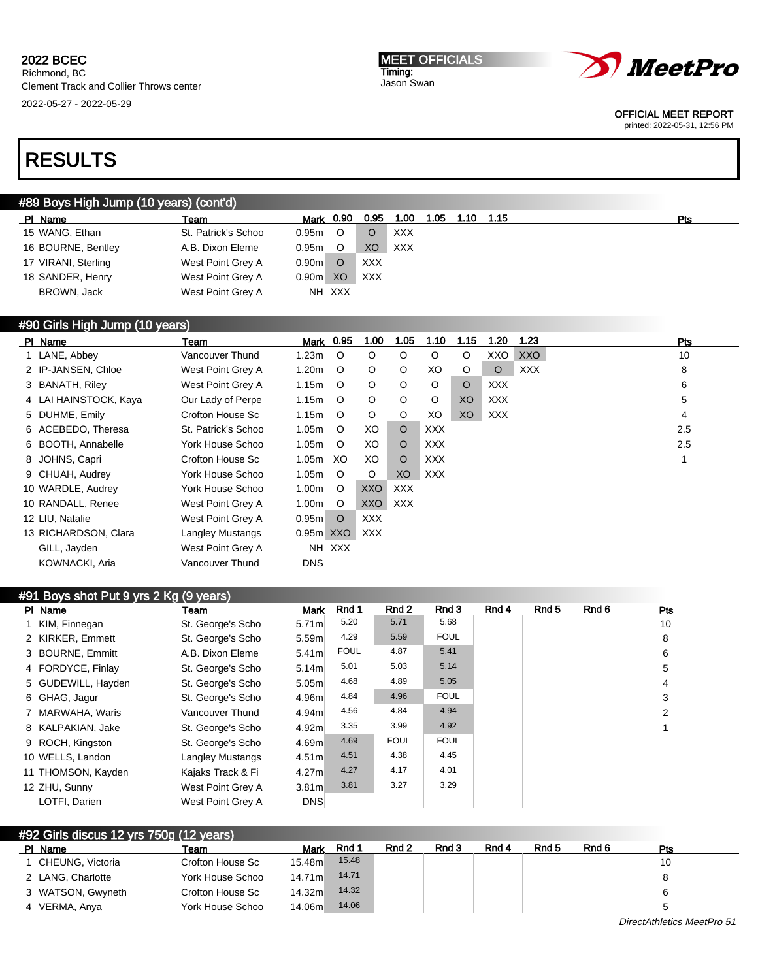MEET OFFICIALS Timing: Jason Swan



OFFICIAL MEET REPORT

printed: 2022-05-31, 12:56 PM

# RESULTS

## #89 Boys High Jump (10 years) (cont'd)

| PI Name             | Team                | Mark              | 0.90    | 0.95       | 1.00       | 1.05 | 1.10 | 1.15 | Pts |
|---------------------|---------------------|-------------------|---------|------------|------------|------|------|------|-----|
| 15 WANG, Ethan      | St. Patrick's Schoo | 0.95 <sub>m</sub> | $\circ$ |            | <b>XXX</b> |      |      |      |     |
| 16 BOURNE, Bentley  | A.B. Dixon Eleme    | 0.95 <sub>m</sub> | O       | XO         | <b>XXX</b> |      |      |      |     |
| 17 VIRANI, Sterling | West Point Grey A   | 0.90 <sub>m</sub> | O       | <b>XXX</b> |            |      |      |      |     |
| 18 SANDER, Henry    | West Point Grey A   | 0.90 <sub>m</sub> | XO      | <b>XXX</b> |            |      |      |      |     |
| BROWN, Jack         | West Point Grey A   |                   | NH XXX  |            |            |      |      |      |     |
|                     |                     |                   |         |            |            |      |      |      |     |

### #90 Girls High Jump (10 years)

| PI Name               | Team                    | Mark 0.95         |         | 1.00    | 1.05       | 1.10       | 1.15    | 1.20       | 1.23       | Pts |
|-----------------------|-------------------------|-------------------|---------|---------|------------|------------|---------|------------|------------|-----|
| 1 LANE, Abbey         | Vancouver Thund         | 1.23m             | $\circ$ | $\circ$ | $\circ$    | $\circ$    | O       | XXO        | <b>XXO</b> | 10  |
| 2 IP-JANSEN, Chloe    | West Point Grey A       | 1.20m             | $\circ$ | $\circ$ | $\circ$    | XO         | O       | $\circ$    | <b>XXX</b> | 8   |
| 3 BANATH, Riley       | West Point Grey A       | 1.15m             | $\circ$ | $\circ$ | $\circ$    | O          | $\circ$ | <b>XXX</b> |            | 6   |
| 4 LAI HAINSTOCK, Kaya | Our Lady of Perpe       | 1.15m             | $\circ$ | $\circ$ | $\circ$    | $\circ$    | XO      | <b>XXX</b> |            | 5   |
| 5 DUHME, Emily        | Crofton House Sc        | 1.15m             | $\circ$ | $\circ$ | O          | XO         | XO      | <b>XXX</b> |            | 4   |
| 6 ACEBEDO, Theresa    | St. Patrick's Schoo     | 1.05m             | $\circ$ | XO.     | $\circ$    | <b>XXX</b> |         |            |            | 2.5 |
| 6 BOOTH, Annabelle    | York House Schoo        | 1.05m             | $\circ$ | XO.     | $\circ$    | XXX        |         |            |            | 2.5 |
| 8 JOHNS, Capri        | Crofton House Sc        | 1.05m             | XO.     | XO      | $\circ$    | <b>XXX</b> |         |            |            |     |
| 9 CHUAH, Audrey       | York House Schoo        | 1.05m             | $\circ$ | O       | XO         | <b>XXX</b> |         |            |            |     |
| 10 WARDLE, Audrey     | York House Schoo        | 1.00 <sub>m</sub> | $\circ$ | XXO     | <b>XXX</b> |            |         |            |            |     |
| 10 RANDALL, Renee     | West Point Grey A       | 1.00 <sub>m</sub> | $\circ$ | XXO     | XXX        |            |         |            |            |     |
| 12 LIU, Natalie       | West Point Grey A       | 0.95 <sub>m</sub> | $\circ$ | XXX     |            |            |         |            |            |     |
| 13 RICHARDSON, Clara  | <b>Langley Mustangs</b> | 0.95m XXO         |         | XXX     |            |            |         |            |            |     |
| GILL, Jayden          | West Point Grey A       |                   | NH XXX  |         |            |            |         |            |            |     |
| KOWNACKI, Aria        | Vancouver Thund         | <b>DNS</b>        |         |         |            |            |         |            |            |     |

| #91 Boys shot Put 9 yrs 2 Kg (9 years) |                    |                         |                   |             |             |             |       |       |       |     |  |
|----------------------------------------|--------------------|-------------------------|-------------------|-------------|-------------|-------------|-------|-------|-------|-----|--|
|                                        | PI Name            | Team                    | <b>Mark</b>       | Rnd 1       | Rnd 2       | Rnd 3       | Rnd 4 | Rnd 5 | Rnd 6 | Pts |  |
|                                        | 1 KIM, Finnegan    | St. George's Scho       | 5.71 <sub>m</sub> | 5.20        | 5.71        | 5.68        |       |       |       | 10  |  |
|                                        | 2 KIRKER, Emmett   | St. George's Scho       | 5.59m             | 4.29        | 5.59        | <b>FOUL</b> |       |       |       | 8   |  |
|                                        | 3 BOURNE, Emmitt   | A.B. Dixon Eleme        | 5.41 <sub>m</sub> | <b>FOUL</b> | 4.87        | 5.41        |       |       |       | 6   |  |
|                                        | 4 FORDYCE, Finlay  | St. George's Scho       | 5.14m             | 5.01        | 5.03        | 5.14        |       |       |       | 5   |  |
|                                        | 5 GUDEWILL, Hayden | St. George's Scho       | 5.05 <sub>m</sub> | 4.68        | 4.89        | 5.05        |       |       |       | 4   |  |
|                                        | 6 GHAG, Jagur      | St. George's Scho       | 4.96m             | 4.84        | 4.96        | <b>FOUL</b> |       |       |       | 3   |  |
|                                        | 7 MARWAHA, Waris   | Vancouver Thund         | 4.94 <sub>m</sub> | 4.56        | 4.84        | 4.94        |       |       |       | 2   |  |
|                                        | 8 KALPAKIAN, Jake  | St. George's Scho       | 4.92m             | 3.35        | 3.99        | 4.92        |       |       |       |     |  |
|                                        | 9 ROCH, Kingston   | St. George's Scho       | 4.69m             | 4.69        | <b>FOUL</b> | <b>FOUL</b> |       |       |       |     |  |
|                                        | 10 WELLS, Landon   | <b>Langley Mustangs</b> | 4.51m             | 4.51        | 4.38        | 4.45        |       |       |       |     |  |
|                                        | 11 THOMSON, Kayden | Kajaks Track & Fi       | 4.27m             | 4.27        | 4.17        | 4.01        |       |       |       |     |  |
|                                        | 12 ZHU, Sunny      | West Point Grey A       | 3.81 <sub>m</sub> | 3.81        | 3.27        | 3.29        |       |       |       |     |  |
|                                        | LOTFI, Darien      | West Point Grey A       | <b>DNS</b>        |             |             |             |       |       |       |     |  |

| #92 Girls discus 12 yrs 750g (12 years) |                    |                  |         |       |       |       |       |       |       |     |  |
|-----------------------------------------|--------------------|------------------|---------|-------|-------|-------|-------|-------|-------|-----|--|
|                                         | PI Name            | Team             | Mark    | Rnd 1 | Rnd 2 | Rnd 3 | Rnd 4 | Rnd 5 | Rnd 6 | Pts |  |
|                                         | 1 CHEUNG, Victoria | Crofton House Sc | 15.48ml | 15.48 |       |       |       |       |       | 10  |  |
|                                         | 2 LANG, Charlotte  | York House Schoo | 14.71m  | 14.71 |       |       |       |       |       |     |  |
|                                         | 3 WATSON, Gwyneth  | Crofton House Sc | 14.32m  | 14.32 |       |       |       |       |       |     |  |
|                                         | 4 VERMA, Anya      | York House Schoo | 14.06m  | 14.06 |       |       |       |       |       |     |  |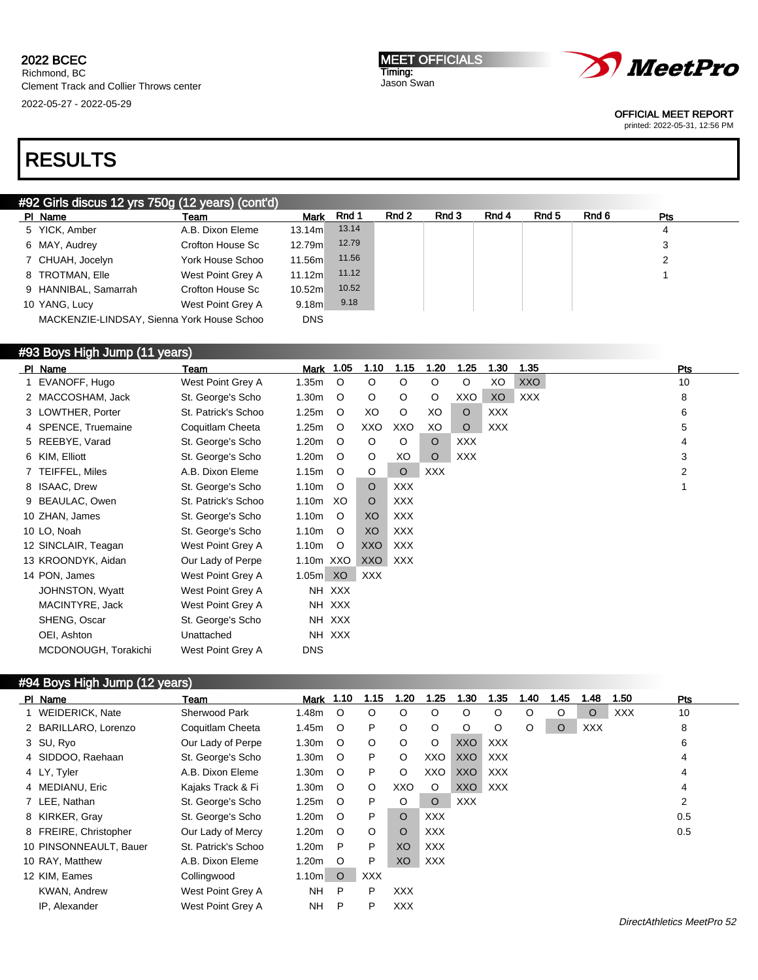MEET OFFICIALS Timing: Jason Swan



OFFICIAL MEET REPORT

printed: 2022-05-31, 12:56 PM

# RESULTS

### #92 Girls discus 12 yrs 750g (12 years) (cont'd)

| PI Name                                    | Team              | <b>Mark</b> | Rnd 1 | Rnd 2 | Rnd 3 | Rnd 4 | Rnd 5 | Rnd 6 | <b>Pts</b> |  |
|--------------------------------------------|-------------------|-------------|-------|-------|-------|-------|-------|-------|------------|--|
| 5 YICK, Amber                              | A.B. Dixon Eleme  | 13.14ml     | 13.14 |       |       |       |       |       | 4          |  |
| 6 MAY, Audrey                              | Crofton House Sc  | 12.79m      | 12.79 |       |       |       |       |       | 3          |  |
| 7 CHUAH, Jocelyn                           | York House Schoo  | 11.56m      | 11.56 |       |       |       |       |       | 2          |  |
| 8 TROTMAN, Elle                            | West Point Grey A | 11.12m      | 11.12 |       |       |       |       |       |            |  |
| 9 HANNIBAL, Samarrah                       | Crofton House Sc  | 10.52m      | 10.52 |       |       |       |       |       |            |  |
| 10 YANG, Lucy                              | West Point Grey A | 9.18m       | 9.18  |       |       |       |       |       |            |  |
| MACKENZIE-LINDSAY, Sienna York House Schoo |                   | <b>DNS</b>  |       |       |       |       |       |       |            |  |

## #93 Boys High Jump (11 years)

| PI Name              | Team                | <b>Mark 1.05</b>  |         | 1.10    | 1.15       | 1.20       | 1.25       | 1.30       | 1.35       | Pts |
|----------------------|---------------------|-------------------|---------|---------|------------|------------|------------|------------|------------|-----|
| 1 EVANOFF, Hugo      | West Point Grey A   | 1.35m             | $\circ$ | $\circ$ | O          | $\circ$    | $\circ$    | XO         | <b>XXO</b> | 10  |
| 2 MACCOSHAM, Jack    | St. George's Scho   | 1.30 <sub>m</sub> | O       | O       | O          | O          | XXO        | XO         | XXX        | 8   |
| 3 LOWTHER, Porter    | St. Patrick's Schoo | 1.25m             | O       | XO      | $\circ$    | XO         | $\circ$    | <b>XXX</b> |            | 6   |
| 4 SPENCE, Truemaine  | Coquitlam Cheeta    | 1.25m             | O       | XXO     | XXO        | XO         | $\circ$    | <b>XXX</b> |            | 5   |
| 5 REEBYE, Varad      | St. George's Scho   | 1.20m             | O       | $\circ$ | $\circ$    | $\circ$    | <b>XXX</b> |            |            | 4   |
| 6 KIM, Elliott       | St. George's Scho   | 1.20m             | O       | O       | XO         | $\circ$    | <b>XXX</b> |            |            | 3   |
| 7 TEIFFEL, Miles     | A.B. Dixon Eleme    | 1.15m             | $\circ$ | O       | $\circ$    | <b>XXX</b> |            |            |            | 2   |
| 8 ISAAC, Drew        | St. George's Scho   | 1.10m             | $\circ$ | $\circ$ | <b>XXX</b> |            |            |            |            |     |
| 9 BEAULAC, Owen      | St. Patrick's Schoo | 1.10m             | XO.     | $\circ$ | <b>XXX</b> |            |            |            |            |     |
| 10 ZHAN, James       | St. George's Scho   | 1.10m             | $\circ$ | XO      | <b>XXX</b> |            |            |            |            |     |
| 10 LO, Noah          | St. George's Scho   | 1.10m             | $\circ$ | XO      | <b>XXX</b> |            |            |            |            |     |
| 12 SINCLAIR, Teagan  | West Point Grey A   | 1.10m             | $\circ$ | XXO     | XXX        |            |            |            |            |     |
| 13 KROONDYK, Aidan   | Our Lady of Perpe   | 1.10m XXO         |         | XXO     | XXX        |            |            |            |            |     |
| 14 PON, James        | West Point Grey A   | 1.05m XO          |         | XXX     |            |            |            |            |            |     |
| JOHNSTON, Wyatt      | West Point Grey A   |                   | NH XXX  |         |            |            |            |            |            |     |
| MACINTYRE, Jack      | West Point Grey A   |                   | NH XXX  |         |            |            |            |            |            |     |
| SHENG, Oscar         | St. George's Scho   |                   | NH XXX  |         |            |            |            |            |            |     |
| OEI, Ashton          | Unattached          |                   | NH XXX  |         |            |            |            |            |            |     |
| MCDONOUGH, Torakichi | West Point Grey A   | <b>DNS</b>        |         |         |            |            |            |            |            |     |

## #94 Boys High Jump (12 years)

| PI Name                | Team                 | Mark              | 1.10    | 1.15       | 1.20       | 1.25       | 1.30       | 1.35       | l.40 | 1.45    | 1.48       | 1.50       | <b>Pts</b> |
|------------------------|----------------------|-------------------|---------|------------|------------|------------|------------|------------|------|---------|------------|------------|------------|
| 1 WEIDERICK, Nate      | <b>Sherwood Park</b> | 1.48m             | $\circ$ | $\circ$    | $\circ$    | $\circ$    | O          | $\circ$    | O    | O       | $\circ$    | <b>XXX</b> | 10         |
| 2 BARILLARO, Lorenzo   | Coquitlam Cheeta     | 1.45m             | $\circ$ | P.         | $\circ$    | O          | $\circ$    | $\circ$    | O    | $\circ$ | <b>XXX</b> |            | 8          |
| 3 SU, Ryo              | Our Lady of Perpe    | 1.30 <sub>m</sub> | $\circ$ | $\circ$    | $\circ$    | O          | <b>XXO</b> | <b>XXX</b> |      |         |            |            | 6          |
| 4 SIDDOO, Raehaan      | St. George's Scho    | 1.30 <sub>m</sub> | $\circ$ | P          | $\circ$    | XXO        | <b>XXO</b> | <b>XXX</b> |      |         |            |            | 4          |
| 4 LY, Tyler            | A.B. Dixon Eleme     | 1.30 <sub>m</sub> | $\circ$ | P          | $\circ$    | XXO        | XXO        | <b>XXX</b> |      |         |            |            | 4          |
| 4 MEDIANU, Eric        | Kajaks Track & Fi    | 1.30 <sub>m</sub> | $\circ$ | $\circ$    | XXO        | $\circ$    | XXO        | <b>XXX</b> |      |         |            |            | 4          |
| 7 LEE, Nathan          | St. George's Scho    | 1.25m             | $\circ$ | P          | O          | $\circ$    | <b>XXX</b> |            |      |         |            |            | 2          |
| 8 KIRKER, Gray         | St. George's Scho    | 1.20 <sub>m</sub> | $\circ$ | P          | $\circ$    | <b>XXX</b> |            |            |      |         |            |            | 0.5        |
| 8 FREIRE, Christopher  | Our Lady of Mercy    | 1.20m             | $\circ$ | $\circ$    | $\circ$    | <b>XXX</b> |            |            |      |         |            |            | 0.5        |
| 10 PINSONNEAULT, Bauer | St. Patrick's Schoo  | 1.20m             | P       | P          | XO         | <b>XXX</b> |            |            |      |         |            |            |            |
| 10 RAY, Matthew        | A.B. Dixon Eleme     | 1.20m             | $\circ$ | P          | XO         | <b>XXX</b> |            |            |      |         |            |            |            |
| 12 KIM, Eames          | Collingwood          | 1.10 <sub>m</sub> | $\circ$ | <b>XXX</b> |            |            |            |            |      |         |            |            |            |
| <b>KWAN, Andrew</b>    | West Point Grey A    | NΗ                | P       | P          | <b>XXX</b> |            |            |            |      |         |            |            |            |
| IP, Alexander          | West Point Grey A    | NΗ                | P       | P          | <b>XXX</b> |            |            |            |      |         |            |            |            |
|                        |                      |                   |         |            |            |            |            |            |      |         |            |            |            |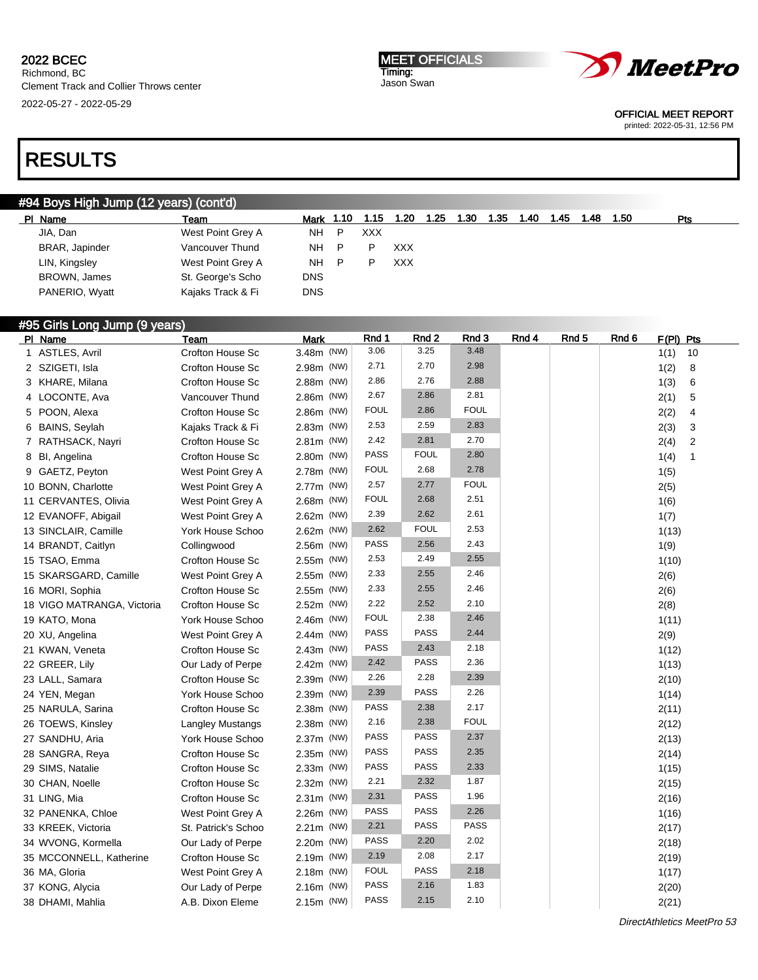2022-05-27 - 2022-05-29

MEET OFFICIALS Timing: Jason Swan



OFFICIAL MEET REPORT

printed: 2022-05-31, 12:56 PM

# RESULTS

## #94 Boys High Jump (12 years) (cont'd)

| PI Name        | Team              | Mark 1.10  |   | 1.15 | 1.20 | 1.25 | 1.30 | 1.35 | 1.40 | 1.45 | 1.48 | 1.50 | Pts |
|----------------|-------------------|------------|---|------|------|------|------|------|------|------|------|------|-----|
| JIA, Dan       | West Point Grey A | NH         | P | XXX  |      |      |      |      |      |      |      |      |     |
| BRAR, Japinder | Vancouver Thund   | NH.        | P |      | XXX  |      |      |      |      |      |      |      |     |
| LIN, Kingsley  | West Point Grey A | NH         | P |      | XXX  |      |      |      |      |      |      |      |     |
| BROWN, James   | St. George's Scho | DNS        |   |      |      |      |      |      |      |      |      |      |     |
| PANERIO, Wyatt | Kajaks Track & Fi | <b>DNS</b> |   |      |      |      |      |      |      |      |      |      |     |
|                |                   |            |   |      |      |      |      |      |      |      |      |      |     |

## #95 Girls Long Jump (9 years)

| PI Name                    | Team                    | <b>Mark</b> | Rnd 1       | Rnd 2       | Rnd 3       | Rnd 4 | Rnd 5 | Rnd 6 | F(PI) Pts |                |
|----------------------------|-------------------------|-------------|-------------|-------------|-------------|-------|-------|-------|-----------|----------------|
| 1 ASTLES, Avril            | Crofton House Sc        | 3.48m (NW)  | 3.06        | 3.25        | 3.48        |       |       |       | 1(1)      | 10             |
| 2 SZIGETI, Isla            | Crofton House Sc        | 2.98m (NW)  | 2.71        | 2.70        | 2.98        |       |       |       | 1(2)      | 8              |
| 3 KHARE, Milana            | Crofton House Sc        | 2.88m (NW)  | 2.86        | 2.76        | 2.88        |       |       |       | 1(3)      | 6              |
| 4 LOCONTE, Ava             | Vancouver Thund         | 2.86m (NW)  | 2.67        | 2.86        | 2.81        |       |       |       | 2(1)      | 5              |
| 5 POON, Alexa              | Crofton House Sc        | 2.86m (NW)  | <b>FOUL</b> | 2.86        | <b>FOUL</b> |       |       |       | 2(2)      | 4              |
| 6 BAINS, Seylah            | Kajaks Track & Fi       | 2.83m (NW)  | 2.53        | 2.59        | 2.83        |       |       |       | 2(3)      | 3              |
| 7 RATHSACK, Nayri          | Crofton House Sc        | 2.81m (NW)  | 2.42        | 2.81        | 2.70        |       |       |       | 2(4)      | $\overline{2}$ |
| 8 Bl, Angelina             | Crofton House Sc        | 2.80m (NW)  | <b>PASS</b> | <b>FOUL</b> | 2.80        |       |       |       | 1(4)      | $\mathbf{1}$   |
| 9 GAETZ, Peyton            | West Point Grey A       | 2.78m (NW)  | <b>FOUL</b> | 2.68        | 2.78        |       |       |       | 1(5)      |                |
| 10 BONN, Charlotte         | West Point Grey A       | 2.77m (NW)  | 2.57        | 2.77        | <b>FOUL</b> |       |       |       | 2(5)      |                |
| 11 CERVANTES, Olivia       | West Point Grey A       | 2.68m (NW)  | FOUL        | 2.68        | 2.51        |       |       |       | 1(6)      |                |
| 12 EVANOFF, Abigail        | West Point Grey A       | 2.62m (NW)  | 2.39        | 2.62        | 2.61        |       |       |       | 1(7)      |                |
| 13 SINCLAIR, Camille       | York House Schoo        | 2.62m (NW)  | 2.62        | <b>FOUL</b> | 2.53        |       |       |       | 1(13)     |                |
| 14 BRANDT, Caitlyn         | Collingwood             | 2.56m (NW)  | PASS        | 2.56        | 2.43        |       |       |       | 1(9)      |                |
| 15 TSAO, Emma              | Crofton House Sc        | 2.55m (NW)  | 2.53        | 2.49        | 2.55        |       |       |       | 1(10)     |                |
| 15 SKARSGARD, Camille      | West Point Grey A       | 2.55m (NW)  | 2.33        | 2.55        | 2.46        |       |       |       | 2(6)      |                |
| 16 MORI, Sophia            | Crofton House Sc        | 2.55m (NW)  | 2.33        | 2.55        | 2.46        |       |       |       | 2(6)      |                |
| 18 VIGO MATRANGA, Victoria | <b>Crofton House Sc</b> | 2.52m (NW)  | 2.22        | 2.52        | 2.10        |       |       |       | 2(8)      |                |
| 19 KATO, Mona              | York House Schoo        | 2.46m (NW)  | <b>FOUL</b> | 2.38        | 2.46        |       |       |       | 1(11)     |                |
| 20 XU, Angelina            | West Point Grey A       | 2.44m (NW)  | PASS        | <b>PASS</b> | 2.44        |       |       |       | 2(9)      |                |
| 21 KWAN, Veneta            | Crofton House Sc        | 2.43m (NW)  | <b>PASS</b> | 2.43        | 2.18        |       |       |       | 1(12)     |                |
| 22 GREER, Lily             | Our Lady of Perpe       | 2.42m (NW)  | 2.42        | <b>PASS</b> | 2.36        |       |       |       | 1(13)     |                |
| 23 LALL, Samara            | Crofton House Sc        | 2.39m (NW)  | 2.26        | 2.28        | 2.39        |       |       |       | 2(10)     |                |
| 24 YEN, Megan              | York House Schoo        | 2.39m (NW)  | 2.39        | <b>PASS</b> | 2.26        |       |       |       | 1(14)     |                |
| 25 NARULA, Sarina          | Crofton House Sc        | 2.38m (NW)  | PASS        | 2.38        | 2.17        |       |       |       | 2(11)     |                |
| 26 TOEWS, Kinsley          | Langley Mustangs        | 2.38m (NW)  | 2.16        | 2.38        | <b>FOUL</b> |       |       |       | 2(12)     |                |
| 27 SANDHU, Aria            | York House Schoo        | 2.37m (NW)  | PASS        | <b>PASS</b> | 2.37        |       |       |       | 2(13)     |                |
| 28 SANGRA, Reya            | Crofton House Sc        | 2.35m (NW)  | <b>PASS</b> | <b>PASS</b> | 2.35        |       |       |       | 2(14)     |                |
| 29 SIMS, Natalie           | Crofton House Sc        | 2.33m (NW)  | PASS        | <b>PASS</b> | 2.33        |       |       |       | 1(15)     |                |
| 30 CHAN, Noelle            | Crofton House Sc        | 2.32m (NW)  | 2.21        | 2.32        | 1.87        |       |       |       | 2(15)     |                |
| 31 LING, Mia               | Crofton House Sc        | 2.31m (NW)  | 2.31        | <b>PASS</b> | 1.96        |       |       |       | 2(16)     |                |
| 32 PANENKA, Chloe          | West Point Grey A       | 2.26m (NW)  | <b>PASS</b> | <b>PASS</b> | 2.26        |       |       |       | 1(16)     |                |
| 33 KREEK, Victoria         | St. Patrick's Schoo     | 2.21m (NW)  | 2.21        | <b>PASS</b> | PASS        |       |       |       | 2(17)     |                |
| 34 WVONG, Kormella         | Our Lady of Perpe       | 2.20m (NW)  | <b>PASS</b> | 2.20        | 2.02        |       |       |       | 2(18)     |                |
| 35 MCCONNELL, Katherine    | Crofton House Sc        | 2.19m (NW)  | 2.19        | 2.08        | 2.17        |       |       |       | 2(19)     |                |
| 36 MA, Gloria              | West Point Grey A       | 2.18m (NW)  | <b>FOUL</b> | <b>PASS</b> | 2.18        |       |       |       | 1(17)     |                |
| 37 KONG, Alycia            | Our Lady of Perpe       | 2.16m (NW)  | <b>PASS</b> | 2.16        | 1.83        |       |       |       | 2(20)     |                |
| 38 DHAMI, Mahlia           | A.B. Dixon Eleme        | 2.15m (NW)  | PASS        | 2.15        | 2.10        |       |       |       | 2(21)     |                |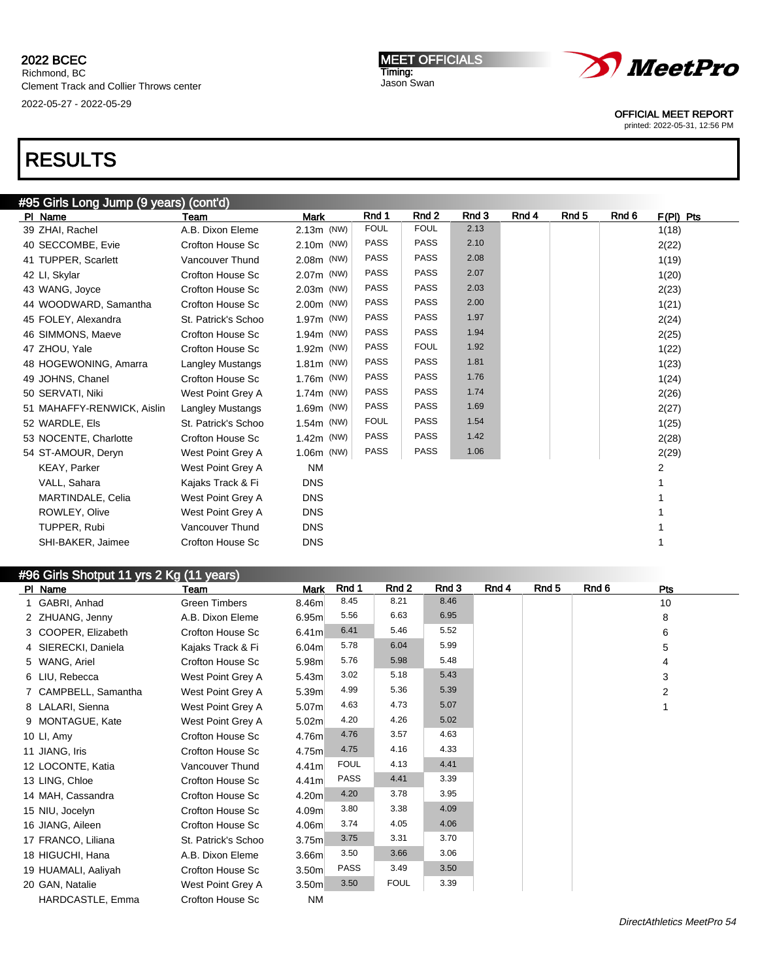MEET OFFICIALS Timing: Jason Swan



OFFICIAL MEET REPORT

printed: 2022-05-31, 12:56 PM

# RESULTS

| #95 Girls Long Jump (9 years) (cont'd) |                         |             |             |                  |       |       |       |                      |  |  |  |
|----------------------------------------|-------------------------|-------------|-------------|------------------|-------|-------|-------|----------------------|--|--|--|
| PI Name                                | Team                    | <b>Mark</b> | Rnd 1       | Rnd <sub>2</sub> | Rnd 3 | Rnd 4 | Rnd 5 | Rnd 6<br>$F(PI)$ Pts |  |  |  |
| 39 ZHAI, Rachel                        | A.B. Dixon Eleme        | 2.13m (NW)  | <b>FOUL</b> | <b>FOUL</b>      | 2.13  |       |       | 1(18)                |  |  |  |
| 40 SECCOMBE, Evie                      | Crofton House Sc        | 2.10m (NW)  | <b>PASS</b> | <b>PASS</b>      | 2.10  |       |       | 2(22)                |  |  |  |
| 41 TUPPER, Scarlett                    | Vancouver Thund         | 2.08m (NW)  | <b>PASS</b> | <b>PASS</b>      | 2.08  |       |       | 1(19)                |  |  |  |
| 42 LI, Skylar                          | Crofton House Sc        | 2.07m (NW)  | <b>PASS</b> | <b>PASS</b>      | 2.07  |       |       | 1(20)                |  |  |  |
| 43 WANG, Joyce                         | Crofton House Sc        | 2.03m (NW)  | <b>PASS</b> | <b>PASS</b>      | 2.03  |       |       | 2(23)                |  |  |  |
| 44 WOODWARD, Samantha                  | <b>Crofton House Sc</b> | 2.00m (NW)  | <b>PASS</b> | <b>PASS</b>      | 2.00  |       |       | 1(21)                |  |  |  |
| 45 FOLEY, Alexandra                    | St. Patrick's Schoo     | 1.97m (NW)  | <b>PASS</b> | <b>PASS</b>      | 1.97  |       |       | 2(24)                |  |  |  |
| 46 SIMMONS, Maeve                      | Crofton House Sc        | 1.94m (NW)  | PASS        | <b>PASS</b>      | 1.94  |       |       | 2(25)                |  |  |  |
| 47 ZHOU, Yale                          | Crofton House Sc        | 1.92m (NW)  | <b>PASS</b> | <b>FOUL</b>      | 1.92  |       |       | 1(22)                |  |  |  |
| 48 HOGEWONING, Amarra                  | <b>Langley Mustangs</b> | 1.81m (NW)  | <b>PASS</b> | <b>PASS</b>      | 1.81  |       |       | 1(23)                |  |  |  |
| 49 JOHNS, Chanel                       | Crofton House Sc        | 1.76m (NW)  | <b>PASS</b> | <b>PASS</b>      | 1.76  |       |       | 1(24)                |  |  |  |
| 50 SERVATI, Niki                       | West Point Grey A       | 1.74m (NW)  | <b>PASS</b> | <b>PASS</b>      | 1.74  |       |       | 2(26)                |  |  |  |
| 51 MAHAFFY-RENWICK, Aislin             | <b>Langley Mustangs</b> | 1.69m (NW)  | <b>PASS</b> | <b>PASS</b>      | 1.69  |       |       | 2(27)                |  |  |  |
| 52 WARDLE, Els                         | St. Patrick's Schoo     | 1.54m (NW)  | <b>FOUL</b> | <b>PASS</b>      | 1.54  |       |       | 1(25)                |  |  |  |
| 53 NOCENTE, Charlotte                  | Crofton House Sc        | 1.42m (NW)  | <b>PASS</b> | <b>PASS</b>      | 1.42  |       |       | 2(28)                |  |  |  |
| 54 ST-AMOUR, Deryn                     | West Point Grey A       | 1.06m (NW)  | <b>PASS</b> | <b>PASS</b>      | 1.06  |       |       | 2(29)                |  |  |  |
| <b>KEAY, Parker</b>                    | West Point Grey A       | <b>NM</b>   |             |                  |       |       |       | 2                    |  |  |  |
| VALL, Sahara                           | Kajaks Track & Fi       | <b>DNS</b>  |             |                  |       |       |       |                      |  |  |  |
| MARTINDALE, Celia                      | West Point Grey A       | <b>DNS</b>  |             |                  |       |       |       |                      |  |  |  |
| ROWLEY, Olive                          | West Point Grey A       | <b>DNS</b>  |             |                  |       |       |       |                      |  |  |  |
| TUPPER, Rubi                           | Vancouver Thund         | <b>DNS</b>  |             |                  |       |       |       |                      |  |  |  |
| SHI-BAKER, Jaimee                      | <b>Crofton House Sc</b> | <b>DNS</b>  |             |                  |       |       |       |                      |  |  |  |

### #96 Girls Shotput 11 yrs 2 Kg (11 years) Pl Name Team Mark Rnd 1 Rnd 2 Rnd 3 Rnd 4 Rnd 5 Rnd 6 Pts 1 GABRI, Anhad Green Timbers 8.46m 8.45 8.21 8.46 10 2 ZHUANG, Jenny A.B. Dixon Eleme 6.95m 5.56 6.63 6.95 8 3 COOPER, Elizabeth Crofton House Sc 6.41m 6.41 5.46 5.52 4 SIERECKI, Daniela Kajaks Track & Fi 6.04m 5.78 6.04 5.99 5 5 WANG, Ariel Crofton House Sc 5.98m 5.76 5.98 5.48 4 6 LIU, Rebecca West Point Grey A 5.43m 3.02 5.18 5.43 3 7 CAMPBELL, Samantha West Point Grey A 5.39m 4.99 5.36 5.39 5.39 8 LALARI, Sienna West Point Grey A 5.07m 4.63 4.73 5.07 1 9 MONTAGUE, Kate West Point Grey A 5.02m 4.20 4.26 5.02 10 LI, Amy Crofton House Sc 4.76m 4.76 3.57 4.63 11 JIANG, Iris Crofton House Sc 4.75m 4.75 4.16 4.33 12 LOCONTE, Katia Vancouver Thund 4.41m FOUL 4.13 4.41 13 LING, Chloe Crofton House Sc 4.41m PASS 4.41 3.39 14 MAH, Cassandra **Crofton House Sc** 4.20m 4.20 3.78 3.95 15 NIU, Jocelyn Crofton House Sc 4.09m 3.80 3.38 4.09 16 JIANG, Aileen Crofton House Sc 4.06m 3.74 4.05 4.06 17 FRANCO, Liliana St. Patrick's Schoo 3.75m 3.75 3.31 3.70 18 HIGUCHI, Hana **A.B. Dixon Eleme** 3.66m 3.50 3.66 3.06 19 HUAMALI, Aaliyah Crofton House Sc 3.50m PASS 3.49 3.50 20 GAN, Natalie **West Point Grey A** 3.50m 3.50 FOUL 3.39 HARDCASTLE, Emma Crofton House Sc NM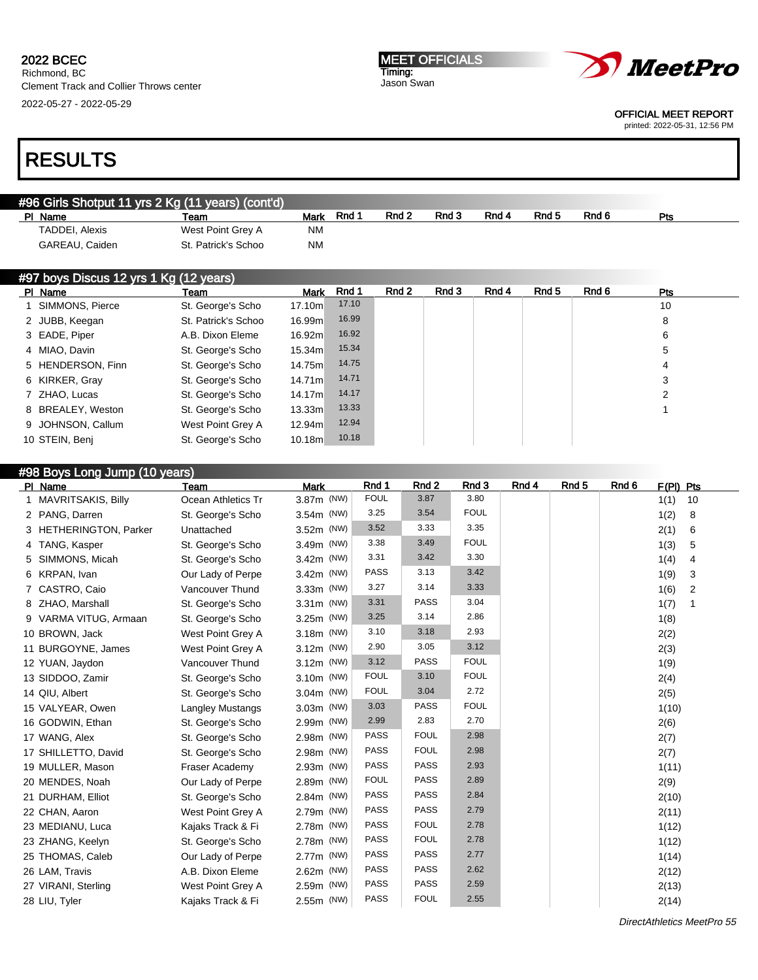#### MEET OFFICIALS Timing: Jason Swan



OFFICIAL MEET REPORT printed: 2022-05-31, 12:56 PM

# RESULTS

# #96 Girls Shotput 11 yrs 2 Kg (11 years) (cont'd)

| PI Name        | Team                | Mark      | <b>Rnd</b> | Rnd <sub>2</sub> | Rnd 3 | Rnd 4 | Rnd <sub>5</sub> | Rnd 6 | Pts |  |
|----------------|---------------------|-----------|------------|------------------|-------|-------|------------------|-------|-----|--|
| TADDEI, Alexis | West Point Grey A   | <b>NM</b> |            |                  |       |       |                  |       |     |  |
| GAREAU, Caiden | St. Patrick's Schoo | <b>NM</b> |            |                  |       |       |                  |       |     |  |

| #97 boys Discus 12 yrs 1 Kg (12 years) |                   |                     |             |       |       |       |       |       |       |            |
|----------------------------------------|-------------------|---------------------|-------------|-------|-------|-------|-------|-------|-------|------------|
|                                        | PI Name           | Team                | <b>Mark</b> | Rnd 1 | Rnd 2 | Rnd 3 | Rnd 4 | Rnd 5 | Rnd 6 | <b>Pts</b> |
|                                        | 1 SIMMONS, Pierce | St. George's Scho   | 17.10m      | 17.10 |       |       |       |       |       | 10         |
|                                        | 2 JUBB, Keegan    | St. Patrick's Schoo | 16.99m      | 16.99 |       |       |       |       |       | 8          |
|                                        | 3 EADE, Piper     | A.B. Dixon Eleme    | 16.92m      | 16.92 |       |       |       |       |       | 6          |
|                                        | 4 MIAO, Davin     | St. George's Scho   | 15.34m      | 15.34 |       |       |       |       |       | 5          |
|                                        | 5 HENDERSON, Finn | St. George's Scho   | 14.75m      | 14.75 |       |       |       |       |       | 4          |
|                                        | 6 KIRKER, Gray    | St. George's Scho   | 14.71m      | 14.71 |       |       |       |       |       | 3          |
|                                        | 7 ZHAO, Lucas     | St. George's Scho   | 14.17m      | 14.17 |       |       |       |       |       | 2          |
|                                        | 8 BREALEY, Weston | St. George's Scho   | 13.33m      | 13.33 |       |       |       |       |       |            |
|                                        | 9 JOHNSON, Callum | West Point Grey A   | 12.94m      | 12.94 |       |       |       |       |       |            |
|                                        | 10 STEIN, Benj    | St. George's Scho   | 10.18m      | 10.18 |       |       |       |       |       |            |

| #98 Boys Long Jump (10 years) |                         |             |             |             |             |       |                  |       |           |                |  |
|-------------------------------|-------------------------|-------------|-------------|-------------|-------------|-------|------------------|-------|-----------|----------------|--|
| PI Name                       | Team                    | <b>Mark</b> | Rnd 1       | Rnd 2       | Rnd 3       | Rnd 4 | Rnd <sub>5</sub> | Rnd 6 | F(PI) Pts |                |  |
| 1 MAVRITSAKIS, Billy          | Ocean Athletics Tr      | 3.87m (NW)  | <b>FOUL</b> | 3.87        | 3.80        |       |                  |       | 1(1)      | 10             |  |
| 2 PANG, Darren                | St. George's Scho       | 3.54m (NW)  | 3.25        | 3.54        | <b>FOUL</b> |       |                  |       | 1(2)      | 8              |  |
| 3 HETHERINGTON, Parker        | Unattached              | 3.52m (NW)  | 3.52        | 3.33        | 3.35        |       |                  |       | 2(1)      | 6              |  |
| 4 TANG, Kasper                | St. George's Scho       | 3.49m (NW)  | 3.38        | 3.49        | <b>FOUL</b> |       |                  |       | 1(3)      | 5              |  |
| 5 SIMMONS, Micah              | St. George's Scho       | 3.42m (NW)  | 3.31        | 3.42        | 3.30        |       |                  |       | 1(4)      | 4              |  |
| 6 KRPAN, Ivan                 | Our Lady of Perpe       | 3.42m (NW)  | <b>PASS</b> | 3.13        | 3.42        |       |                  |       | 1(9)      | 3              |  |
| 7 CASTRO, Caio                | Vancouver Thund         | 3.33m (NW)  | 3.27        | 3.14        | 3.33        |       |                  |       | 1(6)      | $\overline{2}$ |  |
| 8 ZHAO, Marshall              | St. George's Scho       | 3.31m (NW)  | 3.31        | <b>PASS</b> | 3.04        |       |                  |       | 1(7)      | 1              |  |
| 9 VARMA VITUG, Armaan         | St. George's Scho       | 3.25m (NW)  | 3.25        | 3.14        | 2.86        |       |                  |       | 1(8)      |                |  |
| 10 BROWN, Jack                | West Point Grey A       | 3.18m (NW)  | 3.10        | 3.18        | 2.93        |       |                  |       | 2(2)      |                |  |
| 11 BURGOYNE, James            | West Point Grey A       | 3.12m (NW)  | 2.90        | 3.05        | 3.12        |       |                  |       | 2(3)      |                |  |
| 12 YUAN, Jaydon               | Vancouver Thund         | 3.12m (NW)  | 3.12        | <b>PASS</b> | <b>FOUL</b> |       |                  |       | 1(9)      |                |  |
| 13 SIDDOO, Zamir              | St. George's Scho       | 3.10m (NW)  | <b>FOUL</b> | 3.10        | <b>FOUL</b> |       |                  |       | 2(4)      |                |  |
| 14 QIU, Albert                | St. George's Scho       | 3.04m (NW)  | <b>FOUL</b> | 3.04        | 2.72        |       |                  |       | 2(5)      |                |  |
| 15 VALYEAR, Owen              | <b>Langley Mustangs</b> | 3.03m (NW)  | 3.03        | <b>PASS</b> | <b>FOUL</b> |       |                  |       | 1(10)     |                |  |
| 16 GODWIN, Ethan              | St. George's Scho       | 2.99m (NW)  | 2.99        | 2.83        | 2.70        |       |                  |       | 2(6)      |                |  |
| 17 WANG, Alex                 | St. George's Scho       | 2.98m (NW)  | <b>PASS</b> | <b>FOUL</b> | 2.98        |       |                  |       | 2(7)      |                |  |
| 17 SHILLETTO, David           | St. George's Scho       | 2.98m (NW)  | <b>PASS</b> | <b>FOUL</b> | 2.98        |       |                  |       | 2(7)      |                |  |
| 19 MULLER, Mason              | Fraser Academy          | 2.93m (NW)  | PASS        | <b>PASS</b> | 2.93        |       |                  |       | 1(11)     |                |  |
| 20 MENDES, Noah               | Our Lady of Perpe       | 2.89m (NW)  | <b>FOUL</b> | <b>PASS</b> | 2.89        |       |                  |       | 2(9)      |                |  |
| 21 DURHAM, Elliot             | St. George's Scho       | 2.84m (NW)  | PASS        | <b>PASS</b> | 2.84        |       |                  |       | 2(10)     |                |  |
| 22 CHAN, Aaron                | West Point Grey A       | 2.79m (NW)  | <b>PASS</b> | <b>PASS</b> | 2.79        |       |                  |       | 2(11)     |                |  |
| 23 MEDIANU, Luca              | Kajaks Track & Fi       | 2.78m (NW)  | PASS        | <b>FOUL</b> | 2.78        |       |                  |       | 1(12)     |                |  |
| 23 ZHANG, Keelyn              | St. George's Scho       | 2.78m (NW)  | <b>PASS</b> | <b>FOUL</b> | 2.78        |       |                  |       | 1(12)     |                |  |
| 25 THOMAS, Caleb              | Our Lady of Perpe       | 2.77m (NW)  | PASS        | <b>PASS</b> | 2.77        |       |                  |       | 1(14)     |                |  |
| 26 LAM, Travis                | A.B. Dixon Eleme        | 2.62m (NW)  | PASS        | <b>PASS</b> | 2.62        |       |                  |       | 2(12)     |                |  |
| 27 VIRANI, Sterling           | West Point Grey A       | 2.59m (NW)  | PASS        | <b>PASS</b> | 2.59        |       |                  |       | 2(13)     |                |  |
| 28 LIU, Tyler                 | Kajaks Track & Fi       | 2.55m (NW)  | PASS        | <b>FOUL</b> | 2.55        |       |                  |       | 2(14)     |                |  |
|                               |                         |             |             |             |             |       |                  |       |           |                |  |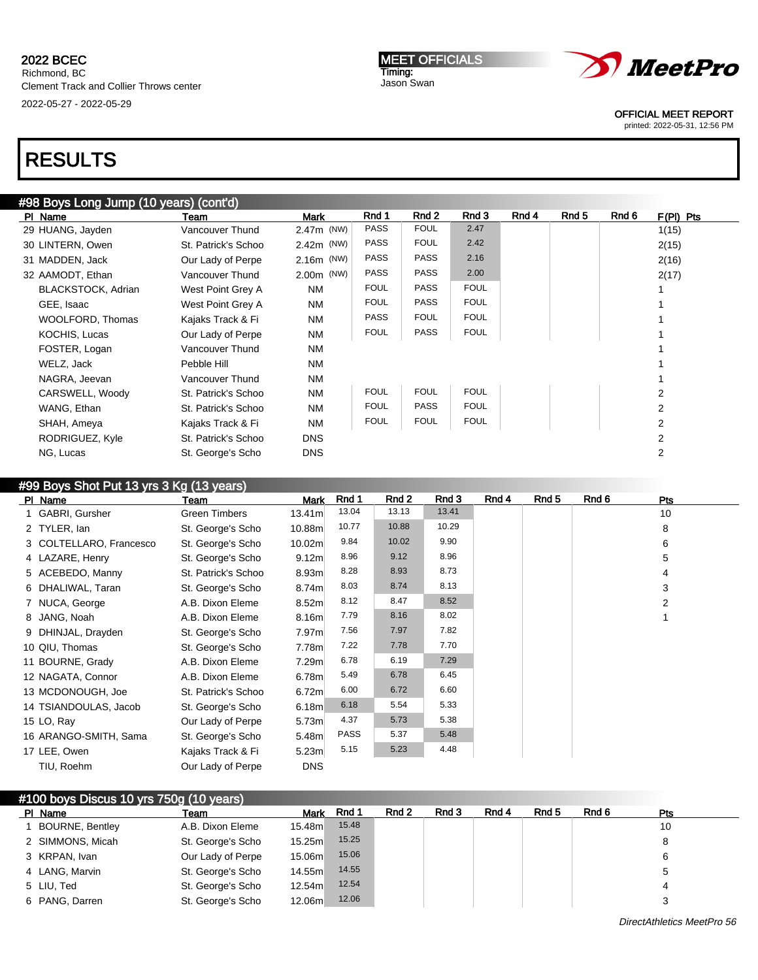# RESULTS

| #98 Boys Long Jump (10 years) (cont'd) |                     |              |             |             |             |       |       |       |                |  |  |
|----------------------------------------|---------------------|--------------|-------------|-------------|-------------|-------|-------|-------|----------------|--|--|
| PI Name                                | Team                | Mark         | Rnd 1       | Rnd 2       | Rnd 3       | Rnd 4 | Rnd 5 | Rnd 6 | $F(PI)$ Pts    |  |  |
| 29 HUANG, Jayden                       | Vancouver Thund     | 2.47m (NW)   | <b>PASS</b> | <b>FOUL</b> | 2.47        |       |       |       | 1(15)          |  |  |
| 30 LINTERN, Owen                       | St. Patrick's Schoo | 2.42m (NW)   | PASS        | <b>FOUL</b> | 2.42        |       |       |       | 2(15)          |  |  |
| 31 MADDEN, Jack                        | Our Lady of Perpe   | 2.16m (NW)   | <b>PASS</b> | <b>PASS</b> | 2.16        |       |       |       | 2(16)          |  |  |
| 32 AAMODT, Ethan                       | Vancouver Thund     | $2.00m$ (NW) | <b>PASS</b> | <b>PASS</b> | 2.00        |       |       |       | 2(17)          |  |  |
| BLACKSTOCK, Adrian                     | West Point Grey A   | <b>NM</b>    | <b>FOUL</b> | <b>PASS</b> | <b>FOUL</b> |       |       |       |                |  |  |
| GEE, Isaac                             | West Point Grey A   | <b>NM</b>    | <b>FOUL</b> | <b>PASS</b> | <b>FOUL</b> |       |       |       |                |  |  |
| WOOLFORD, Thomas                       | Kajaks Track & Fi   | <b>NM</b>    | <b>PASS</b> | <b>FOUL</b> | <b>FOUL</b> |       |       |       |                |  |  |
| KOCHIS, Lucas                          | Our Lady of Perpe   | <b>NM</b>    | <b>FOUL</b> | <b>PASS</b> | <b>FOUL</b> |       |       |       |                |  |  |
| FOSTER, Logan                          | Vancouver Thund     | <b>NM</b>    |             |             |             |       |       |       |                |  |  |
| WELZ, Jack                             | Pebble Hill         | <b>NM</b>    |             |             |             |       |       |       |                |  |  |
| NAGRA, Jeevan                          | Vancouver Thund     | <b>NM</b>    |             |             |             |       |       |       |                |  |  |
| CARSWELL, Woody                        | St. Patrick's Schoo | <b>NM</b>    | <b>FOUL</b> | <b>FOUL</b> | <b>FOUL</b> |       |       |       | 2              |  |  |
| WANG, Ethan                            | St. Patrick's Schoo | <b>NM</b>    | <b>FOUL</b> | <b>PASS</b> | <b>FOUL</b> |       |       |       | 2              |  |  |
| SHAH, Ameya                            | Kajaks Track & Fi   | <b>NM</b>    | <b>FOUL</b> | <b>FOUL</b> | <b>FOUL</b> |       |       |       | 2              |  |  |
| RODRIGUEZ, Kyle                        | St. Patrick's Schoo | <b>DNS</b>   |             |             |             |       |       |       | $\overline{2}$ |  |  |
| NG, Lucas                              | St. George's Scho   | <b>DNS</b>   |             |             |             |       |       |       | 2              |  |  |
|                                        |                     |              |             |             |             |       |       |       |                |  |  |

## #99 Boys Shot Put 13 yrs 3 Kg (13 years)

| PI Name                 | Team                 | Mark               | Rnd 1       | Rnd 2 | Rnd 3 | Rnd 4 | Rnd 5 | Rnd 6 | Pts            |
|-------------------------|----------------------|--------------------|-------------|-------|-------|-------|-------|-------|----------------|
| 1 GABRI, Gursher        | <b>Green Timbers</b> | 13.41 <sub>m</sub> | 13.04       | 13.13 | 13.41 |       |       |       | 10             |
| 2 TYLER, lan            | St. George's Scho    | 10.88m             | 10.77       | 10.88 | 10.29 |       |       |       | 8              |
| 3 COLTELLARO, Francesco | St. George's Scho    | 10.02m             | 9.84        | 10.02 | 9.90  |       |       |       | 6              |
| 4 LAZARE, Henry         | St. George's Scho    | 9.12 <sub>m</sub>  | 8.96        | 9.12  | 8.96  |       |       |       | 5              |
| 5 ACEBEDO, Manny        | St. Patrick's Schoo  | 8.93m              | 8.28        | 8.93  | 8.73  |       |       |       | 4              |
| 6 DHALIWAL, Taran       | St. George's Scho    | 8.74m              | 8.03        | 8.74  | 8.13  |       |       |       | 3              |
| 7 NUCA, George          | A.B. Dixon Eleme     | 8.52 <sub>m</sub>  | 8.12        | 8.47  | 8.52  |       |       |       | $\overline{2}$ |
| 8 JANG, Noah            | A.B. Dixon Eleme     | 8.16m              | 7.79        | 8.16  | 8.02  |       |       |       |                |
| 9 DHINJAL, Drayden      | St. George's Scho    | 7.97m              | 7.56        | 7.97  | 7.82  |       |       |       |                |
| 10 QIU, Thomas          | St. George's Scho    | 7.78m              | 7.22        | 7.78  | 7.70  |       |       |       |                |
| 11 BOURNE, Grady        | A.B. Dixon Eleme     | 7.29m              | 6.78        | 6.19  | 7.29  |       |       |       |                |
| 12 NAGATA, Connor       | A.B. Dixon Eleme     | 6.78m              | 5.49        | 6.78  | 6.45  |       |       |       |                |
| 13 MCDONOUGH, Joe       | St. Patrick's Schoo  | 6.72 <sub>m</sub>  | 6.00        | 6.72  | 6.60  |       |       |       |                |
| 14 TSIANDOULAS, Jacob   | St. George's Scho    | 6.18m              | 6.18        | 5.54  | 5.33  |       |       |       |                |
| 15 LO, Ray              | Our Lady of Perpe    | 5.73 <sub>m</sub>  | 4.37        | 5.73  | 5.38  |       |       |       |                |
| 16 ARANGO-SMITH, Sama   | St. George's Scho    | 5.48 <sub>m</sub>  | <b>PASS</b> | 5.37  | 5.48  |       |       |       |                |
| 17 LEE, Owen            | Kajaks Track & Fi    | 5.23 <sub>m</sub>  | 5.15        | 5.23  | 4.48  |       |       |       |                |
| TIU, Roehm              | Our Lady of Perpe    | <b>DNS</b>         |             |       |       |       |       |       |                |

| #100 boys Discus 10 yrs 750g (10 years) | Rnd 2<br>Rnd 3<br>Rnd 6<br>Rnd 4<br>Rnd <sub>5</sub><br>Rnd 1<br><b>Mark</b><br><b>Pts</b><br>PI Name<br>Team |                   |         |       |  |  |  |  |  |    |  |  |  |
|-----------------------------------------|---------------------------------------------------------------------------------------------------------------|-------------------|---------|-------|--|--|--|--|--|----|--|--|--|
|                                         |                                                                                                               |                   |         |       |  |  |  |  |  |    |  |  |  |
|                                         | <b>BOURNE, Bentley</b>                                                                                        | A.B. Dixon Eleme  | 15.48m  | 15.48 |  |  |  |  |  | 10 |  |  |  |
|                                         | 2 SIMMONS, Micah                                                                                              | St. George's Scho | 15.25m  | 15.25 |  |  |  |  |  | 8  |  |  |  |
|                                         | 3 KRPAN, Ivan                                                                                                 | Our Lady of Perpe | 15.06ml | 15.06 |  |  |  |  |  | 6  |  |  |  |
|                                         | 4 LANG, Marvin                                                                                                | St. George's Scho | 14.55ml | 14.55 |  |  |  |  |  | 5  |  |  |  |
|                                         | 5 LIU, Ted                                                                                                    | St. George's Scho | 12.54m  | 12.54 |  |  |  |  |  | 4  |  |  |  |
|                                         | 6 PANG, Darren                                                                                                | St. George's Scho | 12.06m  | 12.06 |  |  |  |  |  |    |  |  |  |



Timing: Jason Swan

MEET OFFICIALS

OFFICIAL MEET REPORT

printed: 2022-05-31, 12:56 PM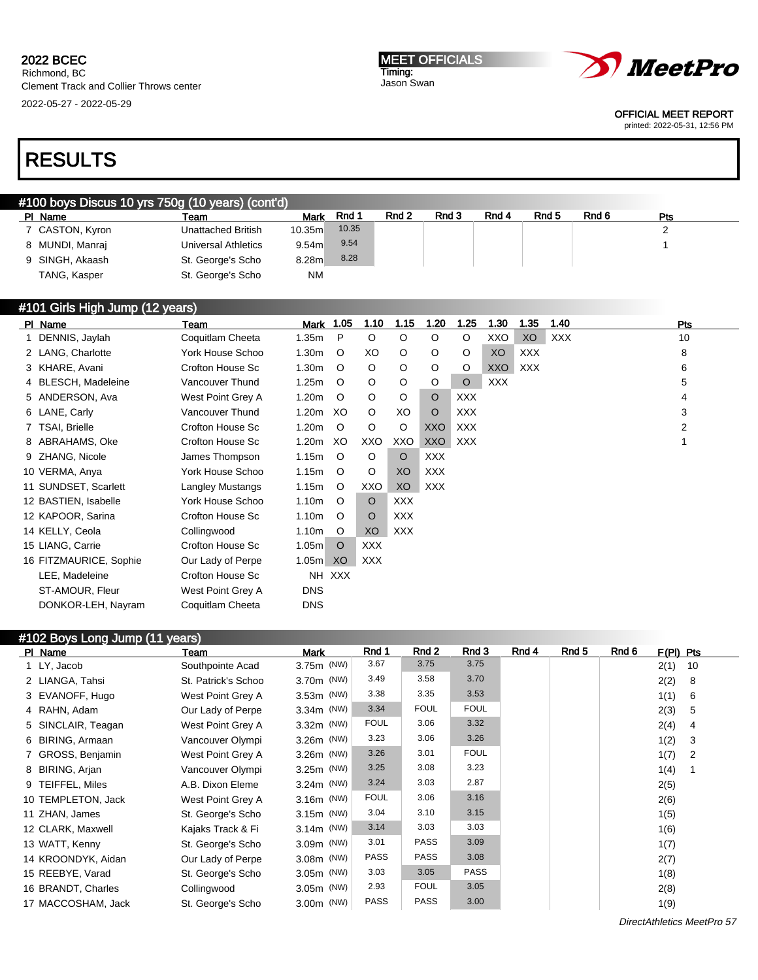Richmond, BC Clement Track and Collier Throws center 2022-05-27 - 2022-05-29

#101 Girls High Jump (12 years)

#### MEET OFFICIALS Timing: Jason Swan



OFFICIAL MEET REPORT

printed: 2022-05-31, 12:56 PM

# RESULTS

## #100 boys Discus 10 yrs 750g (10 years) (cont'd)

| PI Name         | Team                       | Mark      | Rnd 1 | Rnd 2 | Rnd 3 | Rnd 4 | Rnd <sub>5</sub> | Rnd 6 | Pts |
|-----------------|----------------------------|-----------|-------|-------|-------|-------|------------------|-------|-----|
| 7 CASTON, Kyron | Unattached British         | 10.35m    | 10.35 |       |       |       |                  |       |     |
| 8 MUNDI, Manraj | <b>Universal Athletics</b> | 9.54m     | 9.54  |       |       |       |                  |       |     |
| 9 SINGH, Akaash | St. George's Scho          | 8.28m     | 8.28  |       |       |       |                  |       |     |
| TANG, Kasper    | St. George's Scho          | <b>NM</b> |       |       |       |       |                  |       |     |

| (12 years) אווט וו $\mu$ (12 years) |                         |                   |            |            |            |            |            |            |            |      |     |
|-------------------------------------|-------------------------|-------------------|------------|------------|------------|------------|------------|------------|------------|------|-----|
| PI Name                             | Team                    | Mark              | 1.05       | 1.10       | 1.15       | 1.20       | 1.25       | 1.30       | 1.35       | 1.40 | Pts |
| 1 DENNIS, Jaylah                    | Coquitlam Cheeta        | 1.35m             | P          | $\circ$    | $\circ$    | O          | O          | XXO        | XO         | XXX  | 10  |
| 2 LANG, Charlotte                   | York House Schoo        | 1.30 <sub>m</sub> | O          | XO         | O          | O          | $\circ$    | XO         | <b>XXX</b> |      | 8   |
| 3 KHARE, Avani                      | Crofton House Sc        | 1.30 <sub>m</sub> | O          | $\circ$    | O          | O          | $\circ$    | <b>XXO</b> | <b>XXX</b> |      | 6   |
| 4 BLESCH, Madeleine                 | Vancouver Thund         | 1.25m             | O          | $\circ$    | $\circ$    | O          | $\circ$    | <b>XXX</b> |            |      | 5   |
| 5 ANDERSON, Ava                     | West Point Grey A       | 1.20 <sub>m</sub> | O          | $\circ$    | $\circ$    | $\circ$    | <b>XXX</b> |            |            |      | 4   |
| 6 LANE, Carly                       | Vancouver Thund         | 1.20m             | XO         | $\circ$    | XO         | $\circ$    | <b>XXX</b> |            |            |      | 3   |
| 7 TSAI, Brielle                     | Crofton House Sc        | 1.20 <sub>m</sub> | $\circ$    | O          | O          | XXO        | <b>XXX</b> |            |            |      | 2   |
| 8 ABRAHAMS, Oke                     | Crofton House Sc        | 1.20 <sub>m</sub> | XO         | XXO        | XXO        | <b>XXO</b> | <b>XXX</b> |            |            |      |     |
| 9 ZHANG, Nicole                     | James Thompson          | 1.15m             | $\circ$    | O          | O          | <b>XXX</b> |            |            |            |      |     |
| 10 VERMA, Anya                      | York House Schoo        | 1.15m             | O          | O          | XO         | <b>XXX</b> |            |            |            |      |     |
| 11 SUNDSET, Scarlett                | <b>Langley Mustangs</b> | 1.15m             | $\circ$    | XXO        | XO         | XXX        |            |            |            |      |     |
| 12 BASTIEN, Isabelle                | York House Schoo        | 1.10m             | $\circ$    | $\circ$    | <b>XXX</b> |            |            |            |            |      |     |
| 12 KAPOOR, Sarina                   | Crofton House Sc        | 1.10m             | $\circ$    | O          | <b>XXX</b> |            |            |            |            |      |     |
| 14 KELLY, Ceola                     | Collingwood             | 1.10m             | O          | XO         | <b>XXX</b> |            |            |            |            |      |     |
| 15 LIANG, Carrie                    | Crofton House Sc        | 1.05m             | $\circ$    | <b>XXX</b> |            |            |            |            |            |      |     |
| 16 FITZMAURICE, Sophie              | Our Lady of Perpe       | 1.05m             | XO         | XXX        |            |            |            |            |            |      |     |
| LEE, Madeleine                      | Crofton House Sc        | NH                | <b>XXX</b> |            |            |            |            |            |            |      |     |
| ST-AMOUR, Fleur                     | West Point Grey A       | <b>DNS</b>        |            |            |            |            |            |            |            |      |     |
| DONKOR-LEH, Nayram                  | Coquitlam Cheeta        | <b>DNS</b>        |            |            |            |            |            |            |            |      |     |
|                                     |                         |                   |            |            |            |            |            |            |            |      |     |

# #102 Boys Long Jump (11 years)

| PI Name            | Team                | Mark         | Rnd 1       | Rnd 2       | Rnd 3       | Rnd 4 | Rnd 5 | Rnd 6 | $F(PI)$ Pts |     |  |
|--------------------|---------------------|--------------|-------------|-------------|-------------|-------|-------|-------|-------------|-----|--|
| 1 LY, Jacob        | Southpointe Acad    | 3.75m (NW)   | 3.67        | 3.75        | 3.75        |       |       |       | 2(1)        | 10  |  |
| 2 LIANGA, Tahsi    | St. Patrick's Schoo | 3.70m (NW)   | 3.49        | 3.58        | 3.70        |       |       |       | 2(2)        | - 8 |  |
| 3 EVANOFF, Hugo    | West Point Grey A   | 3.53m (NW)   | 3.38        | 3.35        | 3.53        |       |       |       | 1(1)        | - 6 |  |
| 4 RAHN, Adam       | Our Lady of Perpe   | 3.34m (NW)   | 3.34        | <b>FOUL</b> | <b>FOUL</b> |       |       |       | 2(3)        | 5   |  |
| 5 SINCLAIR, Teagan | West Point Grey A   | 3.32m (NW)   | <b>FOUL</b> | 3.06        | 3.32        |       |       |       | 2(4)        | 4   |  |
| 6 BIRING, Armaan   | Vancouver Olympi    | 3.26m (NW)   | 3.23        | 3.06        | 3.26        |       |       |       | 1(2)        | 3   |  |
| 7 GROSS, Benjamin  | West Point Grey A   | 3.26m (NW)   | 3.26        | 3.01        | <b>FOUL</b> |       |       |       | 1(7)        | 2   |  |
| 8 BIRING, Arjan    | Vancouver Olympi    | 3.25m (NW)   | 3.25        | 3.08        | 3.23        |       |       |       | 1(4)        |     |  |
| 9 TEIFFEL, Miles   | A.B. Dixon Eleme    | 3.24m (NW)   | 3.24        | 3.03        | 2.87        |       |       |       | 2(5)        |     |  |
| 10 TEMPLETON, Jack | West Point Grey A   | $3.16m$ (NW) | <b>FOUL</b> | 3.06        | 3.16        |       |       |       | 2(6)        |     |  |
| 11 ZHAN, James     | St. George's Scho   | 3.15m (NW)   | 3.04        | 3.10        | 3.15        |       |       |       | 1(5)        |     |  |
| 12 CLARK, Maxwell  | Kajaks Track & Fi   | 3.14m (NW)   | 3.14        | 3.03        | 3.03        |       |       |       | 1(6)        |     |  |
| 13 WATT, Kenny     | St. George's Scho   | 3.09m (NW)   | 3.01        | <b>PASS</b> | 3.09        |       |       |       | 1(7)        |     |  |
| 14 KROONDYK, Aidan | Our Lady of Perpe   | 3.08m (NW)   | <b>PASS</b> | <b>PASS</b> | 3.08        |       |       |       | 2(7)        |     |  |
| 15 REEBYE, Varad   | St. George's Scho   | 3.05m (NW)   | 3.03        | 3.05        | <b>PASS</b> |       |       |       | 1(8)        |     |  |
| 16 BRANDT, Charles | Collingwood         | 3.05m (NW)   | 2.93        | <b>FOUL</b> | 3.05        |       |       |       | 2(8)        |     |  |
| 17 MACCOSHAM, Jack | St. George's Scho   | 3.00m (NW)   | <b>PASS</b> | <b>PASS</b> | 3.00        |       |       |       | 1(9)        |     |  |

DirectAthletics MeetPro 57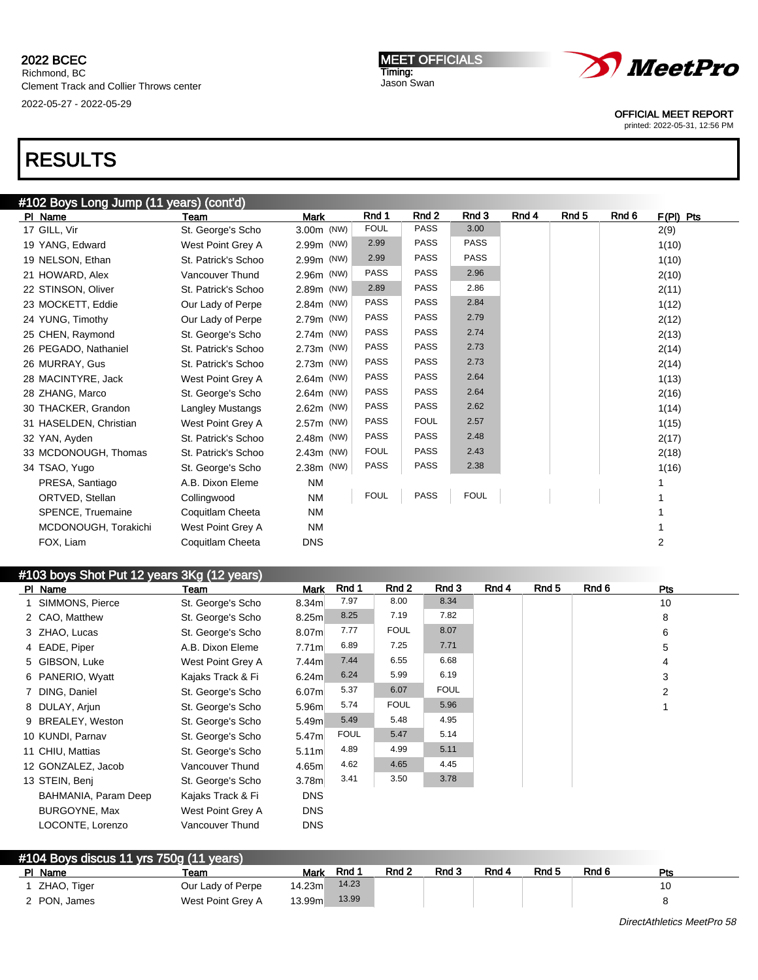MEET OFFICIALS Timing: Jason Swan



OFFICIAL MEET REPORT

printed: 2022-05-31, 12:56 PM

# RESULTS

| #102 Boys Long Jump (11 years) (cont'd) |                     |             |             |                  |             |       |       |       |                |  |  |
|-----------------------------------------|---------------------|-------------|-------------|------------------|-------------|-------|-------|-------|----------------|--|--|
| PI Name                                 | Team                | <b>Mark</b> | Rnd 1       | Rnd <sub>2</sub> | Rnd 3       | Rnd 4 | Rnd 5 | Rnd 6 | $F(PI)$ Pts    |  |  |
| 17 GILL, Vir                            | St. George's Scho   | 3.00m (NW)  | <b>FOUL</b> | <b>PASS</b>      | 3.00        |       |       |       | 2(9)           |  |  |
| 19 YANG, Edward                         | West Point Grey A   | 2.99m (NW)  | 2.99        | <b>PASS</b>      | <b>PASS</b> |       |       |       | 1(10)          |  |  |
| 19 NELSON, Ethan                        | St. Patrick's Schoo | 2.99m (NW)  | 2.99        | <b>PASS</b>      | <b>PASS</b> |       |       |       | 1(10)          |  |  |
| 21 HOWARD, Alex                         | Vancouver Thund     | 2.96m (NW)  | <b>PASS</b> | <b>PASS</b>      | 2.96        |       |       |       | 2(10)          |  |  |
| 22 STINSON, Oliver                      | St. Patrick's Schoo | 2.89m (NW)  | 2.89        | <b>PASS</b>      | 2.86        |       |       |       | 2(11)          |  |  |
| 23 MOCKETT, Eddie                       | Our Lady of Perpe   | 2.84m (NW)  | <b>PASS</b> | <b>PASS</b>      | 2.84        |       |       |       | 1(12)          |  |  |
| 24 YUNG, Timothy                        | Our Lady of Perpe   | 2.79m (NW)  | <b>PASS</b> | <b>PASS</b>      | 2.79        |       |       |       | 2(12)          |  |  |
| 25 CHEN, Raymond                        | St. George's Scho   | 2.74m (NW)  | <b>PASS</b> | <b>PASS</b>      | 2.74        |       |       |       | 2(13)          |  |  |
| 26 PEGADO, Nathaniel                    | St. Patrick's Schoo | 2.73m (NW)  | <b>PASS</b> | <b>PASS</b>      | 2.73        |       |       |       | 2(14)          |  |  |
| 26 MURRAY, Gus                          | St. Patrick's Schoo | 2.73m (NW)  | <b>PASS</b> | <b>PASS</b>      | 2.73        |       |       |       | 2(14)          |  |  |
| 28 MACINTYRE, Jack                      | West Point Grey A   | 2.64m (NW)  | <b>PASS</b> | <b>PASS</b>      | 2.64        |       |       |       | 1(13)          |  |  |
| 28 ZHANG, Marco                         | St. George's Scho   | 2.64m (NW)  | <b>PASS</b> | <b>PASS</b>      | 2.64        |       |       |       | 2(16)          |  |  |
| 30 THACKER, Grandon                     | Langley Mustangs    | 2.62m (NW)  | <b>PASS</b> | <b>PASS</b>      | 2.62        |       |       |       | 1(14)          |  |  |
| 31 HASELDEN, Christian                  | West Point Grey A   | 2.57m (NW)  | <b>PASS</b> | <b>FOUL</b>      | 2.57        |       |       |       | 1(15)          |  |  |
| 32 YAN, Ayden                           | St. Patrick's Schoo | 2.48m (NW)  | <b>PASS</b> | <b>PASS</b>      | 2.48        |       |       |       | 2(17)          |  |  |
| 33 MCDONOUGH, Thomas                    | St. Patrick's Schoo | 2.43m (NW)  | <b>FOUL</b> | <b>PASS</b>      | 2.43        |       |       |       | 2(18)          |  |  |
| 34 TSAO, Yugo                           | St. George's Scho   | 2.38m (NW)  | <b>PASS</b> | <b>PASS</b>      | 2.38        |       |       |       | 1(16)          |  |  |
| PRESA, Santiago                         | A.B. Dixon Eleme    | <b>NM</b>   |             |                  |             |       |       |       |                |  |  |
| ORTVED, Stellan                         | Collingwood         | <b>NM</b>   | <b>FOUL</b> | <b>PASS</b>      | <b>FOUL</b> |       |       |       |                |  |  |
| SPENCE, Truemaine                       | Coquitlam Cheeta    | <b>NM</b>   |             |                  |             |       |       |       |                |  |  |
| MCDONOUGH, Torakichi                    | West Point Grey A   | <b>NM</b>   |             |                  |             |       |       |       |                |  |  |
| FOX, Liam                               | Coquitlam Cheeta    | <b>DNS</b>  |             |                  |             |       |       |       | $\overline{2}$ |  |  |
|                                         |                     |             |             |                  |             |       |       |       |                |  |  |

# #103 boys Shot Put 12 years 3Kg (12 years)

|                      | Team                                                                                                                                                                                                                                                            | Mark              | Rnd 1       | Rnd 2       | Rnd 3       | Rnd 4 | Rnd 5 | Rnd 6 | Pts |
|----------------------|-----------------------------------------------------------------------------------------------------------------------------------------------------------------------------------------------------------------------------------------------------------------|-------------------|-------------|-------------|-------------|-------|-------|-------|-----|
|                      | St. George's Scho                                                                                                                                                                                                                                               | 8.34 <sub>m</sub> | 7.97        | 8.00        | 8.34        |       |       |       | 10  |
|                      | St. George's Scho                                                                                                                                                                                                                                               | 8.25 <sub>m</sub> | 8.25        | 7.19        | 7.82        |       |       |       | 8   |
|                      | St. George's Scho                                                                                                                                                                                                                                               | 8.07 <sub>m</sub> | 7.77        | <b>FOUL</b> | 8.07        |       |       |       | 6   |
|                      | A.B. Dixon Eleme                                                                                                                                                                                                                                                | 7.71 <sub>m</sub> | 6.89        | 7.25        | 7.71        |       |       |       | 5   |
|                      | West Point Grey A                                                                                                                                                                                                                                               | 7.44m             | 7.44        | 6.55        | 6.68        |       |       |       | 4   |
|                      | Kajaks Track & Fi                                                                                                                                                                                                                                               | 6.24m             | 6.24        | 5.99        | 6.19        |       |       |       | 3   |
|                      | St. George's Scho                                                                                                                                                                                                                                               | 6.07 <sub>m</sub> | 5.37        | 6.07        | <b>FOUL</b> |       |       |       | 2   |
|                      | St. George's Scho                                                                                                                                                                                                                                               | 5.96m             | 5.74        | <b>FOUL</b> | 5.96        |       |       |       |     |
|                      | St. George's Scho                                                                                                                                                                                                                                               | 5.49m             | 5.49        | 5.48        | 4.95        |       |       |       |     |
|                      | St. George's Scho                                                                                                                                                                                                                                               | 5.47m             | <b>FOUL</b> | 5.47        | 5.14        |       |       |       |     |
|                      | St. George's Scho                                                                                                                                                                                                                                               | 5.11 <sub>m</sub> | 4.89        | 4.99        | 5.11        |       |       |       |     |
|                      | Vancouver Thund                                                                                                                                                                                                                                                 | 4.65m             | 4.62        | 4.65        | 4.45        |       |       |       |     |
|                      | St. George's Scho                                                                                                                                                                                                                                               | 3.78 <sub>m</sub> | 3.41        | 3.50        | 3.78        |       |       |       |     |
| BAHMANIA, Param Deep | Kajaks Track & Fi                                                                                                                                                                                                                                               | <b>DNS</b>        |             |             |             |       |       |       |     |
| BURGOYNE, Max        | West Point Grey A                                                                                                                                                                                                                                               | <b>DNS</b>        |             |             |             |       |       |       |     |
| LOCONTE, Lorenzo     | Vancouver Thund                                                                                                                                                                                                                                                 | <b>DNS</b>        |             |             |             |       |       |       |     |
|                      | PI Name<br>1 SIMMONS, Pierce<br>2 CAO, Matthew<br>3 ZHAO, Lucas<br>4 EADE, Piper<br>5 GIBSON, Luke<br>6 PANERIO, Wyatt<br>7 DING, Daniel<br>8 DULAY, Ariun<br>9 BREALEY, Weston<br>10 KUNDI, Parnav<br>11 CHIU, Mattias<br>12 GONZALEZ, Jacob<br>13 STEIN, Benj |                   |             |             |             |       |       |       |     |

### #104 Boys discus 11 yrs 750g (11 years) PI Name \_\_\_\_\_\_\_\_\_\_\_\_\_\_\_\_Team \_\_\_\_\_\_\_\_\_\_\_\_\_Mark Rnd 1 \_\_Rnd 2 \_\_Rnd 3 \_\_Rnd 4 \_\_Rnd 5 \_\_Rnd 6 \_\_\_\_\_\_Pts 1 ZHAO, Tiger Cur Lady of Perpe 14.23m 14.23 2 PON, James West Point Grey A 13.99m 13.99 8 8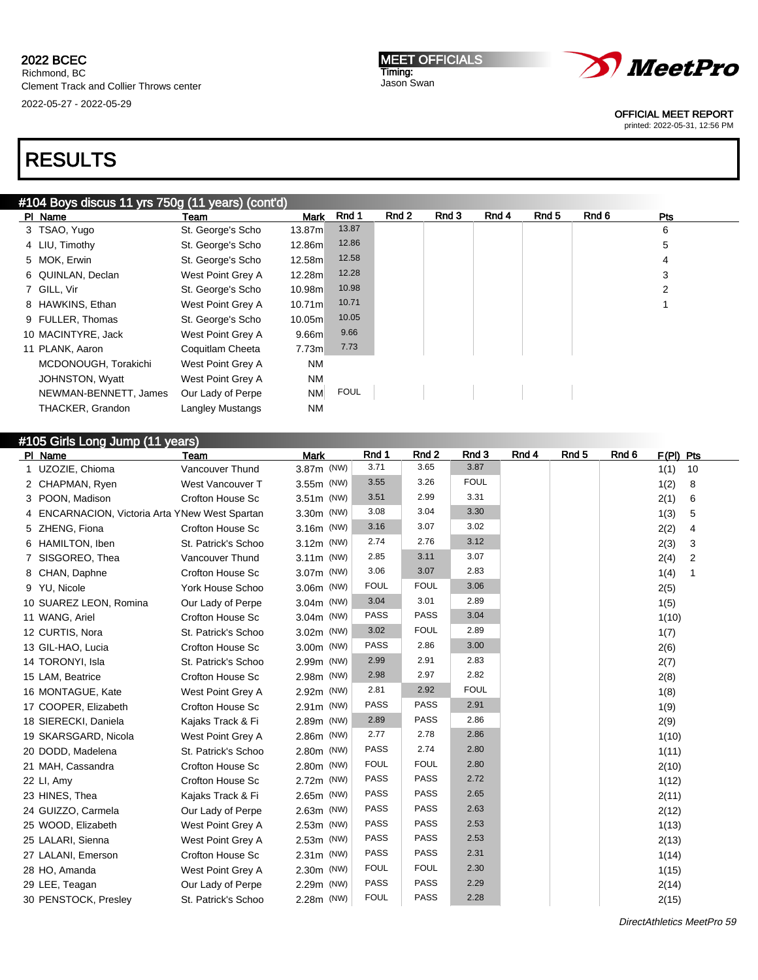# RESULTS

## #104 Boys discus 11 yrs 750g (11 years) (cont'd)

| PI Name               | Team                    | <b>Mark</b> | Rnd 1       | Rnd 2 | Rnd 3 | Rnd 4 | Rnd 5 | Rnd 6 | Pts |
|-----------------------|-------------------------|-------------|-------------|-------|-------|-------|-------|-------|-----|
| 3 TSAO, Yugo          | St. George's Scho       | 13.87m      | 13.87       |       |       |       |       |       | 6   |
| 4 LIU, Timothy        | St. George's Scho       | 12.86m      | 12.86       |       |       |       |       |       | 5   |
| 5 MOK, Erwin          | St. George's Scho       | 12.58m      | 12.58       |       |       |       |       |       | 4   |
| 6 QUINLAN, Declan     | West Point Grey A       | 12.28m      | 12.28       |       |       |       |       |       | 3   |
| 7 GILL, Vir           | St. George's Scho       | 10.98m      | 10.98       |       |       |       |       |       | 2   |
| 8 HAWKINS, Ethan      | West Point Grey A       | 10.71m      | 10.71       |       |       |       |       |       |     |
| 9 FULLER, Thomas      | St. George's Scho       | 10.05m      | 10.05       |       |       |       |       |       |     |
| 10 MACINTYRE, Jack    | West Point Grey A       | 9.66m       | 9.66        |       |       |       |       |       |     |
| 11 PLANK, Aaron       | Coquitlam Cheeta        | 7.73m       | 7.73        |       |       |       |       |       |     |
| MCDONOUGH, Torakichi  | West Point Grey A       | <b>NM</b>   |             |       |       |       |       |       |     |
| JOHNSTON, Wyatt       | West Point Grey A       | <b>NM</b>   |             |       |       |       |       |       |     |
| NEWMAN-BENNETT, James | Our Lady of Perpe       | <b>NM</b>   | <b>FOUL</b> |       |       |       |       |       |     |
| THACKER, Grandon      | <b>Langley Mustangs</b> | <b>NM</b>   |             |       |       |       |       |       |     |

### #105 Girls Long Jump (11 years)

| PI Name                                        | <b>Team</b>             | <b>Mark</b>  | Rnd 1       | Rnd <sub>2</sub> | Rnd 3       | Rnd 4 | Rnd 5 | Rnd 6 | $F(PI)$ Pts |    |
|------------------------------------------------|-------------------------|--------------|-------------|------------------|-------------|-------|-------|-------|-------------|----|
| 1 UZOZIE, Chioma                               | Vancouver Thund         | 3.87m (NW)   | 3.71        | 3.65             | 3.87        |       |       |       | 1(1)        | 10 |
| 2 CHAPMAN, Ryen                                | West Vancouver T        | 3.55m (NW)   | 3.55        | 3.26             | <b>FOUL</b> |       |       |       | 1(2)        | 8  |
| 3 POON, Madison                                | Crofton House Sc        | 3.51m (NW)   | 3.51        | 2.99             | 3.31        |       |       |       | 2(1)        | 6  |
| 4 ENCARNACION, Victoria Arta YNew West Spartan |                         | 3.30m (NW)   | 3.08        | 3.04             | 3.30        |       |       |       | 1(3)        | 5  |
| 5 ZHENG, Fiona                                 | <b>Crofton House Sc</b> | 3.16m (NW)   | 3.16        | 3.07             | 3.02        |       |       |       | 2(2)        | 4  |
| 6 HAMILTON, Iben                               | St. Patrick's Schoo     | 3.12m (NW)   | 2.74        | 2.76             | 3.12        |       |       |       | 2(3)        | 3  |
| 7 SISGOREO, Thea                               | Vancouver Thund         | $3.11m$ (NW) | 2.85        | 3.11             | 3.07        |       |       |       | 2(4)        | 2  |
| 8 CHAN, Daphne                                 | Crofton House Sc        | 3.07m (NW)   | 3.06        | 3.07             | 2.83        |       |       |       | 1(4)        | 1  |
| 9 YU, Nicole                                   | York House Schoo        | 3.06m (NW)   | <b>FOUL</b> | <b>FOUL</b>      | 3.06        |       |       |       | 2(5)        |    |
| 10 SUAREZ LEON, Romina                         | Our Lady of Perpe       | 3.04m (NW)   | 3.04        | 3.01             | 2.89        |       |       |       | 1(5)        |    |
| 11 WANG, Ariel                                 | <b>Crofton House Sc</b> | 3.04m (NW)   | <b>PASS</b> | <b>PASS</b>      | 3.04        |       |       |       | 1(10)       |    |
| 12 CURTIS, Nora                                | St. Patrick's Schoo     | 3.02m (NW)   | 3.02        | <b>FOUL</b>      | 2.89        |       |       |       | 1(7)        |    |
| 13 GIL-HAO, Lucia                              | Crofton House Sc        | 3.00m (NW)   | PASS        | 2.86             | 3.00        |       |       |       | 2(6)        |    |
| 14 TORONYI, Isla                               | St. Patrick's Schoo     | 2.99m (NW)   | 2.99        | 2.91             | 2.83        |       |       |       | 2(7)        |    |
| 15 LAM, Beatrice                               | Crofton House Sc        | 2.98m (NW)   | 2.98        | 2.97             | 2.82        |       |       |       | 2(8)        |    |
| 16 MONTAGUE, Kate                              | West Point Grey A       | 2.92m (NW)   | 2.81        | 2.92             | <b>FOUL</b> |       |       |       | 1(8)        |    |
| 17 COOPER, Elizabeth                           | <b>Crofton House Sc</b> | 2.91m (NW)   | <b>PASS</b> | <b>PASS</b>      | 2.91        |       |       |       | 1(9)        |    |
| 18 SIERECKI, Daniela                           | Kajaks Track & Fi       | 2.89m (NW)   | 2.89        | <b>PASS</b>      | 2.86        |       |       |       | 2(9)        |    |
| 19 SKARSGARD, Nicola                           | West Point Grey A       | 2.86m (NW)   | 2.77        | 2.78             | 2.86        |       |       |       | 1(10)       |    |
| 20 DODD, Madelena                              | St. Patrick's Schoo     | 2.80m (NW)   | <b>PASS</b> | 2.74             | 2.80        |       |       |       | 1(11)       |    |
| 21 MAH, Cassandra                              | Crofton House Sc        | 2.80m (NW)   | <b>FOUL</b> | <b>FOUL</b>      | 2.80        |       |       |       | 2(10)       |    |
| 22 LI, Amy                                     | <b>Crofton House Sc</b> | 2.72m (NW)   | <b>PASS</b> | <b>PASS</b>      | 2.72        |       |       |       | 1(12)       |    |
| 23 HINES, Thea                                 | Kajaks Track & Fi       | 2.65m (NW)   | <b>PASS</b> | <b>PASS</b>      | 2.65        |       |       |       | 2(11)       |    |
| 24 GUIZZO, Carmela                             | Our Lady of Perpe       | 2.63m (NW)   | <b>PASS</b> | <b>PASS</b>      | 2.63        |       |       |       | 2(12)       |    |
| 25 WOOD, Elizabeth                             | West Point Grey A       | 2.53m (NW)   | <b>PASS</b> | <b>PASS</b>      | 2.53        |       |       |       | 1(13)       |    |
| 25 LALARI, Sienna                              | West Point Grey A       | 2.53m (NW)   | <b>PASS</b> | <b>PASS</b>      | 2.53        |       |       |       | 2(13)       |    |
| 27 LALANI, Emerson                             | <b>Crofton House Sc</b> | 2.31m (NW)   | <b>PASS</b> | PASS             | 2.31        |       |       |       | 1(14)       |    |
| 28 HO, Amanda                                  | West Point Grey A       | 2.30m (NW)   | <b>FOUL</b> | <b>FOUL</b>      | 2.30        |       |       |       | 1(15)       |    |
| 29 LEE, Teagan                                 | Our Lady of Perpe       | 2.29m (NW)   | <b>PASS</b> | PASS             | 2.29        |       |       |       | 2(14)       |    |
| 30 PENSTOCK, Presley                           | St. Patrick's Schoo     | 2.28m (NW)   | <b>FOUL</b> | <b>PASS</b>      | 2.28        |       |       |       | 2(15)       |    |

DirectAthletics MeetPro 59

*MeetPro* 

OFFICIAL MEET REPORT

printed: 2022-05-31, 12:56 PM

MEET OFFICIALS Timing: Jason Swan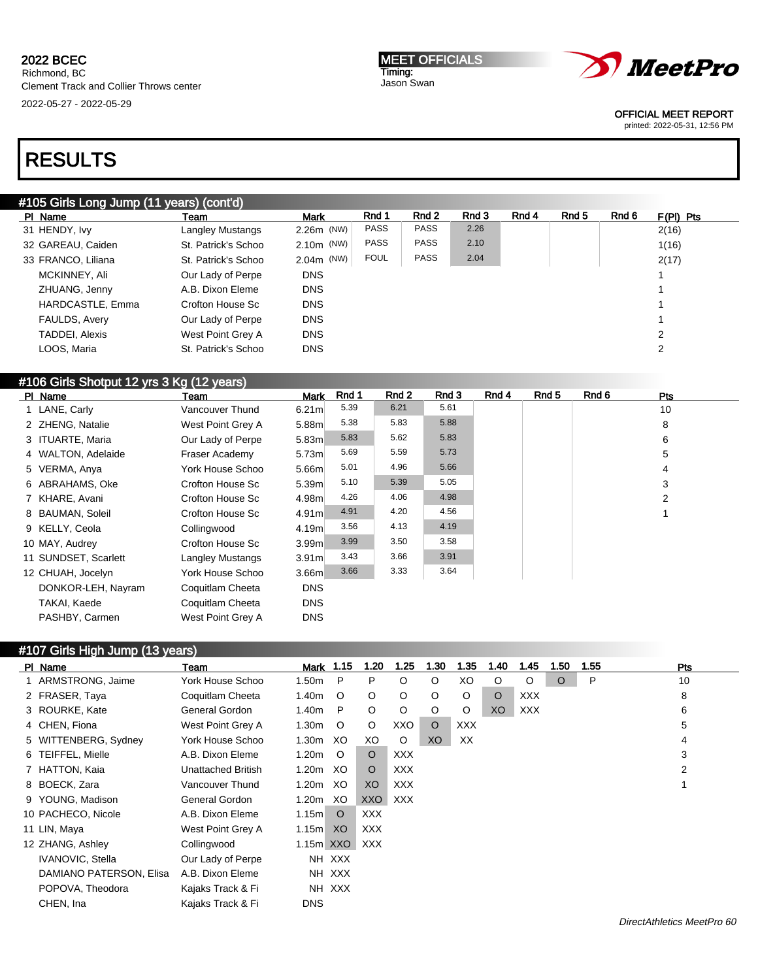#### MEET OFFICIALS Timing: Jason Swan



OFFICIAL MEET REPORT

printed: 2022-05-31, 12:56 PM

# RESULTS

## #105 Girls Long Jump (11 years) (cont'd)

| PI Name            | Team                | <b>Mark</b>  | Rnd 1       | Rnd 2       | Rnd 3 | Rnd 4 | Rnd 5 | Rnd 6 | $F(PI)$ Pts |
|--------------------|---------------------|--------------|-------------|-------------|-------|-------|-------|-------|-------------|
| 31 HENDY, Ivy      | Langley Mustangs    | $2.26m$ (NW) | <b>PASS</b> | <b>PASS</b> | 2.26  |       |       |       | 2(16)       |
| 32 GAREAU, Caiden  | St. Patrick's Schoo | $2.10m$ (NW) | <b>PASS</b> | <b>PASS</b> | 2.10  |       |       |       | 1(16)       |
| 33 FRANCO, Liliana | St. Patrick's Schoo | $2.04m$ (NW) | <b>FOUL</b> | <b>PASS</b> | 2.04  |       |       |       | 2(17)       |
| MCKINNEY, Ali      | Our Lady of Perpe   | <b>DNS</b>   |             |             |       |       |       |       |             |
| ZHUANG, Jenny      | A.B. Dixon Eleme    | <b>DNS</b>   |             |             |       |       |       |       |             |
| HARDCASTLE, Emma   | Crofton House Sc    | <b>DNS</b>   |             |             |       |       |       |       |             |
| FAULDS, Avery      | Our Lady of Perpe   | <b>DNS</b>   |             |             |       |       |       |       |             |
| TADDEI, Alexis     | West Point Grey A   | <b>DNS</b>   |             |             |       |       |       |       | 2           |
| LOOS, Maria        | St. Patrick's Schoo | <b>DNS</b>   |             |             |       |       |       |       | 2           |

## #106 Girls Shotput 12 yrs 3 Kg (12 years)

| PI Name              | Team                    | <b>Mark</b>       | Rnd 1 | Rnd 2 | Rnd 3 | Rnd 4 | Rnd <sub>5</sub> | Rnd 6 | <b>Pts</b> |
|----------------------|-------------------------|-------------------|-------|-------|-------|-------|------------------|-------|------------|
| 1 LANE, Carly        | Vancouver Thund         | 6.21 <sub>m</sub> | 5.39  | 6.21  | 5.61  |       |                  |       | 10         |
| 2 ZHENG, Natalie     | West Point Grey A       | 5.88m             | 5.38  | 5.83  | 5.88  |       |                  |       | 8          |
| 3 ITUARTE, Maria     | Our Lady of Perpe       | 5.83m             | 5.83  | 5.62  | 5.83  |       |                  |       | 6          |
| 4 WALTON, Adelaide   | Fraser Academy          | 5.73 <sub>m</sub> | 5.69  | 5.59  | 5.73  |       |                  |       | 5          |
| 5 VERMA, Anya        | York House Schoo        | 5.66m             | 5.01  | 4.96  | 5.66  |       |                  |       | 4          |
| 6 ABRAHAMS, Oke      | Crofton House Sc        | 5.39m             | 5.10  | 5.39  | 5.05  |       |                  |       | 3          |
| 7 KHARE, Avani       | Crofton House Sc        | 4.98m             | 4.26  | 4.06  | 4.98  |       |                  |       | 2          |
| 8 BAUMAN, Soleil     | Crofton House Sc        | 4.91 <sub>m</sub> | 4.91  | 4.20  | 4.56  |       |                  |       |            |
| 9 KELLY, Ceola       | Collingwood             | 4.19m             | 3.56  | 4.13  | 4.19  |       |                  |       |            |
| 10 MAY, Audrey       | Crofton House Sc        | 3.99m             | 3.99  | 3.50  | 3.58  |       |                  |       |            |
| 11 SUNDSET, Scarlett | <b>Langley Mustangs</b> | 3.91 <sub>m</sub> | 3.43  | 3.66  | 3.91  |       |                  |       |            |
| 12 CHUAH, Jocelyn    | York House Schoo        | 3.66 <sub>m</sub> | 3.66  | 3.33  | 3.64  |       |                  |       |            |
| DONKOR-LEH, Nayram   | Coquitlam Cheeta        | <b>DNS</b>        |       |       |       |       |                  |       |            |
| TAKAI, Kaede         | Coquitlam Cheeta        | <b>DNS</b>        |       |       |       |       |                  |       |            |
| PASHBY, Carmen       | West Point Grey A       | <b>DNS</b>        |       |       |       |       |                  |       |            |

## #107 Girls High Jump (13 years)

| PI Name                 | Team               | <b>Mark 1.15</b>  |         | 1.20       | 1.25       | 1.30    | 1.35       | 1.40    | 1.45       | 1.50    | 1.55 | Pts |
|-------------------------|--------------------|-------------------|---------|------------|------------|---------|------------|---------|------------|---------|------|-----|
| 1 ARMSTRONG, Jaime      | York House Schoo   | 1.50 <sub>m</sub> | P       | P          | $\circ$    | $\circ$ | XO.        | O       | $\circ$    | $\circ$ | P    | 10  |
| 2 FRASER, Taya          | Coquitlam Cheeta   | 1.40m             | $\circ$ | $\circ$    | O          | $\circ$ | O          | $\circ$ | XXX.       |         |      | 8   |
| 3 ROURKE, Kate          | General Gordon     | 1.40m             | P       | $\circ$    | $\circ$    | $\circ$ | O          | XO      | <b>XXX</b> |         |      | 6   |
| 4 CHEN, Fiona           | West Point Grey A  | 1.30m             | $\circ$ | $\circ$    | XXO        | $\circ$ | <b>XXX</b> |         |            |         |      | 5   |
| 5 WITTENBERG, Sydney    | York House Schoo   | 1.30 <sub>m</sub> | XO.     | XO         | $\circ$    | XO      | XX         |         |            |         |      | 4   |
| 6 TEIFFEL, Mielle       | A.B. Dixon Eleme   | 1.20m             | $\circ$ | $\circ$    | <b>XXX</b> |         |            |         |            |         |      | 3   |
| 7 HATTON, Kaia          | Unattached British | 1.20m             | XO.     | $\circ$    | <b>XXX</b> |         |            |         |            |         |      | 2   |
| 8 BOECK, Zara           | Vancouver Thund    | 1.20m             | XO.     | XO         | <b>XXX</b> |         |            |         |            |         |      |     |
| 9 YOUNG, Madison        | General Gordon     | 1.20m             | XO      | XXO        | XXX        |         |            |         |            |         |      |     |
| 10 PACHECO, Nicole      | A.B. Dixon Eleme   | 1.15m             | $\circ$ | <b>XXX</b> |            |         |            |         |            |         |      |     |
| 11 LIN, Maya            | West Point Grey A  | 1.15m             | XO      | <b>XXX</b> |            |         |            |         |            |         |      |     |
| 12 ZHANG, Ashley        | Collingwood        | 1.15m XXO         |         | XXX        |            |         |            |         |            |         |      |     |
| <b>IVANOVIC, Stella</b> | Our Lady of Perpe  |                   | NH XXX  |            |            |         |            |         |            |         |      |     |
| DAMIANO PATERSON, Elisa | A.B. Dixon Eleme   |                   | NH XXX  |            |            |         |            |         |            |         |      |     |
| POPOVA, Theodora        | Kajaks Track & Fi  |                   | NH XXX  |            |            |         |            |         |            |         |      |     |
| CHEN, Ina               | Kajaks Track & Fi  | <b>DNS</b>        |         |            |            |         |            |         |            |         |      |     |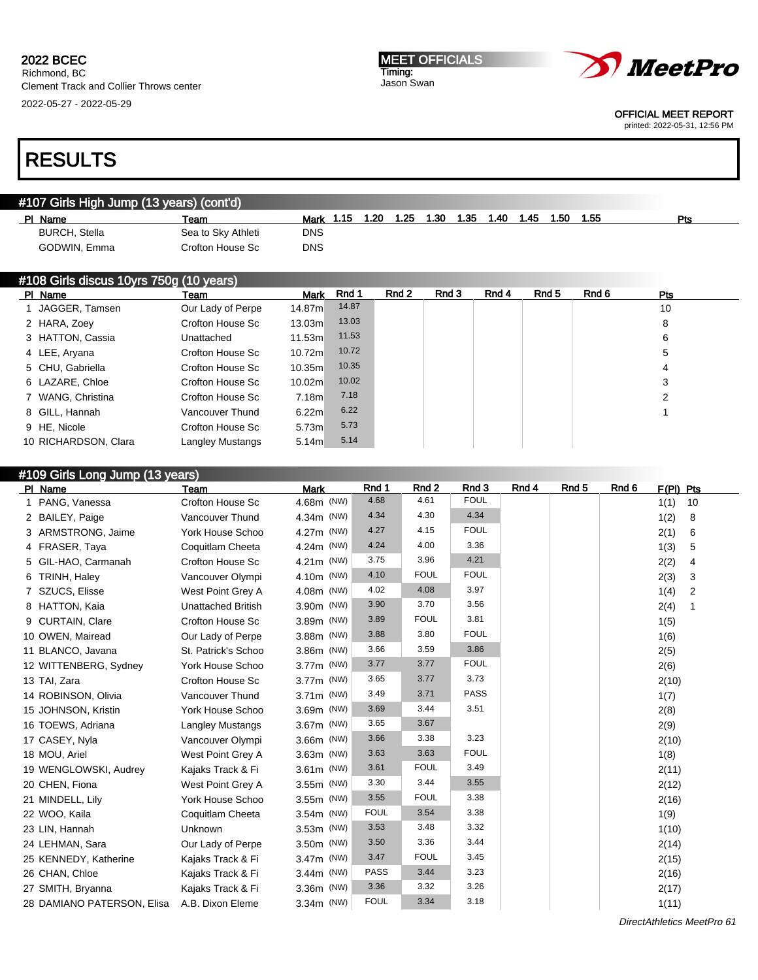Richmond, BC Clement Track and Collier Throws center 2022-05-27 - 2022-05-29

#### MEET OFFICIALS Timing: Jason Swan



OFFICIAL MEET REPORT

printed: 2022-05-31, 12:56 PM

# RESULTS

## #107 Girls High Jump (13 years) (cont'd) Pl Name Team Mark 1.15 1.20 1.25 1.30 1.35 1.40 1.45 1.50 1.55 Pts BURCH, Stella Sea to Sky Athleti DNS GODWIN, Emma Crofton House Sc DNS

| #108 Girls discus 10yrs 750g (10 years) |                      |                   |                   |       |       |       |       |       |       |            |  |
|-----------------------------------------|----------------------|-------------------|-------------------|-------|-------|-------|-------|-------|-------|------------|--|
|                                         | PI Name              | Team              | <b>Mark</b>       | Rnd 1 | Rnd 2 | Rnd 3 | Rnd 4 | Rnd 5 | Rnd 6 | <b>Pts</b> |  |
|                                         | JAGGER, Tamsen       | Our Lady of Perpe | 14.87m            | 14.87 |       |       |       |       |       | 10         |  |
|                                         | 2 HARA, Zoey         | Crofton House Sc  | 13.03m            | 13.03 |       |       |       |       |       | 8          |  |
|                                         | 3 HATTON, Cassia     | Unattached        | 11.53m            | 11.53 |       |       |       |       |       | 6          |  |
|                                         | 4 LEE, Aryana        | Crofton House Sc  | 10.72ml           | 10.72 |       |       |       |       |       | 5          |  |
|                                         | 5 CHU, Gabriella     | Crofton House Sc  | 10.35m            | 10.35 |       |       |       |       |       | 4          |  |
|                                         | 6 LAZARE, Chloe      | Crofton House Sc  | 10.02m            | 10.02 |       |       |       |       |       | 3          |  |
|                                         | 7 WANG, Christina    | Crofton House Sc  | 7.18m             | 7.18  |       |       |       |       |       | 2          |  |
|                                         | 8 GILL, Hannah       | Vancouver Thund   | 6.22m             | 6.22  |       |       |       |       |       |            |  |
|                                         | 9 HE, Nicole         | Crofton House Sc  | 5.73 <sub>m</sub> | 5.73  |       |       |       |       |       |            |  |
|                                         | 10 RICHARDSON, Clara | Langley Mustangs  | 5.14 <sub>m</sub> | 5.14  |       |       |       |       |       |            |  |

### #109 Girls Long Jump (13 years) Pl Name Team Mark Rnd 1 Rnd 2 Rnd 3 Rnd 4 Rnd 5 Rnd 6 F(Pl) Pts 1 PANG, Vanessa Crofton House Sc 4.68m (NW) 4.68 4.61 FOUL 1 10 10 2 BAILEY, Paige Vancouver Thund 4.34m (NW) 4.34 4.30 4.34 1(2) 8 3 ARMSTRONG, Jaime York House Schoo 4.27m (NW) 4.27 4.15 FOUL 201 2(1) 6 4 FRASER, Taya Coquitlam Cheeta 4.24m (NW) 4.24 4.00 3.36 1(3) 5 5 GIL-HAO, Carmanah Crofton House Sc 4.21m (NW) 3.75 3.96 4.21 2(2) 4 6 TRINH, Haley Vancouver Olympi 4.10m (NW) 4.10 FOUL FOUL 2(3) 3 7 SZUCS, Elisse West Point Grey A 4.08m (NW) 4.02 4.08 3.97 1(4) 2 8 HATTON, Kaia Unattached British 3.90m (NW) 3.90 3.70 3.56 2(4) 1 9 CURTAIN, Clare Crofton House Sc 3.89m (NW) 3.89 FOUL 3.81 100 1(5) 10 OWEN, Mairead Cur Lady of Perpe 3.88m (NW) 3.88 3.80 FOUL 10 1(6) 11 BLANCO, Javana St. Patrick's Schoo 3.86m (NW) 3.66 3.59 3.86 3.86 2(5) 12 WITTENBERG, Sydney York House Schoo 3.77m (NW) 3.77 3.77 FOUL 76 169 206 13 TAI, Zara Crofton House Sc 3.77m (NW) 3.65 3.77 3.73 2(10) 14 ROBINSON, Olivia Vancouver Thund 3.71m (NW) 3.49 3.71 PASS 1(7) 3.49 1(7) 15 JOHNSON, Kristin York House Schoo 3.69m (NW) 3.69 3.44 3.51 2(8) 16 TOEWS, Adriana Langley Mustangs 3.67 m (NW) 3.65 3.67 3.67 and 3.67 2(9) 17 CASEY, Nyla Vancouver Olympi 3.66m (NW) 3.66 3.38 3.23 2(10) 18 MOU, Ariel **West Point Grey A** 3.63 m (NW) 3.63 3.63 FOUL **18** 18 19 WENGLOWSKI, Audrey Kajaks Track & Fi 3.61m (NW) 3.61 FOUL 3.49 2(11) 20 CHEN, Fiona **West Point Grey A** 3.55m (NW) 3.30 3.44 3.55 2(12) 21 MINDELL, Lily York House Schoo 3.55m (NW) 3.55 FOUL 3.38 2(16) 22 WOO, Kaila Coquitlam Cheeta 3.54m (NW) FOUL 3.54 3.38 1(9) 23 LIN, Hannah Unknown 3.53m (NW) 3.53 3.48 3.32 1(10) 24 LEHMAN, Sara Our Lady of Perpe 3.50m (NW) 3.50 3.36 3.44 2(14) 25 KENNEDY, Katherine Kajaks Track & Fi 3.47m (NW) 3.47 FOUL 3.45 2(15) 26 CHAN, Chloe Kajaks Track & Fi 3.44m (NW) PASS 3.44 3.23 216 2(16) 27 SMITH, Bryanna Kajaks Track & Fi 3.36m (NW) 3.36 3.32 3.26 2(17) 28 DAMIANO PATERSON, Elisa A.B. Dixon Eleme 3.34m (NW) FOUL 3.34 3.18 100 111 111

DirectAthletics MeetPro 61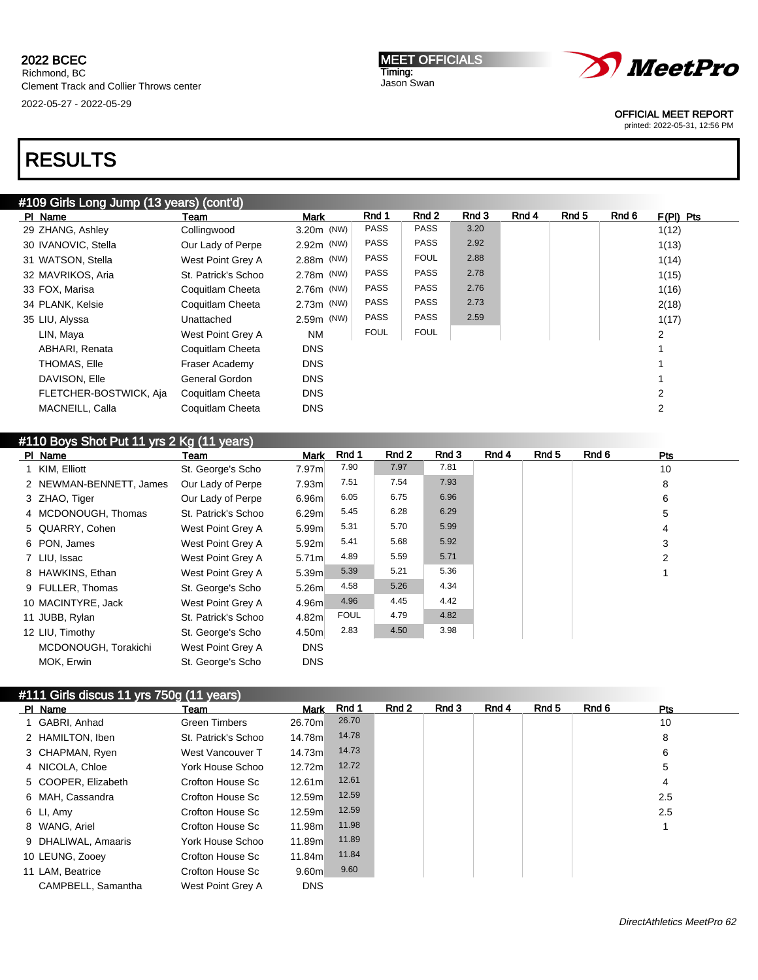2022-05-27 - 2022-05-29

# RESULTS

| <b>MEET OFFICIALS</b> |
|-----------------------|
| Timing:               |
| Jason Swan            |



OFFICIAL MEET REPORT

printed: 2022-05-31, 12:56 PM

## #109 Girls Long Jump (13 years) (cont'd) Pl Name Team Team Mark Rnd 1 Rnd 2 Rnd 3 Rnd 4 Rnd 5 Rnd 6 F(Pl) Pts 29 ZHANG, Ashley Collingwood 3.20m (NW) PASS PASS 3.20 13.20 1(12) 30 IVANOVIC, Stella **Our Lady of Perpe** 2.92m (NW) PASS PASS 2.92 10 10 113) 31 WATSON, Stella West Point Grey A 2.88m (NW) PASS FOUL 2.88 1(14) 32 MAVRIKOS, Aria **St. Patrick's Schoo 2.78m** (NW) PASS PASS 2.78 12.78 1(15) 33 FOX, Marisa Coquitlam Cheeta 2.76m (NW) PASS PASS 2.76 1(16) 34 PLANK, Kelsie Coquitlam Cheeta 2.73m (NW) PASS PASS 2.73 2.73 35 LIU, Alyssa Unattached 2.59m (NW) PASS PASS 2.59 1(17) LIN, Maya West Point Grey A NM FOUL FOUL | FOUL | 1 ABHARI, Renata Coquitlam Cheeta DNS 1 THOMAS, Elle **Fraser Academy** DNS 1 DAVISON, Elle **General Gordon** DNS 1 FLETCHER-BOSTWICK, Aja Coquitlam Cheeta DNS 2 MACNEILL, Calla Coquitlam Cheeta DNS 2

| #110 Boys Shot Put 11 yrs 2 Kg (11 years) |                         |                     |                   |             |       |       |       |       |       |            |  |
|-------------------------------------------|-------------------------|---------------------|-------------------|-------------|-------|-------|-------|-------|-------|------------|--|
|                                           | PI Name                 | Team                | <b>Mark</b>       | Rnd 1       | Rnd 2 | Rnd 3 | Rnd 4 | Rnd 5 | Rnd 6 | <b>Pts</b> |  |
|                                           | 1 KIM, Elliott          | St. George's Scho   | 7.97m             | 7.90        | 7.97  | 7.81  |       |       |       | 10         |  |
|                                           | 2 NEWMAN-BENNETT, James | Our Lady of Perpe   | 7.93m             | 7.51        | 7.54  | 7.93  |       |       |       | 8          |  |
|                                           | 3 ZHAO, Tiger           | Our Lady of Perpe   | 6.96m             | 6.05        | 6.75  | 6.96  |       |       |       | 6          |  |
|                                           | 4 MCDONOUGH, Thomas     | St. Patrick's Schoo | 6.29 <sub>m</sub> | 5.45        | 6.28  | 6.29  |       |       |       | 5          |  |
|                                           | 5 QUARRY, Cohen         | West Point Grey A   | 5.99m             | 5.31        | 5.70  | 5.99  |       |       |       | 4          |  |
|                                           | 6 PON, James            | West Point Grey A   | 5.92 <sub>m</sub> | 5.41        | 5.68  | 5.92  |       |       |       | 3          |  |
|                                           | 7 LIU, Issac            | West Point Grey A   | 5.71 <sub>m</sub> | 4.89        | 5.59  | 5.71  |       |       |       | 2          |  |
|                                           | 8 HAWKINS, Ethan        | West Point Grey A   | 5.39 <sub>m</sub> | 5.39        | 5.21  | 5.36  |       |       |       |            |  |
|                                           | 9 FULLER, Thomas        | St. George's Scho   | 5.26 <sub>m</sub> | 4.58        | 5.26  | 4.34  |       |       |       |            |  |
|                                           | 10 MACINTYRE, Jack      | West Point Grey A   | 4.96m             | 4.96        | 4.45  | 4.42  |       |       |       |            |  |
|                                           | 11 JUBB, Rylan          | St. Patrick's Schoo | 4.82m             | <b>FOUL</b> | 4.79  | 4.82  |       |       |       |            |  |
|                                           | 12 LIU, Timothy         | St. George's Scho   | 4.50m             | 2.83        | 4.50  | 3.98  |       |       |       |            |  |
|                                           | MCDONOUGH, Torakichi    | West Point Grey A   | <b>DNS</b>        |             |       |       |       |       |       |            |  |
|                                           | MOK, Erwin              | St. George's Scho   | <b>DNS</b>        |             |       |       |       |       |       |            |  |

## #111 Girls discus 11 yrs 750g (11 years)

| PI Name             | Team                | <b>Mark</b>       | Rnd 1 | Rnd 2 | Rnd 3 | Rnd 4 | Rnd 5 | Rnd 6 | Pts |  |
|---------------------|---------------------|-------------------|-------|-------|-------|-------|-------|-------|-----|--|
| GABRI, Anhad        | Green Timbers       | 26.70m            | 26.70 |       |       |       |       |       | 10  |  |
| 2 HAMILTON, Iben    | St. Patrick's Schoo | 14.78m            | 14.78 |       |       |       |       |       | 8   |  |
| 3 CHAPMAN, Ryen     | West Vancouver T    | 14.73m            | 14.73 |       |       |       |       |       | 6   |  |
| 4 NICOLA, Chloe     | York House Schoo    | 12.72m            | 12.72 |       |       |       |       |       | 5   |  |
| 5 COOPER, Elizabeth | Crofton House Sc    | 12.61m            | 12.61 |       |       |       |       |       | 4   |  |
| 6 MAH, Cassandra    | Crofton House Sc    | 12.59m            | 12.59 |       |       |       |       |       | 2.5 |  |
| 6 LI, Amy           | Crofton House Sc    | 12.59m            | 12.59 |       |       |       |       |       | 2.5 |  |
| 8 WANG, Ariel       | Crofton House Sc    | 11.98m            | 11.98 |       |       |       |       |       |     |  |
| 9 DHALIWAL, Amaaris | York House Schoo    | 11.89m            | 11.89 |       |       |       |       |       |     |  |
| 10 LEUNG, Zooey     | Crofton House Sc    | 11.84m            | 11.84 |       |       |       |       |       |     |  |
| 11 LAM, Beatrice    | Crofton House Sc    | 9.60 <sub>m</sub> | 9.60  |       |       |       |       |       |     |  |
| CAMPBELL, Samantha  | West Point Grey A   | <b>DNS</b>        |       |       |       |       |       |       |     |  |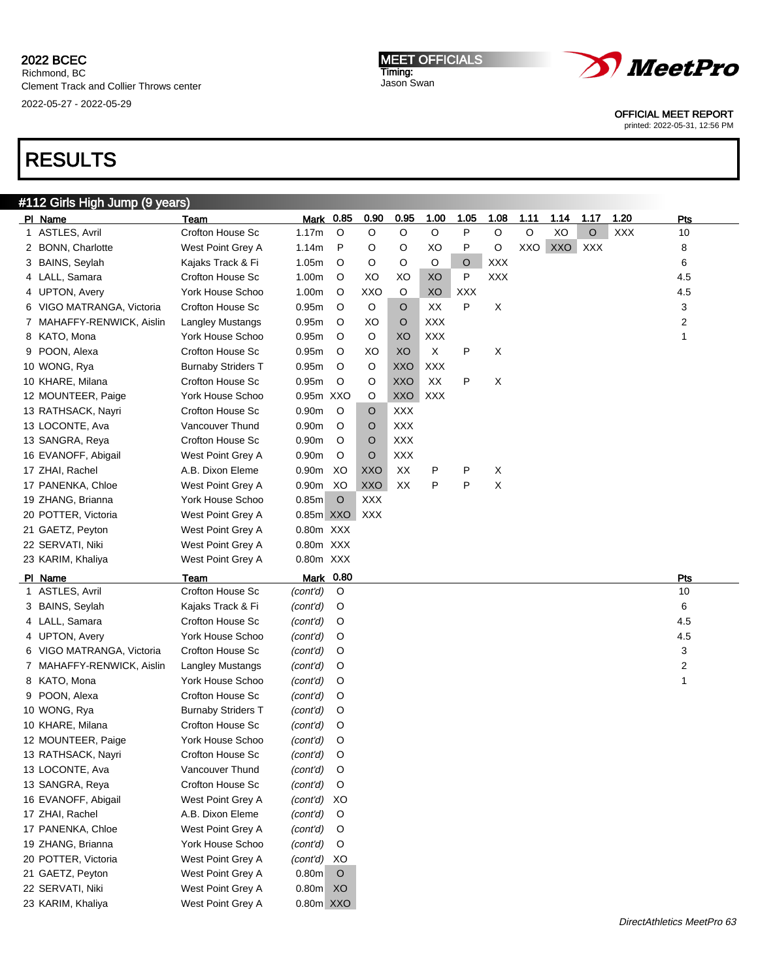2022-05-27 - 2022-05-29

MEET OFFICIALS Timing: Jason Swan



OFFICIAL MEET REPORT

printed: 2022-05-31, 12:56 PM

# RESULTS

### #112 Girls High Jump (9 years) Pl Name Team Mark 0.85 0.90 0.95 1.00 1.05 1.08 1.11 1.14 1.17 1.20 Pts 1 ASTLES, Avril **Crofton House Sc** 1.17m O O O O P O O XO O XXX 10 2 BONN, Charlotte **West Point Grey A 1.14m** P O O XO P O XXO XXO XXX 8 8 3 BAINS, Seylah Kajaks Track & Fi 1.05m O O O O O XXX 6 4 LALL, Samara Crofton House Sc 1.00m O XO XO XO P XXX 4.5 4 UPTON, Avery York House Schoo 1.00m O XXO O XO XXX 4.5 6 VIGO MATRANGA, Victoria Crofton House Sc 0.95m O O O XX P X 3 3 7 MAHAFFY-RENWICK, Aislin Langley Mustangs 0.95m O XO O XXX 2 8 KATO, Mona York House Schoo 0.95m O O XO XXX 1 9 POON, Alexa Crofton House Sc 0.95m O XO | XO X P X 10 WONG, Rya Burnaby Striders T 0.95m O O XXO XXX 10 KHARE, Milana Crofton House Sc 0.95m O O XXO XX P X 12 MOUNTEER, Paige York House Schoo 0.95m XXO O XXO XXX 13 RATHSACK, Nayri **Crofton House Sc** 0.90m O O XXX 13 LOCONTE, Ava Vancouver Thund 0.90m O O XXX 13 SANGRA, Reya Crofton House Sc 0.90m O O XXX 16 EVANOFF, Abigail West Point Grey A 0.90m O O XXX 17 ZHAI, Rachel A.B. Dixon Eleme 0.90m XO XXO XX P P X 17 PANENKA, Chloe West Point Grey A 0.90m XO XXO XX P P X 19 ZHANG, Brianna York House Schoo 0.85m O XXX 20 POTTER, Victoria **West Point Grey A** 0.85m XXO XXX 21 GAETZ, Peyton West Point Grey A 0.80m XXX 22 SERVATI, Niki West Point Grey A 0.80m XXX 23 KARIM, Khaliya **West Point Grey A** 0.80m XXX Pl Name **Team Mark 0.80** Pts and the Present of Present of the Present of Present of Present of Present of Present 1 ASTLES, Avril Crofton House Sc (cont'd) O 10 3 BAINS, Seylah Kajaks Track & Fi (cont'd) O 6 4 LALL, Samara Crofton House Sc (cont'd) O 4.5 4 UPTON, Avery York House Schoo (cont'd) O 4.5 6 VIGO MATRANGA, Victoria Crofton House Sc (cont'd) O 3 3 7 MAHAFFY-RENWICK, Aislin Langley Mustangs (cont'd) O 2 8 KATO, Mona York House Schoo (cont'd) O 1 9 POON, Alexa Crofton House Sc (cont'd) O 10 WONG, Rya Burnaby Striders T (cont'd) O 10 KHARE, Milana Crofton House Sc (cont'd) O 12 MOUNTEER, Paige York House Schoo (cont'd) O 13 RATHSACK, Nayri Crofton House Sc (cont'd) O 13 LOCONTE, Ava Vancouver Thund (cont'd) O 13 SANGRA, Reya Crofton House Sc (cont'd) O 16 EVANOFF, Abigail West Point Grey A (cont'd) XO 17 ZHAI, Rachel **A.B. Dixon Eleme** (cont'd) O 17 PANENKA, Chloe West Point Grey A (cont'd) O 19 ZHANG, Brianna York House Schoo (cont'd) O 20 POTTER, Victoria West Point Grey A (cont'd) XO 21 GAETZ, Peyton West Point Grey A 0.80m O 22 SERVATI, Niki West Point Grey A 0.80m XO 23 KARIM, Khaliya West Point Grey A 0.80m XXO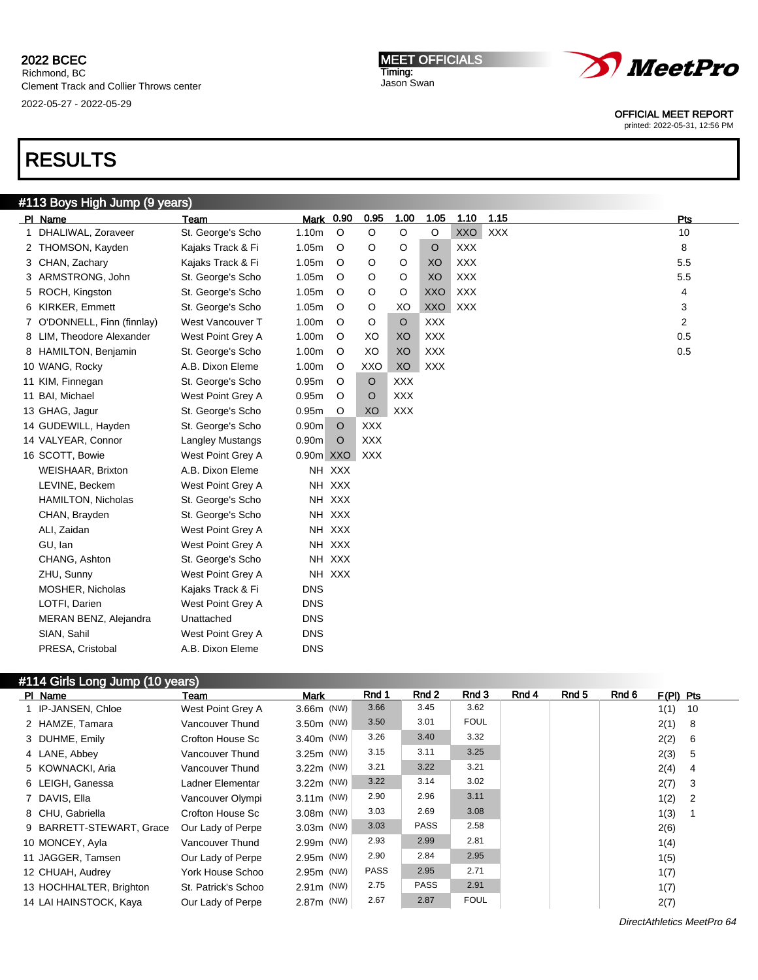2022-05-27 - 2022-05-29





OFFICIAL MEET REPORT

printed: 2022-05-31, 12:56 PM

# RESULTS

## #113 Boys High Jump (9 years)

|   | PI Name                     | Team                    | Mark 0.90         |         | 0.95       | 1.00       | 1.05       | 1.10       | 1.15       | Pts |
|---|-----------------------------|-------------------------|-------------------|---------|------------|------------|------------|------------|------------|-----|
| 1 | DHALIWAL, Zoraveer          | St. George's Scho       | 1.10m             | $\circ$ | $\circ$    | O          | O          | <b>XXO</b> | <b>XXX</b> | 10  |
|   | 2 THOMSON, Kayden           | Kajaks Track & Fi       | 1.05m             | $\circ$ | O          | O          | $\circ$    | <b>XXX</b> |            | 8   |
|   | 3 CHAN, Zachary             | Kajaks Track & Fi       | 1.05m             | $\circ$ | O          | O          | XO         | <b>XXX</b> |            | 5.5 |
|   | 3 ARMSTRONG, John           | St. George's Scho       | 1.05m             | $\circ$ | O          | O          | XO         | <b>XXX</b> |            | 5.5 |
|   | 5 ROCH, Kingston            | St. George's Scho       | 1.05m             | $\circ$ | O          | O          | <b>XXO</b> | <b>XXX</b> |            | 4   |
|   | 6 KIRKER, Emmett            | St. George's Scho       | 1.05m             | $\circ$ | O          | XO         | <b>XXO</b> | <b>XXX</b> |            | 3   |
|   | 7 O'DONNELL, Finn (finnlay) | West Vancouver T        | 1.00m             | $\circ$ | O          | $\circ$    | <b>XXX</b> |            |            | 2   |
|   | 8 LIM, Theodore Alexander   | West Point Grey A       | 1.00m             | $\circ$ | XO         | XO         | <b>XXX</b> |            |            | 0.5 |
|   | 8 HAMILTON, Benjamin        | St. George's Scho       | 1.00m             | $\circ$ | XO         | XO         | <b>XXX</b> |            |            | 0.5 |
|   | 10 WANG, Rocky              | A.B. Dixon Eleme        | 1.00m             | $\circ$ | XXO        | XO         | <b>XXX</b> |            |            |     |
|   | 11 KIM, Finnegan            | St. George's Scho       | 0.95m             | $\circ$ | O          | <b>XXX</b> |            |            |            |     |
|   | 11 BAI, Michael             | West Point Grey A       | 0.95m             | $\circ$ | $\circ$    | <b>XXX</b> |            |            |            |     |
|   | 13 GHAG, Jagur              | St. George's Scho       | 0.95m             | $\circ$ | XO         | <b>XXX</b> |            |            |            |     |
|   | 14 GUDEWILL, Hayden         | St. George's Scho       | 0.90 <sub>m</sub> | $\circ$ | <b>XXX</b> |            |            |            |            |     |
|   | 14 VALYEAR, Connor          | <b>Langley Mustangs</b> | 0.90 <sub>m</sub> | $\circ$ | <b>XXX</b> |            |            |            |            |     |
|   | 16 SCOTT, Bowie             | West Point Grey A       | 0.90m XXO         |         | <b>XXX</b> |            |            |            |            |     |
|   | WEISHAAR, Brixton           | A.B. Dixon Eleme        |                   | NH XXX  |            |            |            |            |            |     |
|   | LEVINE, Beckem              | West Point Grey A       |                   | NH XXX  |            |            |            |            |            |     |
|   | <b>HAMILTON, Nicholas</b>   | St. George's Scho       |                   | NH XXX  |            |            |            |            |            |     |
|   | CHAN, Brayden               | St. George's Scho       |                   | NH XXX  |            |            |            |            |            |     |
|   | ALI, Zaidan                 | West Point Grey A       |                   | NH XXX  |            |            |            |            |            |     |
|   | GU, Ian                     | West Point Grey A       |                   | NH XXX  |            |            |            |            |            |     |
|   | CHANG, Ashton               | St. George's Scho       |                   | NH XXX  |            |            |            |            |            |     |
|   | ZHU, Sunny                  | West Point Grey A       |                   | NH XXX  |            |            |            |            |            |     |
|   | MOSHER, Nicholas            | Kajaks Track & Fi       | <b>DNS</b>        |         |            |            |            |            |            |     |
|   | LOTFI, Darien               | West Point Grey A       | <b>DNS</b>        |         |            |            |            |            |            |     |
|   | MERAN BENZ, Alejandra       | Unattached              | <b>DNS</b>        |         |            |            |            |            |            |     |
|   | SIAN, Sahil                 | West Point Grey A       | <b>DNS</b>        |         |            |            |            |            |            |     |
|   | PRESA, Cristobal            | A.B. Dixon Eleme        | <b>DNS</b>        |         |            |            |            |            |            |     |
|   |                             |                         |                   |         |            |            |            |            |            |     |

## #114 Girls Long Jump (10 years)

| PI Name                  | Team                | <b>Mark</b>  | Rnd 1       | Rnd 2       | Rnd 3       | Rnd 4 | Rnd 5 | Rnd 6<br>$F(PI)$ Pts |                |
|--------------------------|---------------------|--------------|-------------|-------------|-------------|-------|-------|----------------------|----------------|
| 1 IP-JANSEN, Chloe       | West Point Grey A   | 3.66m (NW)   | 3.66        | 3.45        | 3.62        |       |       | $1(1)$ 10            |                |
| 2 HAMZE, Tamara          | Vancouver Thund     | 3.50m (NW)   | 3.50        | 3.01        | <b>FOUL</b> |       |       | 2(1)                 | - 8            |
| 3 DUHME, Emily           | Crofton House Sc    | 3.40m (NW)   | 3.26        | 3.40        | 3.32        |       |       | 2(2)                 | - 6            |
| 4 LANE, Abbey            | Vancouver Thund     | 3.25m (NW)   | 3.15        | 3.11        | 3.25        |       |       | 2(3)                 | - 5            |
| 5 KOWNACKI, Aria         | Vancouver Thund     | 3.22m (NW)   | 3.21        | 3.22        | 3.21        |       |       | 2(4)                 | $\overline{4}$ |
| 6 LEIGH, Ganessa         | Ladner Elementar    | 3.22m (NW)   | 3.22        | 3.14        | 3.02        |       |       | 2(7)                 | - 3            |
| 7 DAVIS, Ella            | Vancouver Olympi    | $3.11m$ (NW) | 2.90        | 2.96        | 3.11        |       |       | $1(2)$ 2             |                |
| 8 CHU, Gabriella         | Crofton House Sc    | $3.08m$ (NW) | 3.03        | 2.69        | 3.08        |       |       | 1(3)                 |                |
| 9 BARRETT-STEWART, Grace | Our Lady of Perpe   | $3.03m$ (NW) | 3.03        | <b>PASS</b> | 2.58        |       |       | 2(6)                 |                |
| 10 MONCEY, Ayla          | Vancouver Thund     | 2.99m (NW)   | 2.93        | 2.99        | 2.81        |       |       | 1(4)                 |                |
| 11 JAGGER, Tamsen        | Our Lady of Perpe   | 2.95m (NW)   | 2.90        | 2.84        | 2.95        |       |       | 1(5)                 |                |
| 12 CHUAH, Audrey         | York House Schoo    | 2.95m (NW)   | <b>PASS</b> | 2.95        | 2.71        |       |       | 1(7)                 |                |
| 13 HOCHHALTER, Brighton  | St. Patrick's Schoo | 2.91m (NW)   | 2.75        | <b>PASS</b> | 2.91        |       |       | 1(7)                 |                |
| 14 LAI HAINSTOCK, Kaya   | Our Lady of Perpe   | 2.87m (NW)   | 2.67        | 2.87        | <b>FOUL</b> |       |       | 2(7)                 |                |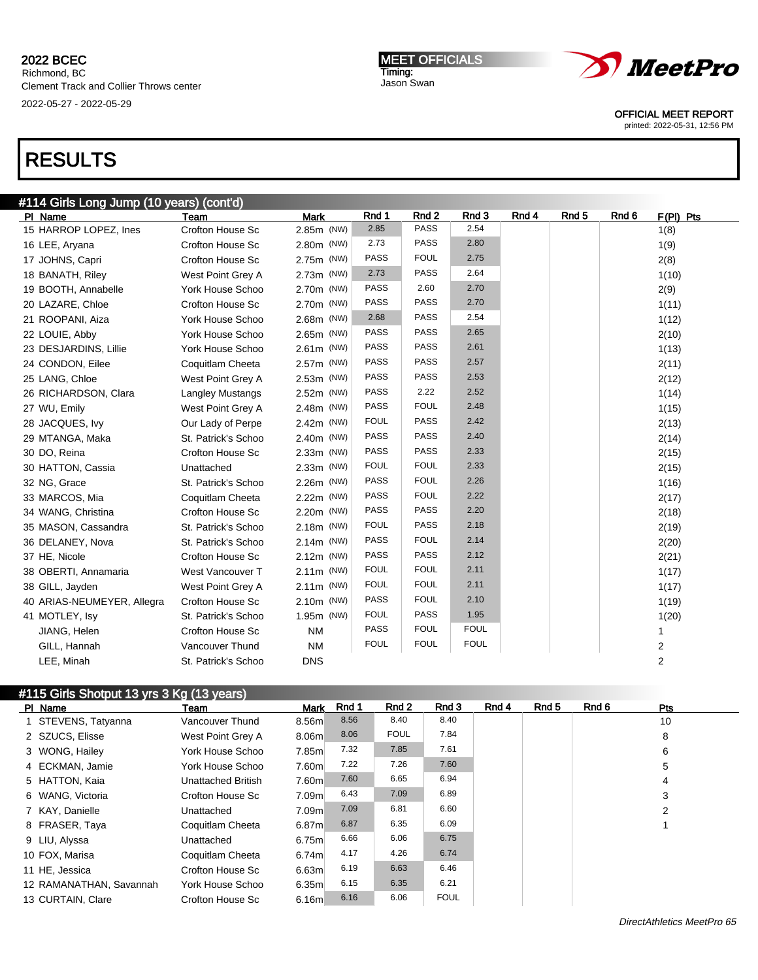Richmond, BC Clement Track and Collier Throws center 2022-05-27 - 2022-05-29

MEET OFFICIALS Timing: Jason Swan



OFFICIAL MEET REPORT

printed: 2022-05-31, 12:56 PM

# RESULTS

| #114 Girls Long Jump (10 years) (cont'd) |                         |             |             |                  |             |       |                  |       |                |  |  |
|------------------------------------------|-------------------------|-------------|-------------|------------------|-------------|-------|------------------|-------|----------------|--|--|
| PI Name                                  | Team                    | <b>Mark</b> | Rnd 1       | Rnd <sub>2</sub> | Rnd 3       | Rnd 4 | Rnd <sub>5</sub> | Rnd 6 | $F(PI)$ Pts    |  |  |
| 15 HARROP LOPEZ, Ines                    | Crofton House Sc        | 2.85m (NW)  | 2.85        | <b>PASS</b>      | 2.54        |       |                  |       | 1(8)           |  |  |
| 16 LEE, Aryana                           | Crofton House Sc        | 2.80m (NW)  | 2.73        | <b>PASS</b>      | 2.80        |       |                  |       | 1(9)           |  |  |
| 17 JOHNS, Capri                          | <b>Crofton House Sc</b> | 2.75m (NW)  | <b>PASS</b> | <b>FOUL</b>      | 2.75        |       |                  |       | 2(8)           |  |  |
| 18 BANATH, Riley                         | West Point Grey A       | 2.73m (NW)  | 2.73        | <b>PASS</b>      | 2.64        |       |                  |       | 1(10)          |  |  |
| 19 BOOTH, Annabelle                      | York House Schoo        | 2.70m (NW)  | <b>PASS</b> | 2.60             | 2.70        |       |                  |       | 2(9)           |  |  |
| 20 LAZARE, Chloe                         | Crofton House Sc        | 2.70m (NW)  | <b>PASS</b> | <b>PASS</b>      | 2.70        |       |                  |       | 1(11)          |  |  |
| 21 ROOPANI, Aiza                         | York House Schoo        | 2.68m (NW)  | 2.68        | <b>PASS</b>      | 2.54        |       |                  |       | 1(12)          |  |  |
| 22 LOUIE, Abby                           | York House Schoo        | 2.65m (NW)  | <b>PASS</b> | <b>PASS</b>      | 2.65        |       |                  |       | 2(10)          |  |  |
| 23 DESJARDINS, Lillie                    | York House Schoo        | 2.61m (NW)  | <b>PASS</b> | <b>PASS</b>      | 2.61        |       |                  |       | 1(13)          |  |  |
| 24 CONDON, Eilee                         | Coquitlam Cheeta        | 2.57m (NW)  | <b>PASS</b> | PASS             | 2.57        |       |                  |       | 2(11)          |  |  |
| 25 LANG, Chloe                           | West Point Grey A       | 2.53m (NW)  | <b>PASS</b> | <b>PASS</b>      | 2.53        |       |                  |       | 2(12)          |  |  |
| 26 RICHARDSON, Clara                     | <b>Langley Mustangs</b> | 2.52m (NW)  | PASS        | 2.22             | 2.52        |       |                  |       | 1(14)          |  |  |
| 27 WU, Emily                             | West Point Grey A       | 2.48m (NW)  | PASS        | <b>FOUL</b>      | 2.48        |       |                  |       | 1(15)          |  |  |
| 28 JACQUES, Ivy                          | Our Lady of Perpe       | 2.42m (NW)  | <b>FOUL</b> | <b>PASS</b>      | 2.42        |       |                  |       | 2(13)          |  |  |
| 29 MTANGA, Maka                          | St. Patrick's Schoo     | 2.40m (NW)  | <b>PASS</b> | <b>PASS</b>      | 2.40        |       |                  |       | 2(14)          |  |  |
| 30 DO, Reina                             | Crofton House Sc        | 2.33m (NW)  | <b>PASS</b> | <b>PASS</b>      | 2.33        |       |                  |       | 2(15)          |  |  |
| 30 HATTON, Cassia                        | Unattached              | 2.33m (NW)  | <b>FOUL</b> | <b>FOUL</b>      | 2.33        |       |                  |       | 2(15)          |  |  |
| 32 NG, Grace                             | St. Patrick's Schoo     | 2.26m (NW)  | PASS        | <b>FOUL</b>      | 2.26        |       |                  |       | 1(16)          |  |  |
| 33 MARCOS, Mia                           | Coquitlam Cheeta        | 2.22m (NW)  | <b>PASS</b> | <b>FOUL</b>      | 2.22        |       |                  |       | 2(17)          |  |  |
| 34 WANG, Christina                       | <b>Crofton House Sc</b> | 2.20m (NW)  | <b>PASS</b> | <b>PASS</b>      | 2.20        |       |                  |       | 2(18)          |  |  |
| 35 MASON, Cassandra                      | St. Patrick's Schoo     | 2.18m (NW)  | <b>FOUL</b> | <b>PASS</b>      | 2.18        |       |                  |       | 2(19)          |  |  |
| 36 DELANEY, Nova                         | St. Patrick's Schoo     | 2.14m (NW)  | <b>PASS</b> | <b>FOUL</b>      | 2.14        |       |                  |       | 2(20)          |  |  |
| 37 HE, Nicole                            | <b>Crofton House Sc</b> | 2.12m (NW)  | PASS        | <b>PASS</b>      | 2.12        |       |                  |       | 2(21)          |  |  |
| 38 OBERTI, Annamaria                     | West Vancouver T        | 2.11m (NW)  | <b>FOUL</b> | <b>FOUL</b>      | 2.11        |       |                  |       | 1(17)          |  |  |
| 38 GILL, Jayden                          | West Point Grey A       | 2.11m (NW)  | <b>FOUL</b> | <b>FOUL</b>      | 2.11        |       |                  |       | 1(17)          |  |  |
| 40 ARIAS-NEUMEYER, Allegra               | <b>Crofton House Sc</b> | 2.10m (NW)  | PASS        | <b>FOUL</b>      | 2.10        |       |                  |       | 1(19)          |  |  |
| 41 MOTLEY, Isv                           | St. Patrick's Schoo     | 1.95m (NW)  | <b>FOUL</b> | PASS             | 1.95        |       |                  |       | 1(20)          |  |  |
| JIANG, Helen                             | Crofton House Sc        | <b>NM</b>   | PASS        | <b>FOUL</b>      | <b>FOUL</b> |       |                  |       |                |  |  |
| GILL, Hannah                             | Vancouver Thund         | <b>NM</b>   | <b>FOUL</b> | <b>FOUL</b>      | <b>FOUL</b> |       |                  |       | 2              |  |  |
| LEE. Minah                               | St. Patrick's Schoo     | <b>DNS</b>  |             |                  |             |       |                  |       | $\overline{2}$ |  |  |

## #115 Girls Shotput 13 yrs 3 Kg (13 years)

| PI Name                 | Team                      | <b>Mark</b>       | Rnd 1 | Rnd 2       | Rnd 3       | Rnd 4 | Rnd 5 | Rnd 6 | <b>Pts</b> |
|-------------------------|---------------------------|-------------------|-------|-------------|-------------|-------|-------|-------|------------|
| 1 STEVENS, Tatyanna     | Vancouver Thund           | 8.56m             | 8.56  | 8.40        | 8.40        |       |       |       | 10         |
| 2 SZUCS, Elisse         | West Point Grey A         | 8.06m             | 8.06  | <b>FOUL</b> | 7.84        |       |       |       | 8          |
| 3 WONG, Hailey          | York House Schoo          | 7.85 <sub>m</sub> | 7.32  | 7.85        | 7.61        |       |       |       | 6          |
| 4 ECKMAN, Jamie         | York House Schoo          | 7.60m             | 7.22  | 7.26        | 7.60        |       |       |       | 5          |
| 5 HATTON, Kaia          | <b>Unattached British</b> | 7.60m             | 7.60  | 6.65        | 6.94        |       |       |       | 4          |
| 6 WANG, Victoria        | Crofton House Sc          | 7.09m             | 6.43  | 7.09        | 6.89        |       |       |       | 3          |
| 7 KAY, Danielle         | Unattached                | 7.09m             | 7.09  | 6.81        | 6.60        |       |       |       | 2          |
| 8 FRASER, Taya          | Coquitlam Cheeta          | 6.87m             | 6.87  | 6.35        | 6.09        |       |       |       |            |
| 9 LIU, Alyssa           | Unattached                | 6.75m             | 6.66  | 6.06        | 6.75        |       |       |       |            |
| 10 FOX, Marisa          | Coquitlam Cheeta          | 6.74m             | 4.17  | 4.26        | 6.74        |       |       |       |            |
| 11 HE, Jessica          | Crofton House Sc          | 6.63m             | 6.19  | 6.63        | 6.46        |       |       |       |            |
| 12 RAMANATHAN, Savannah | York House Schoo          | 6.35 <sub>m</sub> | 6.15  | 6.35        | 6.21        |       |       |       |            |
| 13 CURTAIN, Clare       | Crofton House Sc          | 6.16m             | 6.16  | 6.06        | <b>FOUL</b> |       |       |       |            |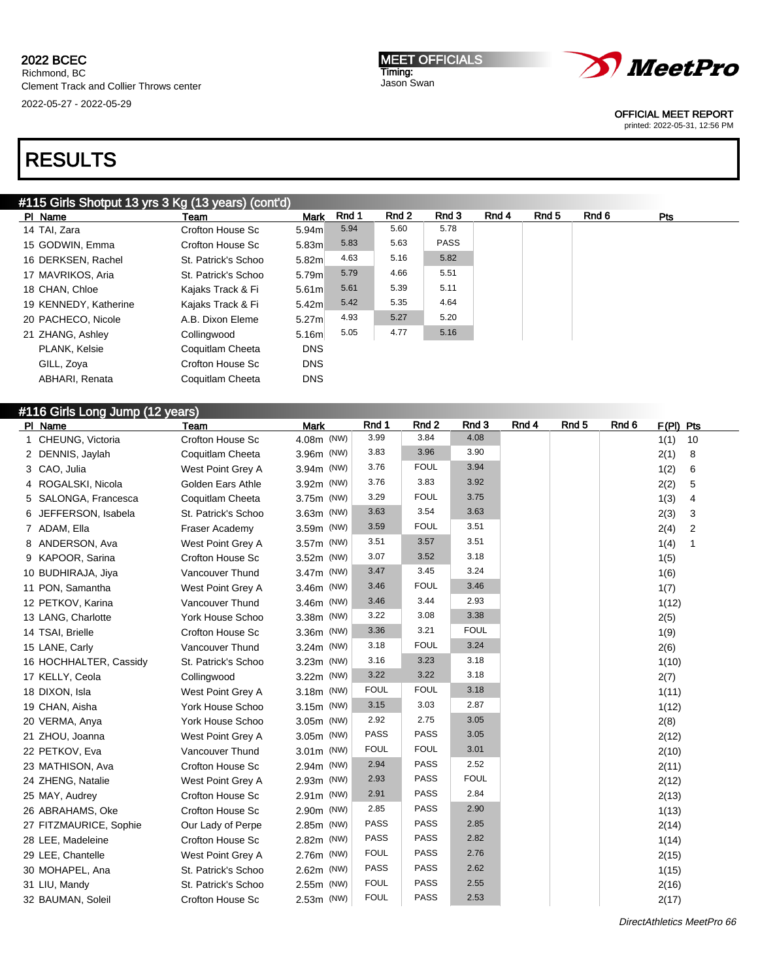MEET OFFICIALS Timing: Jason Swan



OFFICIAL MEET REPORT

printed: 2022-05-31, 12:56 PM

# RESULTS

## #115 Girls Shotput 13 yrs 3 Kg (13 years) (cont'd)

| PI Name               | Team                | <b>Mark</b>       | Rnd 1 | Rnd 2 | Rnd 3       | Rnd 4 | Rnd 5 | Rnd 6 | <b>Pts</b> |  |
|-----------------------|---------------------|-------------------|-------|-------|-------------|-------|-------|-------|------------|--|
| 14 TAI, Zara          | Crofton House Sc    | 5.94m             | 5.94  | 5.60  | 5.78        |       |       |       |            |  |
| 15 GODWIN, Emma       | Crofton House Sc    | 5.83m             | 5.83  | 5.63  | <b>PASS</b> |       |       |       |            |  |
| 16 DERKSEN, Rachel    | St. Patrick's Schoo | 5.82m             | 4.63  | 5.16  | 5.82        |       |       |       |            |  |
| 17 MAVRIKOS, Aria     | St. Patrick's Schoo | 5.79m             | 5.79  | 4.66  | 5.51        |       |       |       |            |  |
| 18 CHAN, Chloe        | Kajaks Track & Fi   | 5.61 <sub>m</sub> | 5.61  | 5.39  | 5.11        |       |       |       |            |  |
| 19 KENNEDY, Katherine | Kajaks Track & Fi   | 5.42 <sub>m</sub> | 5.42  | 5.35  | 4.64        |       |       |       |            |  |
| 20 PACHECO, Nicole    | A.B. Dixon Eleme    | 5.27 <sub>m</sub> | 4.93  | 5.27  | 5.20        |       |       |       |            |  |
| 21 ZHANG, Ashley      | Collingwood         | 5.16m             | 5.05  | 4.77  | 5.16        |       |       |       |            |  |
| PLANK, Kelsie         | Coquitlam Cheeta    | <b>DNS</b>        |       |       |             |       |       |       |            |  |
| GILL, Zoya            | Crofton House Sc    | <b>DNS</b>        |       |       |             |       |       |       |            |  |
| ABHARI, Renata        | Coquitlam Cheeta    | <b>DNS</b>        |       |       |             |       |       |       |            |  |

## #116 Girls Long Jump (12 years)

| PI Name                | Team                    | <b>Mark</b>  | Rnd 1       | Rnd 2       | Rnd 3       | Rnd 4 | Rnd 5 | Rnd 6 | $F(PI)$ Pts |    |
|------------------------|-------------------------|--------------|-------------|-------------|-------------|-------|-------|-------|-------------|----|
| 1 CHEUNG, Victoria     | Crofton House Sc        | 4.08m (NW)   | 3.99        | 3.84        | 4.08        |       |       |       | 1(1)        | 10 |
| 2 DENNIS, Jaylah       | Coquitlam Cheeta        | 3.96m (NW)   | 3.83        | 3.96        | 3.90        |       |       |       | 2(1)        | 8  |
| 3 CAO, Julia           | West Point Grey A       | 3.94m (NW)   | 3.76        | <b>FOUL</b> | 3.94        |       |       |       | 1(2)        | 6  |
| 4 ROGALSKI, Nicola     | Golden Ears Athle       | 3.92m (NW)   | 3.76        | 3.83        | 3.92        |       |       |       | 2(2)        | 5  |
| 5 SALONGA, Francesca   | Coquitlam Cheeta        | 3.75m (NW)   | 3.29        | <b>FOUL</b> | 3.75        |       |       |       | 1(3)        | 4  |
| 6 JEFFERSON, Isabela   | St. Patrick's Schoo     | 3.63m (NW)   | 3.63        | 3.54        | 3.63        |       |       |       | 2(3)        | 3  |
| 7 ADAM, Ella           | Fraser Academy          | 3.59m (NW)   | 3.59        | <b>FOUL</b> | 3.51        |       |       |       | 2(4)        | 2  |
| 8 ANDERSON, Ava        | West Point Grey A       | 3.57m (NW)   | 3.51        | 3.57        | 3.51        |       |       |       | 1(4)        | 1  |
| 9 KAPOOR, Sarina       | <b>Crofton House Sc</b> | 3.52m (NW)   | 3.07        | 3.52        | 3.18        |       |       |       | 1(5)        |    |
| 10 BUDHIRAJA, Jiya     | Vancouver Thund         | 3.47m (NW)   | 3.47        | 3.45        | 3.24        |       |       |       | 1(6)        |    |
| 11 PON, Samantha       | West Point Grey A       | 3.46m (NW)   | 3.46        | <b>FOUL</b> | 3.46        |       |       |       | 1(7)        |    |
| 12 PETKOV, Karina      | Vancouver Thund         | 3.46m (NW)   | 3.46        | 3.44        | 2.93        |       |       |       | 1(12)       |    |
| 13 LANG, Charlotte     | York House Schoo        | 3.38m (NW)   | 3.22        | 3.08        | 3.38        |       |       |       | 2(5)        |    |
| 14 TSAI, Brielle       | <b>Crofton House Sc</b> | 3.36m (NW)   | 3.36        | 3.21        | <b>FOUL</b> |       |       |       | 1(9)        |    |
| 15 LANE, Carly         | Vancouver Thund         | 3.24m (NW)   | 3.18        | <b>FOUL</b> | 3.24        |       |       |       | 2(6)        |    |
| 16 HOCHHALTER, Cassidy | St. Patrick's Schoo     | 3.23m (NW)   | 3.16        | 3.23        | 3.18        |       |       |       | 1(10)       |    |
| 17 KELLY, Ceola        | Collingwood             | 3.22m (NW)   | 3.22        | 3.22        | 3.18        |       |       |       | 2(7)        |    |
| 18 DIXON, Isla         | West Point Grey A       | 3.18m (NW)   | <b>FOUL</b> | <b>FOUL</b> | 3.18        |       |       |       | 1(11)       |    |
| 19 CHAN, Aisha         | York House Schoo        | 3.15m (NW)   | 3.15        | 3.03        | 2.87        |       |       |       | 1(12)       |    |
| 20 VERMA, Anya         | York House Schoo        | 3.05m (NW)   | 2.92        | 2.75        | 3.05        |       |       |       | 2(8)        |    |
| 21 ZHOU, Joanna        | West Point Grey A       | 3.05m (NW)   | <b>PASS</b> | <b>PASS</b> | 3.05        |       |       |       | 2(12)       |    |
| 22 PETKOV, Eva         | Vancouver Thund         | $3.01m$ (NW) | <b>FOUL</b> | <b>FOUL</b> | 3.01        |       |       |       | 2(10)       |    |
| 23 MATHISON, Ava       | Crofton House Sc        | 2.94m (NW)   | 2.94        | <b>PASS</b> | 2.52        |       |       |       | 2(11)       |    |
| 24 ZHENG, Natalie      | West Point Grey A       | 2.93m (NW)   | 2.93        | <b>PASS</b> | <b>FOUL</b> |       |       |       | 2(12)       |    |
| 25 MAY, Audrey         | <b>Crofton House Sc</b> | 2.91m (NW)   | 2.91        | <b>PASS</b> | 2.84        |       |       |       | 2(13)       |    |
| 26 ABRAHAMS, Oke       | Crofton House Sc        | 2.90m (NW)   | 2.85        | <b>PASS</b> | 2.90        |       |       |       | 1(13)       |    |
| 27 FITZMAURICE, Sophie | Our Lady of Perpe       | 2.85m (NW)   | <b>PASS</b> | <b>PASS</b> | 2.85        |       |       |       | 2(14)       |    |
| 28 LEE, Madeleine      | Crofton House Sc        | 2.82m (NW)   | <b>PASS</b> | <b>PASS</b> | 2.82        |       |       |       | 1(14)       |    |
| 29 LEE, Chantelle      | West Point Grey A       | 2.76m (NW)   | <b>FOUL</b> | <b>PASS</b> | 2.76        |       |       |       | 2(15)       |    |
| 30 MOHAPEL, Ana        | St. Patrick's Schoo     | 2.62m (NW)   | <b>PASS</b> | <b>PASS</b> | 2.62        |       |       |       | 1(15)       |    |
| 31 LIU, Mandy          | St. Patrick's Schoo     | 2.55m (NW)   | <b>FOUL</b> | PASS        | 2.55        |       |       |       | 2(16)       |    |
| 32 BAUMAN, Soleil      | Crofton House Sc        | 2.53m (NW)   | <b>FOUL</b> | <b>PASS</b> | 2.53        |       |       |       | 2(17)       |    |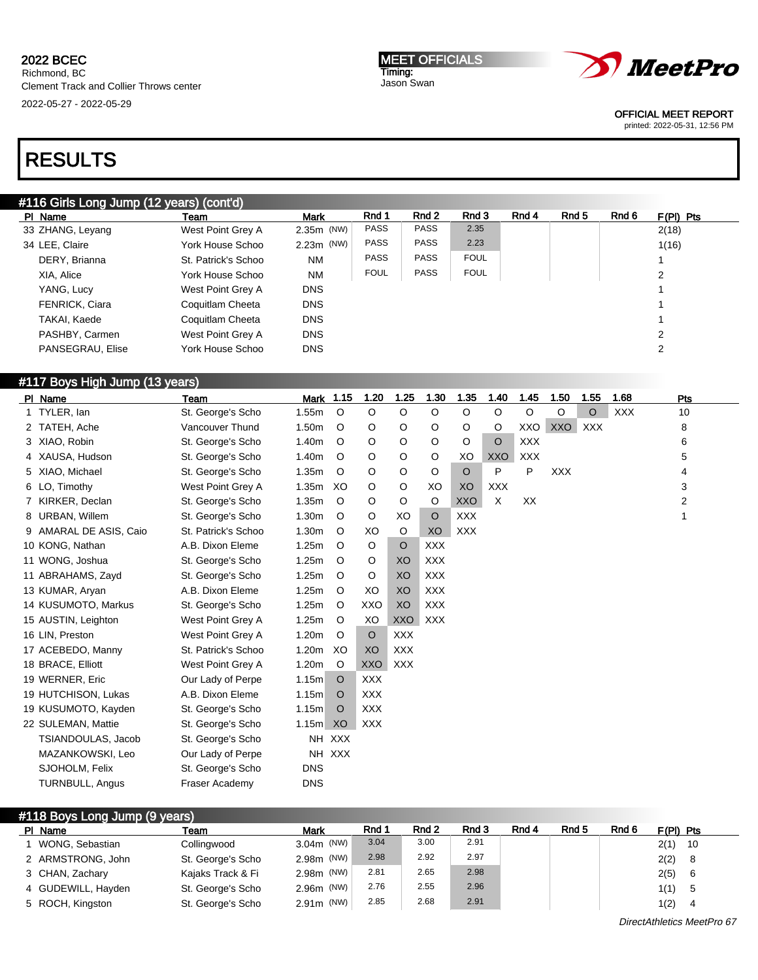# RESULTS

| #116 Girls Long Jump (12 years) (cont'd) |  |
|------------------------------------------|--|
|------------------------------------------|--|

| PI Name               | Team                | <b>Mark</b>  | Rnd 1       | Rnd 2       | Rnd 3       | Rnd 4 | Rnd 5 | Rnd 6 | $F(PI)$ Pts   |
|-----------------------|---------------------|--------------|-------------|-------------|-------------|-------|-------|-------|---------------|
| 33 ZHANG, Leyang      | West Point Grey A   | $2.35m$ (NW) | <b>PASS</b> | <b>PASS</b> | 2.35        |       |       |       | 2(18)         |
| 34 LEE, Claire        | York House Schoo    | $2.23m$ (NW) | <b>PASS</b> | <b>PASS</b> | 2.23        |       |       |       | 1(16)         |
| DERY, Brianna         | St. Patrick's Schoo | <b>NM</b>    | <b>PASS</b> | <b>PASS</b> | <b>FOUL</b> |       |       |       |               |
| XIA, Alice            | York House Schoo    | <b>NM</b>    | <b>FOUL</b> | <b>PASS</b> | <b>FOUL</b> |       |       |       | 2             |
| YANG, Lucy            | West Point Grey A   | <b>DNS</b>   |             |             |             |       |       |       |               |
| <b>FENRICK, Ciara</b> | Coquitlam Cheeta    | <b>DNS</b>   |             |             |             |       |       |       |               |
| TAKAI. Kaede          | Coquitlam Cheeta    | <b>DNS</b>   |             |             |             |       |       |       |               |
| PASHBY, Carmen        | West Point Grey A   | <b>DNS</b>   |             |             |             |       |       |       | $\mathcal{P}$ |
| PANSEGRAU, Elise      | York House Schoo    | <b>DNS</b>   |             |             |             |       |       |       | 2             |

## #117 Boys High Jump (13 years)

| PI Name                | <b>Team</b>         | Mark 1.15  |         | 1.20       | 1.25       | 1.30       | 1.35       | 1.40       | 1.45       | 1.50       | 1.55       | 1.68       | Pts |
|------------------------|---------------------|------------|---------|------------|------------|------------|------------|------------|------------|------------|------------|------------|-----|
| 1 TYLER, lan           | St. George's Scho   | 1.55m      | $\circ$ | O          | O          | $\circ$    | O          | O          | O          | O          | O          | <b>XXX</b> | 10  |
| 2 TATEH, Ache          | Vancouver Thund     | 1.50m      | O       | O          | O          | O          | O          | $\circ$    | XXO        | XXO        | <b>XXX</b> |            | 8   |
| 3 XIAO, Robin          | St. George's Scho   | 1.40m      | O       | O          | O          | $\circ$    | O          | $\circ$    | <b>XXX</b> |            |            |            | 6   |
| 4 XAUSA, Hudson        | St. George's Scho   | 1.40m      | $\circ$ | O          | O          | $\circ$    | XO         | <b>XXO</b> | <b>XXX</b> |            |            |            | 5   |
| 5 XIAO, Michael        | St. George's Scho   | 1.35m      | O       | O          | O          | $\circ$    | $\circ$    | P          | P          | <b>XXX</b> |            |            | 4   |
| 6 LO, Timothy          | West Point Grey A   | 1.35m      | XO      | O          | O          | XO         | XO         | <b>XXX</b> |            |            |            |            | 3   |
| 7 KIRKER, Declan       | St. George's Scho   | 1.35m      | $\circ$ | O          | O          | $\circ$    | <b>XXO</b> | X          | XX         |            |            |            | 2   |
| 8 URBAN, Willem        | St. George's Scho   | 1.30m      | $\circ$ | O          | XO         | $\circ$    | <b>XXX</b> |            |            |            |            |            | 1   |
| 9 AMARAL DE ASIS, Caio | St. Patrick's Schoo | 1.30m      | O       | XO         | O          | XO         | <b>XXX</b> |            |            |            |            |            |     |
| 10 KONG, Nathan        | A.B. Dixon Eleme    | 1.25m      | $\circ$ | $\circ$    | $\circ$    | <b>XXX</b> |            |            |            |            |            |            |     |
| 11 WONG, Joshua        | St. George's Scho   | 1.25m      | $\circ$ | O          | XO         | <b>XXX</b> |            |            |            |            |            |            |     |
| 11 ABRAHAMS, Zayd      | St. George's Scho   | 1.25m      | O       | O          | XO         | <b>XXX</b> |            |            |            |            |            |            |     |
| 13 KUMAR, Aryan        | A.B. Dixon Eleme    | 1.25m      | O       | XO         | XO         | <b>XXX</b> |            |            |            |            |            |            |     |
| 14 KUSUMOTO, Markus    | St. George's Scho   | 1.25m      | O       | <b>XXO</b> | XO         | <b>XXX</b> |            |            |            |            |            |            |     |
| 15 AUSTIN, Leighton    | West Point Grey A   | 1.25m      | $\circ$ | XO         | <b>XXO</b> | <b>XXX</b> |            |            |            |            |            |            |     |
| 16 LIN, Preston        | West Point Grey A   | 1.20m      | $\circ$ | $\circ$    | <b>XXX</b> |            |            |            |            |            |            |            |     |
| 17 ACEBEDO, Manny      | St. Patrick's Schoo | 1.20m      | XO      | XO         | <b>XXX</b> |            |            |            |            |            |            |            |     |
| 18 BRACE, Elliott      | West Point Grey A   | 1.20m      | $\circ$ | <b>XXO</b> | <b>XXX</b> |            |            |            |            |            |            |            |     |
| 19 WERNER, Eric        | Our Lady of Perpe   | 1.15m      | O       | <b>XXX</b> |            |            |            |            |            |            |            |            |     |
| 19 HUTCHISON, Lukas    | A.B. Dixon Eleme    | 1.15m      | $\circ$ | <b>XXX</b> |            |            |            |            |            |            |            |            |     |
| 19 KUSUMOTO, Kayden    | St. George's Scho   | 1.15m      | $\circ$ | <b>XXX</b> |            |            |            |            |            |            |            |            |     |
| 22 SULEMAN, Mattie     | St. George's Scho   | 1.15m      | XO      | <b>XXX</b> |            |            |            |            |            |            |            |            |     |
| TSIANDOULAS, Jacob     | St. George's Scho   |            | NH XXX  |            |            |            |            |            |            |            |            |            |     |
| MAZANKOWSKI, Leo       | Our Lady of Perpe   |            | NH XXX  |            |            |            |            |            |            |            |            |            |     |
| SJOHOLM, Felix         | St. George's Scho   | <b>DNS</b> |         |            |            |            |            |            |            |            |            |            |     |
| <b>TURNBULL, Angus</b> | Fraser Academy      | <b>DNS</b> |         |            |            |            |            |            |            |            |            |            |     |

| #118 Boys Long Jump (9 years) |                    |                   |              |       |       |       |       |       |       |             |  |
|-------------------------------|--------------------|-------------------|--------------|-------|-------|-------|-------|-------|-------|-------------|--|
|                               | PI Name            | Team              | Mark         | Rnd 1 | Rnd 2 | Rnd 3 | Rnd 4 | Rnd 5 | Rnd 6 | $F(PI)$ Pts |  |
|                               | WONG, Sebastian    | Collingwood       | $3.04m$ (NW) | 3.04  | 3.00  | 2.91  |       |       |       | 2(1)<br>-10 |  |
|                               | 2 ARMSTRONG, John  | St. George's Scho | 2.98m (NW)   | 2.98  | 2.92  | 2.97  |       |       |       | 2(2)<br>-8  |  |
|                               | 3 CHAN, Zachary    | Kajaks Track & Fi | 2.98m (NW)   | 2.81  | 2.65  | 2.98  |       |       |       | 2(5)<br>6   |  |
|                               | 4 GUDEWILL, Hayden | St. George's Scho | 2.96m (NW)   | 2.76  | 2.55  | 2.96  |       |       |       | 1(1)<br>-5  |  |
|                               | 5 ROCH, Kingston   | St. George's Scho | $2.91m$ (NW) | 2.85  | 2.68  | 2.91  |       |       |       | 1(2)<br>4   |  |

MEET OFFICIALS Timing: Jason Swan



OFFICIAL MEET REPORT

printed: 2022-05-31, 12:56 PM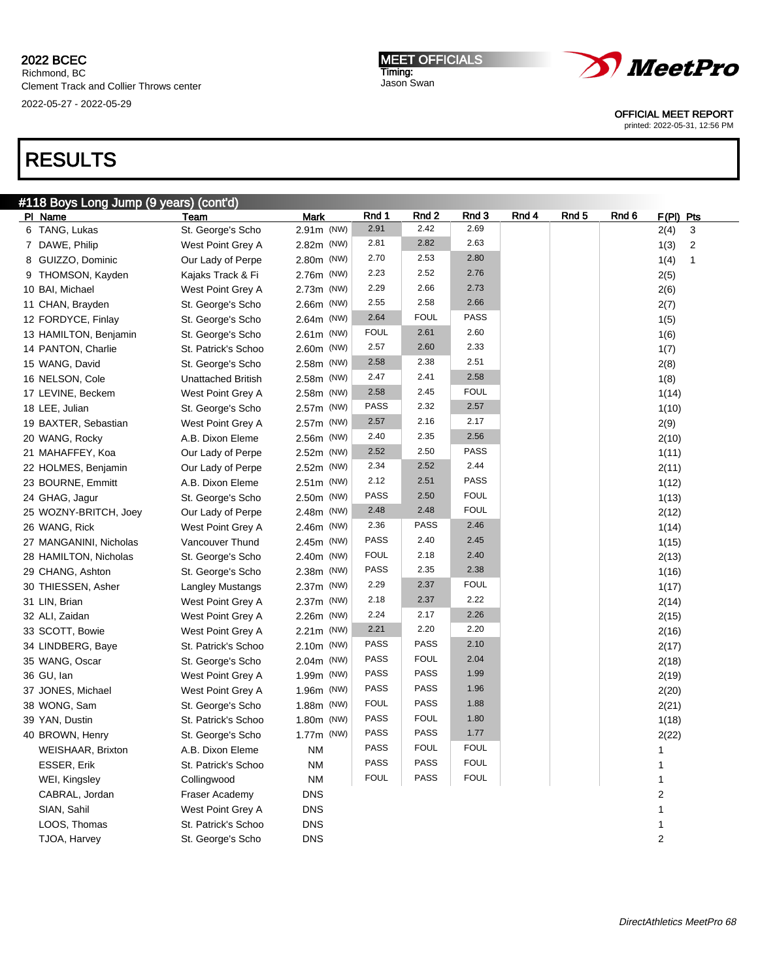Richmond, BC Clement Track and Collier Throws center 2022-05-27 - 2022-05-29

MEET OFFICIALS Timing: Jason Swan



OFFICIAL MEET REPORT

printed: 2022-05-31, 12:56 PM

# RESULTS

| #118 Boys Long Jump (9 years) (cont'd) |  |
|----------------------------------------|--|
|                                        |  |

| PI Name                  | Team                      | <b>Mark</b> | Rnd 1       | Rnd 2       | Rnd 3       | Rnd 4 | Rnd 5 | Rnd 6 | $F(PI)$ Pts            |
|--------------------------|---------------------------|-------------|-------------|-------------|-------------|-------|-------|-------|------------------------|
| 6 TANG, Lukas            | St. George's Scho         | 2.91m (NW)  | 2.91        | 2.42        | 2.69        |       |       |       | 2(4)<br>3              |
| 7 DAWE, Philip           | West Point Grey A         | 2.82m (NW)  | 2.81        | 2.82        | 2.63        |       |       |       | 1(3)<br>$\overline{2}$ |
| 8 GUIZZO, Dominic        | Our Lady of Perpe         | 2.80m (NW)  | 2.70        | 2.53        | 2.80        |       |       |       | 1(4)<br>$\mathbf{1}$   |
| 9 THOMSON, Kayden        | Kajaks Track & Fi         | 2.76m (NW)  | 2.23        | 2.52        | 2.76        |       |       |       | 2(5)                   |
| 10 BAI, Michael          | West Point Grey A         | 2.73m (NW)  | 2.29        | 2.66        | 2.73        |       |       |       | 2(6)                   |
| 11 CHAN, Brayden         | St. George's Scho         | 2.66m (NW)  | 2.55        | 2.58        | 2.66        |       |       |       | 2(7)                   |
| 12 FORDYCE, Finlay       | St. George's Scho         | 2.64m (NW)  | 2.64        | <b>FOUL</b> | <b>PASS</b> |       |       |       | 1(5)                   |
| 13 HAMILTON, Benjamin    | St. George's Scho         | 2.61m (NW)  | <b>FOUL</b> | 2.61        | 2.60        |       |       |       | 1(6)                   |
| 14 PANTON, Charlie       | St. Patrick's Schoo       | 2.60m (NW)  | 2.57        | 2.60        | 2.33        |       |       |       | 1(7)                   |
| 15 WANG, David           | St. George's Scho         | 2.58m (NW)  | 2.58        | 2.38        | 2.51        |       |       |       | 2(8)                   |
| 16 NELSON, Cole          | <b>Unattached British</b> | 2.58m (NW)  | 2.47        | 2.41        | 2.58        |       |       |       | 1(8)                   |
| 17 LEVINE, Beckem        | West Point Grey A         | 2.58m (NW)  | 2.58        | 2.45        | <b>FOUL</b> |       |       |       | 1(14)                  |
| 18 LEE, Julian           | St. George's Scho         | 2.57m (NW)  | <b>PASS</b> | 2.32        | 2.57        |       |       |       | 1(10)                  |
| 19 BAXTER, Sebastian     | West Point Grey A         | 2.57m (NW)  | 2.57        | 2.16        | 2.17        |       |       |       | 2(9)                   |
| 20 WANG, Rocky           | A.B. Dixon Eleme          | 2.56m (NW)  | 2.40        | 2.35        | 2.56        |       |       |       | 2(10)                  |
| 21 MAHAFFEY, Koa         | Our Lady of Perpe         | 2.52m (NW)  | 2.52        | 2.50        | <b>PASS</b> |       |       |       | 1(11)                  |
| 22 HOLMES, Benjamin      | Our Lady of Perpe         | 2.52m (NW)  | 2.34        | 2.52        | 2.44        |       |       |       | 2(11)                  |
| 23 BOURNE, Emmitt        | A.B. Dixon Eleme          | 2.51m (NW)  | 2.12        | 2.51        | <b>PASS</b> |       |       |       | 1(12)                  |
| 24 GHAG, Jagur           | St. George's Scho         | 2.50m (NW)  | PASS        | 2.50        | <b>FOUL</b> |       |       |       | 1(13)                  |
| 25 WOZNY-BRITCH, Joey    | Our Lady of Perpe         | 2.48m (NW)  | 2.48        | 2.48        | <b>FOUL</b> |       |       |       | 2(12)                  |
| 26 WANG, Rick            | West Point Grey A         | 2.46m (NW)  | 2.36        | <b>PASS</b> | 2.46        |       |       |       | 1(14)                  |
| 27 MANGANINI, Nicholas   | Vancouver Thund           | 2.45m (NW)  | <b>PASS</b> | 2.40        | 2.45        |       |       |       | 1(15)                  |
| 28 HAMILTON, Nicholas    | St. George's Scho         | 2.40m (NW)  | <b>FOUL</b> | 2.18        | 2.40        |       |       |       | 2(13)                  |
| 29 CHANG, Ashton         | St. George's Scho         | 2.38m (NW)  | PASS        | 2.35        | 2.38        |       |       |       | 1(16)                  |
| 30 THIESSEN, Asher       | Langley Mustangs          | 2.37m (NW)  | 2.29        | 2.37        | <b>FOUL</b> |       |       |       | 1(17)                  |
| 31 LIN, Brian            | West Point Grey A         | 2.37m (NW)  | 2.18        | 2.37        | 2.22        |       |       |       | 2(14)                  |
| 32 ALI, Zaidan           | West Point Grey A         | 2.26m (NW)  | 2.24        | 2.17        | 2.26        |       |       |       | 2(15)                  |
| 33 SCOTT, Bowie          | West Point Grey A         | 2.21m (NW)  | 2.21        | 2.20        | 2.20        |       |       |       | 2(16)                  |
| 34 LINDBERG, Baye        | St. Patrick's Schoo       | 2.10m (NW)  | <b>PASS</b> | PASS        | 2.10        |       |       |       | 2(17)                  |
| 35 WANG, Oscar           | St. George's Scho         | 2.04m (NW)  | <b>PASS</b> | <b>FOUL</b> | 2.04        |       |       |       | 2(18)                  |
| 36 GU, lan               | West Point Grey A         | 1.99m (NW)  | <b>PASS</b> | PASS        | 1.99        |       |       |       | 2(19)                  |
| 37 JONES, Michael        | West Point Grey A         | 1.96m (NW)  | <b>PASS</b> | PASS        | 1.96        |       |       |       | 2(20)                  |
| 38 WONG, Sam             | St. George's Scho         | 1.88m (NW)  | <b>FOUL</b> | PASS        | 1.88        |       |       |       | 2(21)                  |
| 39 YAN, Dustin           | St. Patrick's Schoo       | 1.80m (NW)  | <b>PASS</b> | <b>FOUL</b> | 1.80        |       |       |       | 1(18)                  |
| 40 BROWN, Henry          | St. George's Scho         | 1.77m (NW)  | <b>PASS</b> | PASS        | 1.77        |       |       |       | 2(22)                  |
| <b>WEISHAAR, Brixton</b> | A.B. Dixon Eleme          | ΝM          | <b>PASS</b> | <b>FOUL</b> | <b>FOUL</b> |       |       |       | 1                      |
| ESSER, Erik              | St. Patrick's Schoo       | NM          | <b>PASS</b> | PASS        | <b>FOUL</b> |       |       |       | 1                      |
| WEI, Kingsley            | Collingwood               | NM          | <b>FOUL</b> | PASS        | <b>FOUL</b> |       |       |       | $\mathbf{1}$           |
| CABRAL, Jordan           | Fraser Academy            | <b>DNS</b>  |             |             |             |       |       |       | 2                      |
| SIAN, Sahil              | West Point Grey A         | <b>DNS</b>  |             |             |             |       |       |       | 1                      |
| LOOS, Thomas             | St. Patrick's Schoo       | <b>DNS</b>  |             |             |             |       |       |       | 1                      |
| TJOA, Harvey             | St. George's Scho         | <b>DNS</b>  |             |             |             |       |       |       | 2                      |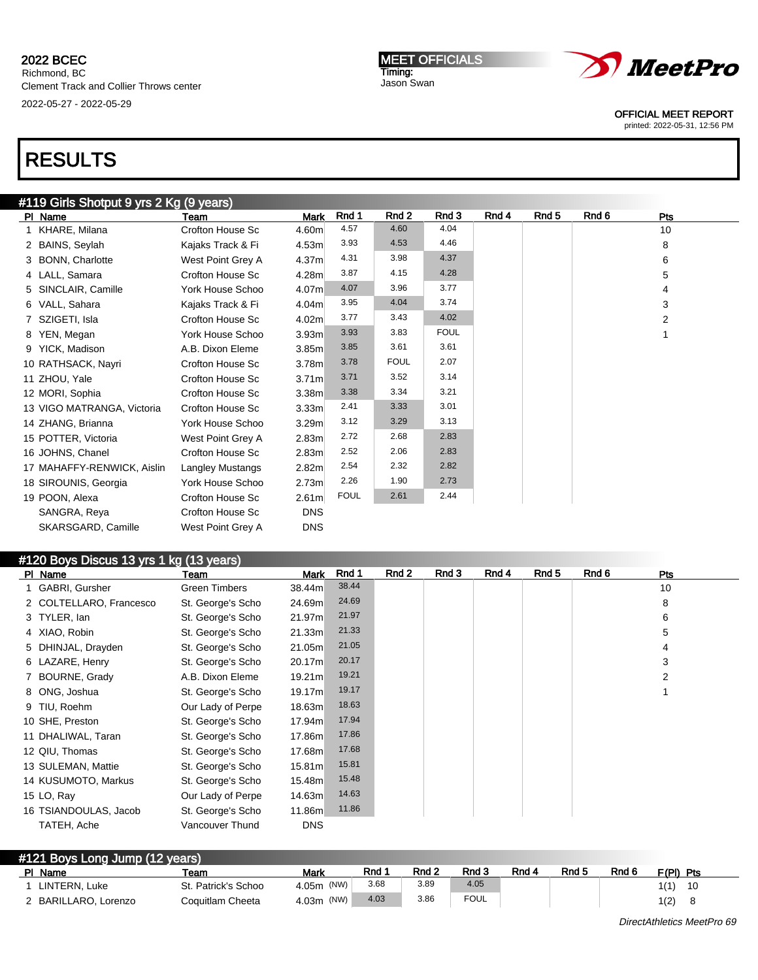Richmond, BC Clement Track and Collier Throws center 2022-05-27 - 2022-05-29

MEET OFFICIALS Timing: Jason Swan



OFFICIAL MEET REPORT

printed: 2022-05-31, 12:56 PM

# RESULTS

## #119 Girls Shotput 9 yrs 2 Kg (9 years)

| PI Name                    | Team                    | Mark              | Rnd 1       | Rnd 2       | Rnd 3       | Rnd 4 | Rnd 5 | Rnd 6 | Pts |  |
|----------------------------|-------------------------|-------------------|-------------|-------------|-------------|-------|-------|-------|-----|--|
| 1 KHARE, Milana            | Crofton House Sc        | 4.60m             | 4.57        | 4.60        | 4.04        |       |       |       | 10  |  |
| 2 BAINS, Seylah            | Kajaks Track & Fi       | 4.53m             | 3.93        | 4.53        | 4.46        |       |       |       | 8   |  |
| 3 BONN, Charlotte          | West Point Grey A       | 4.37m             | 4.31        | 3.98        | 4.37        |       |       |       | 6   |  |
| 4 LALL, Samara             | Crofton House Sc        | 4.28m             | 3.87        | 4.15        | 4.28        |       |       |       | 5   |  |
| 5 SINCLAIR, Camille        | York House Schoo        | 4.07m             | 4.07        | 3.96        | 3.77        |       |       |       | 4   |  |
| 6 VALL, Sahara             | Kajaks Track & Fi       | 4.04m             | 3.95        | 4.04        | 3.74        |       |       |       | 3   |  |
| 7 SZIGETI, Isla            | Crofton House Sc        | 4.02 <sub>m</sub> | 3.77        | 3.43        | 4.02        |       |       |       | 2   |  |
| 8 YEN, Megan               | York House Schoo        | 3.93m             | 3.93        | 3.83        | <b>FOUL</b> |       |       |       |     |  |
| 9 YICK, Madison            | A.B. Dixon Eleme        | 3.85m             | 3.85        | 3.61        | 3.61        |       |       |       |     |  |
| 10 RATHSACK, Nayri         | Crofton House Sc        | 3.78m             | 3.78        | <b>FOUL</b> | 2.07        |       |       |       |     |  |
| 11 ZHOU, Yale              | Crofton House Sc        | 3.71 <sub>m</sub> | 3.71        | 3.52        | 3.14        |       |       |       |     |  |
| 12 MORI, Sophia            | Crofton House Sc        | 3.38m             | 3.38        | 3.34        | 3.21        |       |       |       |     |  |
| 13 VIGO MATRANGA, Victoria | Crofton House Sc        | 3.33 <sub>m</sub> | 2.41        | 3.33        | 3.01        |       |       |       |     |  |
| 14 ZHANG, Brianna          | York House Schoo        | 3.29 <sub>m</sub> | 3.12        | 3.29        | 3.13        |       |       |       |     |  |
| 15 POTTER, Victoria        | West Point Grey A       | 2.83m             | 2.72        | 2.68        | 2.83        |       |       |       |     |  |
| 16 JOHNS, Chanel           | Crofton House Sc        | 2.83m             | 2.52        | 2.06        | 2.83        |       |       |       |     |  |
| 17 MAHAFFY-RENWICK, Aislin | <b>Langley Mustangs</b> | 2.82m             | 2.54        | 2.32        | 2.82        |       |       |       |     |  |
| 18 SIROUNIS, Georgia       | York House Schoo        | 2.73m             | 2.26        | 1.90        | 2.73        |       |       |       |     |  |
| 19 POON, Alexa             | Crofton House Sc        | 2.61 <sub>m</sub> | <b>FOUL</b> | 2.61        | 2.44        |       |       |       |     |  |
| SANGRA, Reya               | Crofton House Sc        | <b>DNS</b>        |             |             |             |       |       |       |     |  |
| SKARSGARD, Camille         | West Point Grey A       | <b>DNS</b>        |             |             |             |       |       |       |     |  |
|                            |                         |                   |             |             |             |       |       |       |     |  |

## #120 Boys Discus 13 yrs 1 kg (13 years)

| PI Name                 | Team                 | Mark       | Rnd 1 | Rnd 2 | Rnd 3 | Rnd 4 | Rnd 5 | Rnd 6 | Pts |
|-------------------------|----------------------|------------|-------|-------|-------|-------|-------|-------|-----|
| 1 GABRI, Gursher        | <b>Green Timbers</b> | 38.44m     | 38.44 |       |       |       |       |       | 10  |
| 2 COLTELLARO, Francesco | St. George's Scho    | 24.69m     | 24.69 |       |       |       |       |       | 8   |
| 3 TYLER, lan            | St. George's Scho    | 21.97m     | 21.97 |       |       |       |       |       | 6   |
| 4 XIAO, Robin           | St. George's Scho    | 21.33m     | 21.33 |       |       |       |       |       | 5   |
| 5 DHINJAL, Drayden      | St. George's Scho    | 21.05m     | 21.05 |       |       |       |       |       | 4   |
| 6 LAZARE, Henry         | St. George's Scho    | 20.17m     | 20.17 |       |       |       |       |       | 3   |
| 7 BOURNE, Grady         | A.B. Dixon Eleme     | 19.21m     | 19.21 |       |       |       |       |       | 2   |
| 8 ONG, Joshua           | St. George's Scho    | 19.17m     | 19.17 |       |       |       |       |       |     |
| 9 TIU, Roehm            | Our Lady of Perpe    | 18.63m     | 18.63 |       |       |       |       |       |     |
| 10 SHE, Preston         | St. George's Scho    | 17.94m     | 17.94 |       |       |       |       |       |     |
| 11 DHALIWAL, Taran      | St. George's Scho    | 17.86m     | 17.86 |       |       |       |       |       |     |
| 12 QIU, Thomas          | St. George's Scho    | 17.68m     | 17.68 |       |       |       |       |       |     |
| 13 SULEMAN, Mattie      | St. George's Scho    | 15.81m     | 15.81 |       |       |       |       |       |     |
| 14 KUSUMOTO, Markus     | St. George's Scho    | 15.48m     | 15.48 |       |       |       |       |       |     |
| 15 LO, Ray              | Our Lady of Perpe    | 14.63m     | 14.63 |       |       |       |       |       |     |
| 16 TSIANDOULAS, Jacob   | St. George's Scho    | 11.86m     | 11.86 |       |       |       |       |       |     |
| TATEH, Ache             | Vancouver Thund      | <b>DNS</b> |       |       |       |       |       |       |     |

| #121 Boys Long Jump (12 years) |                      |                     |            |      |       |             |       |       |       |              |  |
|--------------------------------|----------------------|---------------------|------------|------|-------|-------------|-------|-------|-------|--------------|--|
|                                | PI Name              | Team                | Mark       | Rnd  | Rnd 2 | Rnd 3       | Rnd 4 | Rnd 5 | Rnd 6 | F/PI)<br>Pts |  |
|                                | LINTERN, Luke        | St. Patrick's Schoo | 4.05m (NW) | 3.68 | 3.89  | 4.05        |       |       |       | 1(1)<br>10   |  |
|                                | 2 BARILLARO, Lorenzo | Coquitlam Cheeta    | 4.03m (NW) | 4.03 | 3.86  | <b>FOUL</b> |       |       |       | 1(2)<br>8    |  |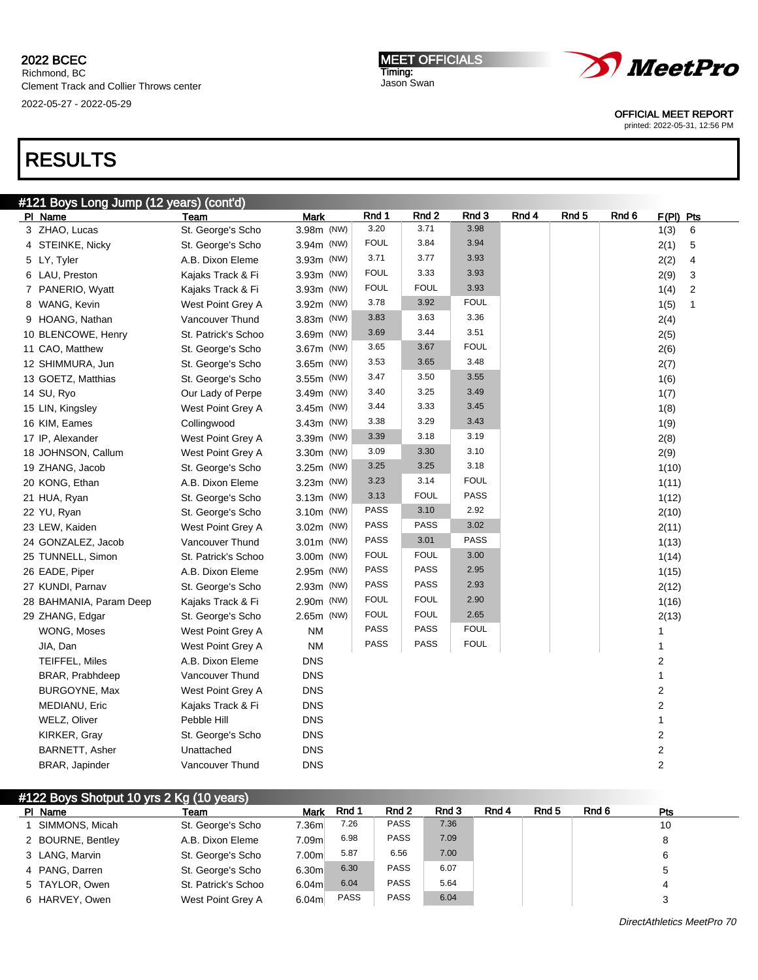Richmond, BC Clement Track and Collier Throws center 2022-05-27 - 2022-05-29

MEET OFFICIALS Timing: Jason Swan



OFFICIAL MEET REPORT

printed: 2022-05-31, 12:56 PM

# RESULTS

| #121 Boys Long Jump (12 years) (cont'd) |                        |             |             |                  |             |       |       |       |                         |                |
|-----------------------------------------|------------------------|-------------|-------------|------------------|-------------|-------|-------|-------|-------------------------|----------------|
| PI Name                                 | Team                   | <b>Mark</b> | Rnd 1       | Rnd <sub>2</sub> | Rnd 3       | Rnd 4 | Rnd 5 | Rnd 6 | F(PI) Pts               |                |
| 3 ZHAO, Lucas                           | St. George's Scho      | 3.98m (NW)  | 3.20        | 3.71             | 3.98        |       |       |       | 1(3)                    | 6              |
| 4 STEINKE, Nicky                        | St. George's Scho      | 3.94m (NW)  | <b>FOUL</b> | 3.84             | 3.94        |       |       |       | 2(1)                    | 5              |
| 5 LY, Tyler                             | A.B. Dixon Eleme       | 3.93m (NW)  | 3.71        | 3.77             | 3.93        |       |       |       | 2(2)                    | 4              |
| 6 LAU, Preston                          | Kajaks Track & Fi      | 3.93m (NW)  | <b>FOUL</b> | 3.33             | 3.93        |       |       |       | 2(9)                    | 3              |
| 7 PANERIO, Wyatt                        | Kajaks Track & Fi      | 3.93m (NW)  | <b>FOUL</b> | <b>FOUL</b>      | 3.93        |       |       |       | 1(4)                    | $\overline{2}$ |
| 8 WANG, Kevin                           | West Point Grey A      | 3.92m (NW)  | 3.78        | 3.92             | <b>FOUL</b> |       |       |       | 1(5)                    | $\mathbf{1}$   |
| 9 HOANG, Nathan                         | Vancouver Thund        | 3.83m (NW)  | 3.83        | 3.63             | 3.36        |       |       |       | 2(4)                    |                |
| 10 BLENCOWE, Henry                      | St. Patrick's Schoo    | 3.69m (NW)  | 3.69        | 3.44             | 3.51        |       |       |       | 2(5)                    |                |
| 11 CAO, Matthew                         | St. George's Scho      | 3.67m (NW)  | 3.65        | 3.67             | <b>FOUL</b> |       |       |       | 2(6)                    |                |
| 12 SHIMMURA, Jun                        | St. George's Scho      | 3.65m (NW)  | 3.53        | 3.65             | 3.48        |       |       |       | 2(7)                    |                |
| 13 GOETZ, Matthias                      | St. George's Scho      | 3.55m (NW)  | 3.47        | 3.50             | 3.55        |       |       |       | 1(6)                    |                |
| 14 SU, Ryo                              | Our Lady of Perpe      | 3.49m (NW)  | 3.40        | 3.25             | 3.49        |       |       |       | 1(7)                    |                |
| 15 LIN, Kingsley                        | West Point Grey A      | 3.45m (NW)  | 3.44        | 3.33             | 3.45        |       |       |       | 1(8)                    |                |
| 16 KIM, Eames                           | Collingwood            | 3.43m (NW)  | 3.38        | 3.29             | 3.43        |       |       |       | 1(9)                    |                |
| 17 IP, Alexander                        | West Point Grey A      | 3.39m (NW)  | 3.39        | 3.18             | 3.19        |       |       |       | 2(8)                    |                |
| 18 JOHNSON, Callum                      | West Point Grey A      | 3.30m (NW)  | 3.09        | 3.30             | 3.10        |       |       |       | 2(9)                    |                |
| 19 ZHANG, Jacob                         | St. George's Scho      | 3.25m (NW)  | 3.25        | 3.25             | 3.18        |       |       |       | 1(10)                   |                |
| 20 KONG, Ethan                          | A.B. Dixon Eleme       | 3.23m (NW)  | 3.23        | 3.14             | <b>FOUL</b> |       |       |       | 1(11)                   |                |
| 21 HUA, Ryan                            | St. George's Scho      | 3.13m (NW)  | 3.13        | <b>FOUL</b>      | PASS        |       |       |       | 1(12)                   |                |
| 22 YU, Ryan                             | St. George's Scho      | 3.10m (NW)  | <b>PASS</b> | 3.10             | 2.92        |       |       |       | 2(10)                   |                |
| 23 LEW, Kaiden                          | West Point Grey A      | 3.02m (NW)  | <b>PASS</b> | <b>PASS</b>      | 3.02        |       |       |       | 2(11)                   |                |
| 24 GONZALEZ, Jacob                      | Vancouver Thund        | 3.01m (NW)  | <b>PASS</b> | 3.01             | <b>PASS</b> |       |       |       | 1(13)                   |                |
| 25 TUNNELL, Simon                       | St. Patrick's Schoo    | 3.00m (NW)  | <b>FOUL</b> | <b>FOUL</b>      | 3.00        |       |       |       | 1(14)                   |                |
| 26 EADE, Piper                          | A.B. Dixon Eleme       | 2.95m (NW)  | PASS        | <b>PASS</b>      | 2.95        |       |       |       | 1(15)                   |                |
| 27 KUNDI, Parnav                        | St. George's Scho      | 2.93m (NW)  | <b>PASS</b> | <b>PASS</b>      | 2.93        |       |       |       | 2(12)                   |                |
| 28 BAHMANIA, Param Deep                 | Kajaks Track & Fi      | 2.90m (NW)  | <b>FOUL</b> | <b>FOUL</b>      | 2.90        |       |       |       | 1(16)                   |                |
| 29 ZHANG, Edgar                         | St. George's Scho      | 2.65m (NW)  | <b>FOUL</b> | <b>FOUL</b>      | 2.65        |       |       |       | 2(13)                   |                |
| WONG, Moses                             | West Point Grey A      | <b>NM</b>   | <b>PASS</b> | <b>PASS</b>      | <b>FOUL</b> |       |       |       | 1                       |                |
| JIA, Dan                                | West Point Grey A      | <b>NM</b>   | <b>PASS</b> | PASS             | <b>FOUL</b> |       |       |       | 1                       |                |
| <b>TEIFFEL, Miles</b>                   | A.B. Dixon Eleme       | <b>DNS</b>  |             |                  |             |       |       |       | 2                       |                |
| BRAR, Prabhdeep                         | Vancouver Thund        | <b>DNS</b>  |             |                  |             |       |       |       | 1                       |                |
| BURGOYNE, Max                           | West Point Grey A      | <b>DNS</b>  |             |                  |             |       |       |       | $\overline{2}$          |                |
| MEDIANU, Eric                           | Kajaks Track & Fi      | <b>DNS</b>  |             |                  |             |       |       |       | $\overline{2}$          |                |
| WELZ, Oliver                            | Pebble Hill            | <b>DNS</b>  |             |                  |             |       |       |       | $\mathbf{1}$            |                |
| KIRKER, Gray                            | St. George's Scho      | <b>DNS</b>  |             |                  |             |       |       |       | $\overline{\mathbf{c}}$ |                |
| BARNETT, Asher                          | Unattached             | <b>DNS</b>  |             |                  |             |       |       |       | $\overline{2}$          |                |
| BRAR, Japinder                          | <b>Vancouver Thund</b> | <b>DNS</b>  |             |                  |             |       |       |       | $\overline{2}$          |                |

| #122 Boys Shotput 10 yrs 2 Kg (10 years) |                     |                   |             |                  |       |       |       |       |     |  |
|------------------------------------------|---------------------|-------------------|-------------|------------------|-------|-------|-------|-------|-----|--|
| PI Name                                  | Team                | Mark              | Rnd 1       | Rnd <sub>2</sub> | Rnd 3 | Rnd 4 | Rnd 5 | Rnd 6 | Pts |  |
| SIMMONS, Micah                           | St. George's Scho   | 7.36m             | 7.26        | <b>PASS</b>      | 7.36  |       |       |       | 10  |  |
| 2 BOURNE, Bentley                        | A.B. Dixon Eleme    | 7.09m             | 6.98        | <b>PASS</b>      | 7.09  |       |       |       | 8   |  |
| 3 LANG, Marvin                           | St. George's Scho   | 7.00m             | 5.87        | 6.56             | 7.00  |       |       |       | 6   |  |
| 4 PANG, Darren                           | St. George's Scho   | 6.30m             | 6.30        | <b>PASS</b>      | 6.07  |       |       |       |     |  |
| 5 TAYLOR, Owen                           | St. Patrick's Schoo | 6.04 <sub>m</sub> | 6.04        | <b>PASS</b>      | 5.64  |       |       |       | 4   |  |
| 6 HARVEY, Owen                           | West Point Grey A   | 6.04m             | <b>PASS</b> | <b>PASS</b>      | 6.04  |       |       |       |     |  |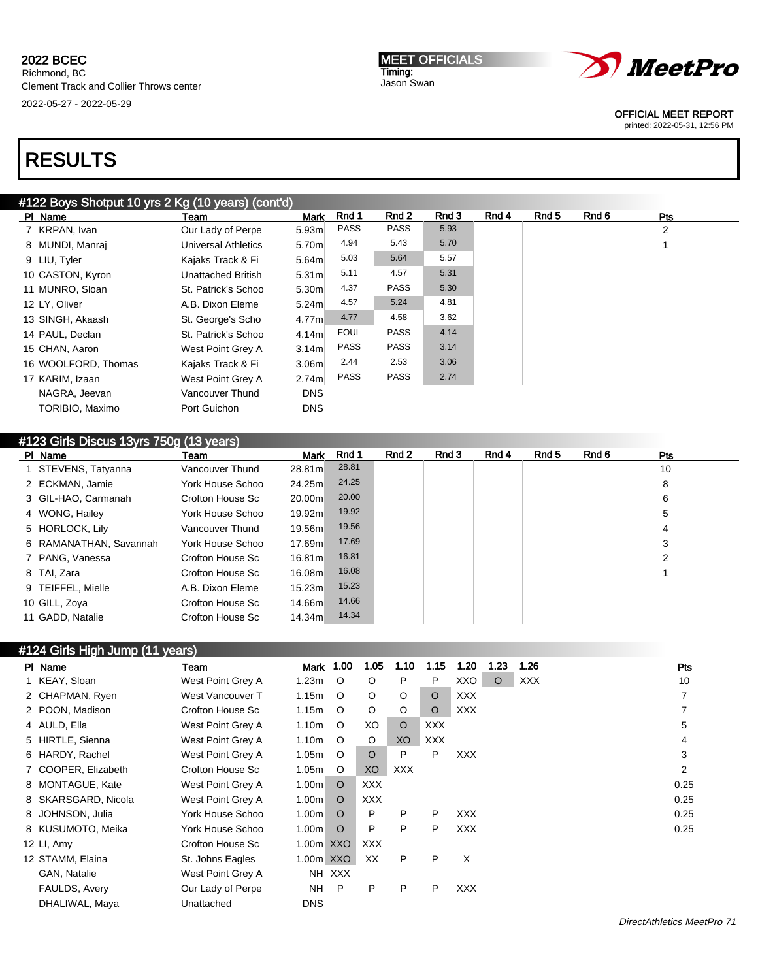MEET OFFICIALS Timing: Jason Swan



OFFICIAL MEET REPORT

printed: 2022-05-31, 12:56 PM

# RESULTS

## #122 Boys Shotput 10 yrs 2 Kg (10 years) (cont'd)

| PI Name             | Team                       | <b>Mark</b>       | Rnd 1       | Rnd 2       | Rnd 3 | Rnd 4 | Rnd 5 | Rnd 6 | <b>Pts</b> |  |
|---------------------|----------------------------|-------------------|-------------|-------------|-------|-------|-------|-------|------------|--|
| 7 KRPAN, Ivan       | Our Lady of Perpe          | 5.93 <sub>m</sub> | <b>PASS</b> | <b>PASS</b> | 5.93  |       |       |       | 2          |  |
| 8 MUNDI, Manraj     | <b>Universal Athletics</b> | 5.70m             | 4.94        | 5.43        | 5.70  |       |       |       |            |  |
| 9 LIU, Tyler        | Kajaks Track & Fi          | 5.64 <sub>m</sub> | 5.03        | 5.64        | 5.57  |       |       |       |            |  |
| 10 CASTON, Kyron    | Unattached British         | 5.31 <sub>m</sub> | 5.11        | 4.57        | 5.31  |       |       |       |            |  |
| 11 MUNRO, Sloan     | St. Patrick's Schoo        | 5.30m             | 4.37        | <b>PASS</b> | 5.30  |       |       |       |            |  |
| 12 LY, Oliver       | A.B. Dixon Eleme           | 5.24 <sub>m</sub> | 4.57        | 5.24        | 4.81  |       |       |       |            |  |
| 13 SINGH, Akaash    | St. George's Scho          | 4.77m             | 4.77        | 4.58        | 3.62  |       |       |       |            |  |
| 14 PAUL, Declan     | St. Patrick's Schoo        | 4.14m             | <b>FOUL</b> | <b>PASS</b> | 4.14  |       |       |       |            |  |
| 15 CHAN, Aaron      | West Point Grey A          | 3.14 <sub>m</sub> | <b>PASS</b> | <b>PASS</b> | 3.14  |       |       |       |            |  |
| 16 WOOLFORD, Thomas | Kajaks Track & Fi          | 3.06 <sub>m</sub> | 2.44        | 2.53        | 3.06  |       |       |       |            |  |
| 17 KARIM, Izaan     | West Point Grey A          | 2.74 <sub>m</sub> | <b>PASS</b> | <b>PASS</b> | 2.74  |       |       |       |            |  |
| NAGRA, Jeevan       | Vancouver Thund            | <b>DNS</b>        |             |             |       |       |       |       |            |  |
| TORIBIO, Maximo     | Port Guichon               | <b>DNS</b>        |             |             |       |       |       |       |            |  |
|                     |                            |                   |             |             |       |       |       |       |            |  |

# #123 Girls Discus 13yrs 750g (13 years)

| PI Name                | Team             | Mark    | Rnd 1 | Rnd 2 | Rnd 3 | Rnd 4 | Rnd 5 | Rnd 6 | <b>Pts</b> |
|------------------------|------------------|---------|-------|-------|-------|-------|-------|-------|------------|
| 1 STEVENS, Tatyanna    | Vancouver Thund  | 28.81m  | 28.81 |       |       |       |       |       | 10         |
| 2 ECKMAN, Jamie        | York House Schoo | 24.25m  | 24.25 |       |       |       |       |       | 8          |
| 3 GIL-HAO, Carmanah    | Crofton House Sc | 20.00m  | 20.00 |       |       |       |       |       | 6          |
| 4 WONG, Hailey         | York House Schoo | 19.92m  | 19.92 |       |       |       |       |       | 5          |
| 5 HORLOCK, Lily        | Vancouver Thund  | 19.56m  | 19.56 |       |       |       |       |       | 4          |
| 6 RAMANATHAN, Savannah | York House Schoo | 17.69m  | 17.69 |       |       |       |       |       | 3          |
| 7 PANG, Vanessa        | Crofton House Sc | 16.81ml | 16.81 |       |       |       |       |       | 2          |
| 8 TAI, Zara            | Crofton House Sc | 16.08m  | 16.08 |       |       |       |       |       |            |
| 9 TEIFFEL, Mielle      | A.B. Dixon Eleme | 15.23m  | 15.23 |       |       |       |       |       |            |
| 10 GILL, Zoya          | Crofton House Sc | 14.66m  | 14.66 |       |       |       |       |       |            |
| 11 GADD, Natalie       | Crofton House Sc | 14.34m  | 14.34 |       |       |       |       |       |            |

# #124 Girls High Jump (11 years)

| PI Name             | Team              | Mark              | 1.00    | 1.05    | 1.10       | 1.15       | 1.20       | 1.23    | 1.26       | <b>Pts</b> |
|---------------------|-------------------|-------------------|---------|---------|------------|------------|------------|---------|------------|------------|
| 1 KEAY, Sloan       | West Point Grey A | 1.23m             | $\circ$ | O       | P          | P          | XXO        | $\circ$ | <b>XXX</b> | 10         |
| 2 CHAPMAN, Ryen     | West Vancouver T  | 1.15m             | $\circ$ | $\circ$ | $\circ$    | $\Omega$   | <b>XXX</b> |         |            | 7          |
| 2 POON, Madison     | Crofton House Sc  | 1.15m             | $\circ$ | O       | O          | $\circ$    | <b>XXX</b> |         |            | 7          |
| 4 AULD, Ella        | West Point Grey A | 1.10m             | $\circ$ | XO      | $\circ$    | XXX        |            |         |            | 5          |
| 5 HIRTLE, Sienna    | West Point Grey A | 1.10m             | $\circ$ | $\circ$ | XO         | <b>XXX</b> |            |         |            | 4          |
| 6 HARDY, Rachel     | West Point Grey A | 1.05m             | $\circ$ | $\circ$ | P          | P          | <b>XXX</b> |         |            | 3          |
| 7 COOPER, Elizabeth | Crofton House Sc  | 1.05m             | $\circ$ | XO      | <b>XXX</b> |            |            |         |            | 2          |
| 8 MONTAGUE, Kate    | West Point Grey A | 1.00m             | $\circ$ | XXX     |            |            |            |         |            | 0.25       |
| 8 SKARSGARD, Nicola | West Point Grey A | 1.00 <sub>m</sub> | $\circ$ | XXX     |            |            |            |         |            | 0.25       |
| 8 JOHNSON, Julia    | York House Schoo  | 1.00m             | $\circ$ | P       | P          | P          | <b>XXX</b> |         |            | 0.25       |
| 8 KUSUMOTO, Meika   | York House Schoo  | 1.00m             | $\circ$ | P       | P          | P          | <b>XXX</b> |         |            | 0.25       |
| 12 LI, Amy          | Crofton House Sc  | 1.00 <sub>m</sub> | XXO     | XXX     |            |            |            |         |            |            |
| 12 STAMM, Elaina    | St. Johns Eagles  | 1.00m XXO         |         | XX.     | P          | P          | X          |         |            |            |
| GAN, Natalie        | West Point Grey A | NH                | XXX     |         |            |            |            |         |            |            |
| FAULDS, Avery       | Our Lady of Perpe | <b>NH</b>         | P       | P       | P          | P          | <b>XXX</b> |         |            |            |
| DHALIWAL, Maya      | Unattached        | <b>DNS</b>        |         |         |            |            |            |         |            |            |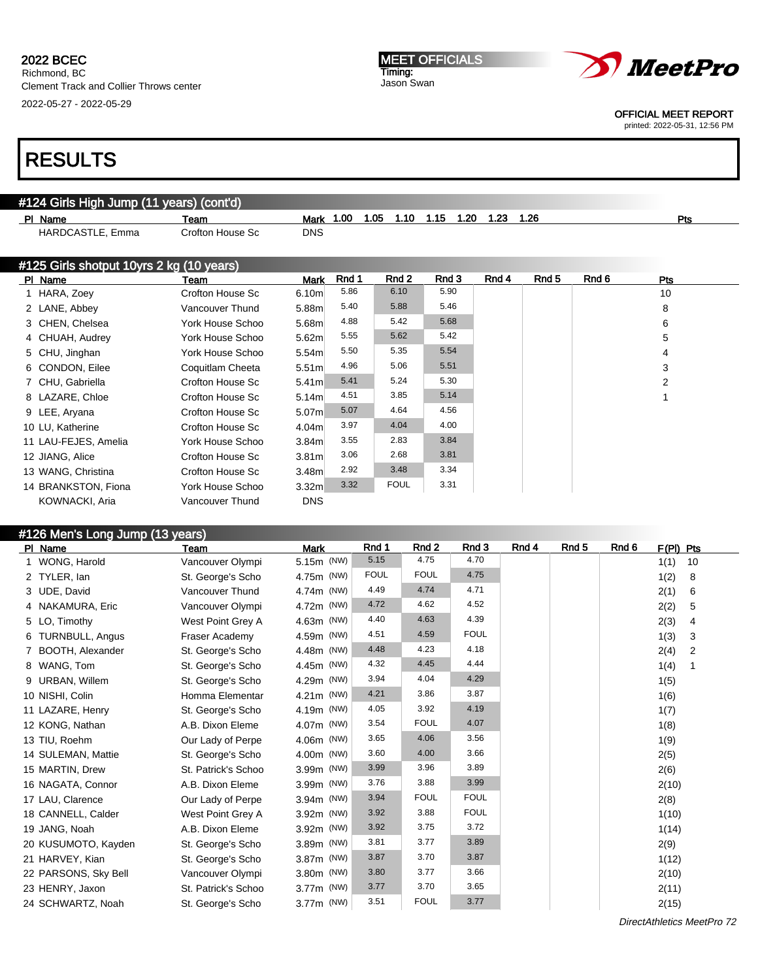Richmond, BC Clement Track and Collier Throws center 2022-05-27 - 2022-05-29

#### MEET OFFICIALS Timing: Jason Swan



OFFICIAL MEET REPORT

printed: 2022-05-31, 12:56 PM

# RESULTS

| PI Name                                  | Team             | Mark              | 1.00  | 1.05<br>1.10 | 1.15  | 1.20 | 1.23  | 1.26             |       | Pts            |
|------------------------------------------|------------------|-------------------|-------|--------------|-------|------|-------|------------------|-------|----------------|
| HARDCASTLE, Emma                         | Crofton House Sc | <b>DNS</b>        |       |              |       |      |       |                  |       |                |
| #125 Girls shotput 10yrs 2 kg (10 years) |                  |                   |       |              |       |      |       |                  |       |                |
| PI Name                                  | Team             | <b>Mark</b>       | Rnd 1 | Rnd 2        | Rnd 3 |      | Rnd 4 | Rnd <sub>5</sub> | Rnd 6 | Pts            |
| 1 HARA, Zoey                             | Crofton House Sc | 6.10 <sub>m</sub> | 5.86  | 6.10         | 5.90  |      |       |                  |       | 10             |
| 2 LANE, Abbey                            | Vancouver Thund  | 5.88m             | 5.40  | 5.88         | 5.46  |      |       |                  |       | 8              |
| 3 CHEN, Chelsea                          | York House Schoo | 5.68m             | 4.88  | 5.42         | 5.68  |      |       |                  |       | 6              |
| 4 CHUAH, Audrey                          | York House Schoo | 5.62m             | 5.55  | 5.62         | 5.42  |      |       |                  |       | 5              |
| 5 CHU, Jinghan                           | York House Schoo | 5.54m             | 5.50  | 5.35         | 5.54  |      |       |                  |       | 4              |
| 6 CONDON, Eilee                          | Coquitlam Cheeta | 5.51 <sub>m</sub> | 4.96  | 5.06         | 5.51  |      |       |                  |       | 3              |
| 7 CHU, Gabriella                         | Crofton House Sc | 5.41 <sub>m</sub> | 5.41  | 5.24         | 5.30  |      |       |                  |       | $\overline{2}$ |
| 8 LAZARE, Chloe                          | Crofton House Sc | 5.14m             | 4.51  | 3.85         | 5.14  |      |       |                  |       |                |
| 9 LEE, Aryana                            | Crofton House Sc | 5.07m             | 5.07  | 4.64         | 4.56  |      |       |                  |       |                |
| 10 LU, Katherine                         | Crofton House Sc | 4.04m             | 3.97  | 4.04         | 4.00  |      |       |                  |       |                |
| 11 LAU-FEJES, Amelia                     | York House Schoo | 3.84 <sub>m</sub> | 3.55  | 2.83         | 3.84  |      |       |                  |       |                |
| 12 JIANG, Alice                          | Crofton House Sc | 3.81 <sub>m</sub> | 3.06  | 2.68         | 3.81  |      |       |                  |       |                |
| 13 WANG, Christina                       | Crofton House Sc | 3.48 <sub>m</sub> | 2.92  | 3.48         | 3.34  |      |       |                  |       |                |
| 14 BRANKSTON, Fiona                      | York House Schoo | 3.32 <sub>m</sub> | 3.32  | <b>FOUL</b>  | 3.31  |      |       |                  |       |                |
| KOWNACKI, Aria                           | Vancouver Thund  | <b>DNS</b>        |       |              |       |      |       |                  |       |                |
|                                          |                  |                   |       |              |       |      |       |                  |       |                |

| #126 Men's Long Jump (13 years) |  |  |
|---------------------------------|--|--|
|                                 |  |  |
|                                 |  |  |

| PI Name              | Team                | Mark       | Rnd 1       | Rnd 2       | Rnd 3       | Rnd 4 | Rnd <sub>5</sub> | Rnd 6 | $F(PI)$ Pts |
|----------------------|---------------------|------------|-------------|-------------|-------------|-------|------------------|-------|-------------|
| WONG, Harold         | Vancouver Olympi    | 5.15m (NW) | 5.15        | 4.75        | 4.70        |       |                  |       | 1(1)<br>10  |
| 2 TYLER, lan         | St. George's Scho   | 4.75m (NW) | <b>FOUL</b> | <b>FOUL</b> | 4.75        |       |                  |       | 1(2)<br>8   |
| 3 UDE, David         | Vancouver Thund     | 4.74m (NW) | 4.49        | 4.74        | 4.71        |       |                  |       | 2(1)<br>6   |
| 4 NAKAMURA, Eric     | Vancouver Olympi    | 4.72m (NW) | 4.72        | 4.62        | 4.52        |       |                  |       | 2(2)<br>5   |
| 5 LO, Timothy        | West Point Grey A   | 4.63m (NW) | 4.40        | 4.63        | 4.39        |       |                  |       | 2(3)<br>4   |
| 6 TURNBULL, Angus    | Fraser Academy      | 4.59m (NW) | 4.51        | 4.59        | <b>FOUL</b> |       |                  |       | 1(3)<br>3   |
| 7 BOOTH, Alexander   | St. George's Scho   | 4.48m (NW) | 4.48        | 4.23        | 4.18        |       |                  |       | 2(4)<br>2   |
| 8 WANG, Tom          | St. George's Scho   | 4.45m (NW) | 4.32        | 4.45        | 4.44        |       |                  |       | 1(4)        |
| 9 URBAN, Willem      | St. George's Scho   | 4.29m (NW) | 3.94        | 4.04        | 4.29        |       |                  |       | 1(5)        |
| 10 NISHI. Colin      | Homma Elementar     | 4.21m (NW) | 4.21        | 3.86        | 3.87        |       |                  |       | 1(6)        |
| 11 LAZARE, Henry     | St. George's Scho   | 4.19m (NW) | 4.05        | 3.92        | 4.19        |       |                  |       | 1(7)        |
| 12 KONG, Nathan      | A.B. Dixon Eleme    | 4.07m (NW) | 3.54        | <b>FOUL</b> | 4.07        |       |                  |       | 1(8)        |
| 13 TIU, Roehm        | Our Lady of Perpe   | 4.06m (NW) | 3.65        | 4.06        | 3.56        |       |                  |       | 1(9)        |
| 14 SULEMAN, Mattie   | St. George's Scho   | 4.00m (NW) | 3.60        | 4.00        | 3.66        |       |                  |       | 2(5)        |
| 15 MARTIN, Drew      | St. Patrick's Schoo | 3.99m (NW) | 3.99        | 3.96        | 3.89        |       |                  |       | 2(6)        |
| 16 NAGATA, Connor    | A.B. Dixon Eleme    | 3.99m (NW) | 3.76        | 3.88        | 3.99        |       |                  |       | 2(10)       |
| 17 LAU, Clarence     | Our Lady of Perpe   | 3.94m (NW) | 3.94        | <b>FOUL</b> | <b>FOUL</b> |       |                  |       | 2(8)        |
| 18 CANNELL, Calder   | West Point Grey A   | 3.92m (NW) | 3.92        | 3.88        | <b>FOUL</b> |       |                  |       | 1(10)       |
| 19 JANG, Noah        | A.B. Dixon Eleme    | 3.92m (NW) | 3.92        | 3.75        | 3.72        |       |                  |       | 1(14)       |
| 20 KUSUMOTO, Kayden  | St. George's Scho   | 3.89m (NW) | 3.81        | 3.77        | 3.89        |       |                  |       | 2(9)        |
| 21 HARVEY, Kian      | St. George's Scho   | 3.87m (NW) | 3.87        | 3.70        | 3.87        |       |                  |       | 1(12)       |
| 22 PARSONS, Sky Bell | Vancouver Olympi    | 3.80m (NW) | 3.80        | 3.77        | 3.66        |       |                  |       | 2(10)       |
| 23 HENRY, Jaxon      | St. Patrick's Schoo | 3.77m (NW) | 3.77        | 3.70        | 3.65        |       |                  |       | 2(11)       |
| 24 SCHWARTZ, Noah    | St. George's Scho   | 3.77m (NW) | 3.51        | <b>FOUL</b> | 3.77        |       |                  |       | 2(15)       |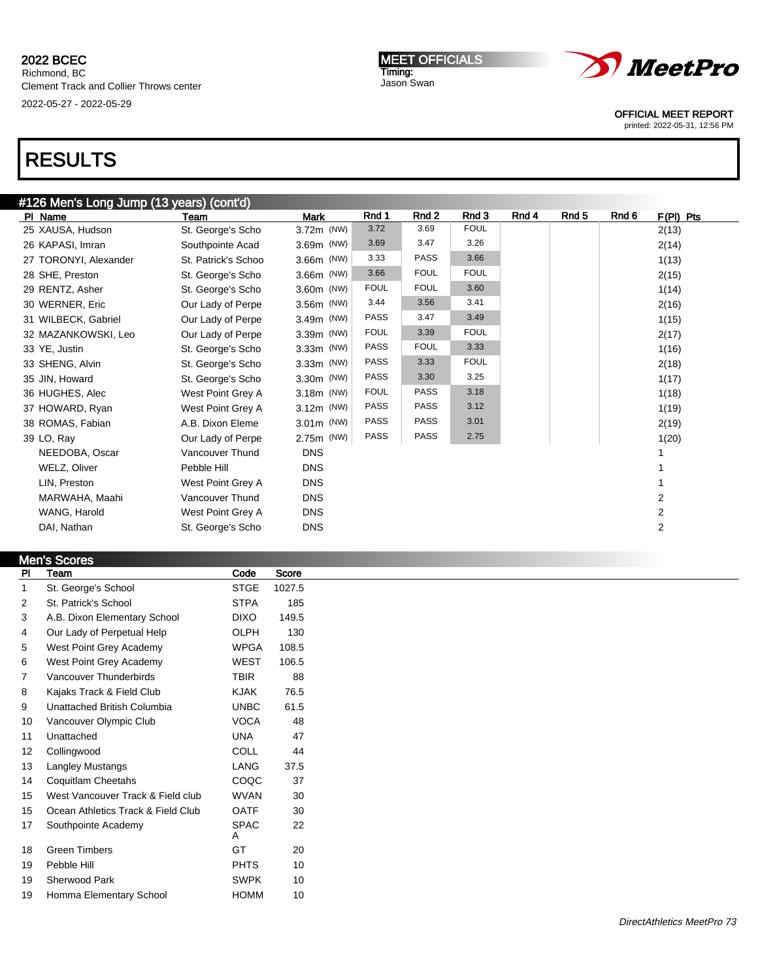### 2022 BCEC Richmond, BC Clement Track and Collier Throws center 2022-05-27 - 2022-05-29

MEET OFFICIALS Timing: Jason Swan



OFFICIAL MEET REPORT

printed: 2022-05-31, 12:56 PM

## RESULTS

| #126 Men's Long Jump (13 years) (cont'd) |  |  |
|------------------------------------------|--|--|
|                                          |  |  |

| PI Name               | Team                | <b>Mark</b> | Rnd 1       | Rnd 2       | Rnd 3       | Rnd 4 | Rnd 5 | Rnd 6 | $F(PI)$ Pts |
|-----------------------|---------------------|-------------|-------------|-------------|-------------|-------|-------|-------|-------------|
| 25 XAUSA, Hudson      | St. George's Scho   | 3.72m (NW)  | 3.72        | 3.69        | <b>FOUL</b> |       |       |       | 2(13)       |
| 26 KAPASI, Imran      | Southpointe Acad    | 3.69m (NW)  | 3.69        | 3.47        | 3.26        |       |       |       | 2(14)       |
| 27 TORONYI, Alexander | St. Patrick's Schoo | 3.66m (NW)  | 3.33        | <b>PASS</b> | 3.66        |       |       |       | 1(13)       |
| 28 SHE, Preston       | St. George's Scho   | 3.66m (NW)  | 3.66        | <b>FOUL</b> | <b>FOUL</b> |       |       |       | 2(15)       |
| 29 RENTZ, Asher       | St. George's Scho   | 3.60m (NW)  | <b>FOUL</b> | <b>FOUL</b> | 3.60        |       |       |       | 1(14)       |
| 30 WERNER, Eric       | Our Lady of Perpe   | 3.56m (NW)  | 3.44        | 3.56        | 3.41        |       |       |       | 2(16)       |
| 31 WILBECK, Gabriel   | Our Lady of Perpe   | 3.49m (NW)  | <b>PASS</b> | 3.47        | 3.49        |       |       |       | 1(15)       |
| 32 MAZANKOWSKI, Leo   | Our Lady of Perpe   | 3.39m (NW)  | <b>FOUL</b> | 3.39        | <b>FOUL</b> |       |       |       | 2(17)       |
| 33 YE, Justin         | St. George's Scho   | 3.33m (NW)  | <b>PASS</b> | <b>FOUL</b> | 3.33        |       |       |       | 1(16)       |
| 33 SHENG, Alvin       | St. George's Scho   | 3.33m (NW)  | <b>PASS</b> | 3.33        | <b>FOUL</b> |       |       |       | 2(18)       |
| 35 JIN, Howard        | St. George's Scho   | 3.30m (NW)  | <b>PASS</b> | 3.30        | 3.25        |       |       |       | 1(17)       |
| 36 HUGHES, Alec       | West Point Grey A   | 3.18m (NW)  | <b>FOUL</b> | <b>PASS</b> | 3.18        |       |       |       | 1(18)       |
| 37 HOWARD, Ryan       | West Point Grey A   | 3.12m (NW)  | <b>PASS</b> | <b>PASS</b> | 3.12        |       |       |       | 1(19)       |
| 38 ROMAS, Fabian      | A.B. Dixon Eleme    | 3.01m (NW)  | PASS        | <b>PASS</b> | 3.01        |       |       |       | 2(19)       |
| 39 LO, Ray            | Our Lady of Perpe   | 2.75m (NW)  | PASS        | <b>PASS</b> | 2.75        |       |       |       | 1(20)       |
| NEEDOBA, Oscar        | Vancouver Thund     | <b>DNS</b>  |             |             |             |       |       |       |             |
| WELZ, Oliver          | Pebble Hill         | <b>DNS</b>  |             |             |             |       |       |       |             |
| LIN, Preston          | West Point Grey A   | <b>DNS</b>  |             |             |             |       |       |       |             |
| MARWAHA, Maahi        | Vancouver Thund     | <b>DNS</b>  |             |             |             |       |       |       | 2           |
| WANG, Harold          | West Point Grey A   | <b>DNS</b>  |             |             |             |       |       |       | 2           |
| DAI, Nathan           | St. George's Scho   | <b>DNS</b>  |             |             |             |       |       |       | 2           |
|                       |                     |             |             |             |             |       |       |       |             |

### Men's Scores

| PI                | Team                               | Code             | <b>Score</b> |
|-------------------|------------------------------------|------------------|--------------|
|                   | St. George's School                | <b>STGE</b>      | 1027.5       |
| 2                 | St. Patrick's School               | <b>STPA</b>      | 185          |
| 3                 | A.B. Dixon Elementary School       | <b>DIXO</b>      | 149.5        |
| 4                 | Our Lady of Perpetual Help         | <b>OLPH</b>      | 130          |
| 5                 | West Point Grey Academy            | <b>WPGA</b>      | 108.5        |
| 6                 | West Point Grey Academy            | <b>WEST</b>      | 106.5        |
| 7                 | Vancouver Thunderbirds             | TBIR             | 88           |
| 8                 | Kajaks Track & Field Club          | KJAK             | 76.5         |
| 9                 | Unattached British Columbia        | <b>UNBC</b>      | 61.5         |
| 10                | Vancouver Olympic Club             | <b>VOCA</b>      | 48           |
| 11                | Unattached                         | <b>UNA</b>       | 47           |
| $12 \overline{ }$ | Collingwood                        | <b>COLL</b>      | 44           |
| 13                | Langley Mustangs                   | LANG             | 37.5         |
| 14                | Coquitlam Cheetahs                 | COQC             | 37           |
| 15                | West Vancouver Track & Field club  | <b>WVAN</b>      | 30           |
| 15                | Ocean Athletics Track & Field Club | <b>OATF</b>      | 30           |
| 17                | Southpointe Academy                | <b>SPAC</b><br>Α | 22           |
| 18                | <b>Green Timbers</b>               | GT               | 20           |
| 19                | Pebble Hill                        | <b>PHTS</b>      | 10           |
| 19                | Sherwood Park                      | <b>SWPK</b>      | 10           |
| 19                | Homma Elementary School            | <b>HOMM</b>      | 10           |